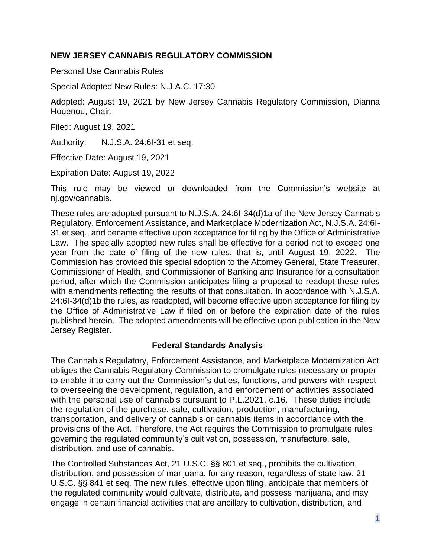### **NEW JERSEY CANNABIS REGULATORY COMMISSION**

Personal Use Cannabis Rules

Special Adopted New Rules: N.J.A.C. 17:30

Adopted: August 19, 2021 by New Jersey Cannabis Regulatory Commission, Dianna Houenou, Chair.

Filed: August 19, 2021

Authority: N.J.S.A. 24:6I-31 et seq.

Effective Date: August 19, 2021

Expiration Date: August 19, 2022

This rule may be viewed or downloaded from the Commission's website at nj.gov/cannabis.

These rules are adopted pursuant to N.J.S.A. 24:6I-34(d)1a of the New Jersey Cannabis Regulatory, Enforcement Assistance, and Marketplace Modernization Act, N.J.S.A. 24:6I-31 et seq., and became effective upon acceptance for filing by the Office of Administrative Law. The specially adopted new rules shall be effective for a period not to exceed one year from the date of filing of the new rules, that is, until August 19, 2022. The Commission has provided this special adoption to the Attorney General, State Treasurer, Commissioner of Health, and Commissioner of Banking and Insurance for a consultation period, after which the Commission anticipates filing a proposal to readopt these rules with amendments reflecting the results of that consultation. In accordance with N.J.S.A. 24:6I-34(d)1b the rules, as readopted, will become effective upon acceptance for filing by the Office of Administrative Law if filed on or before the expiration date of the rules published herein. The adopted amendments will be effective upon publication in the New Jersey Register.

### **Federal Standards Analysis**

The Cannabis Regulatory, Enforcement Assistance, and Marketplace Modernization Act obliges the Cannabis Regulatory Commission to promulgate rules necessary or proper to enable it to carry out the Commission's duties, functions, and powers with respect to overseeing the development, regulation, and enforcement of activities associated with the personal use of cannabis pursuant to P.L.2021, c.16. These duties include the regulation of the purchase, sale, cultivation, production, manufacturing, transportation, and delivery of cannabis or cannabis items in accordance with the provisions of the Act. Therefore, the Act requires the Commission to promulgate rules governing the regulated community's cultivation, possession, manufacture, sale, distribution, and use of cannabis.

The Controlled Substances Act, 21 U.S.C. §§ 801 et seq., prohibits the cultivation, distribution, and possession of marijuana, for any reason, regardless of state law. 21 U.S.C. §§ 841 et seq. The new rules, effective upon filing, anticipate that members of the regulated community would cultivate, distribute, and possess marijuana, and may engage in certain financial activities that are ancillary to cultivation, distribution, and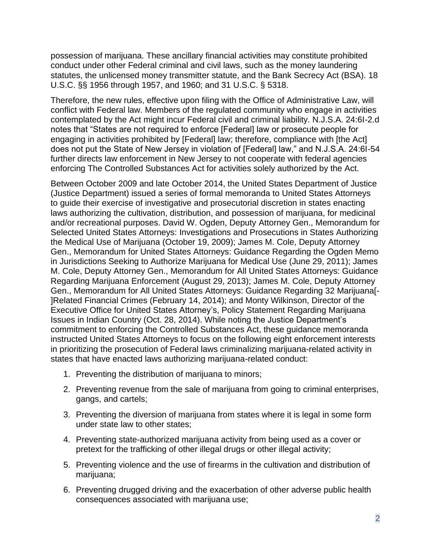possession of marijuana. These ancillary financial activities may constitute prohibited conduct under other Federal criminal and civil laws, such as the money laundering statutes, the unlicensed money transmitter statute, and the Bank Secrecy Act (BSA). 18 U.S.C. §§ 1956 through 1957, and 1960; and 31 U.S.C. § 5318.

Therefore, the new rules, effective upon filing with the Office of Administrative Law, will conflict with Federal law. Members of the regulated community who engage in activities contemplated by the Act might incur Federal civil and criminal liability. N.J.S.A. 24:6I-2.d notes that "States are not required to enforce [Federal] law or prosecute people for engaging in activities prohibited by [Federal] law; therefore, compliance with [the Act] does not put the State of New Jersey in violation of [Federal] law," and N.J.S.A. 24:6I-54 further directs law enforcement in New Jersey to not cooperate with federal agencies enforcing The Controlled Substances Act for activities solely authorized by the Act.

Between October 2009 and late October 2014, the United States Department of Justice (Justice Department) issued a series of formal memoranda to United States Attorneys to guide their exercise of investigative and prosecutorial discretion in states enacting laws authorizing the cultivation, distribution, and possession of marijuana, for medicinal and/or recreational purposes. David W. Ogden, Deputy Attorney Gen., Memorandum for Selected United States Attorneys: Investigations and Prosecutions in States Authorizing the Medical Use of Marijuana (October 19, 2009); James M. Cole, Deputy Attorney Gen., Memorandum for United States Attorneys: Guidance Regarding the Ogden Memo in Jurisdictions Seeking to Authorize Marijuana for Medical Use (June 29, 2011); James M. Cole, Deputy Attorney Gen., Memorandum for All United States Attorneys: Guidance Regarding Marijuana Enforcement (August 29, 2013); James M. Cole, Deputy Attorney Gen., Memorandum for All United States Attorneys: Guidance Regarding 32 Marijuana[- ]Related Financial Crimes (February 14, 2014); and Monty Wilkinson, Director of the Executive Office for United States Attorney's, Policy Statement Regarding Marijuana Issues in Indian Country (Oct. 28, 2014). While noting the Justice Department's commitment to enforcing the Controlled Substances Act, these guidance memoranda instructed United States Attorneys to focus on the following eight enforcement interests in prioritizing the prosecution of Federal laws criminalizing marijuana-related activity in states that have enacted laws authorizing marijuana-related conduct:

- 1. Preventing the distribution of marijuana to minors;
- 2. Preventing revenue from the sale of marijuana from going to criminal enterprises, gangs, and cartels;
- 3. Preventing the diversion of marijuana from states where it is legal in some form under state law to other states;
- 4. Preventing state-authorized marijuana activity from being used as a cover or pretext for the trafficking of other illegal drugs or other illegal activity;
- 5. Preventing violence and the use of firearms in the cultivation and distribution of marijuana;
- 6. Preventing drugged driving and the exacerbation of other adverse public health consequences associated with marijuana use;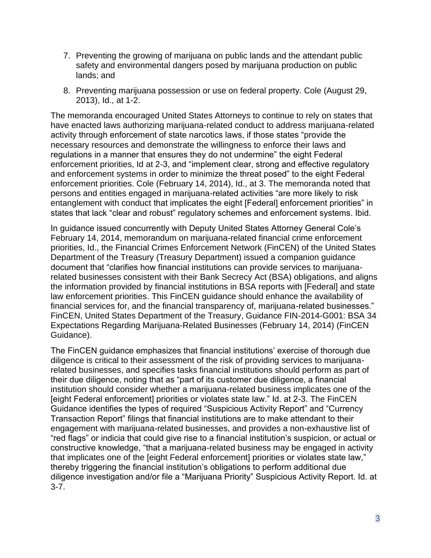- 7. Preventing the growing of marijuana on public lands and the attendant public safety and environmental dangers posed by marijuana production on public lands; and
- 8. Preventing marijuana possession or use on federal property. Cole (August 29, 2013), Id., at 1-2.

The memoranda encouraged United States Attorneys to continue to rely on states that have enacted laws authorizing marijuana-related conduct to address marijuana-related activity through enforcement of state narcotics laws, if those states "provide the necessary resources and demonstrate the willingness to enforce their laws and regulations in a manner that ensures they do not undermine" the eight Federal enforcement priorities, Id at 2-3, and "implement clear, strong and effective regulatory and enforcement systems in order to minimize the threat posed" to the eight Federal enforcement priorities. Cole (February 14, 2014), Id., at 3. The memoranda noted that persons and entities engaged in marijuana-related activities "are more likely to risk entanglement with conduct that implicates the eight [Federal] enforcement priorities" in states that lack "clear and robust" regulatory schemes and enforcement systems. Ibid.

In guidance issued concurrently with Deputy United States Attorney General Cole's February 14, 2014, memorandum on marijuana-related financial crime enforcement priorities, Id., the Financial Crimes Enforcement Network (FinCEN) of the United States Department of the Treasury (Treasury Department) issued a companion guidance document that "clarifies how financial institutions can provide services to marijuanarelated businesses consistent with their Bank Secrecy Act (BSA) obligations, and aligns the information provided by financial institutions in BSA reports with [Federal] and state law enforcement priorities. This FinCEN guidance should enhance the availability of financial services for, and the financial transparency of, marijuana-related businesses." FinCEN, United States Department of the Treasury, Guidance FIN-2014-G001: BSA 34 Expectations Regarding Marijuana-Related Businesses (February 14, 2014) (FinCEN Guidance).

The FinCEN guidance emphasizes that financial institutions' exercise of thorough due diligence is critical to their assessment of the risk of providing services to marijuanarelated businesses, and specifies tasks financial institutions should perform as part of their due diligence, noting that as "part of its customer due diligence, a financial institution should consider whether a marijuana-related business implicates one of the [eight Federal enforcement] priorities or violates state law." Id. at 2-3. The FinCEN Guidance identifies the types of required "Suspicious Activity Report" and "Currency Transaction Report" filings that financial institutions are to make attendant to their engagement with marijuana-related businesses, and provides a non-exhaustive list of "red flags" or indicia that could give rise to a financial institution's suspicion, or actual or constructive knowledge, "that a marijuana-related business may be engaged in activity that implicates one of the [eight Federal enforcement] priorities or violates state law," thereby triggering the financial institution's obligations to perform additional due diligence investigation and/or file a "Marijuana Priority" Suspicious Activity Report. Id. at 3-7.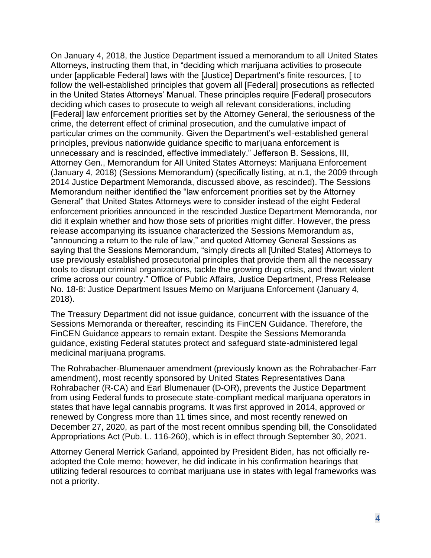On January 4, 2018, the Justice Department issued a memorandum to all United States Attorneys, instructing them that, in "deciding which marijuana activities to prosecute under [applicable Federal] laws with the [Justice] Department's finite resources, [ to follow the well-established principles that govern all [Federal] prosecutions as reflected in the United States Attorneys' Manual. These principles require [Federal] prosecutors deciding which cases to prosecute to weigh all relevant considerations, including [Federal] law enforcement priorities set by the Attorney General, the seriousness of the crime, the deterrent effect of criminal prosecution, and the cumulative impact of particular crimes on the community. Given the Department's well-established general principles, previous nationwide guidance specific to marijuana enforcement is unnecessary and is rescinded, effective immediately." Jefferson B. Sessions, III, Attorney Gen., Memorandum for All United States Attorneys: Marijuana Enforcement (January 4, 2018) (Sessions Memorandum) (specifically listing, at n.1, the 2009 through 2014 Justice Department Memoranda, discussed above, as rescinded). The Sessions Memorandum neither identified the "law enforcement priorities set by the Attorney General" that United States Attorneys were to consider instead of the eight Federal enforcement priorities announced in the rescinded Justice Department Memoranda, nor did it explain whether and how those sets of priorities might differ. However, the press release accompanying its issuance characterized the Sessions Memorandum as, "announcing a return to the rule of law," and quoted Attorney General Sessions as saying that the Sessions Memorandum, "simply directs all [United States] Attorneys to use previously established prosecutorial principles that provide them all the necessary tools to disrupt criminal organizations, tackle the growing drug crisis, and thwart violent crime across our country." Office of Public Affairs, Justice Department, Press Release No. 18-8: Justice Department Issues Memo on Marijuana Enforcement (January 4, 2018).

The Treasury Department did not issue guidance, concurrent with the issuance of the Sessions Memoranda or thereafter, rescinding its FinCEN Guidance. Therefore, the FinCEN Guidance appears to remain extant. Despite the Sessions Memoranda guidance, existing Federal statutes protect and safeguard state-administered legal medicinal marijuana programs.

The Rohrabacher-Blumenauer amendment (previously known as the Rohrabacher-Farr amendment), most recently sponsored by United States Representatives Dana Rohrabacher (R-CA) and Earl Blumenauer (D-OR), prevents the Justice Department from using Federal funds to prosecute state-compliant medical marijuana operators in states that have legal cannabis programs. It was first approved in 2014, approved or renewed by Congress more than 11 times since, and most recently renewed on December 27, 2020, as part of the most recent omnibus spending bill, the Consolidated Appropriations Act (Pub. L. 116-260), which is in effect through September 30, 2021.

Attorney General Merrick Garland, appointed by President Biden, has not officially readopted the Cole memo; however, he did indicate in his confirmation hearings that utilizing federal resources to combat marijuana use in states with legal frameworks was not a priority.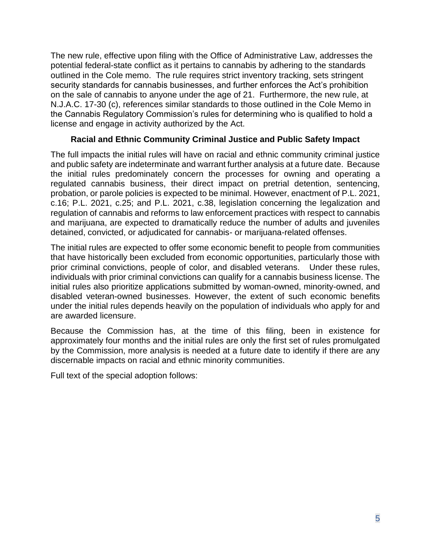The new rule, effective upon filing with the Office of Administrative Law, addresses the potential federal-state conflict as it pertains to cannabis by adhering to the standards outlined in the Cole memo. The rule requires strict inventory tracking, sets stringent security standards for cannabis businesses, and further enforces the Act's prohibition on the sale of cannabis to anyone under the age of 21. Furthermore, the new rule, at N.J.A.C. 17-30 (c), references similar standards to those outlined in the Cole Memo in the Cannabis Regulatory Commission's rules for determining who is qualified to hold a license and engage in activity authorized by the Act.

### **Racial and Ethnic Community Criminal Justice and Public Safety Impact**

The full impacts the initial rules will have on racial and ethnic community criminal justice and public safety are indeterminate and warrant further analysis at a future date. Because the initial rules predominately concern the processes for owning and operating a regulated cannabis business, their direct impact on pretrial detention, sentencing, probation, or parole policies is expected to be minimal. However, enactment of P.L. 2021, c.16; P.L. 2021, c.25; and P.L. 2021, c.38, legislation concerning the legalization and regulation of cannabis and reforms to law enforcement practices with respect to cannabis and marijuana, are expected to dramatically reduce the number of adults and juveniles detained, convicted, or adjudicated for cannabis- or marijuana-related offenses.

The initial rules are expected to offer some economic benefit to people from communities that have historically been excluded from economic opportunities, particularly those with prior criminal convictions, people of color, and disabled veterans. Under these rules, individuals with prior criminal convictions can qualify for a cannabis business license. The initial rules also prioritize applications submitted by woman-owned, minority-owned, and disabled veteran-owned businesses. However, the extent of such economic benefits under the initial rules depends heavily on the population of individuals who apply for and are awarded licensure.

Because the Commission has, at the time of this filing, been in existence for approximately four months and the initial rules are only the first set of rules promulgated by the Commission, more analysis is needed at a future date to identify if there are any discernable impacts on racial and ethnic minority communities.

Full text of the special adoption follows: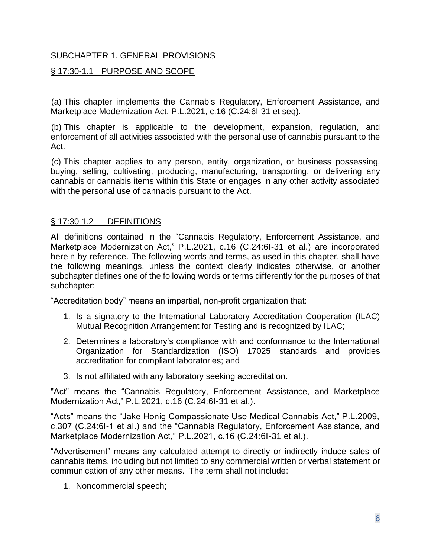# SUBCHAPTER 1. GENERAL PROVISIONS

# § 17:30-1.1 PURPOSE AND SCOPE

(a) This chapter implements the Cannabis Regulatory, Enforcement Assistance, and Marketplace Modernization Act, P.L.2021, c.16 (C.24:6I-31 et seq).

(b) This chapter is applicable to the development, expansion, regulation, and enforcement of all activities associated with the personal use of cannabis pursuant to the Act.

(c) This chapter applies to any person, entity, organization, or business possessing, buying, selling, cultivating, producing, manufacturing, transporting, or delivering any cannabis or cannabis items within this State or engages in any other activity associated with the personal use of cannabis pursuant to the Act.

### § 17:30-1.2 DEFINITIONS

All definitions contained in the "Cannabis Regulatory, Enforcement Assistance, and Marketplace Modernization Act," P.L.2021, c.16 (C.24:6I-31 et al.) are incorporated herein by reference. The following words and terms, as used in this chapter, shall have the following meanings, unless the context clearly indicates otherwise, or another subchapter defines one of the following words or terms differently for the purposes of that subchapter:

"Accreditation body" means an impartial, non-profit organization that:

- 1. Is a signatory to the International Laboratory Accreditation Cooperation (ILAC) Mutual Recognition Arrangement for Testing and is recognized by ILAC;
- 2. Determines a laboratory's compliance with and conformance to the International Organization for Standardization (ISO) 17025 standards and provides accreditation for compliant laboratories; and
- 3. Is not affiliated with any laboratory seeking accreditation.

"Act" means the "Cannabis Regulatory, Enforcement Assistance, and Marketplace Modernization Act," P.L.2021, c.16 (C.24:6I-31 et al.).

"Acts" means the "Jake Honig Compassionate Use Medical Cannabis Act," P.L.2009, c.307 (C.24:6I-1 et al.) and the "Cannabis Regulatory, Enforcement Assistance, and Marketplace Modernization Act," P.L.2021, c.16 (C.24:6I-31 et al.).

"Advertisement" means any calculated attempt to directly or indirectly induce sales of cannabis items, including but not limited to any commercial written or verbal statement or communication of any other means. The term shall not include:

1. Noncommercial speech;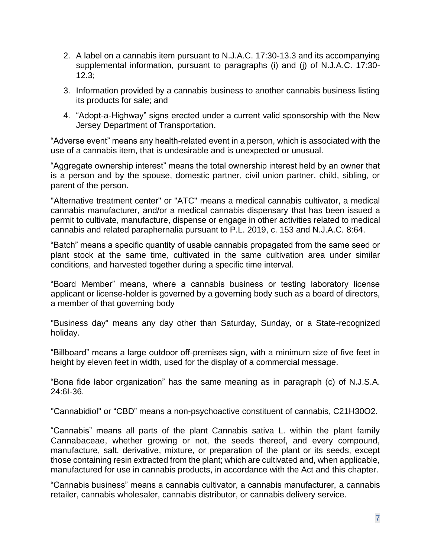- 2. A label on a cannabis item pursuant to N.J.A.C. 17:30-13.3 and its accompanying supplemental information, pursuant to paragraphs (i) and (j) of N.J.A.C. 17:30- 12.3;
- 3. Information provided by a cannabis business to another cannabis business listing its products for sale; and
- 4. "Adopt-a-Highway" signs erected under a current valid sponsorship with the New Jersey Department of Transportation.

"Adverse event" means any health-related event in a person, which is associated with the use of a cannabis item, that is undesirable and is unexpected or unusual.

"Aggregate ownership interest" means the total ownership interest held by an owner that is a person and by the spouse, domestic partner, civil union partner, child, sibling, or parent of the person.

"Alternative treatment center" or "ATC" means a medical cannabis cultivator, a medical cannabis manufacturer, and/or a medical cannabis dispensary that has been issued a permit to cultivate, manufacture, dispense or engage in other activities related to medical cannabis and related paraphernalia pursuant to P.L. 2019, c. 153 and N.J.A.C. 8:64.

"Batch" means a specific quantity of usable cannabis propagated from the same seed or plant stock at the same time, cultivated in the same cultivation area under similar conditions, and harvested together during a specific time interval.

"Board Member" means, where a cannabis business or testing laboratory license applicant or license-holder is governed by a governing body such as a board of directors, a member of that governing body

"Business day" means any day other than Saturday, Sunday, or a State-recognized holiday.

"Billboard" means a large outdoor off-premises sign, with a minimum size of five feet in height by eleven feet in width, used for the display of a commercial message.

"Bona fide labor organization" has the same meaning as in paragraph (c) of N.J.S.A. 24:6I-36.

"Cannabidiol" or "CBD" means a non-psychoactive constituent of cannabis, C21H30O2.

"Cannabis" means all parts of the plant Cannabis sativa L. within the plant family Cannabaceae, whether growing or not, the seeds thereof, and every compound, manufacture, salt, derivative, mixture, or preparation of the plant or its seeds, except those containing resin extracted from the plant; which are cultivated and, when applicable, manufactured for use in cannabis products, in accordance with the Act and this chapter.

"Cannabis business" means a cannabis cultivator, a cannabis manufacturer, a cannabis retailer, cannabis wholesaler, cannabis distributor, or cannabis delivery service.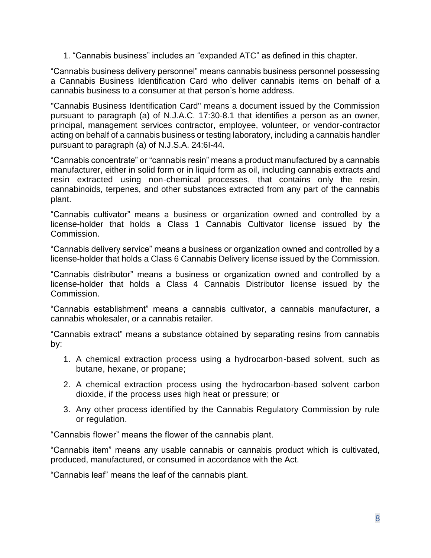1. "Cannabis business" includes an "expanded ATC" as defined in this chapter.

"Cannabis business delivery personnel" means cannabis business personnel possessing a Cannabis Business Identification Card who deliver cannabis items on behalf of a cannabis business to a consumer at that person's home address.

"Cannabis Business Identification Card" means a document issued by the Commission pursuant to paragraph (a) of N.J.A.C. 17:30-8.1 that identifies a person as an owner, principal, management services contractor, employee, volunteer, or vendor-contractor acting on behalf of a cannabis business or testing laboratory, including a cannabis handler pursuant to paragraph (a) of N.J.S.A. 24:6I-44.

"Cannabis concentrate" or "cannabis resin" means a product manufactured by a cannabis manufacturer, either in solid form or in liquid form as oil, including cannabis extracts and resin extracted using non-chemical processes, that contains only the resin, cannabinoids, terpenes, and other substances extracted from any part of the cannabis plant.

"Cannabis cultivator" means a business or organization owned and controlled by a license-holder that holds a Class 1 Cannabis Cultivator license issued by the Commission.

"Cannabis delivery service" means a business or organization owned and controlled by a license-holder that holds a Class 6 Cannabis Delivery license issued by the Commission.

"Cannabis distributor" means a business or organization owned and controlled by a license-holder that holds a Class 4 Cannabis Distributor license issued by the Commission.

"Cannabis establishment" means a cannabis cultivator, a cannabis manufacturer, a cannabis wholesaler, or a cannabis retailer.

"Cannabis extract" means a substance obtained by separating resins from cannabis by:

- 1. A chemical extraction process using a hydrocarbon-based solvent, such as butane, hexane, or propane;
- 2. A chemical extraction process using the hydrocarbon-based solvent carbon dioxide, if the process uses high heat or pressure; or
- 3. Any other process identified by the Cannabis Regulatory Commission by rule or regulation.

"Cannabis flower" means the flower of the cannabis plant.

"Cannabis item" means any usable cannabis or cannabis product which is cultivated, produced, manufactured, or consumed in accordance with the Act.

"Cannabis leaf" means the leaf of the cannabis plant.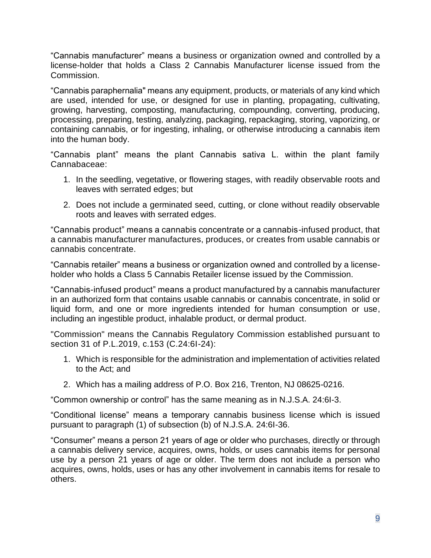"Cannabis manufacturer" means a business or organization owned and controlled by a license-holder that holds a Class 2 Cannabis Manufacturer license issued from the Commission.

"Cannabis paraphernalia" means any equipment, products, or materials of any kind which are used, intended for use, or designed for use in planting, propagating, cultivating, growing, harvesting, composting, manufacturing, compounding, converting, producing, processing, preparing, testing, analyzing, packaging, repackaging, storing, vaporizing, or containing cannabis, or for ingesting, inhaling, or otherwise introducing a cannabis item into the human body.

"Cannabis plant" means the plant Cannabis sativa L. within the plant family Cannabaceae:

- 1. In the seedling, vegetative, or flowering stages, with readily observable roots and leaves with serrated edges; but
- 2. Does not include a germinated seed, cutting, or clone without readily observable roots and leaves with serrated edges.

"Cannabis product" means a cannabis concentrate or a cannabis-infused product, that a cannabis manufacturer manufactures, produces, or creates from usable cannabis or cannabis concentrate.

"Cannabis retailer" means a business or organization owned and controlled by a licenseholder who holds a Class 5 Cannabis Retailer license issued by the Commission.

"Cannabis-infused product" means a product manufactured by a cannabis manufacturer in an authorized form that contains usable cannabis or cannabis concentrate, in solid or liquid form, and one or more ingredients intended for human consumption or use, including an ingestible product, inhalable product, or dermal product.

"Commission" means the Cannabis Regulatory Commission established pursuant to section 31 of P.L.2019, c.153 (C.24:6I-24):

- 1. Which is responsible for the administration and implementation of activities related to the Act; and
- 2. Which has a mailing address of P.O. Box 216, Trenton, NJ 08625-0216.

"Common ownership or control" has the same meaning as in N.J.S.A. 24:6I-3.

"Conditional license" means a temporary cannabis business license which is issued pursuant to paragraph (1) of subsection (b) of N.J.S.A. 24:6I-36.

"Consumer" means a person 21 years of age or older who purchases, directly or through a cannabis delivery service, acquires, owns, holds, or uses cannabis items for personal use by a person 21 years of age or older. The term does not include a person who acquires, owns, holds, uses or has any other involvement in cannabis items for resale to others.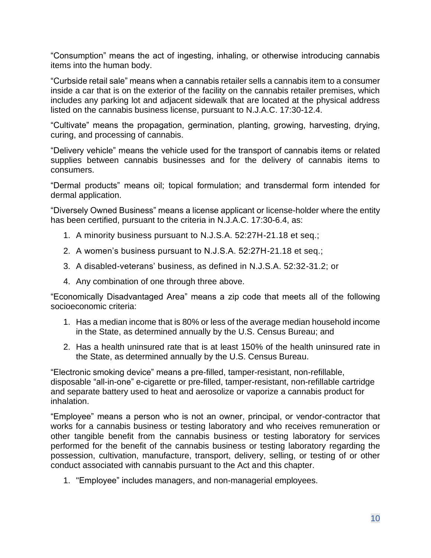"Consumption" means the act of ingesting, inhaling, or otherwise introducing cannabis items into the human body.

"Curbside retail sale" means when a cannabis retailer sells a cannabis item to a consumer inside a car that is on the exterior of the facility on the cannabis retailer premises, which includes any parking lot and adjacent sidewalk that are located at the physical address listed on the cannabis business license, pursuant to N.J.A.C. 17:30-12.4.

"Cultivate" means the propagation, germination, planting, growing, harvesting, drying, curing, and processing of cannabis.

"Delivery vehicle" means the vehicle used for the transport of cannabis items or related supplies between cannabis businesses and for the delivery of cannabis items to consumers.

"Dermal products" means oil; topical formulation; and transdermal form intended for dermal application.

"Diversely Owned Business" means a license applicant or license-holder where the entity has been certified, pursuant to the criteria in N.J.A.C. 17:30-6.4, as:

- 1. A minority business pursuant to N.J.S.A. 52:27H-21.18 et seq.;
- 2. A women's business pursuant to N.J.S.A. 52:27H-21.18 et seq.;
- 3. A disabled-veterans' business, as defined in N.J.S.A. 52:32-31.2; or
- 4. Any combination of one through three above.

"Economically Disadvantaged Area" means a zip code that meets all of the following socioeconomic criteria:

- 1. Has a median income that is 80% or less of the average median household income in the State, as determined annually by the U.S. Census Bureau; and
- 2. Has a health uninsured rate that is at least 150% of the health uninsured rate in the State, as determined annually by the U.S. Census Bureau.

"Electronic smoking device" means a pre-filled, tamper-resistant, non-refillable, disposable "all-in-one" e-cigarette or pre-filled, tamper-resistant, non-refillable cartridge and separate battery used to heat and aerosolize or vaporize a cannabis product for inhalation.

"Employee" means a person who is not an owner, principal, or vendor-contractor that works for a cannabis business or testing laboratory and who receives remuneration or other tangible benefit from the cannabis business or testing laboratory for services performed for the benefit of the cannabis business or testing laboratory regarding the possession, cultivation, manufacture, transport, delivery, selling, or testing of or other conduct associated with cannabis pursuant to the Act and this chapter.

1. "Employee" includes managers, and non-managerial employees.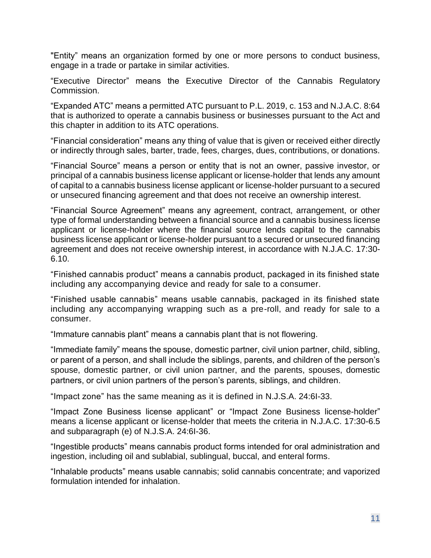"Entity" means an organization formed by one or more persons to conduct business, engage in a trade or partake in similar activities.

"Executive Director" means the Executive Director of the Cannabis Regulatory Commission.

"Expanded ATC" means a permitted ATC pursuant to P.L. 2019, c. 153 and N.J.A.C. 8:64 that is authorized to operate a cannabis business or businesses pursuant to the Act and this chapter in addition to its ATC operations.

"Financial consideration" means any thing of value that is given or received either directly or indirectly through sales, barter, trade, fees, charges, dues, contributions, or donations.

"Financial Source" means a person or entity that is not an owner, passive investor, or principal of a cannabis business license applicant or license-holder that lends any amount of capital to a cannabis business license applicant or license-holder pursuant to a secured or unsecured financing agreement and that does not receive an ownership interest.

"Financial Source Agreement" means any agreement, contract, arrangement, or other type of formal understanding between a financial source and a cannabis business license applicant or license-holder where the financial source lends capital to the cannabis business license applicant or license-holder pursuant to a secured or unsecured financing agreement and does not receive ownership interest, in accordance with N.J.A.C. 17:30- 6.10.

"Finished cannabis product" means a cannabis product, packaged in its finished state including any accompanying device and ready for sale to a consumer.

"Finished usable cannabis" means usable cannabis, packaged in its finished state including any accompanying wrapping such as a pre-roll, and ready for sale to a consumer.

"Immature cannabis plant" means a cannabis plant that is not flowering.

"Immediate family" means the spouse, domestic partner, civil union partner, child, sibling, or parent of a person, and shall include the siblings, parents, and children of the person's spouse, domestic partner, or civil union partner, and the parents, spouses, domestic partners, or civil union partners of the person's parents, siblings, and children.

"Impact zone" has the same meaning as it is defined in N.J.S.A. 24:6I-33.

"Impact Zone Business license applicant" or "Impact Zone Business license-holder" means a license applicant or license-holder that meets the criteria in N.J.A.C. 17:30-6.5 and subparagraph (e) of N.J.S.A. 24:6I-36.

"Ingestible products" means cannabis product forms intended for oral administration and ingestion, including oil and sublabial, sublingual, buccal, and enteral forms.

"Inhalable products" means usable cannabis; solid cannabis concentrate; and vaporized formulation intended for inhalation.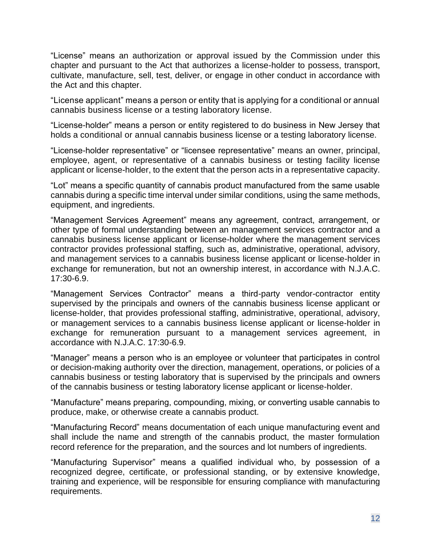"License" means an authorization or approval issued by the Commission under this chapter and pursuant to the Act that authorizes a license-holder to possess, transport, cultivate, manufacture, sell, test, deliver, or engage in other conduct in accordance with the Act and this chapter.

"License applicant" means a person or entity that is applying for a conditional or annual cannabis business license or a testing laboratory license.

"License-holder" means a person or entity registered to do business in New Jersey that holds a conditional or annual cannabis business license or a testing laboratory license.

"License-holder representative" or "licensee representative" means an owner, principal, employee, agent, or representative of a cannabis business or testing facility license applicant or license-holder, to the extent that the person acts in a representative capacity.

"Lot" means a specific quantity of cannabis product manufactured from the same usable cannabis during a specific time interval under similar conditions, using the same methods, equipment, and ingredients.

"Management Services Agreement" means any agreement, contract, arrangement, or other type of formal understanding between an management services contractor and a cannabis business license applicant or license-holder where the management services contractor provides professional staffing, such as, administrative, operational, advisory, and management services to a cannabis business license applicant or license-holder in exchange for remuneration, but not an ownership interest, in accordance with N.J.A.C. 17:30-6.9.

"Management Services Contractor" means a third-party vendor-contractor entity supervised by the principals and owners of the cannabis business license applicant or license-holder, that provides professional staffing, administrative, operational, advisory, or management services to a cannabis business license applicant or license-holder in exchange for remuneration pursuant to a management services agreement, in accordance with N.J.A.C. 17:30-6.9.

"Manager" means a person who is an employee or volunteer that participates in control or decision-making authority over the direction, management, operations, or policies of a cannabis business or testing laboratory that is supervised by the principals and owners of the cannabis business or testing laboratory license applicant or license-holder.

"Manufacture" means preparing, compounding, mixing, or converting usable cannabis to produce, make, or otherwise create a cannabis product.

"Manufacturing Record" means documentation of each unique manufacturing event and shall include the name and strength of the cannabis product, the master formulation record reference for the preparation, and the sources and lot numbers of ingredients.

"Manufacturing Supervisor" means a qualified individual who, by possession of a recognized degree, certificate, or professional standing, or by extensive knowledge, training and experience, will be responsible for ensuring compliance with manufacturing requirements.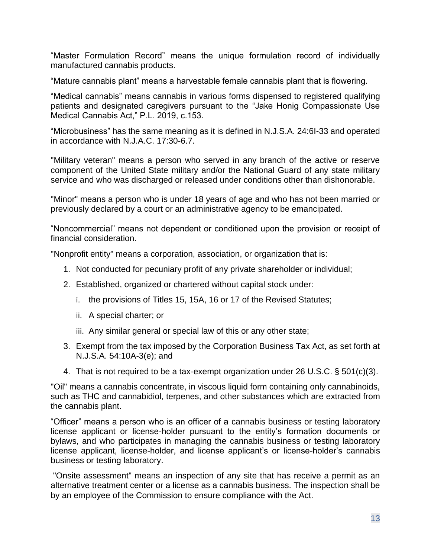"Master Formulation Record" means the unique formulation record of individually manufactured cannabis products.

"Mature cannabis plant" means a harvestable female cannabis plant that is flowering.

"Medical cannabis" means cannabis in various forms dispensed to registered qualifying patients and designated caregivers pursuant to the "Jake Honig Compassionate Use Medical Cannabis Act," P.L. 2019, c.153.

"Microbusiness" has the same meaning as it is defined in N.J.S.A. 24:6I-33 and operated in accordance with N.J.A.C. 17:30-6.7.

"Military veteran" means a person who served in any branch of the active or reserve component of the United State military and/or the National Guard of any state military service and who was discharged or released under conditions other than dishonorable.

"Minor" means a person who is under 18 years of age and who has not been married or previously declared by a court or an administrative agency to be emancipated.

"Noncommercial" means not dependent or conditioned upon the provision or receipt of financial consideration.

"Nonprofit entity" means a corporation, association, or organization that is:

- 1. Not conducted for pecuniary profit of any private shareholder or individual;
- 2. Established, organized or chartered without capital stock under:
	- i. the provisions of Titles 15, 15A, 16 or 17 of the Revised Statutes;
	- ii. A special charter; or
	- iii. Any similar general or special law of this or any other state;
- 3. Exempt from the tax imposed by the Corporation Business Tax Act, as set forth at N.J.S.A. 54:10A-3(e); and
- 4. That is not required to be a tax-exempt organization under 26 U.S.C. § 501(c)(3).

"Oil" means a cannabis concentrate, in viscous liquid form containing only cannabinoids, such as THC and cannabidiol, terpenes, and other substances which are extracted from the cannabis plant.

"Officer" means a person who is an officer of a cannabis business or testing laboratory license applicant or license-holder pursuant to the entity's formation documents or bylaws, and who participates in managing the cannabis business or testing laboratory license applicant, license-holder, and license applicant's or license-holder's cannabis business or testing laboratory.

"Onsite assessment" means an inspection of any site that has receive a permit as an alternative treatment center or a license as a cannabis business. The inspection shall be by an employee of the Commission to ensure compliance with the Act.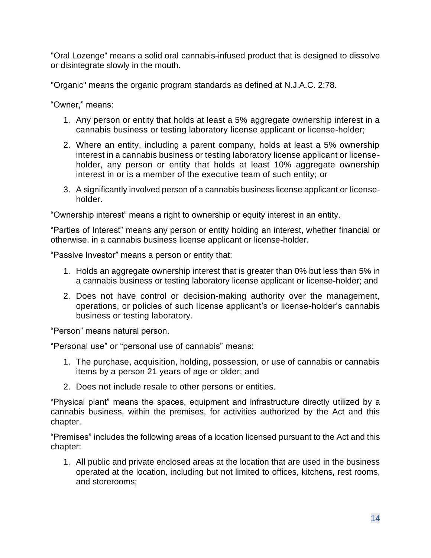"Oral Lozenge" means a solid oral cannabis-infused product that is designed to dissolve or disintegrate slowly in the mouth.

"Organic" means the organic program standards as defined at N.J.A.C. 2:78.

"Owner," means:

- 1. Any person or entity that holds at least a 5% aggregate ownership interest in a cannabis business or testing laboratory license applicant or license-holder;
- 2. Where an entity, including a parent company, holds at least a 5% ownership interest in a cannabis business or testing laboratory license applicant or licenseholder, any person or entity that holds at least 10% aggregate ownership interest in or is a member of the executive team of such entity; or
- 3. A significantly involved person of a cannabis business license applicant or licenseholder.

"Ownership interest" means a right to ownership or equity interest in an entity.

"Parties of Interest" means any person or entity holding an interest, whether financial or otherwise, in a cannabis business license applicant or license-holder.

"Passive Investor" means a person or entity that:

- 1. Holds an aggregate ownership interest that is greater than 0% but less than 5% in a cannabis business or testing laboratory license applicant or license-holder; and
- 2. Does not have control or decision-making authority over the management, operations, or policies of such license applicant's or license-holder's cannabis business or testing laboratory.

"Person" means natural person.

"Personal use" or "personal use of cannabis" means:

- 1. The purchase, acquisition, holding, possession, or use of cannabis or cannabis items by a person 21 years of age or older; and
- 2. Does not include resale to other persons or entities.

"Physical plant" means the spaces, equipment and infrastructure directly utilized by a cannabis business, within the premises, for activities authorized by the Act and this chapter.

"Premises" includes the following areas of a location licensed pursuant to the Act and this chapter:

1. All public and private enclosed areas at the location that are used in the business operated at the location, including but not limited to offices, kitchens, rest rooms, and storerooms;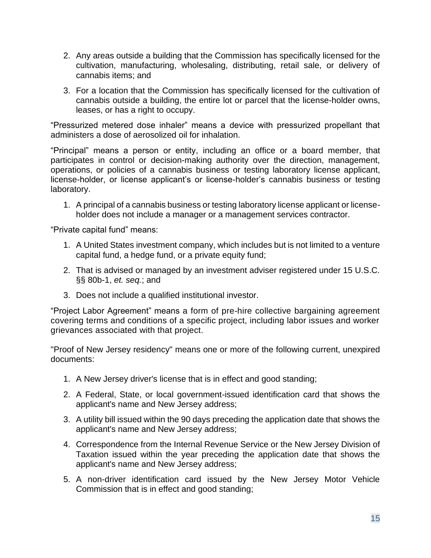- 2. Any areas outside a building that the Commission has specifically licensed for the cultivation, manufacturing, wholesaling, distributing, retail sale, or delivery of cannabis items; and
- 3. For a location that the Commission has specifically licensed for the cultivation of cannabis outside a building, the entire lot or parcel that the license-holder owns, leases, or has a right to occupy.

"Pressurized metered dose inhaler" means a device with pressurized propellant that administers a dose of aerosolized oil for inhalation.

"Principal" means a person or entity, including an office or a board member, that participates in control or decision-making authority over the direction, management, operations, or policies of a cannabis business or testing laboratory license applicant, license-holder, or license applicant's or license-holder's cannabis business or testing laboratory.

1. A principal of a cannabis business or testing laboratory license applicant or licenseholder does not include a manager or a management services contractor.

"Private capital fund" means:

- 1. A United States investment company, which includes but is not limited to a venture capital fund, a hedge fund, or a private equity fund;
- 2. That is advised or managed by an investment adviser registered under 15 U.S.C. §§ 80b-1, *et. seq.*; and
- 3. Does not include a qualified institutional investor.

"Project Labor Agreement" means a form of pre-hire collective bargaining agreement covering terms and conditions of a specific project, including labor issues and worker grievances associated with that project.

"Proof of New Jersey residency" means one or more of the following current, unexpired documents:

- 1. A New Jersey driver's license that is in effect and good standing;
- 2. A Federal, State, or local government-issued identification card that shows the applicant's name and New Jersey address;
- 3. A utility bill issued within the 90 days preceding the application date that shows the applicant's name and New Jersey address;
- 4. Correspondence from the Internal Revenue Service or the New Jersey Division of Taxation issued within the year preceding the application date that shows the applicant's name and New Jersey address;
- 5. A non-driver identification card issued by the New Jersey Motor Vehicle Commission that is in effect and good standing;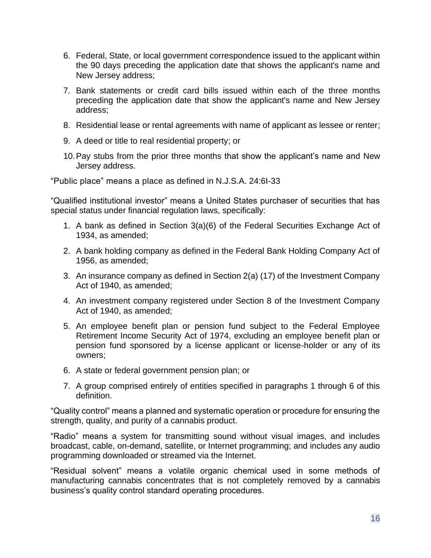- 6. Federal, State, or local government correspondence issued to the applicant within the 90 days preceding the application date that shows the applicant's name and New Jersey address;
- 7. Bank statements or credit card bills issued within each of the three months preceding the application date that show the applicant's name and New Jersey address;
- 8. Residential lease or rental agreements with name of applicant as lessee or renter;
- 9. A deed or title to real residential property; or
- 10.Pay stubs from the prior three months that show the applicant's name and New Jersey address.

"Public place" means a place as defined in N.J.S.A. 24:6I-33

"Qualified institutional investor" means a United States purchaser of securities that has special status under financial regulation laws, specifically:

- 1. A bank as defined in Section 3(a)(6) of the Federal Securities Exchange Act of 1934, as amended;
- 2. A bank holding company as defined in the Federal Bank Holding Company Act of 1956, as amended;
- 3. An insurance company as defined in Section 2(a) (17) of the Investment Company Act of 1940, as amended;
- 4. An investment company registered under Section 8 of the Investment Company Act of 1940, as amended;
- 5. An employee benefit plan or pension fund subject to the Federal Employee Retirement Income Security Act of 1974, excluding an employee benefit plan or pension fund sponsored by a license applicant or license-holder or any of its owners;
- 6. A state or federal government pension plan; or
- 7. A group comprised entirely of entities specified in paragraphs 1 through 6 of this definition.

"Quality control" means a planned and systematic operation or procedure for ensuring the strength, quality, and purity of a cannabis product.

"Radio" means a system for transmitting sound without visual images, and includes broadcast, cable, on-demand, satellite, or Internet programming; and includes any audio programming downloaded or streamed via the Internet.

"Residual solvent" means a volatile organic chemical used in some methods of manufacturing cannabis concentrates that is not completely removed by a cannabis business's quality control standard operating procedures.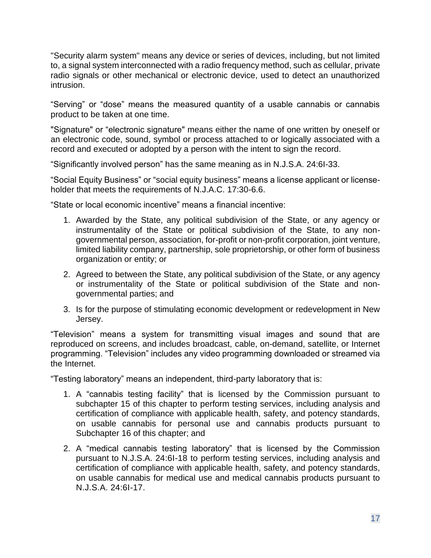"Security alarm system" means any device or series of devices, including, but not limited to, a signal system interconnected with a radio frequency method, such as cellular, private radio signals or other mechanical or electronic device, used to detect an unauthorized intrusion.

"Serving" or "dose" means the measured quantity of a usable cannabis or cannabis product to be taken at one time.

"Signature" or "electronic signature" means either the name of one written by oneself or an electronic code, sound, symbol or process attached to or logically associated with a record and executed or adopted by a person with the intent to sign the record.

"Significantly involved person" has the same meaning as in N.J.S.A. 24:6I-33.

"Social Equity Business" or "social equity business" means a license applicant or licenseholder that meets the requirements of N.J.A.C. 17:30-6.6.

"State or local economic incentive" means a financial incentive:

- 1. Awarded by the State, any political subdivision of the State, or any agency or instrumentality of the State or political subdivision of the State, to any nongovernmental person, association, for-profit or non-profit corporation, joint venture, limited liability company, partnership, sole proprietorship, or other form of business organization or entity; or
- 2. Agreed to between the State, any political subdivision of the State, or any agency or instrumentality of the State or political subdivision of the State and nongovernmental parties; and
- 3. Is for the purpose of stimulating economic development or redevelopment in New Jersey.

"Television" means a system for transmitting visual images and sound that are reproduced on screens, and includes broadcast, cable, on-demand, satellite, or Internet programming. "Television" includes any video programming downloaded or streamed via the Internet.

"Testing laboratory" means an independent, third-party laboratory that is:

- 1. A "cannabis testing facility" that is licensed by the Commission pursuant to subchapter 15 of this chapter to perform testing services, including analysis and certification of compliance with applicable health, safety, and potency standards, on usable cannabis for personal use and cannabis products pursuant to Subchapter 16 of this chapter; and
- 2. A "medical cannabis testing laboratory" that is licensed by the Commission pursuant to N.J.S.A. 24:6I-18 to perform testing services, including analysis and certification of compliance with applicable health, safety, and potency standards, on usable cannabis for medical use and medical cannabis products pursuant to N.J.S.A. 24:6I-17.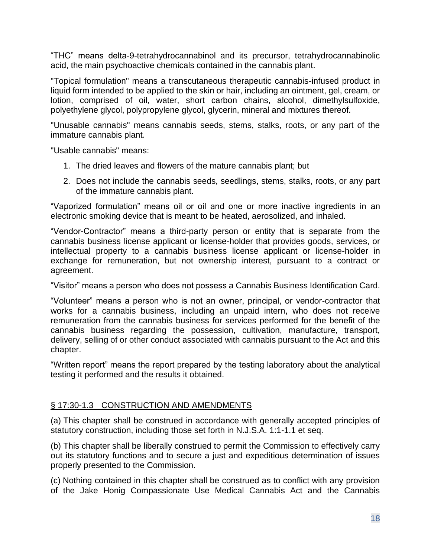"THC" means delta-9-tetrahydrocannabinol and its precursor, tetrahydrocannabinolic acid, the main psychoactive chemicals contained in the cannabis plant.

"Topical formulation" means a transcutaneous therapeutic cannabis-infused product in liquid form intended to be applied to the skin or hair, including an ointment, gel, cream, or lotion, comprised of oil, water, short carbon chains, alcohol, dimethylsulfoxide, polyethylene glycol, polypropylene glycol, glycerin, mineral and mixtures thereof.

"Unusable cannabis" means cannabis seeds, stems, stalks, roots, or any part of the immature cannabis plant.

"Usable cannabis" means:

- 1. The dried leaves and flowers of the mature cannabis plant; but
- 2. Does not include the cannabis seeds, seedlings, stems, stalks, roots, or any part of the immature cannabis plant.

"Vaporized formulation" means oil or oil and one or more inactive ingredients in an electronic smoking device that is meant to be heated, aerosolized, and inhaled.

"Vendor-Contractor" means a third-party person or entity that is separate from the cannabis business license applicant or license-holder that provides goods, services, or intellectual property to a cannabis business license applicant or license-holder in exchange for remuneration, but not ownership interest, pursuant to a contract or agreement.

"Visitor" means a person who does not possess a Cannabis Business Identification Card.

"Volunteer" means a person who is not an owner, principal, or vendor-contractor that works for a cannabis business, including an unpaid intern, who does not receive remuneration from the cannabis business for services performed for the benefit of the cannabis business regarding the possession, cultivation, manufacture, transport, delivery, selling of or other conduct associated with cannabis pursuant to the Act and this chapter.

"Written report" means the report prepared by the testing laboratory about the analytical testing it performed and the results it obtained.

### § 17:30-1.3 CONSTRUCTION AND AMENDMENTS

(a) This chapter shall be construed in accordance with generally accepted principles of statutory construction, including those set forth in N.J.S.A. 1:1-1.1 et seq.

(b) This chapter shall be liberally construed to permit the Commission to effectively carry out its statutory functions and to secure a just and expeditious determination of issues properly presented to the Commission.

(c) Nothing contained in this chapter shall be construed as to conflict with any provision of the Jake Honig Compassionate Use Medical Cannabis Act and the Cannabis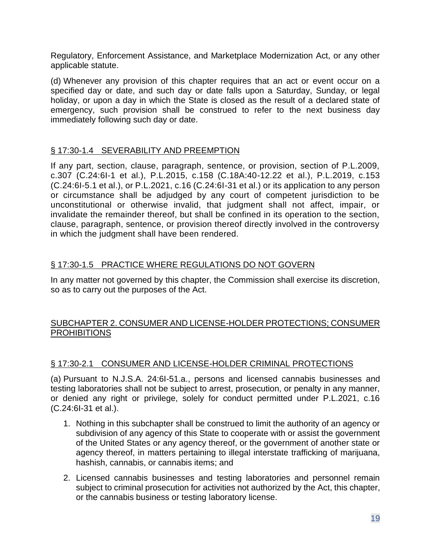Regulatory, Enforcement Assistance, and Marketplace Modernization Act, or any other applicable statute.

(d) Whenever any provision of this chapter requires that an act or event occur on a specified day or date, and such day or date falls upon a Saturday, Sunday, or legal holiday, or upon a day in which the State is closed as the result of a declared state of emergency, such provision shall be construed to refer to the next business day immediately following such day or date.

### § 17:30-1.4 SEVERABILITY AND PREEMPTION

If any part, section, clause, paragraph, sentence, or provision, section of P.L.2009, c.307 (C.24:6I-1 et al.), P.L.2015, c.158 (C.18A:40-12.22 et al.), P.L.2019, c.153 (C.24:6I-5.1 et al.), or P.L.2021, c.16 (C.24:6I-31 et al.) or its application to any person or circumstance shall be adjudged by any court of competent jurisdiction to be unconstitutional or otherwise invalid, that judgment shall not affect, impair, or invalidate the remainder thereof, but shall be confined in its operation to the section, clause, paragraph, sentence, or provision thereof directly involved in the controversy in which the judgment shall have been rendered.

# § 17:30-1.5 PRACTICE WHERE REGULATIONS DO NOT GOVERN

In any matter not governed by this chapter, the Commission shall exercise its discretion, so as to carry out the purposes of the Act.

### SUBCHAPTER 2. CONSUMER AND LICENSE-HOLDER PROTECTIONS; CONSUMER **PROHIBITIONS**

### § 17:30-2.1 CONSUMER AND LICENSE-HOLDER CRIMINAL PROTECTIONS

(a) Pursuant to N.J.S.A. 24:6I-51.a., persons and licensed cannabis businesses and testing laboratories shall not be subject to arrest, prosecution, or penalty in any manner, or denied any right or privilege, solely for conduct permitted under P.L.2021, c.16 (C.24:6I-31 et al.).

- 1. Nothing in this subchapter shall be construed to limit the authority of an agency or subdivision of any agency of this State to cooperate with or assist the government of the United States or any agency thereof, or the government of another state or agency thereof, in matters pertaining to illegal interstate trafficking of marijuana, hashish, cannabis, or cannabis items; and
- 2. Licensed cannabis businesses and testing laboratories and personnel remain subject to criminal prosecution for activities not authorized by the Act, this chapter, or the cannabis business or testing laboratory license.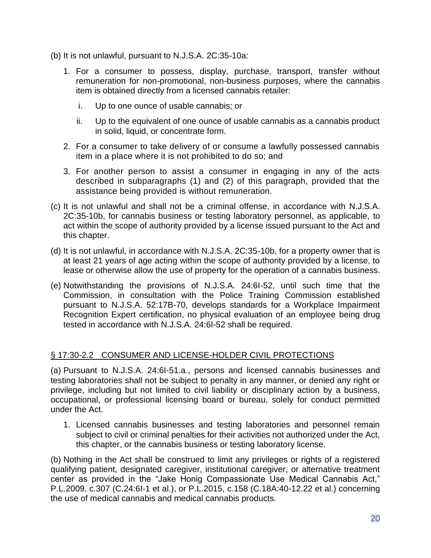- (b) It is not unlawful, pursuant to N.J.S.A. 2C:35-10a:
	- 1. For a consumer to possess, display, purchase, transport, transfer without remuneration for non-promotional, non-business purposes, where the cannabis item is obtained directly from a licensed cannabis retailer:
		- i. Up to one ounce of usable cannabis; or
		- ii. Up to the equivalent of one ounce of usable cannabis as a cannabis product in solid, liquid, or concentrate form.
	- 2. For a consumer to take delivery of or consume a lawfully possessed cannabis item in a place where it is not prohibited to do so; and
	- 3. For another person to assist a consumer in engaging in any of the acts described in subparagraphs (1) and (2) of this paragraph, provided that the assistance being provided is without remuneration.
- (c) It is not unlawful and shall not be a criminal offense, in accordance with N.J.S.A. 2C:35-10b, for cannabis business or testing laboratory personnel, as applicable, to act within the scope of authority provided by a license issued pursuant to the Act and this chapter.
- (d) It is not unlawful, in accordance with N.J.S.A. 2C:35-10b, for a property owner that is at least 21 years of age acting within the scope of authority provided by a license, to lease or otherwise allow the use of property for the operation of a cannabis business.
- (e) Notwithstanding the provisions of N.J.S.A. 24:6I-52, until such time that the Commission, in consultation with the Police Training Commission established pursuant to N.J.S.A. 52:17B-70, develops standards for a Workplace Impairment Recognition Expert certification, no physical evaluation of an employee being drug tested in accordance with N.J.S.A. 24:6I-52 shall be required.

### § 17:30-2.2 CONSUMER AND LICENSE-HOLDER CIVIL PROTECTIONS

(a) Pursuant to N.J.S.A. 24:6I-51.a., persons and licensed cannabis businesses and testing laboratories shall not be subject to penalty in any manner, or denied any right or privilege, including but not limited to civil liability or disciplinary action by a business, occupational, or professional licensing board or bureau, solely for conduct permitted under the Act.

1. Licensed cannabis businesses and testing laboratories and personnel remain subject to civil or criminal penalties for their activities not authorized under the Act, this chapter, or the cannabis business or testing laboratory license.

(b) Nothing in the Act shall be construed to limit any privileges or rights of a registered qualifying patient, designated caregiver, institutional caregiver, or alternative treatment center as provided in the "Jake Honig Compassionate Use Medical Cannabis Act," P.L.2009, c.307 (C.24:6I-1 et al.), or P.L.2015, c.158 (C.18A:40-12.22 et al.) concerning the use of medical cannabis and medical cannabis products.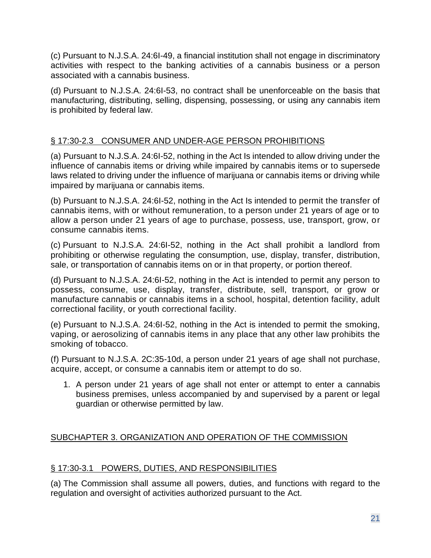(c) Pursuant to N.J.S.A. 24:6I-49, a financial institution shall not engage in discriminatory activities with respect to the banking activities of a cannabis business or a person associated with a cannabis business.

(d) Pursuant to N.J.S.A. 24:6I-53, no contract shall be unenforceable on the basis that manufacturing, distributing, selling, dispensing, possessing, or using any cannabis item is prohibited by federal law.

# § 17:30-2.3 CONSUMER AND UNDER-AGE PERSON PROHIBITIONS

(a) Pursuant to N.J.S.A. 24:6I-52, nothing in the Act Is intended to allow driving under the influence of cannabis items or driving while impaired by cannabis items or to supersede laws related to driving under the influence of marijuana or cannabis items or driving while impaired by marijuana or cannabis items.

(b) Pursuant to N.J.S.A. 24:6I-52, nothing in the Act Is intended to permit the transfer of cannabis items, with or without remuneration, to a person under 21 years of age or to allow a person under 21 years of age to purchase, possess, use, transport, grow, or consume cannabis items.

(c) Pursuant to N.J.S.A. 24:6I-52, nothing in the Act shall prohibit a landlord from prohibiting or otherwise regulating the consumption, use, display, transfer, distribution, sale, or transportation of cannabis items on or in that property, or portion thereof.

(d) Pursuant to N.J.S.A. 24:6I-52, nothing in the Act is intended to permit any person to possess, consume, use, display, transfer, distribute, sell, transport, or grow or manufacture cannabis or cannabis items in a school, hospital, detention facility, adult correctional facility, or youth correctional facility.

(e) Pursuant to N.J.S.A. 24:6I-52, nothing in the Act is intended to permit the smoking, vaping, or aerosolizing of cannabis items in any place that any other law prohibits the smoking of tobacco.

(f) Pursuant to N.J.S.A. 2C:35-10d, a person under 21 years of age shall not purchase, acquire, accept, or consume a cannabis item or attempt to do so.

1. A person under 21 years of age shall not enter or attempt to enter a cannabis business premises, unless accompanied by and supervised by a parent or legal guardian or otherwise permitted by law.

# SUBCHAPTER 3. ORGANIZATION AND OPERATION OF THE COMMISSION

# § 17:30-3.1 POWERS, DUTIES, AND RESPONSIBILITIES

(a) The Commission shall assume all powers, duties, and functions with regard to the regulation and oversight of activities authorized pursuant to the Act.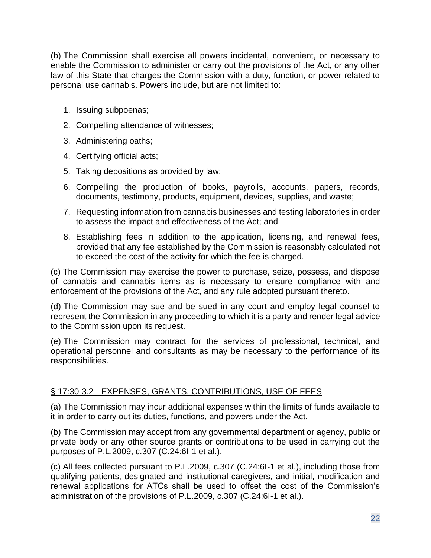(b) The Commission shall exercise all powers incidental, convenient, or necessary to enable the Commission to administer or carry out the provisions of the Act, or any other law of this State that charges the Commission with a duty, function, or power related to personal use cannabis. Powers include, but are not limited to:

- 1. Issuing subpoenas;
- 2. Compelling attendance of witnesses;
- 3. Administering oaths;
- 4. Certifying official acts;
- 5. Taking depositions as provided by law;
- 6. Compelling the production of books, payrolls, accounts, papers, records, documents, testimony, products, equipment, devices, supplies, and waste;
- 7. Requesting information from cannabis businesses and testing laboratories in order to assess the impact and effectiveness of the Act; and
- 8. Establishing fees in addition to the application, licensing, and renewal fees, provided that any fee established by the Commission is reasonably calculated not to exceed the cost of the activity for which the fee is charged.

(c) The Commission may exercise the power to purchase, seize, possess, and dispose of cannabis and cannabis items as is necessary to ensure compliance with and enforcement of the provisions of the Act, and any rule adopted pursuant thereto.

(d) The Commission may sue and be sued in any court and employ legal counsel to represent the Commission in any proceeding to which it is a party and render legal advice to the Commission upon its request.

(e) The Commission may contract for the services of professional, technical, and operational personnel and consultants as may be necessary to the performance of its responsibilities.

# § 17:30-3.2 EXPENSES, GRANTS, CONTRIBUTIONS, USE OF FEES

(a) The Commission may incur additional expenses within the limits of funds available to it in order to carry out its duties, functions, and powers under the Act.

(b) The Commission may accept from any governmental department or agency, public or private body or any other source grants or contributions to be used in carrying out the purposes of P.L.2009, c.307 (C.24:6I-1 et al.).

(c) All fees collected pursuant to P.L.2009, c.307 (C.24:6I-1 et al.), including those from qualifying patients, designated and institutional caregivers, and initial, modification and renewal applications for ATCs shall be used to offset the cost of the Commission's administration of the provisions of P.L.2009, c.307 (C.24:6I-1 et al.).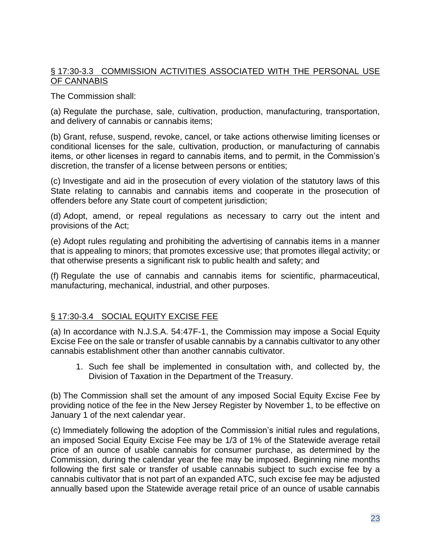# § 17:30-3.3 COMMISSION ACTIVITIES ASSOCIATED WITH THE PERSONAL USE OF CANNABIS

The Commission shall:

(a) Regulate the purchase, sale, cultivation, production, manufacturing, transportation, and delivery of cannabis or cannabis items;

(b) Grant, refuse, suspend, revoke, cancel, or take actions otherwise limiting licenses or conditional licenses for the sale, cultivation, production, or manufacturing of cannabis items, or other licenses in regard to cannabis items, and to permit, in the Commission's discretion, the transfer of a license between persons or entities;

(c) Investigate and aid in the prosecution of every violation of the statutory laws of this State relating to cannabis and cannabis items and cooperate in the prosecution of offenders before any State court of competent jurisdiction;

(d) Adopt, amend, or repeal regulations as necessary to carry out the intent and provisions of the Act;

(e) Adopt rules regulating and prohibiting the advertising of cannabis items in a manner that is appealing to minors; that promotes excessive use; that promotes illegal activity; or that otherwise presents a significant risk to public health and safety; and

(f) Regulate the use of cannabis and cannabis items for scientific, pharmaceutical, manufacturing, mechanical, industrial, and other purposes.

# § 17:30-3.4 SOCIAL EQUITY EXCISE FEE

(a) In accordance with N.J.S.A. 54:47F-1, the Commission may impose a Social Equity Excise Fee on the sale or transfer of usable cannabis by a cannabis cultivator to any other cannabis establishment other than another cannabis cultivator.

1. Such fee shall be implemented in consultation with, and collected by, the Division of Taxation in the Department of the Treasury.

(b) The Commission shall set the amount of any imposed Social Equity Excise Fee by providing notice of the fee in the New Jersey Register by November 1, to be effective on January 1 of the next calendar year.

(c) Immediately following the adoption of the Commission's initial rules and regulations, an imposed Social Equity Excise Fee may be 1/3 of 1% of the Statewide average retail price of an ounce of usable cannabis for consumer purchase, as determined by the Commission, during the calendar year the fee may be imposed. Beginning nine months following the first sale or transfer of usable cannabis subject to such excise fee by a cannabis cultivator that is not part of an expanded ATC, such excise fee may be adjusted annually based upon the Statewide average retail price of an ounce of usable cannabis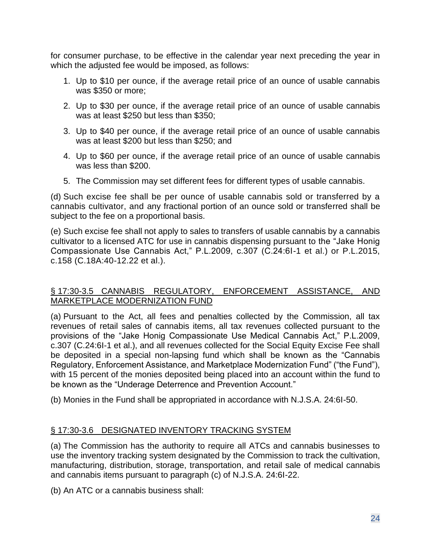for consumer purchase, to be effective in the calendar year next preceding the year in which the adjusted fee would be imposed, as follows:

- 1. Up to \$10 per ounce, if the average retail price of an ounce of usable cannabis was \$350 or more;
- 2. Up to \$30 per ounce, if the average retail price of an ounce of usable cannabis was at least \$250 but less than \$350;
- 3. Up to \$40 per ounce, if the average retail price of an ounce of usable cannabis was at least \$200 but less than \$250; and
- 4. Up to \$60 per ounce, if the average retail price of an ounce of usable cannabis was less than \$200.
- 5. The Commission may set different fees for different types of usable cannabis.

(d) Such excise fee shall be per ounce of usable cannabis sold or transferred by a cannabis cultivator, and any fractional portion of an ounce sold or transferred shall be subject to the fee on a proportional basis.

(e) Such excise fee shall not apply to sales to transfers of usable cannabis by a cannabis cultivator to a licensed ATC for use in cannabis dispensing pursuant to the "Jake Honig Compassionate Use Cannabis Act," P.L.2009, c.307 (C.24:6I-1 et al.) or P.L.2015, c.158 (C.18A:40-12.22 et al.).

### § 17:30-3.5 CANNABIS REGULATORY, ENFORCEMENT ASSISTANCE, AND MARKETPLACE MODERNIZATION FUND

(a) Pursuant to the Act, all fees and penalties collected by the Commission, all tax revenues of retail sales of cannabis items, all tax revenues collected pursuant to the provisions of the "Jake Honig Compassionate Use Medical Cannabis Act," P.L.2009, c.307 (C.24:6I-1 et al.), and all revenues collected for the Social Equity Excise Fee shall be deposited in a special non-lapsing fund which shall be known as the "Cannabis Regulatory, Enforcement Assistance, and Marketplace Modernization Fund" ("the Fund"), with 15 percent of the monies deposited being placed into an account within the fund to be known as the "Underage Deterrence and Prevention Account."

(b) Monies in the Fund shall be appropriated in accordance with N.J.S.A. 24:6I-50.

# § 17:30-3.6 DESIGNATED INVENTORY TRACKING SYSTEM

(a) The Commission has the authority to require all ATCs and cannabis businesses to use the inventory tracking system designated by the Commission to track the cultivation, manufacturing, distribution, storage, transportation, and retail sale of medical cannabis and cannabis items pursuant to paragraph (c) of N.J.S.A. 24:6I-22.

(b) An ATC or a cannabis business shall: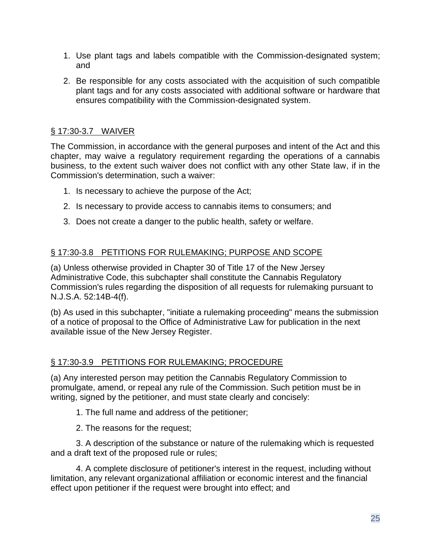- 1. Use plant tags and labels compatible with the Commission-designated system; and
- 2. Be responsible for any costs associated with the acquisition of such compatible plant tags and for any costs associated with additional software or hardware that ensures compatibility with the Commission-designated system.

# § 17:30-3.7 WAIVER

The Commission, in accordance with the general purposes and intent of the Act and this chapter, may waive a regulatory requirement regarding the operations of a cannabis business, to the extent such waiver does not conflict with any other State law, if in the Commission's determination, such a waiver:

- 1. Is necessary to achieve the purpose of the Act;
- 2. Is necessary to provide access to cannabis items to consumers; and
- 3. Does not create a danger to the public health, safety or welfare.

# § 17:30-3.8 PETITIONS FOR RULEMAKING; PURPOSE AND SCOPE

(a) Unless otherwise provided in Chapter 30 of Title 17 of the New Jersey Administrative Code, this subchapter shall constitute the Cannabis Regulatory Commission's rules regarding the disposition of all requests for rulemaking pursuant to N.J.S.A. 52:14B-4(f).

(b) As used in this subchapter, "initiate a rulemaking proceeding" means the submission of a notice of proposal to the Office of Administrative Law for publication in the next available issue of the New Jersey Register.

# § 17:30-3.9 PETITIONS FOR RULEMAKING; PROCEDURE

(a) Any interested person may petition the Cannabis Regulatory Commission to promulgate, amend, or repeal any rule of the Commission. Such petition must be in writing, signed by the petitioner, and must state clearly and concisely:

- 1. The full name and address of the petitioner;
- 2. The reasons for the request;

3. A description of the substance or nature of the rulemaking which is requested and a draft text of the proposed rule or rules;

4. A complete disclosure of petitioner's interest in the request, including without limitation, any relevant organizational affiliation or economic interest and the financial effect upon petitioner if the request were brought into effect; and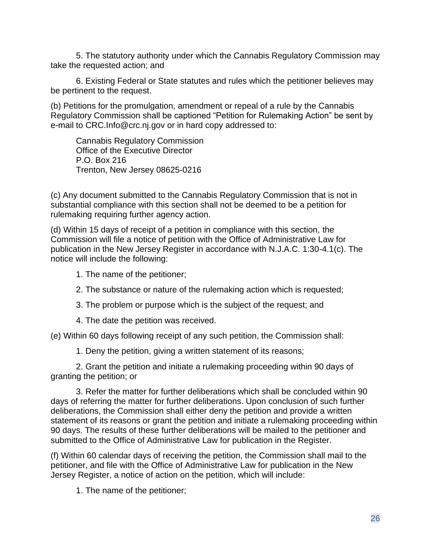5. The statutory authority under which the Cannabis Regulatory Commission may take the requested action; and

6. Existing Federal or State statutes and rules which the petitioner believes may be pertinent to the request.

(b) Petitions for the promulgation, amendment or repeal of a rule by the Cannabis Regulatory Commission shall be captioned "Petition for Rulemaking Action" be sent by e-mail to CRC.Info@crc.nj.gov or in hard copy addressed to:

Cannabis Regulatory Commission Office of the Executive Director P.O. Box 216 Trenton, New Jersey 08625-0216

(c) Any document submitted to the Cannabis Regulatory Commission that is not in substantial compliance with this section shall not be deemed to be a petition for rulemaking requiring further agency action.

(d) Within 15 days of receipt of a petition in compliance with this section, the Commission will file a notice of petition with the Office of Administrative Law for publication in the New Jersey Register in accordance with N.J.A.C. 1:30-4.1(c). The notice will include the following:

- 1. The name of the petitioner;
- 2. The substance or nature of the rulemaking action which is requested;
- 3. The problem or purpose which is the subject of the request; and
- 4. The date the petition was received.

(e) Within 60 days following receipt of any such petition, the Commission shall:

1. Deny the petition, giving a written statement of its reasons;

2. Grant the petition and initiate a rulemaking proceeding within 90 days of granting the petition; or

3. Refer the matter for further deliberations which shall be concluded within 90 days of referring the matter for further deliberations. Upon conclusion of such further deliberations, the Commission shall either deny the petition and provide a written statement of its reasons or grant the petition and initiate a rulemaking proceeding within 90 days. The results of these further deliberations will be mailed to the petitioner and submitted to the Office of Administrative Law for publication in the Register.

(f) Within 60 calendar days of receiving the petition, the Commission shall mail to the petitioner, and file with the Office of Administrative Law for publication in the New Jersey Register, a notice of action on the petition, which will include:

1. The name of the petitioner;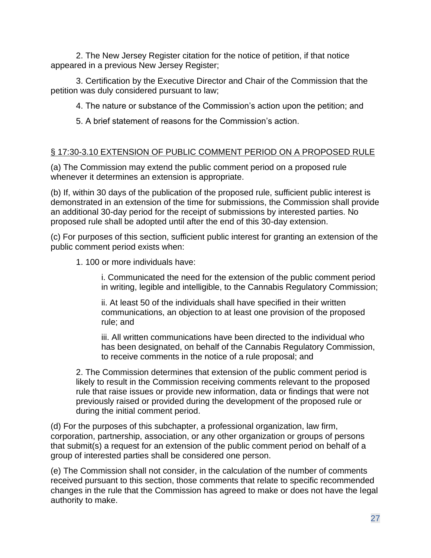2. The New Jersey Register citation for the notice of petition, if that notice appeared in a previous New Jersey Register;

3. Certification by the Executive Director and Chair of the Commission that the petition was duly considered pursuant to law;

4. The nature or substance of the Commission's action upon the petition; and

5. A brief statement of reasons for the Commission's action.

# § 17:30-3.10 EXTENSION OF PUBLIC COMMENT PERIOD ON A PROPOSED RULE

(a) The Commission may extend the public comment period on a proposed rule whenever it determines an extension is appropriate.

(b) If, within 30 days of the publication of the proposed rule, sufficient public interest is demonstrated in an extension of the time for submissions, the Commission shall provide an additional 30-day period for the receipt of submissions by interested parties. No proposed rule shall be adopted until after the end of this 30-day extension.

(c) For purposes of this section, sufficient public interest for granting an extension of the public comment period exists when:

1. 100 or more individuals have:

i. Communicated the need for the extension of the public comment period in writing, legible and intelligible, to the Cannabis Regulatory Commission;

ii. At least 50 of the individuals shall have specified in their written communications, an objection to at least one provision of the proposed rule; and

iii. All written communications have been directed to the individual who has been designated, on behalf of the Cannabis Regulatory Commission, to receive comments in the notice of a rule proposal; and

2. The Commission determines that extension of the public comment period is likely to result in the Commission receiving comments relevant to the proposed rule that raise issues or provide new information, data or findings that were not previously raised or provided during the development of the proposed rule or during the initial comment period.

(d) For the purposes of this subchapter, a professional organization, law firm, corporation, partnership, association, or any other organization or groups of persons that submit(s) a request for an extension of the public comment period on behalf of a group of interested parties shall be considered one person.

(e) The Commission shall not consider, in the calculation of the number of comments received pursuant to this section, those comments that relate to specific recommended changes in the rule that the Commission has agreed to make or does not have the legal authority to make.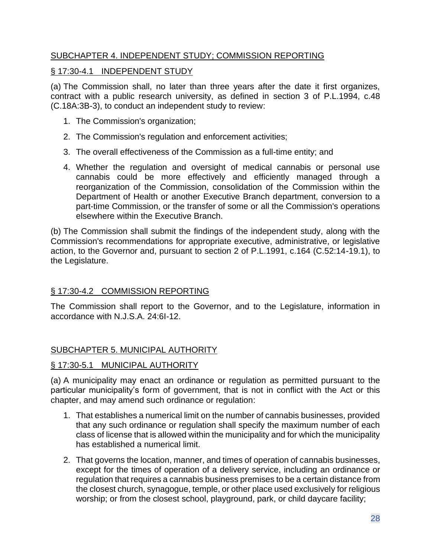# SUBCHAPTER 4. INDEPENDENT STUDY; COMMISSION REPORTING

## § 17:30-4.1 INDEPENDENT STUDY

(a) The Commission shall, no later than three years after the date it first organizes, contract with a public research university, as defined in section 3 of P.L.1994, c.48 (C.18A:3B-3), to conduct an independent study to review:

- 1. The Commission's organization;
- 2. The Commission's regulation and enforcement activities;
- 3. The overall effectiveness of the Commission as a full-time entity; and
- 4. Whether the regulation and oversight of medical cannabis or personal use cannabis could be more effectively and efficiently managed through a reorganization of the Commission, consolidation of the Commission within the Department of Health or another Executive Branch department, conversion to a part-time Commission, or the transfer of some or all the Commission's operations elsewhere within the Executive Branch.

(b) The Commission shall submit the findings of the independent study, along with the Commission's recommendations for appropriate executive, administrative, or legislative action, to the Governor and, pursuant to section 2 of P.L.1991, c.164 (C.52:14-19.1), to the Legislature.

### § 17:30-4.2 COMMISSION REPORTING

The Commission shall report to the Governor, and to the Legislature, information in accordance with N.J.S.A. 24:6I-12.

### SUBCHAPTER 5. MUNICIPAL AUTHORITY

### § 17:30-5.1 MUNICIPAL AUTHORITY

(a) A municipality may enact an ordinance or regulation as permitted pursuant to the particular municipality's form of government, that is not in conflict with the Act or this chapter, and may amend such ordinance or regulation:

- 1. That establishes a numerical limit on the number of cannabis businesses, provided that any such ordinance or regulation shall specify the maximum number of each class of license that is allowed within the municipality and for which the municipality has established a numerical limit.
- 2. That governs the location, manner, and times of operation of cannabis businesses, except for the times of operation of a delivery service, including an ordinance or regulation that requires a cannabis business premises to be a certain distance from the closest church, synagogue, temple, or other place used exclusively for religious worship; or from the closest school, playground, park, or child daycare facility;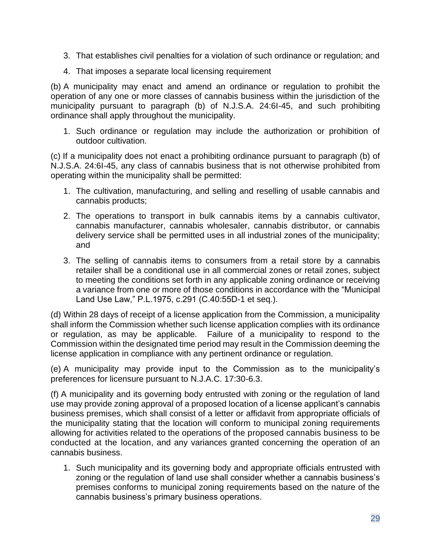- 3. That establishes civil penalties for a violation of such ordinance or regulation; and
- 4. That imposes a separate local licensing requirement

(b) A municipality may enact and amend an ordinance or regulation to prohibit the operation of any one or more classes of cannabis business within the jurisdiction of the municipality pursuant to paragraph (b) of N.J.S.A. 24:6I-45, and such prohibiting ordinance shall apply throughout the municipality.

1. Such ordinance or regulation may include the authorization or prohibition of outdoor cultivation.

(c) If a municipality does not enact a prohibiting ordinance pursuant to paragraph (b) of N.J.S.A. 24:6I-45, any class of cannabis business that is not otherwise prohibited from operating within the municipality shall be permitted:

- 1. The cultivation, manufacturing, and selling and reselling of usable cannabis and cannabis products;
- 2. The operations to transport in bulk cannabis items by a cannabis cultivator, cannabis manufacturer, cannabis wholesaler, cannabis distributor, or cannabis delivery service shall be permitted uses in all industrial zones of the municipality; and
- 3. The selling of cannabis items to consumers from a retail store by a cannabis retailer shall be a conditional use in all commercial zones or retail zones, subject to meeting the conditions set forth in any applicable zoning ordinance or receiving a variance from one or more of those conditions in accordance with the "Municipal Land Use Law," P.L.1975, c.291 (C.40:55D-1 et seq.).

(d) Within 28 days of receipt of a license application from the Commission, a municipality shall inform the Commission whether such license application complies with its ordinance or regulation, as may be applicable. Failure of a municipality to respond to the Commission within the designated time period may result in the Commission deeming the license application in compliance with any pertinent ordinance or regulation.

(e) A municipality may provide input to the Commission as to the municipality's preferences for licensure pursuant to N.J.A.C. 17:30-6.3.

(f) A municipality and its governing body entrusted with zoning or the regulation of land use may provide zoning approval of a proposed location of a license applicant's cannabis business premises, which shall consist of a letter or affidavit from appropriate officials of the municipality stating that the location will conform to municipal zoning requirements allowing for activities related to the operations of the proposed cannabis business to be conducted at the location, and any variances granted concerning the operation of an cannabis business.

1. Such municipality and its governing body and appropriate officials entrusted with zoning or the regulation of land use shall consider whether a cannabis business's premises conforms to municipal zoning requirements based on the nature of the cannabis business's primary business operations.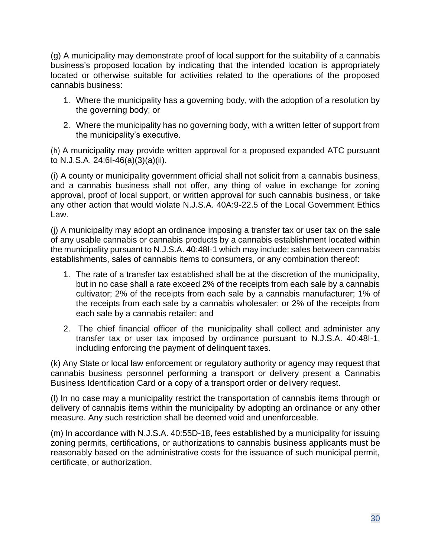(g) A municipality may demonstrate proof of local support for the suitability of a cannabis business's proposed location by indicating that the intended location is appropriately located or otherwise suitable for activities related to the operations of the proposed cannabis business:

- 1. Where the municipality has a governing body, with the adoption of a resolution by the governing body; or
- 2. Where the municipality has no governing body, with a written letter of support from the municipality's executive.

(h) A municipality may provide written approval for a proposed expanded ATC pursuant to N.J.S.A. 24:6I-46(a)(3)(a)(ii).

(i) A county or municipality government official shall not solicit from a cannabis business, and a cannabis business shall not offer, any thing of value in exchange for zoning approval, proof of local support, or written approval for such cannabis business, or take any other action that would violate N.J.S.A. 40A:9-22.5 of the Local Government Ethics Law.

(j) A municipality may adopt an ordinance imposing a transfer tax or user tax on the sale of any usable cannabis or cannabis products by a cannabis establishment located within the municipality pursuant to N.J.S.A. 40:48I-1 which may include: sales between cannabis establishments, sales of cannabis items to consumers, or any combination thereof:

- 1. The rate of a transfer tax established shall be at the discretion of the municipality, but in no case shall a rate exceed 2% of the receipts from each sale by a cannabis cultivator; 2% of the receipts from each sale by a cannabis manufacturer; 1% of the receipts from each sale by a cannabis wholesaler; or 2% of the receipts from each sale by a cannabis retailer; and
- 2. The chief financial officer of the municipality shall collect and administer any transfer tax or user tax imposed by ordinance pursuant to N.J.S.A. 40:48I-1, including enforcing the payment of delinquent taxes.

(k) Any State or local law enforcement or regulatory authority or agency may request that cannabis business personnel performing a transport or delivery present a Cannabis Business Identification Card or a copy of a transport order or delivery request.

(l) In no case may a municipality restrict the transportation of cannabis items through or delivery of cannabis items within the municipality by adopting an ordinance or any other measure. Any such restriction shall be deemed void and unenforceable.

(m) In accordance with N.J.S.A. 40:55D-18, fees established by a municipality for issuing zoning permits, certifications, or authorizations to cannabis business applicants must be reasonably based on the administrative costs for the issuance of such municipal permit, certificate, or authorization.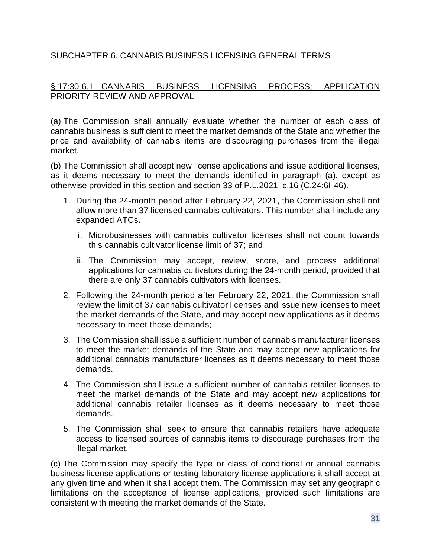# SUBCHAPTER 6. CANNABIS BUSINESS LICENSING GENERAL TERMS

# § 17:30-6.1 CANNABIS BUSINESS LICENSING PROCESS; APPLICATION PRIORITY REVIEW AND APPROVAL

(a) The Commission shall annually evaluate whether the number of each class of cannabis business is sufficient to meet the market demands of the State and whether the price and availability of cannabis items are discouraging purchases from the illegal market.

(b) The Commission shall accept new license applications and issue additional licenses, as it deems necessary to meet the demands identified in paragraph (a), except as otherwise provided in this section and section 33 of P.L.2021, c.16 (C.24:6I-46).

- 1. During the 24-month period after February 22, 2021, the Commission shall not allow more than 37 licensed cannabis cultivators. This number shall include any expanded ATCs**.** 
	- i. Microbusinesses with cannabis cultivator licenses shall not count towards this cannabis cultivator license limit of 37; and
	- ii. The Commission may accept, review, score, and process additional applications for cannabis cultivators during the 24-month period, provided that there are only 37 cannabis cultivators with licenses.
- 2. Following the 24-month period after February 22, 2021, the Commission shall review the limit of 37 cannabis cultivator licenses and issue new licenses to meet the market demands of the State, and may accept new applications as it deems necessary to meet those demands;
- 3. The Commission shall issue a sufficient number of cannabis manufacturer licenses to meet the market demands of the State and may accept new applications for additional cannabis manufacturer licenses as it deems necessary to meet those demands.
- 4. The Commission shall issue a sufficient number of cannabis retailer licenses to meet the market demands of the State and may accept new applications for additional cannabis retailer licenses as it deems necessary to meet those demands.
- 5. The Commission shall seek to ensure that cannabis retailers have adequate access to licensed sources of cannabis items to discourage purchases from the illegal market.

(c) The Commission may specify the type or class of conditional or annual cannabis business license applications or testing laboratory license applications it shall accept at any given time and when it shall accept them. The Commission may set any geographic limitations on the acceptance of license applications, provided such limitations are consistent with meeting the market demands of the State.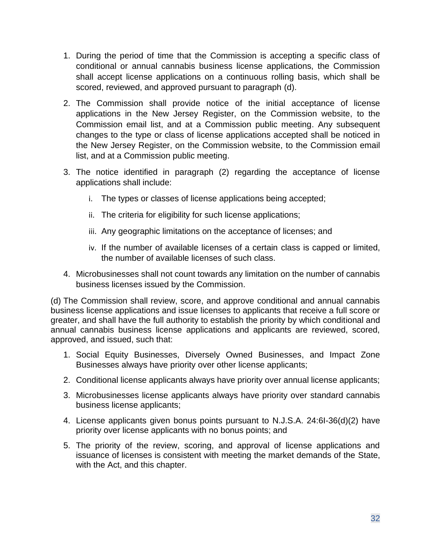- 1. During the period of time that the Commission is accepting a specific class of conditional or annual cannabis business license applications, the Commission shall accept license applications on a continuous rolling basis, which shall be scored, reviewed, and approved pursuant to paragraph (d).
- 2. The Commission shall provide notice of the initial acceptance of license applications in the New Jersey Register, on the Commission website, to the Commission email list, and at a Commission public meeting. Any subsequent changes to the type or class of license applications accepted shall be noticed in the New Jersey Register, on the Commission website, to the Commission email list, and at a Commission public meeting.
- 3. The notice identified in paragraph (2) regarding the acceptance of license applications shall include:
	- i. The types or classes of license applications being accepted;
	- ii. The criteria for eligibility for such license applications;
	- iii. Any geographic limitations on the acceptance of licenses; and
	- iv. If the number of available licenses of a certain class is capped or limited, the number of available licenses of such class.
- 4. Microbusinesses shall not count towards any limitation on the number of cannabis business licenses issued by the Commission.

(d) The Commission shall review, score, and approve conditional and annual cannabis business license applications and issue licenses to applicants that receive a full score or greater, and shall have the full authority to establish the priority by which conditional and annual cannabis business license applications and applicants are reviewed, scored, approved, and issued, such that:

- 1. Social Equity Businesses, Diversely Owned Businesses, and Impact Zone Businesses always have priority over other license applicants;
- 2. Conditional license applicants always have priority over annual license applicants;
- 3. Microbusinesses license applicants always have priority over standard cannabis business license applicants;
- 4. License applicants given bonus points pursuant to N.J.S.A. 24:6I-36(d)(2) have priority over license applicants with no bonus points; and
- 5. The priority of the review, scoring, and approval of license applications and issuance of licenses is consistent with meeting the market demands of the State, with the Act, and this chapter.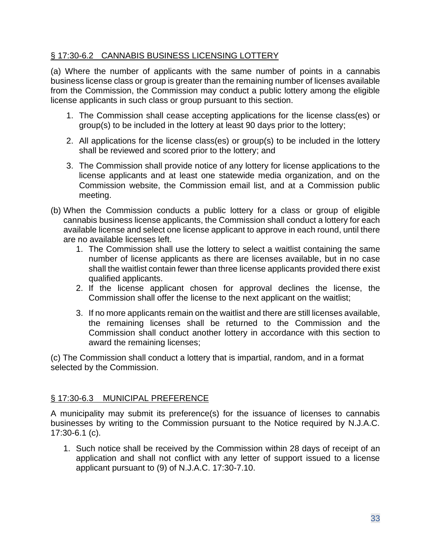# § 17:30-6.2 CANNABIS BUSINESS LICENSING LOTTERY

(a) Where the number of applicants with the same number of points in a cannabis business license class or group is greater than the remaining number of licenses available from the Commission, the Commission may conduct a public lottery among the eligible license applicants in such class or group pursuant to this section.

- 1. The Commission shall cease accepting applications for the license class(es) or group(s) to be included in the lottery at least 90 days prior to the lottery;
- 2. All applications for the license class(es) or group(s) to be included in the lottery shall be reviewed and scored prior to the lottery; and
- 3. The Commission shall provide notice of any lottery for license applications to the license applicants and at least one statewide media organization, and on the Commission website, the Commission email list, and at a Commission public meeting.
- (b) When the Commission conducts a public lottery for a class or group of eligible cannabis business license applicants, the Commission shall conduct a lottery for each available license and select one license applicant to approve in each round, until there are no available licenses left.
	- 1. The Commission shall use the lottery to select a waitlist containing the same number of license applicants as there are licenses available, but in no case shall the waitlist contain fewer than three license applicants provided there exist qualified applicants.
	- 2. If the license applicant chosen for approval declines the license, the Commission shall offer the license to the next applicant on the waitlist;
	- 3. If no more applicants remain on the waitlist and there are still licenses available, the remaining licenses shall be returned to the Commission and the Commission shall conduct another lottery in accordance with this section to award the remaining licenses;

(c) The Commission shall conduct a lottery that is impartial, random, and in a format selected by the Commission.

# § 17:30-6.3 MUNICIPAL PREFERENCE

A municipality may submit its preference(s) for the issuance of licenses to cannabis businesses by writing to the Commission pursuant to the Notice required by N.J.A.C. 17:30-6.1 (c).

1. Such notice shall be received by the Commission within 28 days of receipt of an application and shall not conflict with any letter of support issued to a license applicant pursuant to (9) of N.J.A.C. 17:30-7.10.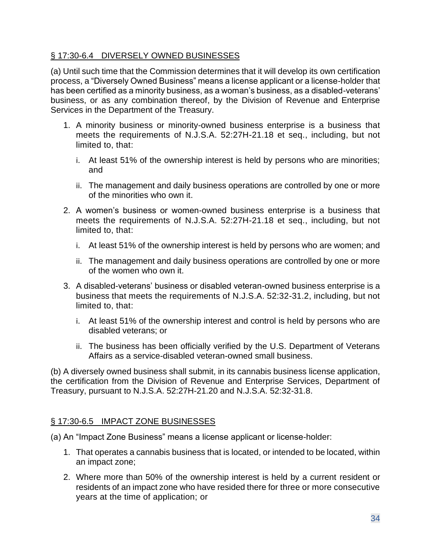# § 17:30-6.4 DIVERSELY OWNED BUSINESSES

(a) Until such time that the Commission determines that it will develop its own certification process, a "Diversely Owned Business" means a license applicant or a license-holder that has been certified as a minority business, as a woman's business, as a disabled-veterans' business, or as any combination thereof, by the Division of Revenue and Enterprise Services in the Department of the Treasury.

- 1. A minority business or minority-owned business enterprise is a business that meets the requirements of N.J.S.A. 52:27H-21.18 et seq., including, but not limited to, that:
	- i. At least 51% of the ownership interest is held by persons who are minorities; and
	- ii. The management and daily business operations are controlled by one or more of the minorities who own it.
- 2. A women's business or women-owned business enterprise is a business that meets the requirements of N.J.S.A. 52:27H-21.18 et seq., including, but not limited to, that:
	- i. At least 51% of the ownership interest is held by persons who are women; and
	- ii. The management and daily business operations are controlled by one or more of the women who own it.
- 3. A disabled-veterans' business or disabled veteran-owned business enterprise is a business that meets the requirements of N.J.S.A. 52:32-31.2, including, but not limited to, that:
	- i. At least 51% of the ownership interest and control is held by persons who are disabled veterans; or
	- ii. The business has been officially verified by the U.S. Department of Veterans Affairs as a service-disabled veteran-owned small business.

(b) A diversely owned business shall submit, in its cannabis business license application, the certification from the Division of Revenue and Enterprise Services, Department of Treasury, pursuant to N.J.S.A. 52:27H-21.20 and N.J.S.A. 52:32-31.8.

# § 17:30-6.5 IMPACT ZONE BUSINESSES

(a) An "Impact Zone Business" means a license applicant or license-holder:

- 1. That operates a cannabis business that is located, or intended to be located, within an impact zone;
- 2. Where more than 50% of the ownership interest is held by a current resident or residents of an impact zone who have resided there for three or more consecutive years at the time of application; or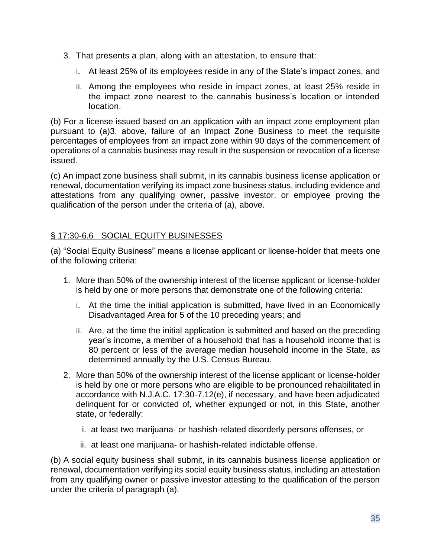- 3. That presents a plan, along with an attestation, to ensure that:
	- i. At least 25% of its employees reside in any of the State's impact zones, and
	- ii. Among the employees who reside in impact zones, at least 25% reside in the impact zone nearest to the cannabis business's location or intended location.

(b) For a license issued based on an application with an impact zone employment plan pursuant to (a)3, above, failure of an Impact Zone Business to meet the requisite percentages of employees from an impact zone within 90 days of the commencement of operations of a cannabis business may result in the suspension or revocation of a license issued.

(c) An impact zone business shall submit, in its cannabis business license application or renewal, documentation verifying its impact zone business status, including evidence and attestations from any qualifying owner, passive investor, or employee proving the qualification of the person under the criteria of (a), above.

# § 17:30-6.6 SOCIAL EQUITY BUSINESSES

(a) "Social Equity Business" means a license applicant or license-holder that meets one of the following criteria:

- 1. More than 50% of the ownership interest of the license applicant or license-holder is held by one or more persons that demonstrate one of the following criteria:
	- i. At the time the initial application is submitted, have lived in an Economically Disadvantaged Area for 5 of the 10 preceding years; and
	- ii. Are, at the time the initial application is submitted and based on the preceding year's income, a member of a household that has a household income that is 80 percent or less of the average median household income in the State, as determined annually by the U.S. Census Bureau.
- 2. More than 50% of the ownership interest of the license applicant or license-holder is held by one or more persons who are eligible to be pronounced rehabilitated in accordance with N.J.A.C. 17:30-7.12(e), if necessary, and have been adjudicated delinquent for or convicted of, whether expunged or not, in this State, another state, or federally:
	- i. at least two marijuana- or hashish-related disorderly persons offenses, or
	- ii. at least one marijuana- or hashish-related indictable offense.

(b) A social equity business shall submit, in its cannabis business license application or renewal, documentation verifying its social equity business status, including an attestation from any qualifying owner or passive investor attesting to the qualification of the person under the criteria of paragraph (a).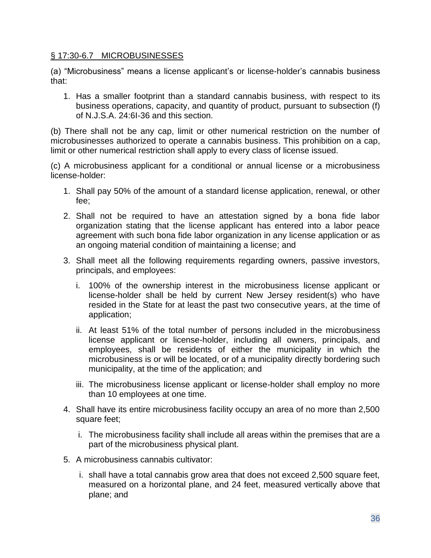### § 17:30-6.7 MICROBUSINESSES

(a) "Microbusiness" means a license applicant's or license-holder's cannabis business that:

1. Has a smaller footprint than a standard cannabis business, with respect to its business operations, capacity, and quantity of product, pursuant to subsection (f) of N.J.S.A. 24:6I-36 and this section.

(b) There shall not be any cap, limit or other numerical restriction on the number of microbusinesses authorized to operate a cannabis business. This prohibition on a cap, limit or other numerical restriction shall apply to every class of license issued.

(c) A microbusiness applicant for a conditional or annual license or a microbusiness license-holder:

- 1. Shall pay 50% of the amount of a standard license application, renewal, or other fee;
- 2. Shall not be required to have an attestation signed by a bona fide labor organization stating that the license applicant has entered into a labor peace agreement with such bona fide labor organization in any license application or as an ongoing material condition of maintaining a license; and
- 3. Shall meet all the following requirements regarding owners, passive investors, principals, and employees:
	- i. 100% of the ownership interest in the microbusiness license applicant or license-holder shall be held by current New Jersey resident(s) who have resided in the State for at least the past two consecutive years, at the time of application;
	- ii. At least 51% of the total number of persons included in the microbusiness license applicant or license-holder, including all owners, principals, and employees, shall be residents of either the municipality in which the microbusiness is or will be located, or of a municipality directly bordering such municipality, at the time of the application; and
	- iii. The microbusiness license applicant or license-holder shall employ no more than 10 employees at one time.
- 4. Shall have its entire microbusiness facility occupy an area of no more than 2,500 square feet;
	- i. The microbusiness facility shall include all areas within the premises that are a part of the microbusiness physical plant.
- 5. A microbusiness cannabis cultivator:
	- i. shall have a total cannabis grow area that does not exceed 2,500 square feet, measured on a horizontal plane, and 24 feet, measured vertically above that plane; and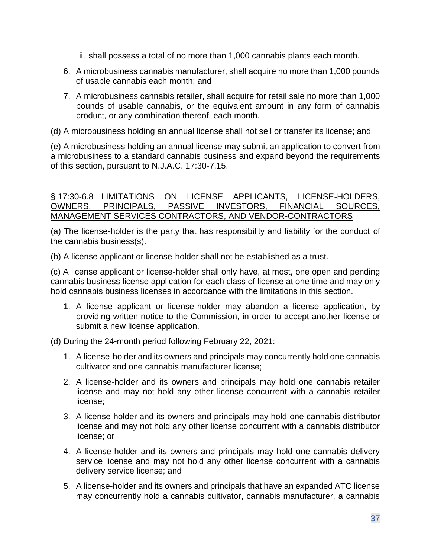- ii. shall possess a total of no more than 1,000 cannabis plants each month.
- 6. A microbusiness cannabis manufacturer, shall acquire no more than 1,000 pounds of usable cannabis each month; and
- 7. A microbusiness cannabis retailer, shall acquire for retail sale no more than 1,000 pounds of usable cannabis, or the equivalent amount in any form of cannabis product, or any combination thereof, each month.

(d) A microbusiness holding an annual license shall not sell or transfer its license; and

(e) A microbusiness holding an annual license may submit an application to convert from a microbusiness to a standard cannabis business and expand beyond the requirements of this section, pursuant to N.J.A.C. 17:30-7.15.

#### § 17:30-6.8 LIMITATIONS ON LICENSE APPLICANTS, LICENSE-HOLDERS, OWNERS, PRINCIPALS, PASSIVE INVESTORS, FINANCIAL SOURCES, MANAGEMENT SERVICES CONTRACTORS, AND VENDOR-CONTRACTORS

(a) The license-holder is the party that has responsibility and liability for the conduct of the cannabis business(s).

(b) A license applicant or license-holder shall not be established as a trust.

(c) A license applicant or license-holder shall only have, at most, one open and pending cannabis business license application for each class of license at one time and may only hold cannabis business licenses in accordance with the limitations in this section.

1. A license applicant or license-holder may abandon a license application, by providing written notice to the Commission, in order to accept another license or submit a new license application.

(d) During the 24-month period following February 22, 2021:

- 1. A license-holder and its owners and principals may concurrently hold one cannabis cultivator and one cannabis manufacturer license;
- 2. A license-holder and its owners and principals may hold one cannabis retailer license and may not hold any other license concurrent with a cannabis retailer license;
- 3. A license-holder and its owners and principals may hold one cannabis distributor license and may not hold any other license concurrent with a cannabis distributor license; or
- 4. A license-holder and its owners and principals may hold one cannabis delivery service license and may not hold any other license concurrent with a cannabis delivery service license; and
- 5. A license-holder and its owners and principals that have an expanded ATC license may concurrently hold a cannabis cultivator, cannabis manufacturer, a cannabis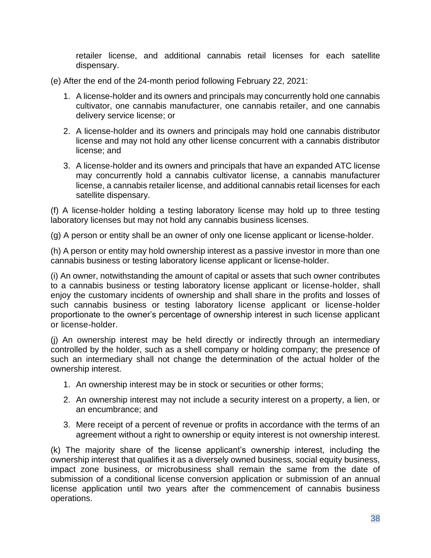retailer license, and additional cannabis retail licenses for each satellite dispensary.

- (e) After the end of the 24-month period following February 22, 2021:
	- 1. A license-holder and its owners and principals may concurrently hold one cannabis cultivator, one cannabis manufacturer, one cannabis retailer, and one cannabis delivery service license; or
	- 2. A license-holder and its owners and principals may hold one cannabis distributor license and may not hold any other license concurrent with a cannabis distributor license; and
	- 3. A license-holder and its owners and principals that have an expanded ATC license may concurrently hold a cannabis cultivator license, a cannabis manufacturer license, a cannabis retailer license, and additional cannabis retail licenses for each satellite dispensary.

(f) A license-holder holding a testing laboratory license may hold up to three testing laboratory licenses but may not hold any cannabis business licenses.

(g) A person or entity shall be an owner of only one license applicant or license-holder.

(h) A person or entity may hold ownership interest as a passive investor in more than one cannabis business or testing laboratory license applicant or license-holder.

(i) An owner, notwithstanding the amount of capital or assets that such owner contributes to a cannabis business or testing laboratory license applicant or license-holder, shall enjoy the customary incidents of ownership and shall share in the profits and losses of such cannabis business or testing laboratory license applicant or license-holder proportionate to the owner's percentage of ownership interest in such license applicant or license-holder.

(j) An ownership interest may be held directly or indirectly through an intermediary controlled by the holder, such as a shell company or holding company; the presence of such an intermediary shall not change the determination of the actual holder of the ownership interest.

- 1. An ownership interest may be in stock or securities or other forms;
- 2. An ownership interest may not include a security interest on a property, a lien, or an encumbrance; and
- 3. Mere receipt of a percent of revenue or profits in accordance with the terms of an agreement without a right to ownership or equity interest is not ownership interest.

(k) The majority share of the license applicant's ownership interest, including the ownership interest that qualifies it as a diversely owned business, social equity business, impact zone business, or microbusiness shall remain the same from the date of submission of a conditional license conversion application or submission of an annual license application until two years after the commencement of cannabis business operations.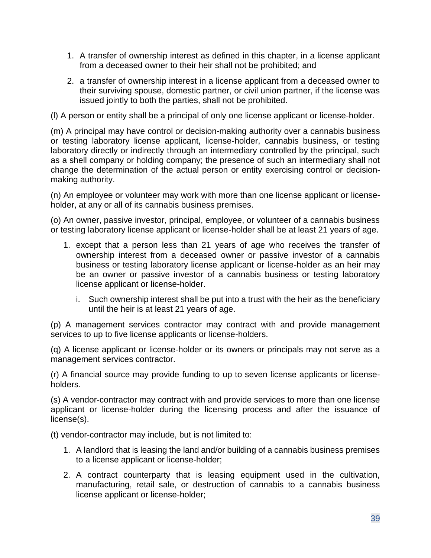- 1. A transfer of ownership interest as defined in this chapter, in a license applicant from a deceased owner to their heir shall not be prohibited; and
- 2. a transfer of ownership interest in a license applicant from a deceased owner to their surviving spouse, domestic partner, or civil union partner, if the license was issued jointly to both the parties, shall not be prohibited.

(l) A person or entity shall be a principal of only one license applicant or license-holder.

(m) A principal may have control or decision-making authority over a cannabis business or testing laboratory license applicant, license-holder, cannabis business, or testing laboratory directly or indirectly through an intermediary controlled by the principal, such as a shell company or holding company; the presence of such an intermediary shall not change the determination of the actual person or entity exercising control or decisionmaking authority.

(n) An employee or volunteer may work with more than one license applicant or licenseholder, at any or all of its cannabis business premises.

(o) An owner, passive investor, principal, employee, or volunteer of a cannabis business or testing laboratory license applicant or license-holder shall be at least 21 years of age.

- 1. except that a person less than 21 years of age who receives the transfer of ownership interest from a deceased owner or passive investor of a cannabis business or testing laboratory license applicant or license-holder as an heir may be an owner or passive investor of a cannabis business or testing laboratory license applicant or license-holder.
	- i. Such ownership interest shall be put into a trust with the heir as the beneficiary until the heir is at least 21 years of age.

(p) A management services contractor may contract with and provide management services to up to five license applicants or license-holders.

(q) A license applicant or license-holder or its owners or principals may not serve as a management services contractor.

(r) A financial source may provide funding to up to seven license applicants or licenseholders.

(s) A vendor-contractor may contract with and provide services to more than one license applicant or license-holder during the licensing process and after the issuance of license(s).

(t) vendor-contractor may include, but is not limited to:

- 1. A landlord that is leasing the land and/or building of a cannabis business premises to a license applicant or license-holder;
- 2. A contract counterparty that is leasing equipment used in the cultivation, manufacturing, retail sale, or destruction of cannabis to a cannabis business license applicant or license-holder;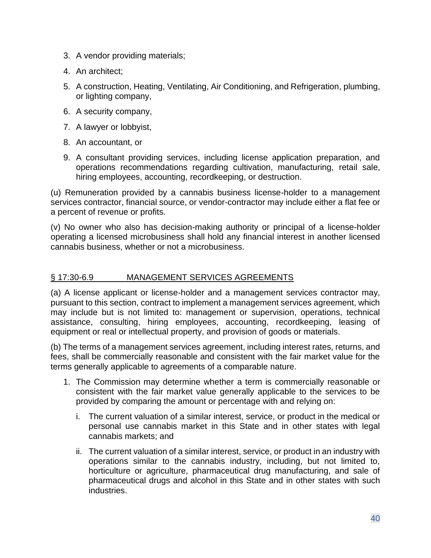- 3. A vendor providing materials;
- 4. An architect;
- 5. A construction, Heating, Ventilating, Air Conditioning, and Refrigeration, plumbing, or lighting company,
- 6. A security company,
- 7. A lawyer or lobbyist,
- 8. An accountant, or
- 9. A consultant providing services, including license application preparation, and operations recommendations regarding cultivation, manufacturing, retail sale, hiring employees, accounting, recordkeeping, or destruction.

(u) Remuneration provided by a cannabis business license-holder to a management services contractor, financial source, or vendor-contractor may include either a flat fee or a percent of revenue or profits.

(v) No owner who also has decision-making authority or principal of a license-holder operating a licensed microbusiness shall hold any financial interest in another licensed cannabis business, whether or not a microbusiness.

#### § 17:30-6.9 MANAGEMENT SERVICES AGREEMENTS

(a) A license applicant or license-holder and a management services contractor may, pursuant to this section, contract to implement a management services agreement, which may include but is not limited to: management or supervision, operations, technical assistance, consulting, hiring employees, accounting, recordkeeping, leasing of equipment or real or intellectual property, and provision of goods or materials.

(b) The terms of a management services agreement, including interest rates, returns, and fees, shall be commercially reasonable and consistent with the fair market value for the terms generally applicable to agreements of a comparable nature.

- 1. The Commission may determine whether a term is commercially reasonable or consistent with the fair market value generally applicable to the services to be provided by comparing the amount or percentage with and relying on:
	- i. The current valuation of a similar interest, service, or product in the medical or personal use cannabis market in this State and in other states with legal cannabis markets; and
	- ii. The current valuation of a similar interest, service, or product in an industry with operations similar to the cannabis industry, including, but not limited to, horticulture or agriculture, pharmaceutical drug manufacturing, and sale of pharmaceutical drugs and alcohol in this State and in other states with such industries.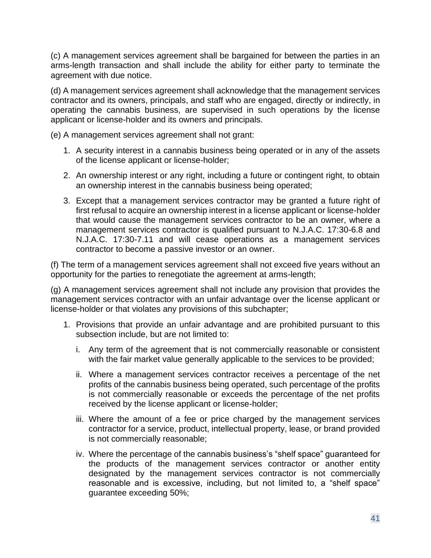(c) A management services agreement shall be bargained for between the parties in an arms-length transaction and shall include the ability for either party to terminate the agreement with due notice.

(d) A management services agreement shall acknowledge that the management services contractor and its owners, principals, and staff who are engaged, directly or indirectly, in operating the cannabis business, are supervised in such operations by the license applicant or license-holder and its owners and principals.

(e) A management services agreement shall not grant:

- 1. A security interest in a cannabis business being operated or in any of the assets of the license applicant or license-holder;
- 2. An ownership interest or any right, including a future or contingent right, to obtain an ownership interest in the cannabis business being operated;
- 3. Except that a management services contractor may be granted a future right of first refusal to acquire an ownership interest in a license applicant or license-holder that would cause the management services contractor to be an owner, where a management services contractor is qualified pursuant to N.J.A.C. 17:30-6.8 and N.J.A.C. 17:30-7.11 and will cease operations as a management services contractor to become a passive investor or an owner.

(f) The term of a management services agreement shall not exceed five years without an opportunity for the parties to renegotiate the agreement at arms-length;

(g) A management services agreement shall not include any provision that provides the management services contractor with an unfair advantage over the license applicant or license-holder or that violates any provisions of this subchapter;

- 1. Provisions that provide an unfair advantage and are prohibited pursuant to this subsection include, but are not limited to:
	- i. Any term of the agreement that is not commercially reasonable or consistent with the fair market value generally applicable to the services to be provided;
	- ii. Where a management services contractor receives a percentage of the net profits of the cannabis business being operated, such percentage of the profits is not commercially reasonable or exceeds the percentage of the net profits received by the license applicant or license-holder;
	- iii. Where the amount of a fee or price charged by the management services contractor for a service, product, intellectual property, lease, or brand provided is not commercially reasonable;
	- iv. Where the percentage of the cannabis business's "shelf space" guaranteed for the products of the management services contractor or another entity designated by the management services contractor is not commercially reasonable and is excessive, including, but not limited to, a "shelf space" guarantee exceeding 50%;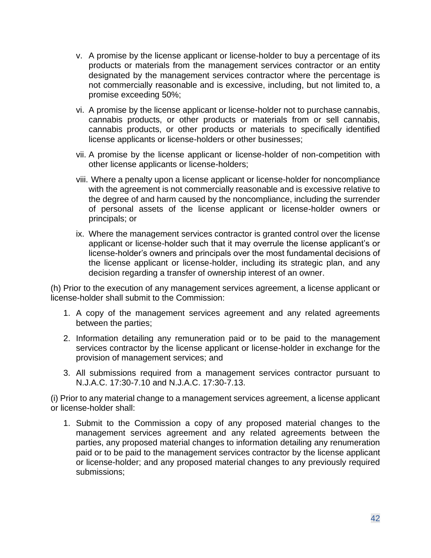- v. A promise by the license applicant or license-holder to buy a percentage of its products or materials from the management services contractor or an entity designated by the management services contractor where the percentage is not commercially reasonable and is excessive, including, but not limited to, a promise exceeding 50%;
- vi. A promise by the license applicant or license-holder not to purchase cannabis, cannabis products, or other products or materials from or sell cannabis, cannabis products, or other products or materials to specifically identified license applicants or license-holders or other businesses;
- vii. A promise by the license applicant or license-holder of non-competition with other license applicants or license-holders;
- viii. Where a penalty upon a license applicant or license-holder for noncompliance with the agreement is not commercially reasonable and is excessive relative to the degree of and harm caused by the noncompliance, including the surrender of personal assets of the license applicant or license-holder owners or principals; or
- ix. Where the management services contractor is granted control over the license applicant or license-holder such that it may overrule the license applicant's or license-holder's owners and principals over the most fundamental decisions of the license applicant or license-holder, including its strategic plan, and any decision regarding a transfer of ownership interest of an owner.

(h) Prior to the execution of any management services agreement, a license applicant or license-holder shall submit to the Commission:

- 1. A copy of the management services agreement and any related agreements between the parties;
- 2. Information detailing any remuneration paid or to be paid to the management services contractor by the license applicant or license-holder in exchange for the provision of management services; and
- 3. All submissions required from a management services contractor pursuant to N.J.A.C. 17:30-7.10 and N.J.A.C. 17:30-7.13.

(i) Prior to any material change to a management services agreement, a license applicant or license-holder shall:

1. Submit to the Commission a copy of any proposed material changes to the management services agreement and any related agreements between the parties, any proposed material changes to information detailing any renumeration paid or to be paid to the management services contractor by the license applicant or license-holder; and any proposed material changes to any previously required submissions;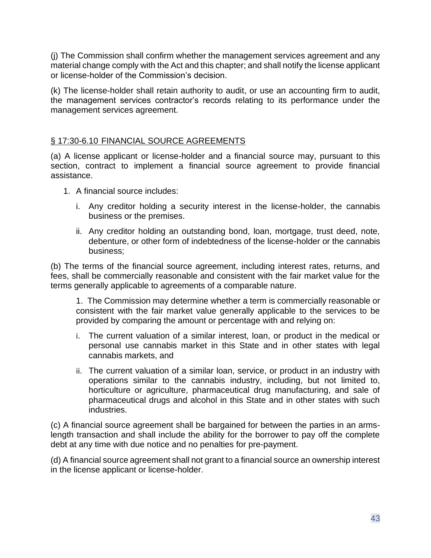(j) The Commission shall confirm whether the management services agreement and any material change comply with the Act and this chapter; and shall notify the license applicant or license-holder of the Commission's decision.

(k) The license-holder shall retain authority to audit, or use an accounting firm to audit, the management services contractor's records relating to its performance under the management services agreement.

## § 17:30-6.10 FINANCIAL SOURCE AGREEMENTS

(a) A license applicant or license-holder and a financial source may, pursuant to this section, contract to implement a financial source agreement to provide financial assistance.

- 1. A financial source includes:
	- i. Any creditor holding a security interest in the license-holder, the cannabis business or the premises.
	- ii. Any creditor holding an outstanding bond, loan, mortgage, trust deed, note, debenture, or other form of indebtedness of the license-holder or the cannabis business;

(b) The terms of the financial source agreement, including interest rates, returns, and fees, shall be commercially reasonable and consistent with the fair market value for the terms generally applicable to agreements of a comparable nature.

1. The Commission may determine whether a term is commercially reasonable or consistent with the fair market value generally applicable to the services to be provided by comparing the amount or percentage with and relying on:

- i. The current valuation of a similar interest, loan, or product in the medical or personal use cannabis market in this State and in other states with legal cannabis markets, and
- ii. The current valuation of a similar loan, service, or product in an industry with operations similar to the cannabis industry, including, but not limited to, horticulture or agriculture, pharmaceutical drug manufacturing, and sale of pharmaceutical drugs and alcohol in this State and in other states with such industries.

(c) A financial source agreement shall be bargained for between the parties in an armslength transaction and shall include the ability for the borrower to pay off the complete debt at any time with due notice and no penalties for pre-payment.

(d) A financial source agreement shall not grant to a financial source an ownership interest in the license applicant or license-holder.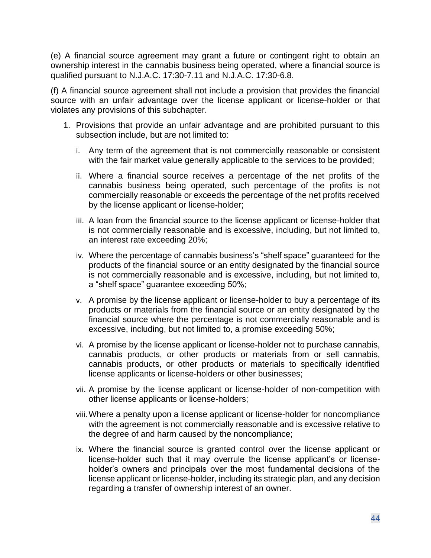(e) A financial source agreement may grant a future or contingent right to obtain an ownership interest in the cannabis business being operated, where a financial source is qualified pursuant to N.J.A.C. 17:30-7.11 and N.J.A.C. 17:30-6.8.

(f) A financial source agreement shall not include a provision that provides the financial source with an unfair advantage over the license applicant or license-holder or that violates any provisions of this subchapter.

- 1. Provisions that provide an unfair advantage and are prohibited pursuant to this subsection include, but are not limited to:
	- i. Any term of the agreement that is not commercially reasonable or consistent with the fair market value generally applicable to the services to be provided;
	- ii. Where a financial source receives a percentage of the net profits of the cannabis business being operated, such percentage of the profits is not commercially reasonable or exceeds the percentage of the net profits received by the license applicant or license-holder;
	- iii. A loan from the financial source to the license applicant or license-holder that is not commercially reasonable and is excessive, including, but not limited to, an interest rate exceeding 20%;
	- iv. Where the percentage of cannabis business's "shelf space" guaranteed for the products of the financial source or an entity designated by the financial source is not commercially reasonable and is excessive, including, but not limited to, a "shelf space" guarantee exceeding 50%;
	- v. A promise by the license applicant or license-holder to buy a percentage of its products or materials from the financial source or an entity designated by the financial source where the percentage is not commercially reasonable and is excessive, including, but not limited to, a promise exceeding 50%;
	- vi. A promise by the license applicant or license-holder not to purchase cannabis, cannabis products, or other products or materials from or sell cannabis, cannabis products, or other products or materials to specifically identified license applicants or license-holders or other businesses;
	- vii. A promise by the license applicant or license-holder of non-competition with other license applicants or license-holders;
	- viii.Where a penalty upon a license applicant or license-holder for noncompliance with the agreement is not commercially reasonable and is excessive relative to the degree of and harm caused by the noncompliance;
	- ix. Where the financial source is granted control over the license applicant or license-holder such that it may overrule the license applicant's or licenseholder's owners and principals over the most fundamental decisions of the license applicant or license-holder, including its strategic plan, and any decision regarding a transfer of ownership interest of an owner.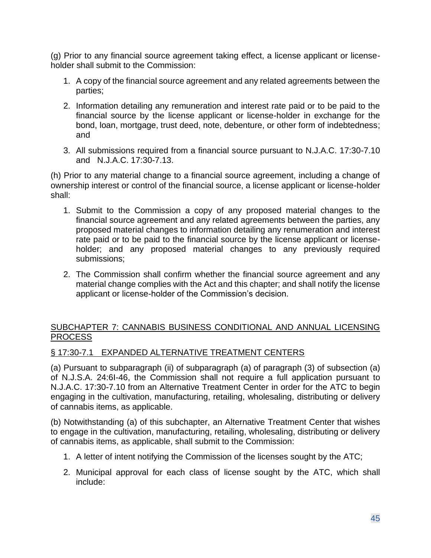(g) Prior to any financial source agreement taking effect, a license applicant or licenseholder shall submit to the Commission:

- 1. A copy of the financial source agreement and any related agreements between the parties;
- 2. Information detailing any remuneration and interest rate paid or to be paid to the financial source by the license applicant or license-holder in exchange for the bond, loan, mortgage, trust deed, note, debenture, or other form of indebtedness; and
- 3. All submissions required from a financial source pursuant to N.J.A.C. 17:30-7.10 and N.J.A.C. 17:30-7.13.

(h) Prior to any material change to a financial source agreement, including a change of ownership interest or control of the financial source, a license applicant or license-holder shall:

- 1. Submit to the Commission a copy of any proposed material changes to the financial source agreement and any related agreements between the parties, any proposed material changes to information detailing any renumeration and interest rate paid or to be paid to the financial source by the license applicant or licenseholder; and any proposed material changes to any previously required submissions;
- 2. The Commission shall confirm whether the financial source agreement and any material change complies with the Act and this chapter; and shall notify the license applicant or license-holder of the Commission's decision.

## SUBCHAPTER 7: CANNABIS BUSINESS CONDITIONAL AND ANNUAL LICENSING PROCESS

## § 17:30-7.1 EXPANDED ALTERNATIVE TREATMENT CENTERS

(a) Pursuant to subparagraph (ii) of subparagraph (a) of paragraph (3) of subsection (a) of N.J.S.A. 24:6I-46, the Commission shall not require a full application pursuant to N.J.A.C. 17:30-7.10 from an Alternative Treatment Center in order for the ATC to begin engaging in the cultivation, manufacturing, retailing, wholesaling, distributing or delivery of cannabis items, as applicable.

(b) Notwithstanding (a) of this subchapter, an Alternative Treatment Center that wishes to engage in the cultivation, manufacturing, retailing, wholesaling, distributing or delivery of cannabis items, as applicable, shall submit to the Commission:

- 1. A letter of intent notifying the Commission of the licenses sought by the ATC;
- 2. Municipal approval for each class of license sought by the ATC, which shall include: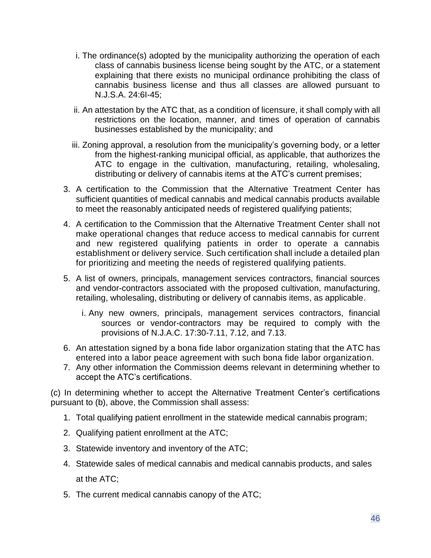- i. The ordinance(s) adopted by the municipality authorizing the operation of each class of cannabis business license being sought by the ATC, or a statement explaining that there exists no municipal ordinance prohibiting the class of cannabis business license and thus all classes are allowed pursuant to N.J.S.A. 24:6I-45;
- ii. An attestation by the ATC that, as a condition of licensure, it shall comply with all restrictions on the location, manner, and times of operation of cannabis businesses established by the municipality; and
- iii. Zoning approval, a resolution from the municipality's governing body, or a letter from the highest-ranking municipal official, as applicable, that authorizes the ATC to engage in the cultivation, manufacturing, retailing, wholesaling, distributing or delivery of cannabis items at the ATC's current premises;
- 3. A certification to the Commission that the Alternative Treatment Center has sufficient quantities of medical cannabis and medical cannabis products available to meet the reasonably anticipated needs of registered qualifying patients;
- 4. A certification to the Commission that the Alternative Treatment Center shall not make operational changes that reduce access to medical cannabis for current and new registered qualifying patients in order to operate a cannabis establishment or delivery service. Such certification shall include a detailed plan for prioritizing and meeting the needs of registered qualifying patients.
- 5. A list of owners, principals, management services contractors, financial sources and vendor-contractors associated with the proposed cultivation, manufacturing, retailing, wholesaling, distributing or delivery of cannabis items, as applicable.
	- i. Any new owners, principals, management services contractors, financial sources or vendor-contractors may be required to comply with the provisions of N.J.A.C. 17:30-7.11, 7.12, and 7.13.
- 6. An attestation signed by a bona fide labor organization stating that the ATC has entered into a labor peace agreement with such bona fide labor organization.
- 7. Any other information the Commission deems relevant in determining whether to accept the ATC's certifications.

(c) In determining whether to accept the Alternative Treatment Center's certifications pursuant to (b), above, the Commission shall assess:

- 1. Total qualifying patient enrollment in the statewide medical cannabis program;
- 2. Qualifying patient enrollment at the ATC;
- 3. Statewide inventory and inventory of the ATC;
- 4. Statewide sales of medical cannabis and medical cannabis products, and sales at the ATC;
- 5. The current medical cannabis canopy of the ATC;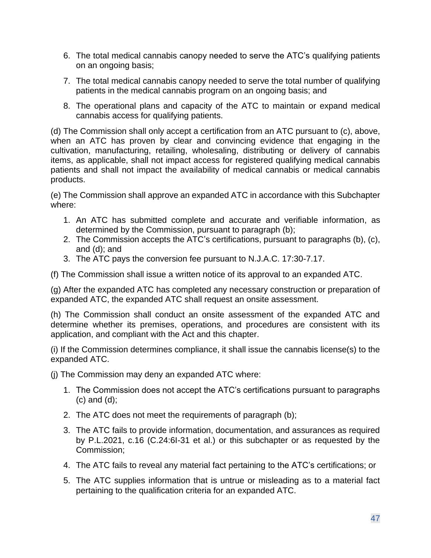- 6. The total medical cannabis canopy needed to serve the ATC's qualifying patients on an ongoing basis;
- 7. The total medical cannabis canopy needed to serve the total number of qualifying patients in the medical cannabis program on an ongoing basis; and
- 8. The operational plans and capacity of the ATC to maintain or expand medical cannabis access for qualifying patients.

(d) The Commission shall only accept a certification from an ATC pursuant to (c), above, when an ATC has proven by clear and convincing evidence that engaging in the cultivation, manufacturing, retailing, wholesaling, distributing or delivery of cannabis items, as applicable, shall not impact access for registered qualifying medical cannabis patients and shall not impact the availability of medical cannabis or medical cannabis products.

(e) The Commission shall approve an expanded ATC in accordance with this Subchapter where:

- 1. An ATC has submitted complete and accurate and verifiable information, as determined by the Commission, pursuant to paragraph (b);
- 2. The Commission accepts the ATC's certifications, pursuant to paragraphs (b), (c), and (d); and
- 3. The ATC pays the conversion fee pursuant to N.J.A.C. 17:30-7.17.

(f) The Commission shall issue a written notice of its approval to an expanded ATC.

(g) After the expanded ATC has completed any necessary construction or preparation of expanded ATC, the expanded ATC shall request an onsite assessment.

(h) The Commission shall conduct an onsite assessment of the expanded ATC and determine whether its premises, operations, and procedures are consistent with its application, and compliant with the Act and this chapter.

(i) If the Commission determines compliance, it shall issue the cannabis license(s) to the expanded ATC.

(j) The Commission may deny an expanded ATC where:

- 1. The Commission does not accept the ATC's certifications pursuant to paragraphs (c) and (d);
- 2. The ATC does not meet the requirements of paragraph (b);
- 3. The ATC fails to provide information, documentation, and assurances as required by P.L.2021, c.16 (C.24:6I-31 et al.) or this subchapter or as requested by the Commission;
- 4. The ATC fails to reveal any material fact pertaining to the ATC's certifications; or
- 5. The ATC supplies information that is untrue or misleading as to a material fact pertaining to the qualification criteria for an expanded ATC.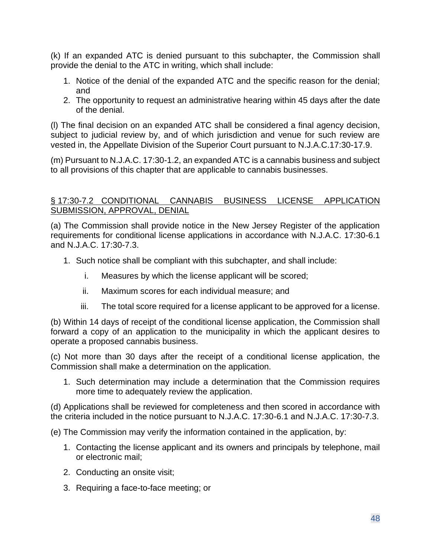(k) If an expanded ATC is denied pursuant to this subchapter, the Commission shall provide the denial to the ATC in writing, which shall include:

- 1. Notice of the denial of the expanded ATC and the specific reason for the denial; and
- 2. The opportunity to request an administrative hearing within 45 days after the date of the denial.

(l) The final decision on an expanded ATC shall be considered a final agency decision, subject to judicial review by, and of which jurisdiction and venue for such review are vested in, the Appellate Division of the Superior Court pursuant to N.J.A.C.17:30-17.9.

(m) Pursuant to N.J.A.C. 17:30-1.2, an expanded ATC is a cannabis business and subject to all provisions of this chapter that are applicable to cannabis businesses.

#### § 17:30-7.2 CONDITIONAL CANNABIS BUSINESS LICENSE APPLICATION SUBMISSION, APPROVAL, DENIAL

(a) The Commission shall provide notice in the New Jersey Register of the application requirements for conditional license applications in accordance with N.J.A.C. 17:30-6.1 and N.J.A.C. 17:30-7.3.

- 1. Such notice shall be compliant with this subchapter, and shall include:
	- i. Measures by which the license applicant will be scored;
	- ii. Maximum scores for each individual measure; and
	- iii. The total score required for a license applicant to be approved for a license.

(b) Within 14 days of receipt of the conditional license application, the Commission shall forward a copy of an application to the municipality in which the applicant desires to operate a proposed cannabis business.

(c) Not more than 30 days after the receipt of a conditional license application, the Commission shall make a determination on the application.

1. Such determination may include a determination that the Commission requires more time to adequately review the application.

(d) Applications shall be reviewed for completeness and then scored in accordance with the criteria included in the notice pursuant to N.J.A.C. 17:30-6.1 and N.J.A.C. 17:30-7.3.

(e) The Commission may verify the information contained in the application, by:

- 1. Contacting the license applicant and its owners and principals by telephone, mail or electronic mail;
- 2. Conducting an onsite visit;
- 3. Requiring a face-to-face meeting; or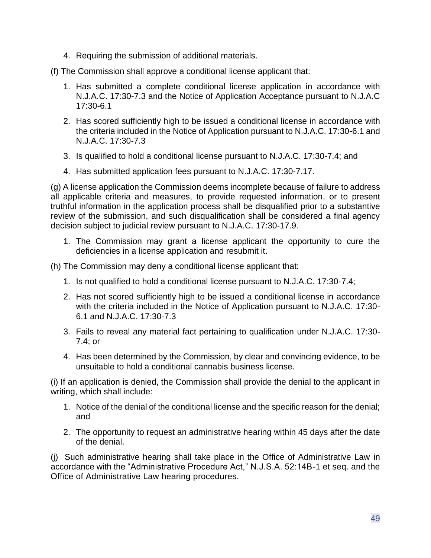4. Requiring the submission of additional materials.

(f) The Commission shall approve a conditional license applicant that:

- 1. Has submitted a complete conditional license application in accordance with N.J.A.C. 17:30-7.3 and the Notice of Application Acceptance pursuant to N.J.A.C 17:30-6.1
- 2. Has scored sufficiently high to be issued a conditional license in accordance with the criteria included in the Notice of Application pursuant to N.J.A.C. 17:30-6.1 and N.J.A.C. 17:30-7.3
- 3. Is qualified to hold a conditional license pursuant to N.J.A.C. 17:30-7.4; and
- 4. Has submitted application fees pursuant to N.J.A.C. 17:30-7.17.

(g) A license application the Commission deems incomplete because of failure to address all applicable criteria and measures, to provide requested information, or to present truthful information in the application process shall be disqualified prior to a substantive review of the submission, and such disqualification shall be considered a final agency decision subject to judicial review pursuant to N.J.A.C. 17:30-17.9.

- 1. The Commission may grant a license applicant the opportunity to cure the deficiencies in a license application and resubmit it.
- (h) The Commission may deny a conditional license applicant that:
	- 1. Is not qualified to hold a conditional license pursuant to N.J.A.C. 17:30-7.4;
	- 2. Has not scored sufficiently high to be issued a conditional license in accordance with the criteria included in the Notice of Application pursuant to N.J.A.C. 17:30- 6.1 and N.J.A.C. 17:30-7.3
	- 3. Fails to reveal any material fact pertaining to qualification under N.J.A.C. 17:30- 7.4; or
	- 4. Has been determined by the Commission, by clear and convincing evidence, to be unsuitable to hold a conditional cannabis business license.

(i) If an application is denied, the Commission shall provide the denial to the applicant in writing, which shall include:

- 1. Notice of the denial of the conditional license and the specific reason for the denial; and
- 2. The opportunity to request an administrative hearing within 45 days after the date of the denial.

(j) Such administrative hearing shall take place in the Office of Administrative Law in accordance with the "Administrative Procedure Act," N.J.S.A. 52:14B-1 et seq. and the Office of Administrative Law hearing procedures.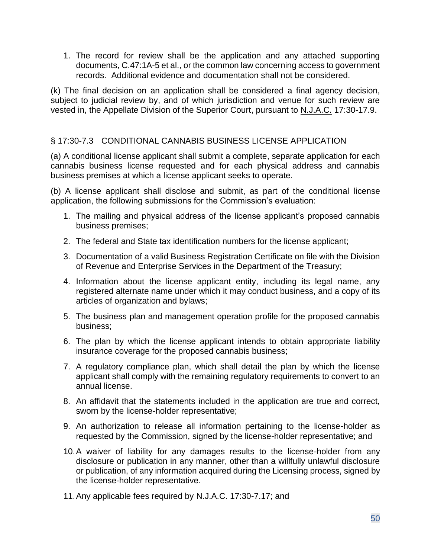1. The record for review shall be the application and any attached supporting documents, C.47:1A-5 et al., or the common law concerning access to government records. Additional evidence and documentation shall not be considered.

(k) The final decision on an application shall be considered a final agency decision, subject to judicial review by, and of which jurisdiction and venue for such review are vested in, the Appellate Division of the Superior Court, pursuant to N.J.A.C. 17:30-17.9.

## § 17:30-7.3 CONDITIONAL CANNABIS BUSINESS LICENSE APPLICATION

(a) A conditional license applicant shall submit a complete, separate application for each cannabis business license requested and for each physical address and cannabis business premises at which a license applicant seeks to operate.

(b) A license applicant shall disclose and submit, as part of the conditional license application, the following submissions for the Commission's evaluation:

- 1. The mailing and physical address of the license applicant's proposed cannabis business premises;
- 2. The federal and State tax identification numbers for the license applicant;
- 3. Documentation of a valid Business Registration Certificate on file with the Division of Revenue and Enterprise Services in the Department of the Treasury;
- 4. Information about the license applicant entity, including its legal name, any registered alternate name under which it may conduct business, and a copy of its articles of organization and bylaws;
- 5. The business plan and management operation profile for the proposed cannabis business;
- 6. The plan by which the license applicant intends to obtain appropriate liability insurance coverage for the proposed cannabis business;
- 7. A regulatory compliance plan, which shall detail the plan by which the license applicant shall comply with the remaining regulatory requirements to convert to an annual license.
- 8. An affidavit that the statements included in the application are true and correct, sworn by the license-holder representative;
- 9. An authorization to release all information pertaining to the license-holder as requested by the Commission, signed by the license-holder representative; and
- 10.A waiver of liability for any damages results to the license-holder from any disclosure or publication in any manner, other than a willfully unlawful disclosure or publication, of any information acquired during the Licensing process, signed by the license-holder representative.
- 11.Any applicable fees required by N.J.A.C. 17:30-7.17; and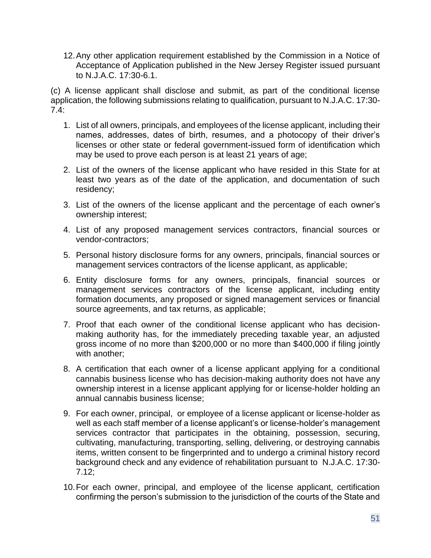12.Any other application requirement established by the Commission in a Notice of Acceptance of Application published in the New Jersey Register issued pursuant to N.J.A.C. 17:30-6.1.

(c) A license applicant shall disclose and submit, as part of the conditional license application, the following submissions relating to qualification, pursuant to N.J.A.C. 17:30- 7.4:

- 1. List of all owners, principals, and employees of the license applicant, including their names, addresses, dates of birth, resumes, and a photocopy of their driver's licenses or other state or federal government-issued form of identification which may be used to prove each person is at least 21 years of age;
- 2. List of the owners of the license applicant who have resided in this State for at least two years as of the date of the application, and documentation of such residency;
- 3. List of the owners of the license applicant and the percentage of each owner's ownership interest;
- 4. List of any proposed management services contractors, financial sources or vendor-contractors;
- 5. Personal history disclosure forms for any owners, principals, financial sources or management services contractors of the license applicant, as applicable;
- 6. Entity disclosure forms for any owners, principals, financial sources or management services contractors of the license applicant, including entity formation documents, any proposed or signed management services or financial source agreements, and tax returns, as applicable;
- 7. Proof that each owner of the conditional license applicant who has decisionmaking authority has, for the immediately preceding taxable year, an adjusted gross income of no more than \$200,000 or no more than \$400,000 if filing jointly with another;
- 8. A certification that each owner of a license applicant applying for a conditional cannabis business license who has decision-making authority does not have any ownership interest in a license applicant applying for or license-holder holding an annual cannabis business license;
- 9. For each owner, principal, or employee of a license applicant or license-holder as well as each staff member of a license applicant's or license-holder's management services contractor that participates in the obtaining, possession, securing, cultivating, manufacturing, transporting, selling, delivering, or destroying cannabis items, written consent to be fingerprinted and to undergo a criminal history record background check and any evidence of rehabilitation pursuant to N.J.A.C. 17:30- 7.12;
- 10.For each owner, principal, and employee of the license applicant, certification confirming the person's submission to the jurisdiction of the courts of the State and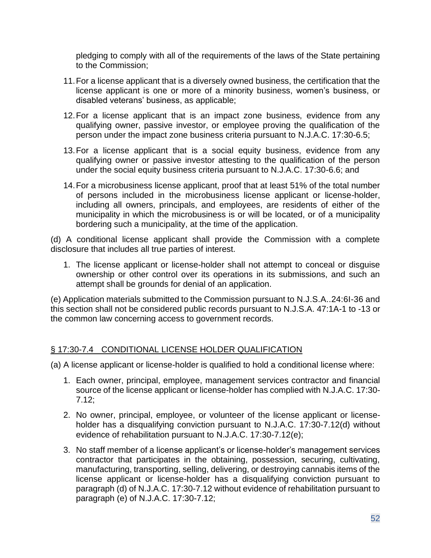pledging to comply with all of the requirements of the laws of the State pertaining to the Commission;

- 11.For a license applicant that is a diversely owned business, the certification that the license applicant is one or more of a minority business, women's business, or disabled veterans' business, as applicable;
- 12.For a license applicant that is an impact zone business, evidence from any qualifying owner, passive investor, or employee proving the qualification of the person under the impact zone business criteria pursuant to N.J.A.C. 17:30-6.5;
- 13.For a license applicant that is a social equity business, evidence from any qualifying owner or passive investor attesting to the qualification of the person under the social equity business criteria pursuant to N.J.A.C. 17:30-6.6; and
- 14.For a microbusiness license applicant, proof that at least 51% of the total number of persons included in the microbusiness license applicant or license-holder, including all owners, principals, and employees, are residents of either of the municipality in which the microbusiness is or will be located, or of a municipality bordering such a municipality, at the time of the application.

(d) A conditional license applicant shall provide the Commission with a complete disclosure that includes all true parties of interest.

1. The license applicant or license-holder shall not attempt to conceal or disguise ownership or other control over its operations in its submissions, and such an attempt shall be grounds for denial of an application.

(e) Application materials submitted to the Commission pursuant to N.J.S.A..24:6I-36 and this section shall not be considered public records pursuant to N.J.S.A. 47:1A-1 to -13 or the common law concerning access to government records.

#### § 17:30-7.4 CONDITIONAL LICENSE HOLDER QUALIFICATION

(a) A license applicant or license-holder is qualified to hold a conditional license where:

- 1. Each owner, principal, employee, management services contractor and financial source of the license applicant or license-holder has complied with N.J.A.C. 17:30- 7.12;
- 2. No owner, principal, employee, or volunteer of the license applicant or licenseholder has a disqualifying conviction pursuant to N.J.A.C. 17:30-7.12(d) without evidence of rehabilitation pursuant to N.J.A.C. 17:30-7.12(e);
- 3. No staff member of a license applicant's or license-holder's management services contractor that participates in the obtaining, possession, securing, cultivating, manufacturing, transporting, selling, delivering, or destroying cannabis items of the license applicant or license-holder has a disqualifying conviction pursuant to paragraph (d) of N.J.A.C. 17:30-7.12 without evidence of rehabilitation pursuant to paragraph (e) of N.J.A.C. 17:30-7.12;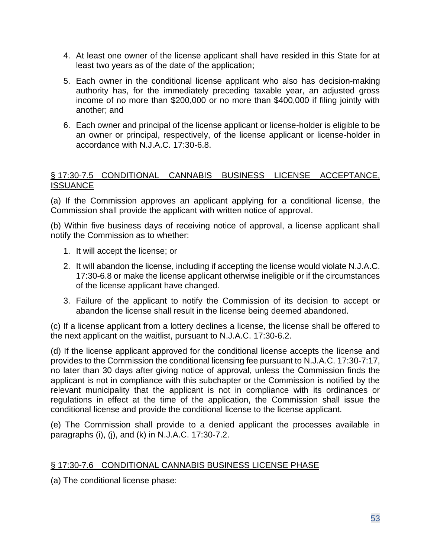- 4. At least one owner of the license applicant shall have resided in this State for at least two years as of the date of the application;
- 5. Each owner in the conditional license applicant who also has decision-making authority has, for the immediately preceding taxable year, an adjusted gross income of no more than \$200,000 or no more than \$400,000 if filing jointly with another; and
- 6. Each owner and principal of the license applicant or license-holder is eligible to be an owner or principal, respectively, of the license applicant or license-holder in accordance with N.J.A.C. 17:30-6.8.

#### § 17:30-7.5 CONDITIONAL CANNABIS BUSINESS LICENSE ACCEPTANCE, **ISSUANCE**

(a) If the Commission approves an applicant applying for a conditional license, the Commission shall provide the applicant with written notice of approval.

(b) Within five business days of receiving notice of approval, a license applicant shall notify the Commission as to whether:

- 1. It will accept the license; or
- 2. It will abandon the license, including if accepting the license would violate N.J.A.C. 17:30-6.8 or make the license applicant otherwise ineligible or if the circumstances of the license applicant have changed.
- 3. Failure of the applicant to notify the Commission of its decision to accept or abandon the license shall result in the license being deemed abandoned.

(c) If a license applicant from a lottery declines a license, the license shall be offered to the next applicant on the waitlist, pursuant to N.J.A.C. 17:30-6.2.

(d) If the license applicant approved for the conditional license accepts the license and provides to the Commission the conditional licensing fee pursuant to N.J.A.C. 17:30-7:17, no later than 30 days after giving notice of approval, unless the Commission finds the applicant is not in compliance with this subchapter or the Commission is notified by the relevant municipality that the applicant is not in compliance with its ordinances or regulations in effect at the time of the application, the Commission shall issue the conditional license and provide the conditional license to the license applicant.

(e) The Commission shall provide to a denied applicant the processes available in paragraphs (i), (j), and (k) in N.J.A.C. 17:30-7.2.

## § 17:30-7.6 CONDITIONAL CANNABIS BUSINESS LICENSE PHASE

(a) The conditional license phase: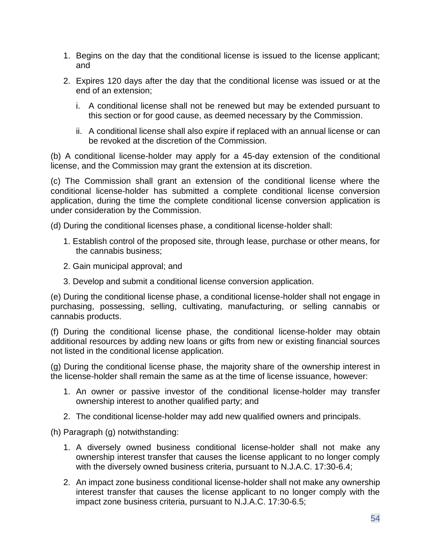- 1. Begins on the day that the conditional license is issued to the license applicant; and
- 2. Expires 120 days after the day that the conditional license was issued or at the end of an extension;
	- i. A conditional license shall not be renewed but may be extended pursuant to this section or for good cause, as deemed necessary by the Commission.
	- ii. A conditional license shall also expire if replaced with an annual license or can be revoked at the discretion of the Commission.

(b) A conditional license-holder may apply for a 45-day extension of the conditional license, and the Commission may grant the extension at its discretion.

(c) The Commission shall grant an extension of the conditional license where the conditional license-holder has submitted a complete conditional license conversion application, during the time the complete conditional license conversion application is under consideration by the Commission.

(d) During the conditional licenses phase, a conditional license-holder shall:

- 1. Establish control of the proposed site, through lease, purchase or other means, for the cannabis business;
- 2. Gain municipal approval; and
- 3. Develop and submit a conditional license conversion application.

(e) During the conditional license phase, a conditional license-holder shall not engage in purchasing, possessing, selling, cultivating, manufacturing, or selling cannabis or cannabis products.

(f) During the conditional license phase, the conditional license-holder may obtain additional resources by adding new loans or gifts from new or existing financial sources not listed in the conditional license application.

(g) During the conditional license phase, the majority share of the ownership interest in the license-holder shall remain the same as at the time of license issuance, however:

- 1. An owner or passive investor of the conditional license-holder may transfer ownership interest to another qualified party; and
- 2. The conditional license-holder may add new qualified owners and principals.

(h) Paragraph (g) notwithstanding:

- 1. A diversely owned business conditional license-holder shall not make any ownership interest transfer that causes the license applicant to no longer comply with the diversely owned business criteria, pursuant to N.J.A.C. 17:30-6.4;
- 2. An impact zone business conditional license-holder shall not make any ownership interest transfer that causes the license applicant to no longer comply with the impact zone business criteria, pursuant to N.J.A.C. 17:30-6.5;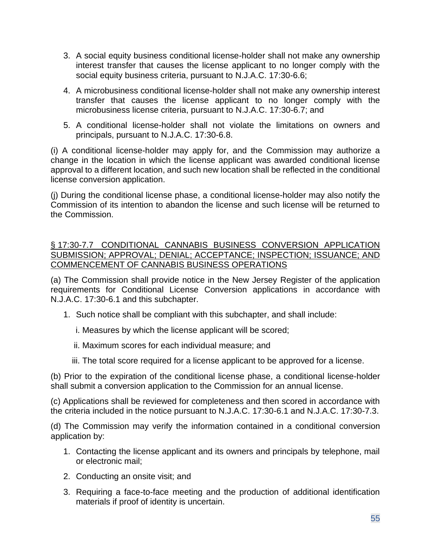- 3. A social equity business conditional license-holder shall not make any ownership interest transfer that causes the license applicant to no longer comply with the social equity business criteria, pursuant to N.J.A.C. 17:30-6.6;
- 4. A microbusiness conditional license-holder shall not make any ownership interest transfer that causes the license applicant to no longer comply with the microbusiness license criteria, pursuant to N.J.A.C. 17:30-6.7; and
- 5. A conditional license-holder shall not violate the limitations on owners and principals, pursuant to N.J.A.C. 17:30-6.8.

(i) A conditional license-holder may apply for, and the Commission may authorize a change in the location in which the license applicant was awarded conditional license approval to a different location, and such new location shall be reflected in the conditional license conversion application.

(j) During the conditional license phase, a conditional license-holder may also notify the Commission of its intention to abandon the license and such license will be returned to the Commission.

§ 17:30-7.7 CONDITIONAL CANNABIS BUSINESS CONVERSION APPLICATION SUBMISSION; APPROVAL; DENIAL; ACCEPTANCE; INSPECTION; ISSUANCE; AND COMMENCEMENT OF CANNABIS BUSINESS OPERATIONS

(a) The Commission shall provide notice in the New Jersey Register of the application requirements for Conditional License Conversion applications in accordance with N.J.A.C. 17:30-6.1 and this subchapter.

- 1. Such notice shall be compliant with this subchapter, and shall include:
	- i. Measures by which the license applicant will be scored;
	- ii. Maximum scores for each individual measure; and
	- iii. The total score required for a license applicant to be approved for a license.

(b) Prior to the expiration of the conditional license phase, a conditional license-holder shall submit a conversion application to the Commission for an annual license.

(c) Applications shall be reviewed for completeness and then scored in accordance with the criteria included in the notice pursuant to N.J.A.C. 17:30-6.1 and N.J.A.C. 17:30-7.3.

(d) The Commission may verify the information contained in a conditional conversion application by:

- 1. Contacting the license applicant and its owners and principals by telephone, mail or electronic mail;
- 2. Conducting an onsite visit; and
- 3. Requiring a face-to-face meeting and the production of additional identification materials if proof of identity is uncertain.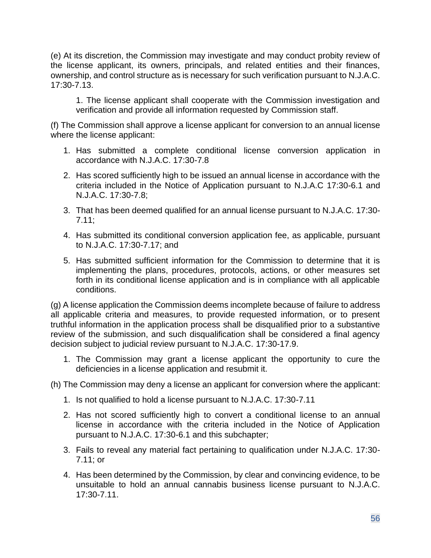(e) At its discretion, the Commission may investigate and may conduct probity review of the license applicant, its owners, principals, and related entities and their finances, ownership, and control structure as is necessary for such verification pursuant to N.J.A.C. 17:30-7.13.

1. The license applicant shall cooperate with the Commission investigation and verification and provide all information requested by Commission staff.

(f) The Commission shall approve a license applicant for conversion to an annual license where the license applicant:

- 1. Has submitted a complete conditional license conversion application in accordance with N.J.A.C. 17:30-7.8
- 2. Has scored sufficiently high to be issued an annual license in accordance with the criteria included in the Notice of Application pursuant to N.J.A.C 17:30-6.1 and N.J.A.C. 17:30-7.8;
- 3. That has been deemed qualified for an annual license pursuant to N.J.A.C. 17:30- 7.11;
- 4. Has submitted its conditional conversion application fee, as applicable, pursuant to N.J.A.C. 17:30-7.17; and
- 5. Has submitted sufficient information for the Commission to determine that it is implementing the plans, procedures, protocols, actions, or other measures set forth in its conditional license application and is in compliance with all applicable conditions.

(g) A license application the Commission deems incomplete because of failure to address all applicable criteria and measures, to provide requested information, or to present truthful information in the application process shall be disqualified prior to a substantive review of the submission, and such disqualification shall be considered a final agency decision subject to judicial review pursuant to N.J.A.C. 17:30-17.9.

- 1. The Commission may grant a license applicant the opportunity to cure the deficiencies in a license application and resubmit it.
- (h) The Commission may deny a license an applicant for conversion where the applicant:
	- 1. Is not qualified to hold a license pursuant to N.J.A.C. 17:30-7.11
	- 2. Has not scored sufficiently high to convert a conditional license to an annual license in accordance with the criteria included in the Notice of Application pursuant to N.J.A.C. 17:30-6.1 and this subchapter;
	- 3. Fails to reveal any material fact pertaining to qualification under N.J.A.C. 17:30- 7.11; or
	- 4. Has been determined by the Commission, by clear and convincing evidence, to be unsuitable to hold an annual cannabis business license pursuant to N.J.A.C. 17:30-7.11.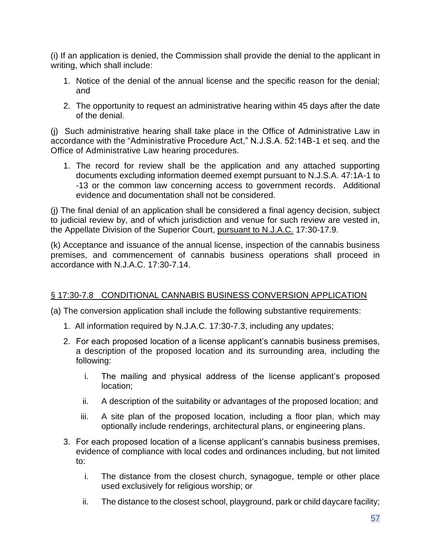(i) If an application is denied, the Commission shall provide the denial to the applicant in writing, which shall include:

- 1. Notice of the denial of the annual license and the specific reason for the denial; and
- 2. The opportunity to request an administrative hearing within 45 days after the date of the denial.

(j) Such administrative hearing shall take place in the Office of Administrative Law in accordance with the "Administrative Procedure Act," N.J.S.A. 52:14B-1 et seq. and the Office of Administrative Law hearing procedures.

1. The record for review shall be the application and any attached supporting documents excluding information deemed exempt pursuant to N.J.S.A. 47:1A-1 to -13 or the common law concerning access to government records. Additional evidence and documentation shall not be considered.

(j) The final denial of an application shall be considered a final agency decision, subject to judicial review by, and of which jurisdiction and venue for such review are vested in, the Appellate Division of the Superior Court, pursuant to N.J.A.C. 17:30-17.9.

(k) Acceptance and issuance of the annual license, inspection of the cannabis business premises, and commencement of cannabis business operations shall proceed in accordance with N.J.A.C. 17:30-7.14.

# § 17:30-7.8 CONDITIONAL CANNABIS BUSINESS CONVERSION APPLICATION

(a) The conversion application shall include the following substantive requirements:

- 1. All information required by N.J.A.C. 17:30-7.3, including any updates;
- 2. For each proposed location of a license applicant's cannabis business premises, a description of the proposed location and its surrounding area, including the following:
	- i. The mailing and physical address of the license applicant's proposed location;
	- ii. A description of the suitability or advantages of the proposed location; and
	- iii. A site plan of the proposed location, including a floor plan, which may optionally include renderings, architectural plans, or engineering plans.
- 3. For each proposed location of a license applicant's cannabis business premises, evidence of compliance with local codes and ordinances including, but not limited to:
	- i. The distance from the closest church, synagogue, temple or other place used exclusively for religious worship; or
	- ii. The distance to the closest school, playground, park or child daycare facility;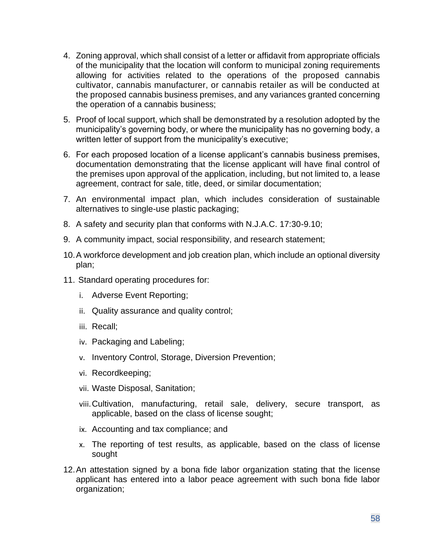- 4. Zoning approval, which shall consist of a letter or affidavit from appropriate officials of the municipality that the location will conform to municipal zoning requirements allowing for activities related to the operations of the proposed cannabis cultivator, cannabis manufacturer, or cannabis retailer as will be conducted at the proposed cannabis business premises, and any variances granted concerning the operation of a cannabis business;
- 5. Proof of local support, which shall be demonstrated by a resolution adopted by the municipality's governing body, or where the municipality has no governing body, a written letter of support from the municipality's executive;
- 6. For each proposed location of a license applicant's cannabis business premises, documentation demonstrating that the license applicant will have final control of the premises upon approval of the application, including, but not limited to, a lease agreement, contract for sale, title, deed, or similar documentation;
- 7. An environmental impact plan, which includes consideration of sustainable alternatives to single-use plastic packaging;
- 8. A safety and security plan that conforms with N.J.A.C. 17:30-9.10;
- 9. A community impact, social responsibility, and research statement;
- 10.A workforce development and job creation plan, which include an optional diversity plan;
- 11. Standard operating procedures for:
	- i. Adverse Event Reporting;
	- ii. Quality assurance and quality control;
	- iii. Recall;
	- iv. Packaging and Labeling;
	- v. Inventory Control, Storage, Diversion Prevention;
	- vi. Recordkeeping;
	- vii. Waste Disposal, Sanitation;
	- viii.Cultivation, manufacturing, retail sale, delivery, secure transport, as applicable, based on the class of license sought;
	- ix. Accounting and tax compliance; and
	- x. The reporting of test results, as applicable, based on the class of license sought
- 12.An attestation signed by a bona fide labor organization stating that the license applicant has entered into a labor peace agreement with such bona fide labor organization;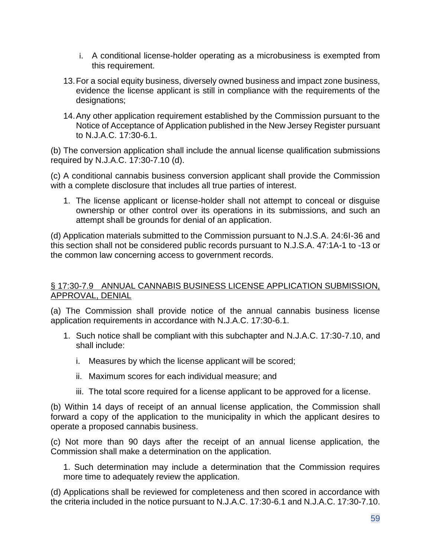- i. A conditional license-holder operating as a microbusiness is exempted from this requirement.
- 13.For a social equity business, diversely owned business and impact zone business, evidence the license applicant is still in compliance with the requirements of the designations;
- 14.Any other application requirement established by the Commission pursuant to the Notice of Acceptance of Application published in the New Jersey Register pursuant to N.J.A.C. 17:30-6.1.

(b) The conversion application shall include the annual license qualification submissions required by N.J.A.C. 17:30-7.10 (d).

(c) A conditional cannabis business conversion applicant shall provide the Commission with a complete disclosure that includes all true parties of interest.

1. The license applicant or license-holder shall not attempt to conceal or disguise ownership or other control over its operations in its submissions, and such an attempt shall be grounds for denial of an application.

(d) Application materials submitted to the Commission pursuant to N.J.S.A. 24:6I-36 and this section shall not be considered public records pursuant to N.J.S.A. 47:1A-1 to -13 or the common law concerning access to government records.

#### § 17:30-7.9 ANNUAL CANNABIS BUSINESS LICENSE APPLICATION SUBMISSION, APPROVAL, DENIAL

(a) The Commission shall provide notice of the annual cannabis business license application requirements in accordance with N.J.A.C. 17:30-6.1.

- 1. Such notice shall be compliant with this subchapter and N.J.A.C. 17:30-7.10, and shall include:
	- i. Measures by which the license applicant will be scored;
	- ii. Maximum scores for each individual measure; and
	- iii. The total score required for a license applicant to be approved for a license.

(b) Within 14 days of receipt of an annual license application, the Commission shall forward a copy of the application to the municipality in which the applicant desires to operate a proposed cannabis business.

(c) Not more than 90 days after the receipt of an annual license application, the Commission shall make a determination on the application.

1. Such determination may include a determination that the Commission requires more time to adequately review the application.

(d) Applications shall be reviewed for completeness and then scored in accordance with the criteria included in the notice pursuant to N.J.A.C. 17:30-6.1 and N.J.A.C. 17:30-7.10.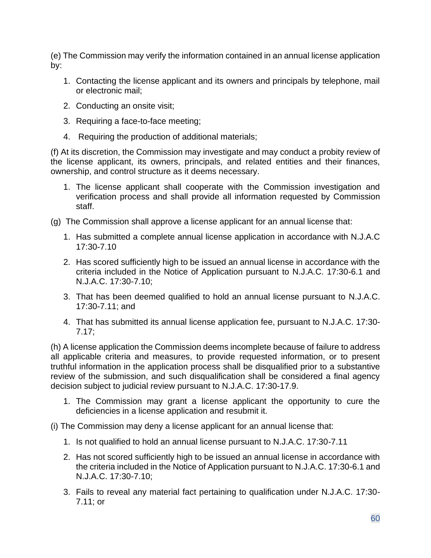(e) The Commission may verify the information contained in an annual license application by:

- 1. Contacting the license applicant and its owners and principals by telephone, mail or electronic mail;
- 2. Conducting an onsite visit;
- 3. Requiring a face-to-face meeting;
- 4. Requiring the production of additional materials;

(f) At its discretion, the Commission may investigate and may conduct a probity review of the license applicant, its owners, principals, and related entities and their finances, ownership, and control structure as it deems necessary.

- 1. The license applicant shall cooperate with the Commission investigation and verification process and shall provide all information requested by Commission staff.
- (g) The Commission shall approve a license applicant for an annual license that:
	- 1. Has submitted a complete annual license application in accordance with N.J.A.C 17:30-7.10
	- 2. Has scored sufficiently high to be issued an annual license in accordance with the criteria included in the Notice of Application pursuant to N.J.A.C. 17:30-6.1 and N.J.A.C. 17:30-7.10;
	- 3. That has been deemed qualified to hold an annual license pursuant to N.J.A.C. 17:30-7.11; and
	- 4. That has submitted its annual license application fee, pursuant to N.J.A.C. 17:30- 7.17;

(h) A license application the Commission deems incomplete because of failure to address all applicable criteria and measures, to provide requested information, or to present truthful information in the application process shall be disqualified prior to a substantive review of the submission, and such disqualification shall be considered a final agency decision subject to judicial review pursuant to N.J.A.C. 17:30-17.9.

- 1. The Commission may grant a license applicant the opportunity to cure the deficiencies in a license application and resubmit it.
- (i) The Commission may deny a license applicant for an annual license that:
	- 1. Is not qualified to hold an annual license pursuant to N.J.A.C. 17:30-7.11
	- 2. Has not scored sufficiently high to be issued an annual license in accordance with the criteria included in the Notice of Application pursuant to N.J.A.C. 17:30-6.1 and N.J.A.C. 17:30-7.10;
	- 3. Fails to reveal any material fact pertaining to qualification under N.J.A.C. 17:30- 7.11; or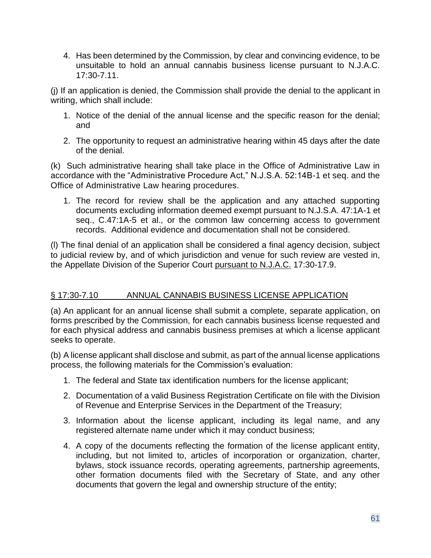4. Has been determined by the Commission, by clear and convincing evidence, to be unsuitable to hold an annual cannabis business license pursuant to N.J.A.C. 17:30-7.11.

(j) If an application is denied, the Commission shall provide the denial to the applicant in writing, which shall include:

- 1. Notice of the denial of the annual license and the specific reason for the denial; and
- 2. The opportunity to request an administrative hearing within 45 days after the date of the denial.

(k) Such administrative hearing shall take place in the Office of Administrative Law in accordance with the "Administrative Procedure Act," N.J.S.A. 52:14B-1 et seq. and the Office of Administrative Law hearing procedures.

1. The record for review shall be the application and any attached supporting documents excluding information deemed exempt pursuant to N.J.S.A. 47:1A-1 et seq., C.47:1A-5 et al., or the common law concerning access to government records. Additional evidence and documentation shall not be considered.

(l) The final denial of an application shall be considered a final agency decision, subject to judicial review by, and of which jurisdiction and venue for such review are vested in, the Appellate Division of the Superior Court pursuant to N.J.A.C. 17:30-17.9.

# § 17:30-7.10 ANNUAL CANNABIS BUSINESS LICENSE APPLICATION

(a) An applicant for an annual license shall submit a complete, separate application, on forms prescribed by the Commission, for each cannabis business license requested and for each physical address and cannabis business premises at which a license applicant seeks to operate.

(b) A license applicant shall disclose and submit, as part of the annual license applications process, the following materials for the Commission's evaluation:

- 1. The federal and State tax identification numbers for the license applicant;
- 2. Documentation of a valid Business Registration Certificate on file with the Division of Revenue and Enterprise Services in the Department of the Treasury;
- 3. Information about the license applicant, including its legal name, and any registered alternate name under which it may conduct business;
- 4. A copy of the documents reflecting the formation of the license applicant entity, including, but not limited to, articles of incorporation or organization, charter, bylaws, stock issuance records, operating agreements, partnership agreements, other formation documents filed with the Secretary of State, and any other documents that govern the legal and ownership structure of the entity;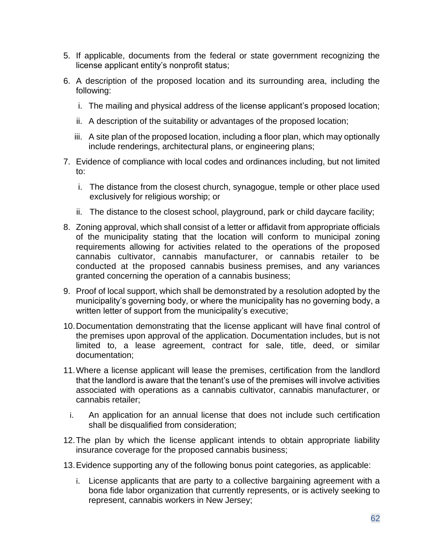- 5. If applicable, documents from the federal or state government recognizing the license applicant entity's nonprofit status;
- 6. A description of the proposed location and its surrounding area, including the following:
	- i. The mailing and physical address of the license applicant's proposed location;
	- ii. A description of the suitability or advantages of the proposed location;
	- iii. A site plan of the proposed location, including a floor plan, which may optionally include renderings, architectural plans, or engineering plans;
- 7. Evidence of compliance with local codes and ordinances including, but not limited to:
	- i. The distance from the closest church, synagogue, temple or other place used exclusively for religious worship; or
	- ii. The distance to the closest school, playground, park or child daycare facility;
- 8. Zoning approval, which shall consist of a letter or affidavit from appropriate officials of the municipality stating that the location will conform to municipal zoning requirements allowing for activities related to the operations of the proposed cannabis cultivator, cannabis manufacturer, or cannabis retailer to be conducted at the proposed cannabis business premises, and any variances granted concerning the operation of a cannabis business;
- 9. Proof of local support, which shall be demonstrated by a resolution adopted by the municipality's governing body, or where the municipality has no governing body, a written letter of support from the municipality's executive;
- 10.Documentation demonstrating that the license applicant will have final control of the premises upon approval of the application. Documentation includes, but is not limited to, a lease agreement, contract for sale, title, deed, or similar documentation;
- 11.Where a license applicant will lease the premises, certification from the landlord that the landlord is aware that the tenant's use of the premises will involve activities associated with operations as a cannabis cultivator, cannabis manufacturer, or cannabis retailer;
	- i. An application for an annual license that does not include such certification shall be disqualified from consideration;
- 12.The plan by which the license applicant intends to obtain appropriate liability insurance coverage for the proposed cannabis business;
- 13.Evidence supporting any of the following bonus point categories, as applicable:
	- i. License applicants that are party to a collective bargaining agreement with a bona fide labor organization that currently represents, or is actively seeking to represent, cannabis workers in New Jersey;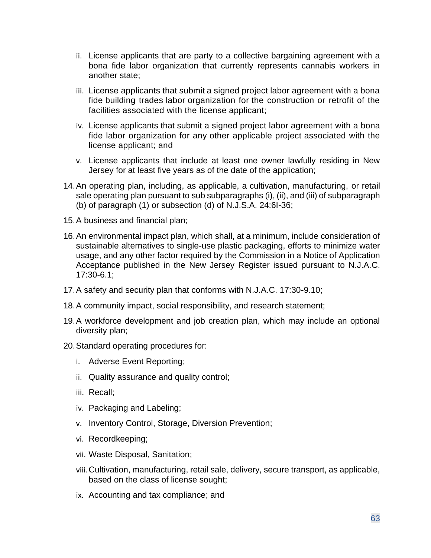- ii. License applicants that are party to a collective bargaining agreement with a bona fide labor organization that currently represents cannabis workers in another state;
- iii. License applicants that submit a signed project labor agreement with a bona fide building trades labor organization for the construction or retrofit of the facilities associated with the license applicant;
- iv. License applicants that submit a signed project labor agreement with a bona fide labor organization for any other applicable project associated with the license applicant; and
- v. License applicants that include at least one owner lawfully residing in New Jersey for at least five years as of the date of the application;
- 14.An operating plan, including, as applicable, a cultivation, manufacturing, or retail sale operating plan pursuant to sub subparagraphs (i), (ii), and (iii) of subparagraph (b) of paragraph (1) or subsection (d) of N.J.S.A. 24:6I-36;
- 15.A business and financial plan;
- 16.An environmental impact plan, which shall, at a minimum, include consideration of sustainable alternatives to single-use plastic packaging, efforts to minimize water usage, and any other factor required by the Commission in a Notice of Application Acceptance published in the New Jersey Register issued pursuant to N.J.A.C. 17:30-6.1;
- 17.A safety and security plan that conforms with N.J.A.C. 17:30-9.10;
- 18.A community impact, social responsibility, and research statement;
- 19.A workforce development and job creation plan, which may include an optional diversity plan;
- 20.Standard operating procedures for:
	- i. Adverse Event Reporting;
	- ii. Quality assurance and quality control;
	- iii. Recall;
	- iv. Packaging and Labeling;
	- v. Inventory Control, Storage, Diversion Prevention;
	- vi. Recordkeeping;
	- vii. Waste Disposal, Sanitation;
	- viii.Cultivation, manufacturing, retail sale, delivery, secure transport, as applicable, based on the class of license sought;
	- ix. Accounting and tax compliance; and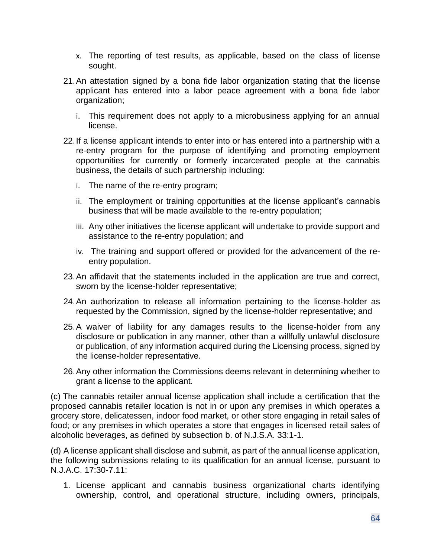- x. The reporting of test results, as applicable, based on the class of license sought.
- 21.An attestation signed by a bona fide labor organization stating that the license applicant has entered into a labor peace agreement with a bona fide labor organization;
	- i. This requirement does not apply to a microbusiness applying for an annual license.
- 22.If a license applicant intends to enter into or has entered into a partnership with a re-entry program for the purpose of identifying and promoting employment opportunities for currently or formerly incarcerated people at the cannabis business, the details of such partnership including:
	- i. The name of the re-entry program;
	- ii. The employment or training opportunities at the license applicant's cannabis business that will be made available to the re-entry population;
	- iii. Any other initiatives the license applicant will undertake to provide support and assistance to the re-entry population; and
	- iv. The training and support offered or provided for the advancement of the reentry population.
- 23.An affidavit that the statements included in the application are true and correct, sworn by the license-holder representative;
- 24.An authorization to release all information pertaining to the license-holder as requested by the Commission, signed by the license-holder representative; and
- 25.A waiver of liability for any damages results to the license-holder from any disclosure or publication in any manner, other than a willfully unlawful disclosure or publication, of any information acquired during the Licensing process, signed by the license-holder representative.
- 26.Any other information the Commissions deems relevant in determining whether to grant a license to the applicant.

(c) The cannabis retailer annual license application shall include a certification that the proposed cannabis retailer location is not in or upon any premises in which operates a grocery store, delicatessen, indoor food market, or other store engaging in retail sales of food; or any premises in which operates a store that engages in licensed retail sales of alcoholic beverages, as defined by subsection b. of N.J.S.A. 33:1-1.

(d) A license applicant shall disclose and submit, as part of the annual license application, the following submissions relating to its qualification for an annual license, pursuant to N.J.A.C. 17:30-7.11:

1. License applicant and cannabis business organizational charts identifying ownership, control, and operational structure, including owners, principals,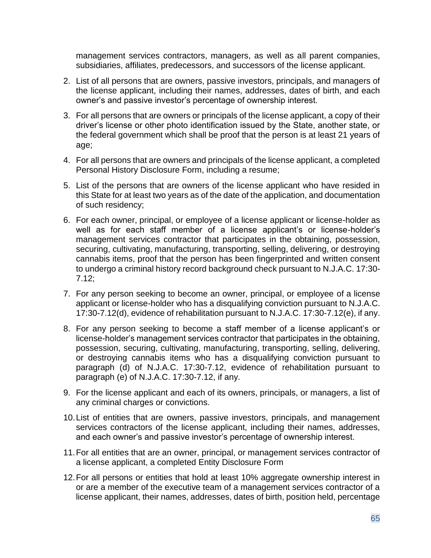management services contractors, managers, as well as all parent companies, subsidiaries, affiliates, predecessors, and successors of the license applicant.

- 2. List of all persons that are owners, passive investors, principals, and managers of the license applicant, including their names, addresses, dates of birth, and each owner's and passive investor's percentage of ownership interest.
- 3. For all persons that are owners or principals of the license applicant, a copy of their driver's license or other photo identification issued by the State, another state, or the federal government which shall be proof that the person is at least 21 years of age;
- 4. For all persons that are owners and principals of the license applicant, a completed Personal History Disclosure Form, including a resume;
- 5. List of the persons that are owners of the license applicant who have resided in this State for at least two years as of the date of the application, and documentation of such residency;
- 6. For each owner, principal, or employee of a license applicant or license-holder as well as for each staff member of a license applicant's or license-holder's management services contractor that participates in the obtaining, possession, securing, cultivating, manufacturing, transporting, selling, delivering, or destroying cannabis items, proof that the person has been fingerprinted and written consent to undergo a criminal history record background check pursuant to N.J.A.C. 17:30- 7.12;
- 7. For any person seeking to become an owner, principal, or employee of a license applicant or license-holder who has a disqualifying conviction pursuant to N.J.A.C. 17:30-7.12(d), evidence of rehabilitation pursuant to N.J.A.C. 17:30-7.12(e), if any.
- 8. For any person seeking to become a staff member of a license applicant's or license-holder's management services contractor that participates in the obtaining, possession, securing, cultivating, manufacturing, transporting, selling, delivering, or destroying cannabis items who has a disqualifying conviction pursuant to paragraph (d) of N.J.A.C. 17:30-7.12, evidence of rehabilitation pursuant to paragraph (e) of N.J.A.C. 17:30-7.12, if any.
- 9. For the license applicant and each of its owners, principals, or managers, a list of any criminal charges or convictions.
- 10.List of entities that are owners, passive investors, principals, and management services contractors of the license applicant, including their names, addresses, and each owner's and passive investor's percentage of ownership interest.
- 11.For all entities that are an owner, principal, or management services contractor of a license applicant, a completed Entity Disclosure Form
- 12.For all persons or entities that hold at least 10% aggregate ownership interest in or are a member of the executive team of a management services contractor of a license applicant, their names, addresses, dates of birth, position held, percentage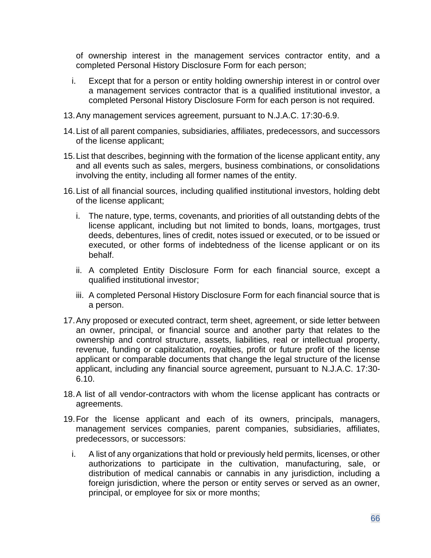of ownership interest in the management services contractor entity, and a completed Personal History Disclosure Form for each person;

- i. Except that for a person or entity holding ownership interest in or control over a management services contractor that is a qualified institutional investor, a completed Personal History Disclosure Form for each person is not required.
- 13.Any management services agreement, pursuant to N.J.A.C. 17:30-6.9.
- 14.List of all parent companies, subsidiaries, affiliates, predecessors, and successors of the license applicant;
- 15.List that describes, beginning with the formation of the license applicant entity, any and all events such as sales, mergers, business combinations, or consolidations involving the entity, including all former names of the entity.
- 16.List of all financial sources, including qualified institutional investors, holding debt of the license applicant;
	- i. The nature, type, terms, covenants, and priorities of all outstanding debts of the license applicant, including but not limited to bonds, loans, mortgages, trust deeds, debentures, lines of credit, notes issued or executed, or to be issued or executed, or other forms of indebtedness of the license applicant or on its behalf.
	- ii. A completed Entity Disclosure Form for each financial source, except a qualified institutional investor;
	- iii. A completed Personal History Disclosure Form for each financial source that is a person.
- 17.Any proposed or executed contract, term sheet, agreement, or side letter between an owner, principal, or financial source and another party that relates to the ownership and control structure, assets, liabilities, real or intellectual property, revenue, funding or capitalization, royalties, profit or future profit of the license applicant or comparable documents that change the legal structure of the license applicant, including any financial source agreement, pursuant to N.J.A.C. 17:30- 6.10.
- 18.A list of all vendor-contractors with whom the license applicant has contracts or agreements.
- 19.For the license applicant and each of its owners, principals, managers, management services companies, parent companies, subsidiaries, affiliates, predecessors, or successors:
	- i. A list of any organizations that hold or previously held permits, licenses, or other authorizations to participate in the cultivation, manufacturing, sale, or distribution of medical cannabis or cannabis in any jurisdiction, including a foreign jurisdiction, where the person or entity serves or served as an owner, principal, or employee for six or more months;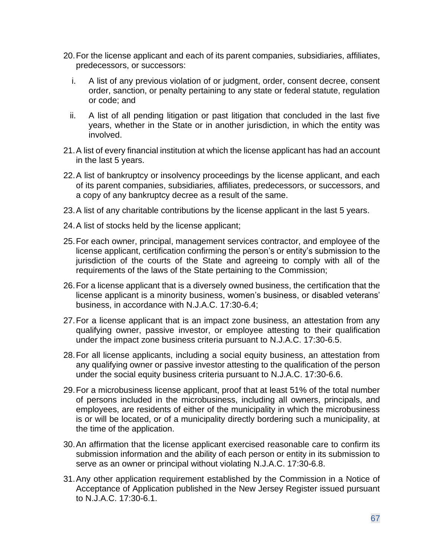- 20.For the license applicant and each of its parent companies, subsidiaries, affiliates, predecessors, or successors:
	- i. A list of any previous violation of or judgment, order, consent decree, consent order, sanction, or penalty pertaining to any state or federal statute, regulation or code; and
	- ii. A list of all pending litigation or past litigation that concluded in the last five years, whether in the State or in another jurisdiction, in which the entity was involved.
- 21.A list of every financial institution at which the license applicant has had an account in the last 5 years.
- 22.A list of bankruptcy or insolvency proceedings by the license applicant, and each of its parent companies, subsidiaries, affiliates, predecessors, or successors, and a copy of any bankruptcy decree as a result of the same.
- 23.A list of any charitable contributions by the license applicant in the last 5 years.
- 24.A list of stocks held by the license applicant;
- 25.For each owner, principal, management services contractor, and employee of the license applicant, certification confirming the person's or entity's submission to the jurisdiction of the courts of the State and agreeing to comply with all of the requirements of the laws of the State pertaining to the Commission;
- 26.For a license applicant that is a diversely owned business, the certification that the license applicant is a minority business, women's business, or disabled veterans' business, in accordance with N.J.A.C. 17:30-6.4;
- 27.For a license applicant that is an impact zone business, an attestation from any qualifying owner, passive investor, or employee attesting to their qualification under the impact zone business criteria pursuant to N.J.A.C. 17:30-6.5.
- 28.For all license applicants, including a social equity business, an attestation from any qualifying owner or passive investor attesting to the qualification of the person under the social equity business criteria pursuant to N.J.A.C. 17:30-6.6.
- 29.For a microbusiness license applicant, proof that at least 51% of the total number of persons included in the microbusiness, including all owners, principals, and employees, are residents of either of the municipality in which the microbusiness is or will be located, or of a municipality directly bordering such a municipality, at the time of the application.
- 30.An affirmation that the license applicant exercised reasonable care to confirm its submission information and the ability of each person or entity in its submission to serve as an owner or principal without violating N.J.A.C. 17:30-6.8.
- 31.Any other application requirement established by the Commission in a Notice of Acceptance of Application published in the New Jersey Register issued pursuant to N.J.A.C. 17:30-6.1.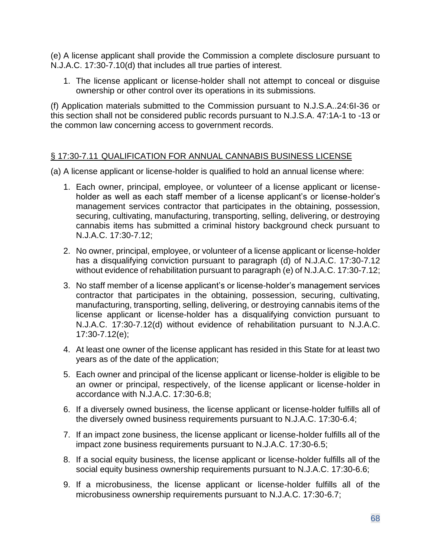(e) A license applicant shall provide the Commission a complete disclosure pursuant to N.J.A.C. 17:30-7.10(d) that includes all true parties of interest.

1. The license applicant or license-holder shall not attempt to conceal or disguise ownership or other control over its operations in its submissions.

(f) Application materials submitted to the Commission pursuant to N.J.S.A..24:6I-36 or this section shall not be considered public records pursuant to N.J.S.A. 47:1A-1 to -13 or the common law concerning access to government records.

## § 17:30-7.11 QUALIFICATION FOR ANNUAL CANNABIS BUSINESS LICENSE

(a) A license applicant or license-holder is qualified to hold an annual license where:

- 1. Each owner, principal, employee, or volunteer of a license applicant or licenseholder as well as each staff member of a license applicant's or license-holder's management services contractor that participates in the obtaining, possession, securing, cultivating, manufacturing, transporting, selling, delivering, or destroying cannabis items has submitted a criminal history background check pursuant to N.J.A.C. 17:30-7.12;
- 2. No owner, principal, employee, or volunteer of a license applicant or license-holder has a disqualifying conviction pursuant to paragraph (d) of N.J.A.C. 17:30-7.12 without evidence of rehabilitation pursuant to paragraph (e) of N.J.A.C. 17:30-7.12;
- 3. No staff member of a license applicant's or license-holder's management services contractor that participates in the obtaining, possession, securing, cultivating, manufacturing, transporting, selling, delivering, or destroying cannabis items of the license applicant or license-holder has a disqualifying conviction pursuant to N.J.A.C. 17:30-7.12(d) without evidence of rehabilitation pursuant to N.J.A.C. 17:30-7.12(e);
- 4. At least one owner of the license applicant has resided in this State for at least two years as of the date of the application;
- 5. Each owner and principal of the license applicant or license-holder is eligible to be an owner or principal, respectively, of the license applicant or license-holder in accordance with N.J.A.C. 17:30-6.8;
- 6. If a diversely owned business, the license applicant or license-holder fulfills all of the diversely owned business requirements pursuant to N.J.A.C. 17:30-6.4;
- 7. If an impact zone business, the license applicant or license-holder fulfills all of the impact zone business requirements pursuant to N.J.A.C. 17:30-6.5;
- 8. If a social equity business, the license applicant or license-holder fulfills all of the social equity business ownership requirements pursuant to N.J.A.C. 17:30-6.6;
- 9. If a microbusiness, the license applicant or license-holder fulfills all of the microbusiness ownership requirements pursuant to N.J.A.C. 17:30-6.7;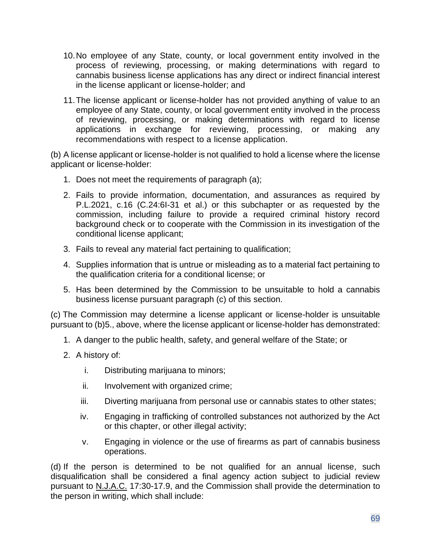- 10.No employee of any State, county, or local government entity involved in the process of reviewing, processing, or making determinations with regard to cannabis business license applications has any direct or indirect financial interest in the license applicant or license-holder; and
- 11.The license applicant or license-holder has not provided anything of value to an employee of any State, county, or local government entity involved in the process of reviewing, processing, or making determinations with regard to license applications in exchange for reviewing, processing, or making any recommendations with respect to a license application.

(b) A license applicant or license-holder is not qualified to hold a license where the license applicant or license-holder:

- 1. Does not meet the requirements of paragraph (a);
- 2. Fails to provide information, documentation, and assurances as required by P.L.2021, c.16 (C.24:6I-31 et al.) or this subchapter or as requested by the commission, including failure to provide a required criminal history record background check or to cooperate with the Commission in its investigation of the conditional license applicant;
- 3. Fails to reveal any material fact pertaining to qualification;
- 4. Supplies information that is untrue or misleading as to a material fact pertaining to the qualification criteria for a conditional license; or
- 5. Has been determined by the Commission to be unsuitable to hold a cannabis business license pursuant paragraph (c) of this section.

(c) The Commission may determine a license applicant or license-holder is unsuitable pursuant to (b)5., above, where the license applicant or license-holder has demonstrated:

- 1. A danger to the public health, safety, and general welfare of the State; or
- 2. A history of:
	- i. Distributing marijuana to minors;
	- ii. Involvement with organized crime;
	- iii. Diverting marijuana from personal use or cannabis states to other states;
	- iv. Engaging in trafficking of controlled substances not authorized by the Act or this chapter, or other illegal activity;
	- v. Engaging in violence or the use of firearms as part of cannabis business operations.

(d) If the person is determined to be not qualified for an annual license, such disqualification shall be considered a final agency action subject to judicial review pursuant to N.J.A.C. 17:30-17.9, and the Commission shall provide the determination to the person in writing, which shall include: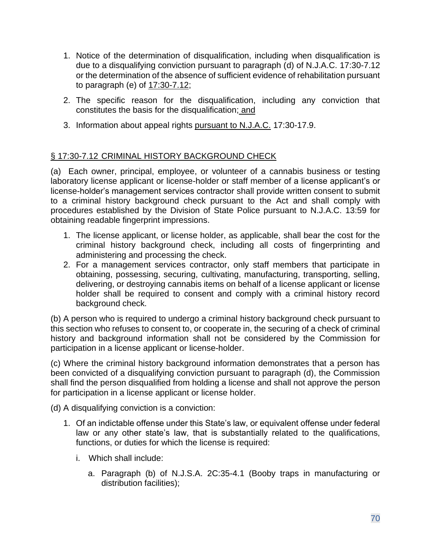- 1. Notice of the determination of disqualification, including when disqualification is due to a disqualifying conviction pursuant to paragraph (d) of N.J.A.C. 17:30-7.12 or the determination of the absence of sufficient evidence of rehabilitation pursuant to paragraph (e) of 17:30-7.12;
- 2. The specific reason for the disqualification, including any conviction that constitutes the basis for the disqualification; and
- 3. Information about appeal rights pursuant to N.J.A.C. 17:30-17.9.

## § 17:30-7.12 CRIMINAL HISTORY BACKGROUND CHECK

(a) Each owner, principal, employee, or volunteer of a cannabis business or testing laboratory license applicant or license-holder or staff member of a license applicant's or license-holder's management services contractor shall provide written consent to submit to a criminal history background check pursuant to the Act and shall comply with procedures established by the Division of State Police pursuant to N.J.A.C. 13:59 for obtaining readable fingerprint impressions.

- 1. The license applicant, or license holder, as applicable, shall bear the cost for the criminal history background check, including all costs of fingerprinting and administering and processing the check.
- 2. For a management services contractor, only staff members that participate in obtaining, possessing, securing, cultivating, manufacturing, transporting, selling, delivering, or destroying cannabis items on behalf of a license applicant or license holder shall be required to consent and comply with a criminal history record background check.

(b) A person who is required to undergo a criminal history background check pursuant to this section who refuses to consent to, or cooperate in, the securing of a check of criminal history and background information shall not be considered by the Commission for participation in a license applicant or license-holder.

(c) Where the criminal history background information demonstrates that a person has been convicted of a disqualifying conviction pursuant to paragraph (d), the Commission shall find the person disqualified from holding a license and shall not approve the person for participation in a license applicant or license holder.

(d) A disqualifying conviction is a conviction:

- 1. Of an indictable offense under this State's law, or equivalent offense under federal law or any other state's law, that is substantially related to the qualifications, functions, or duties for which the license is required:
	- i. Which shall include:
		- a. Paragraph (b) of N.J.S.A. 2C:35-4.1 (Booby traps in manufacturing or distribution facilities);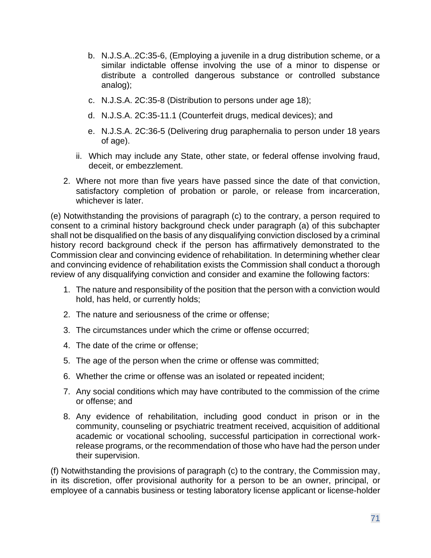- b. N.J.S.A..2C:35-6, (Employing a juvenile in a drug distribution scheme, or a similar indictable offense involving the use of a minor to dispense or distribute a controlled dangerous substance or controlled substance analog);
- c. N.J.S.A. 2C:35-8 (Distribution to persons under age 18);
- d. N.J.S.A. 2C:35-11.1 (Counterfeit drugs, medical devices); and
- e. N.J.S.A. 2C:36-5 (Delivering drug paraphernalia to person under 18 years of age).
- ii. Which may include any State, other state, or federal offense involving fraud, deceit, or embezzlement.
- 2. Where not more than five years have passed since the date of that conviction, satisfactory completion of probation or parole, or release from incarceration, whichever is later.

(e) Notwithstanding the provisions of paragraph (c) to the contrary, a person required to consent to a criminal history background check under paragraph (a) of this subchapter shall not be disqualified on the basis of any disqualifying conviction disclosed by a criminal history record background check if the person has affirmatively demonstrated to the Commission clear and convincing evidence of rehabilitation. In determining whether clear and convincing evidence of rehabilitation exists the Commission shall conduct a thorough review of any disqualifying conviction and consider and examine the following factors:

- 1. The nature and responsibility of the position that the person with a conviction would hold, has held, or currently holds;
- 2. The nature and seriousness of the crime or offense;
- 3. The circumstances under which the crime or offense occurred;
- 4. The date of the crime or offense;
- 5. The age of the person when the crime or offense was committed;
- 6. Whether the crime or offense was an isolated or repeated incident;
- 7. Any social conditions which may have contributed to the commission of the crime or offense; and
- 8. Any evidence of rehabilitation, including good conduct in prison or in the community, counseling or psychiatric treatment received, acquisition of additional academic or vocational schooling, successful participation in correctional workrelease programs, or the recommendation of those who have had the person under their supervision.

(f) Notwithstanding the provisions of paragraph (c) to the contrary, the Commission may, in its discretion, offer provisional authority for a person to be an owner, principal, or employee of a cannabis business or testing laboratory license applicant or license-holder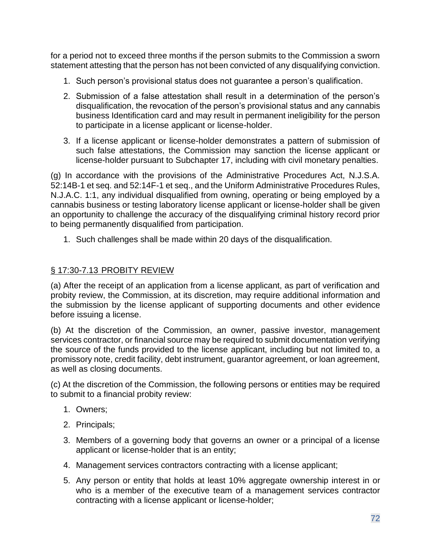for a period not to exceed three months if the person submits to the Commission a sworn statement attesting that the person has not been convicted of any disqualifying conviction.

- 1. Such person's provisional status does not guarantee a person's qualification.
- 2. Submission of a false attestation shall result in a determination of the person's disqualification, the revocation of the person's provisional status and any cannabis business Identification card and may result in permanent ineligibility for the person to participate in a license applicant or license-holder.
- 3. If a license applicant or license-holder demonstrates a pattern of submission of such false attestations, the Commission may sanction the license applicant or license-holder pursuant to Subchapter 17, including with civil monetary penalties.

(g) In accordance with the provisions of the Administrative Procedures Act, N.J.S.A. 52:14B-1 et seq. and 52:14F-1 et seq., and the Uniform Administrative Procedures Rules, N.J.A.C. 1:1, any individual disqualified from owning, operating or being employed by a cannabis business or testing laboratory license applicant or license-holder shall be given an opportunity to challenge the accuracy of the disqualifying criminal history record prior to being permanently disqualified from participation.

1. Such challenges shall be made within 20 days of the disqualification.

## § 17:30-7.13 PROBITY REVIEW

(a) After the receipt of an application from a license applicant, as part of verification and probity review, the Commission, at its discretion, may require additional information and the submission by the license applicant of supporting documents and other evidence before issuing a license.

(b) At the discretion of the Commission, an owner, passive investor, management services contractor, or financial source may be required to submit documentation verifying the source of the funds provided to the license applicant, including but not limited to, a promissory note, credit facility, debt instrument, guarantor agreement, or loan agreement, as well as closing documents.

(c) At the discretion of the Commission, the following persons or entities may be required to submit to a financial probity review:

- 1. Owners;
- 2. Principals;
- 3. Members of a governing body that governs an owner or a principal of a license applicant or license-holder that is an entity;
- 4. Management services contractors contracting with a license applicant;
- 5. Any person or entity that holds at least 10% aggregate ownership interest in or who is a member of the executive team of a management services contractor contracting with a license applicant or license-holder;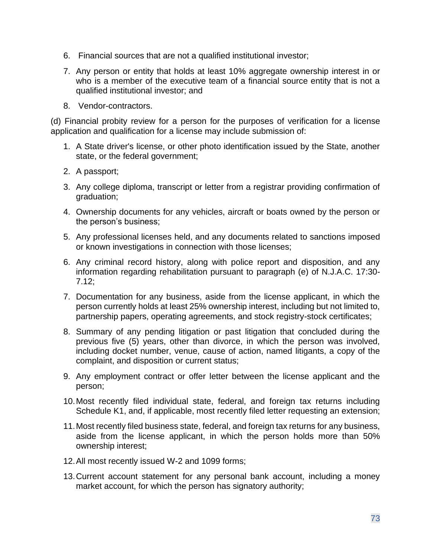- 6. Financial sources that are not a qualified institutional investor;
- 7. Any person or entity that holds at least 10% aggregate ownership interest in or who is a member of the executive team of a financial source entity that is not a qualified institutional investor; and
- 8. Vendor-contractors.

(d) Financial probity review for a person for the purposes of verification for a license application and qualification for a license may include submission of:

- 1. A State driver's license, or other photo identification issued by the State, another state, or the federal government;
- 2. A passport;
- 3. Any college diploma, transcript or letter from a registrar providing confirmation of graduation;
- 4. Ownership documents for any vehicles, aircraft or boats owned by the person or the person's business;
- 5. Any professional licenses held, and any documents related to sanctions imposed or known investigations in connection with those licenses;
- 6. Any criminal record history, along with police report and disposition, and any information regarding rehabilitation pursuant to paragraph (e) of N.J.A.C. 17:30- 7.12;
- 7. Documentation for any business, aside from the license applicant, in which the person currently holds at least 25% ownership interest, including but not limited to, partnership papers, operating agreements, and stock registry-stock certificates;
- 8. Summary of any pending litigation or past litigation that concluded during the previous five (5) years, other than divorce, in which the person was involved, including docket number, venue, cause of action, named litigants, a copy of the complaint, and disposition or current status;
- 9. Any employment contract or offer letter between the license applicant and the person;
- 10.Most recently filed individual state, federal, and foreign tax returns including Schedule K1, and, if applicable, most recently filed letter requesting an extension;
- 11.Most recently filed business state, federal, and foreign tax returns for any business, aside from the license applicant, in which the person holds more than 50% ownership interest;
- 12.All most recently issued W-2 and 1099 forms;
- 13.Current account statement for any personal bank account, including a money market account, for which the person has signatory authority;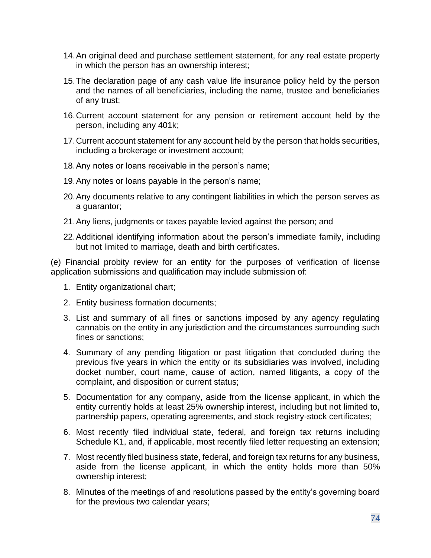- 14.An original deed and purchase settlement statement, for any real estate property in which the person has an ownership interest;
- 15.The declaration page of any cash value life insurance policy held by the person and the names of all beneficiaries, including the name, trustee and beneficiaries of any trust;
- 16.Current account statement for any pension or retirement account held by the person, including any 401k;
- 17.Current account statement for any account held by the person that holds securities, including a brokerage or investment account;
- 18.Any notes or loans receivable in the person's name;
- 19.Any notes or loans payable in the person's name;
- 20.Any documents relative to any contingent liabilities in which the person serves as a guarantor;
- 21.Any liens, judgments or taxes payable levied against the person; and
- 22.Additional identifying information about the person's immediate family, including but not limited to marriage, death and birth certificates.

(e) Financial probity review for an entity for the purposes of verification of license application submissions and qualification may include submission of:

- 1. Entity organizational chart;
- 2. Entity business formation documents;
- 3. List and summary of all fines or sanctions imposed by any agency regulating cannabis on the entity in any jurisdiction and the circumstances surrounding such fines or sanctions;
- 4. Summary of any pending litigation or past litigation that concluded during the previous five years in which the entity or its subsidiaries was involved, including docket number, court name, cause of action, named litigants, a copy of the complaint, and disposition or current status;
- 5. Documentation for any company, aside from the license applicant, in which the entity currently holds at least 25% ownership interest, including but not limited to, partnership papers, operating agreements, and stock registry-stock certificates;
- 6. Most recently filed individual state, federal, and foreign tax returns including Schedule K1, and, if applicable, most recently filed letter requesting an extension;
- 7. Most recently filed business state, federal, and foreign tax returns for any business, aside from the license applicant, in which the entity holds more than 50% ownership interest;
- 8. Minutes of the meetings of and resolutions passed by the entity's governing board for the previous two calendar years;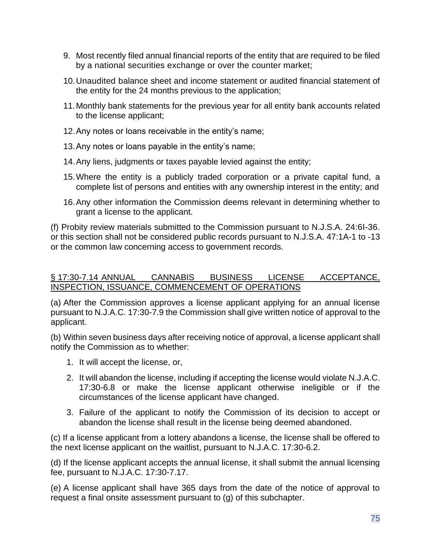- 9. Most recently filed annual financial reports of the entity that are required to be filed by a national securities exchange or over the counter market;
- 10.Unaudited balance sheet and income statement or audited financial statement of the entity for the 24 months previous to the application;
- 11.Monthly bank statements for the previous year for all entity bank accounts related to the license applicant;
- 12.Any notes or loans receivable in the entity's name;
- 13.Any notes or loans payable in the entity's name;
- 14.Any liens, judgments or taxes payable levied against the entity;
- 15.Where the entity is a publicly traded corporation or a private capital fund, a complete list of persons and entities with any ownership interest in the entity; and
- 16.Any other information the Commission deems relevant in determining whether to grant a license to the applicant.

(f) Probity review materials submitted to the Commission pursuant to N.J.S.A. 24:6I-36. or this section shall not be considered public records pursuant to N.J.S.A. 47:1A-1 to -13 or the common law concerning access to government records.

### § 17:30-7.14 ANNUAL CANNABIS BUSINESS LICENSE ACCEPTANCE, INSPECTION, ISSUANCE, COMMENCEMENT OF OPERATIONS

(a) After the Commission approves a license applicant applying for an annual license pursuant to N.J.A.C. 17:30-7.9 the Commission shall give written notice of approval to the applicant.

(b) Within seven business days after receiving notice of approval, a license applicant shall notify the Commission as to whether:

- 1. It will accept the license, or,
- 2. It will abandon the license, including if accepting the license would violate N.J.A.C. 17:30-6.8 or make the license applicant otherwise ineligible or if the circumstances of the license applicant have changed.
- 3. Failure of the applicant to notify the Commission of its decision to accept or abandon the license shall result in the license being deemed abandoned.

(c) If a license applicant from a lottery abandons a license, the license shall be offered to the next license applicant on the waitlist, pursuant to N.J.A.C. 17:30-6.2.

(d) If the license applicant accepts the annual license, it shall submit the annual licensing fee, pursuant to N.J.A.C. 17:30-7.17.

(e) A license applicant shall have 365 days from the date of the notice of approval to request a final onsite assessment pursuant to (g) of this subchapter.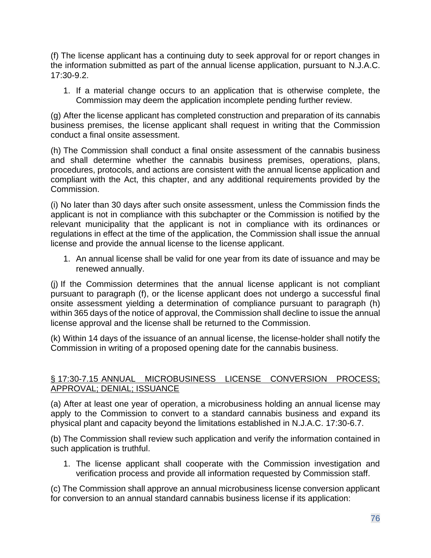(f) The license applicant has a continuing duty to seek approval for or report changes in the information submitted as part of the annual license application, pursuant to N.J.A.C. 17:30-9.2.

1. If a material change occurs to an application that is otherwise complete, the Commission may deem the application incomplete pending further review.

(g) After the license applicant has completed construction and preparation of its cannabis business premises, the license applicant shall request in writing that the Commission conduct a final onsite assessment.

(h) The Commission shall conduct a final onsite assessment of the cannabis business and shall determine whether the cannabis business premises, operations, plans, procedures, protocols, and actions are consistent with the annual license application and compliant with the Act, this chapter, and any additional requirements provided by the Commission.

(i) No later than 30 days after such onsite assessment, unless the Commission finds the applicant is not in compliance with this subchapter or the Commission is notified by the relevant municipality that the applicant is not in compliance with its ordinances or regulations in effect at the time of the application, the Commission shall issue the annual license and provide the annual license to the license applicant.

1. An annual license shall be valid for one year from its date of issuance and may be renewed annually.

(j) If the Commission determines that the annual license applicant is not compliant pursuant to paragraph (f), or the license applicant does not undergo a successful final onsite assessment yielding a determination of compliance pursuant to paragraph (h) within 365 days of the notice of approval, the Commission shall decline to issue the annual license approval and the license shall be returned to the Commission.

(k) Within 14 days of the issuance of an annual license, the license-holder shall notify the Commission in writing of a proposed opening date for the cannabis business.

### § 17:30-7.15 ANNUAL MICROBUSINESS LICENSE CONVERSION PROCESS; APPROVAL; DENIAL; ISSUANCE

(a) After at least one year of operation, a microbusiness holding an annual license may apply to the Commission to convert to a standard cannabis business and expand its physical plant and capacity beyond the limitations established in N.J.A.C. 17:30-6.7.

(b) The Commission shall review such application and verify the information contained in such application is truthful.

1. The license applicant shall cooperate with the Commission investigation and verification process and provide all information requested by Commission staff.

(c) The Commission shall approve an annual microbusiness license conversion applicant for conversion to an annual standard cannabis business license if its application: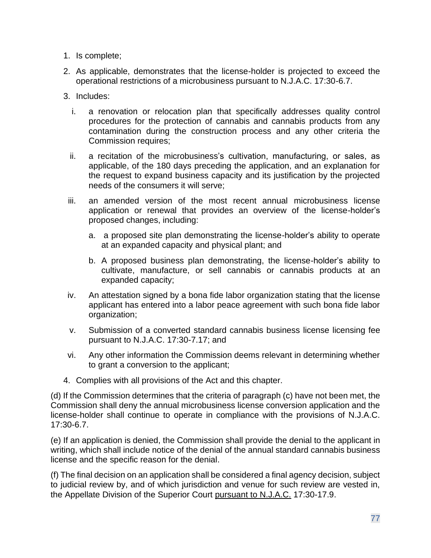- 1. Is complete;
- 2. As applicable, demonstrates that the license-holder is projected to exceed the operational restrictions of a microbusiness pursuant to N.J.A.C. 17:30-6.7.
- 3. Includes:
	- i. a renovation or relocation plan that specifically addresses quality control procedures for the protection of cannabis and cannabis products from any contamination during the construction process and any other criteria the Commission requires;
	- ii. a recitation of the microbusiness's cultivation, manufacturing, or sales, as applicable, of the 180 days preceding the application, and an explanation for the request to expand business capacity and its justification by the projected needs of the consumers it will serve;
- iii. an amended version of the most recent annual microbusiness license application or renewal that provides an overview of the license-holder's proposed changes, including:
	- a. a proposed site plan demonstrating the license-holder's ability to operate at an expanded capacity and physical plant; and
	- b. A proposed business plan demonstrating, the license-holder's ability to cultivate, manufacture, or sell cannabis or cannabis products at an expanded capacity;
- iv. An attestation signed by a bona fide labor organization stating that the license applicant has entered into a labor peace agreement with such bona fide labor organization;
- v. Submission of a converted standard cannabis business license licensing fee pursuant to N.J.A.C. 17:30-7.17; and
- vi. Any other information the Commission deems relevant in determining whether to grant a conversion to the applicant;
- 4. Complies with all provisions of the Act and this chapter.

(d) If the Commission determines that the criteria of paragraph (c) have not been met, the Commission shall deny the annual microbusiness license conversion application and the license-holder shall continue to operate in compliance with the provisions of N.J.A.C. 17:30-6.7.

(e) If an application is denied, the Commission shall provide the denial to the applicant in writing, which shall include notice of the denial of the annual standard cannabis business license and the specific reason for the denial.

(f) The final decision on an application shall be considered a final agency decision, subject to judicial review by, and of which jurisdiction and venue for such review are vested in, the Appellate Division of the Superior Court pursuant to N.J.A.C. 17:30-17.9.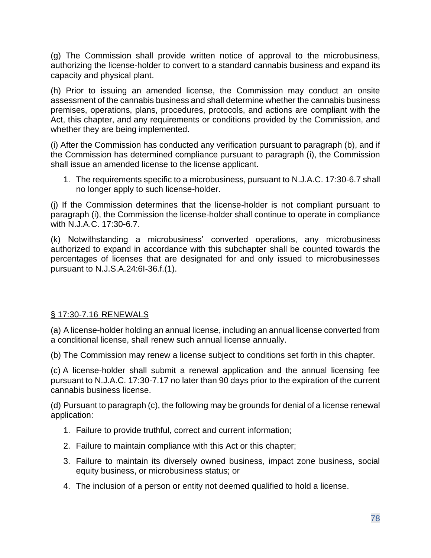(g) The Commission shall provide written notice of approval to the microbusiness, authorizing the license-holder to convert to a standard cannabis business and expand its capacity and physical plant.

(h) Prior to issuing an amended license, the Commission may conduct an onsite assessment of the cannabis business and shall determine whether the cannabis business premises, operations, plans, procedures, protocols, and actions are compliant with the Act, this chapter, and any requirements or conditions provided by the Commission, and whether they are being implemented.

(i) After the Commission has conducted any verification pursuant to paragraph (b), and if the Commission has determined compliance pursuant to paragraph (i), the Commission shall issue an amended license to the license applicant.

1. The requirements specific to a microbusiness, pursuant to N.J.A.C. 17:30-6.7 shall no longer apply to such license-holder.

(j) If the Commission determines that the license-holder is not compliant pursuant to paragraph (i), the Commission the license-holder shall continue to operate in compliance with N.J.A.C. 17:30-6.7.

(k) Notwithstanding a microbusiness' converted operations, any microbusiness authorized to expand in accordance with this subchapter shall be counted towards the percentages of licenses that are designated for and only issued to microbusinesses pursuant to N.J.S.A.24:6I-36.f.(1).

## § 17:30-7.16 RENEWALS

(a) A license-holder holding an annual license, including an annual license converted from a conditional license, shall renew such annual license annually.

(b) The Commission may renew a license subject to conditions set forth in this chapter.

(c) A license-holder shall submit a renewal application and the annual licensing fee pursuant to N.J.A.C. 17:30-7.17 no later than 90 days prior to the expiration of the current cannabis business license.

(d) Pursuant to paragraph (c), the following may be grounds for denial of a license renewal application:

- 1. Failure to provide truthful, correct and current information;
- 2. Failure to maintain compliance with this Act or this chapter;
- 3. Failure to maintain its diversely owned business, impact zone business, social equity business, or microbusiness status; or
- 4. The inclusion of a person or entity not deemed qualified to hold a license.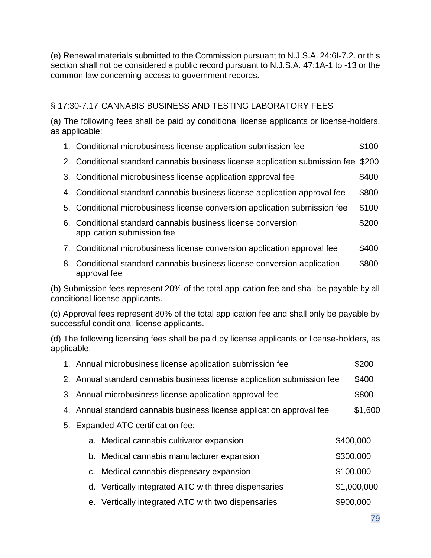(e) Renewal materials submitted to the Commission pursuant to N.J.S.A. 24:6I-7.2. or this section shall not be considered a public record pursuant to N.J.S.A. 47:1A-1 to -13 or the common law concerning access to government records.

# § 17:30-7.17 CANNABIS BUSINESS AND TESTING LABORATORY FEES

(a) The following fees shall be paid by conditional license applicants or license-holders, as applicable:

- 1. Conditional microbusiness license application submission fee \$100
- 2. Conditional standard cannabis business license application submission fee \$200
- 3. Conditional microbusiness license application approval fee \$400
- 4. Conditional standard cannabis business license application approval fee \$800
- 5. Conditional microbusiness license conversion application submission fee \$100
- 6. Conditional standard cannabis business license conversion \$200 application submission fee
- 7. Conditional microbusiness license conversion application approval fee \$400
- 8. Conditional standard cannabis business license conversion application \$800 approval fee

(b) Submission fees represent 20% of the total application fee and shall be payable by all conditional license applicants.

(c) Approval fees represent 80% of the total application fee and shall only be payable by successful conditional license applicants.

(d) The following licensing fees shall be paid by license applicants or license-holders, as applicable:

|    | 1. Annual microbusiness license application submission fee              |                                                      |  | \$200       |
|----|-------------------------------------------------------------------------|------------------------------------------------------|--|-------------|
|    | 2. Annual standard cannabis business license application submission fee |                                                      |  | \$400       |
|    | 3. Annual microbusiness license application approval fee                |                                                      |  | \$800       |
|    | 4. Annual standard cannabis business license application approval fee   |                                                      |  | \$1,600     |
| 5. | <b>Expanded ATC certification fee:</b>                                  |                                                      |  |             |
|    |                                                                         | a. Medical cannabis cultivator expansion             |  | \$400,000   |
|    |                                                                         | b. Medical cannabis manufacturer expansion           |  | \$300,000   |
|    |                                                                         | c. Medical cannabis dispensary expansion             |  | \$100,000   |
|    |                                                                         | d. Vertically integrated ATC with three dispensaries |  | \$1,000,000 |
|    |                                                                         | e. Vertically integrated ATC with two dispensaries   |  | \$900,000   |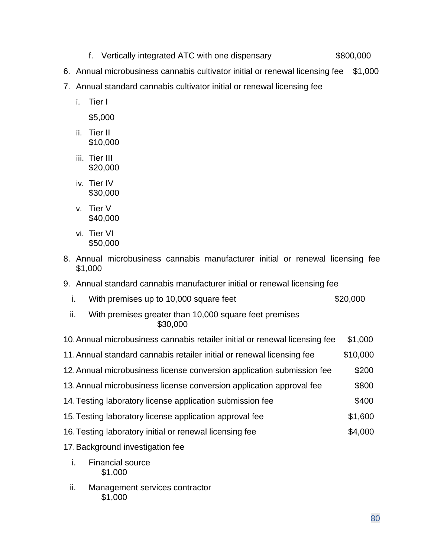- f. Vertically integrated ATC with one dispensary \$800,000
- 6. Annual microbusiness cannabis cultivator initial or renewal licensing fee \$1,000
- 7. Annual standard cannabis cultivator initial or renewal licensing fee
	- i. Tier I

\$5,000

- ii. Tier II \$10,000
- iii. Tier III \$20,000
- iv. Tier IV \$30,000
- v. Tier V \$40,000
- vi. Tier VI \$50,000
- 8. Annual microbusiness cannabis manufacturer initial or renewal licensing fee \$1,000
- 9. Annual standard cannabis manufacturer initial or renewal licensing fee
	- i. With premises up to 10,000 square feet  $$20,000$
	- ii. With premises greater than 10,000 square feet premises \$30,000
- 10.Annual microbusiness cannabis retailer initial or renewal licensing fee \$1,000
- 11.Annual standard cannabis retailer initial or renewal licensing fee \$10,000
- 12.Annual microbusiness license conversion application submission fee \$200
- 13. Annual microbusiness license conversion application approval fee \$800
- 14. Testing laboratory license application submission fee  $$400$
- 15.Testing laboratory license application approval fee \$1,600
- 16.Testing laboratory initial or renewal licensing fee \$4,000
- 17.Background investigation fee
	- i. Financial source \$1,000
	- ii. Management services contractor \$1,000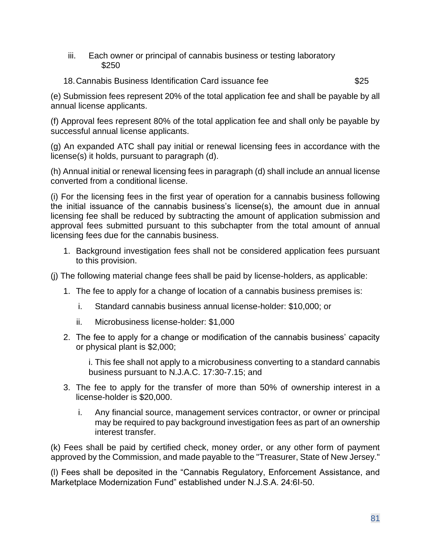- iii. Each owner or principal of cannabis business or testing laboratory \$250
- 18.Cannabis Business Identification Card issuance fee \$25

(e) Submission fees represent 20% of the total application fee and shall be payable by all annual license applicants.

(f) Approval fees represent 80% of the total application fee and shall only be payable by successful annual license applicants.

(g) An expanded ATC shall pay initial or renewal licensing fees in accordance with the license(s) it holds, pursuant to paragraph (d).

(h) Annual initial or renewal licensing fees in paragraph (d) shall include an annual license converted from a conditional license.

(i) For the licensing fees in the first year of operation for a cannabis business following the initial issuance of the cannabis business's license(s), the amount due in annual licensing fee shall be reduced by subtracting the amount of application submission and approval fees submitted pursuant to this subchapter from the total amount of annual licensing fees due for the cannabis business.

1. Background investigation fees shall not be considered application fees pursuant to this provision.

(j) The following material change fees shall be paid by license-holders, as applicable:

- 1. The fee to apply for a change of location of a cannabis business premises is:
	- i. Standard cannabis business annual license-holder: \$10,000; or
	- ii. Microbusiness license-holder: \$1,000
- 2. The fee to apply for a change or modification of the cannabis business' capacity or physical plant is \$2,000;

i. This fee shall not apply to a microbusiness converting to a standard cannabis business pursuant to N.J.A.C. 17:30-7.15; and

- 3. The fee to apply for the transfer of more than 50% of ownership interest in a license-holder is \$20,000.
	- i. Any financial source, management services contractor, or owner or principal may be required to pay background investigation fees as part of an ownership interest transfer.

(k) Fees shall be paid by certified check, money order, or any other form of payment approved by the Commission, and made payable to the "Treasurer, State of New Jersey."

(l) Fees shall be deposited in the "Cannabis Regulatory, Enforcement Assistance, and Marketplace Modernization Fund" established under N.J.S.A. 24:6I-50.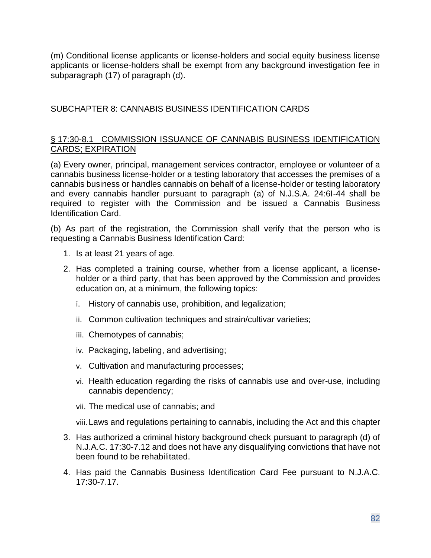(m) Conditional license applicants or license-holders and social equity business license applicants or license-holders shall be exempt from any background investigation fee in subparagraph (17) of paragraph (d).

## SUBCHAPTER 8: CANNABIS BUSINESS IDENTIFICATION CARDS

### § 17:30-8.1 COMMISSION ISSUANCE OF CANNABIS BUSINESS IDENTIFICATION CARDS; EXPIRATION

(a) Every owner, principal, management services contractor, employee or volunteer of a cannabis business license-holder or a testing laboratory that accesses the premises of a cannabis business or handles cannabis on behalf of a license-holder or testing laboratory and every cannabis handler pursuant to paragraph (a) of N.J.S.A. 24:6I-44 shall be required to register with the Commission and be issued a Cannabis Business Identification Card.

(b) As part of the registration, the Commission shall verify that the person who is requesting a Cannabis Business Identification Card:

- 1. Is at least 21 years of age.
- 2. Has completed a training course, whether from a license applicant, a licenseholder or a third party, that has been approved by the Commission and provides education on, at a minimum, the following topics:
	- i. History of cannabis use, prohibition, and legalization;
	- ii. Common cultivation techniques and strain/cultivar varieties;
	- iii. Chemotypes of cannabis;
	- iv. Packaging, labeling, and advertising;
	- v. Cultivation and manufacturing processes;
	- vi. Health education regarding the risks of cannabis use and over-use, including cannabis dependency;
	- vii. The medical use of cannabis; and

viii.Laws and regulations pertaining to cannabis, including the Act and this chapter

- 3. Has authorized a criminal history background check pursuant to paragraph (d) of N.J.A.C. 17:30-7.12 and does not have any disqualifying convictions that have not been found to be rehabilitated.
- 4. Has paid the Cannabis Business Identification Card Fee pursuant to N.J.A.C. 17:30-7.17.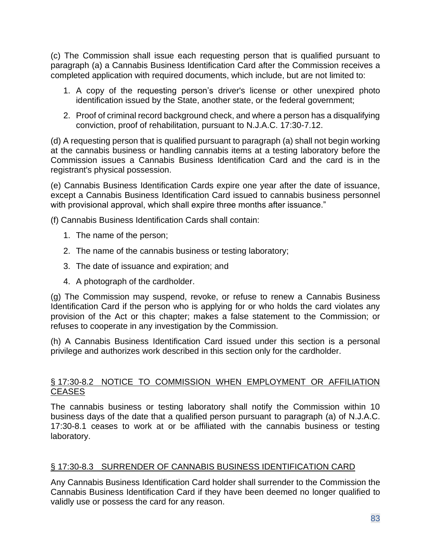(c) The Commission shall issue each requesting person that is qualified pursuant to paragraph (a) a Cannabis Business Identification Card after the Commission receives a completed application with required documents, which include, but are not limited to:

- 1. A copy of the requesting person's driver's license or other unexpired photo identification issued by the State, another state, or the federal government;
- 2. Proof of criminal record background check, and where a person has a disqualifying conviction, proof of rehabilitation, pursuant to N.J.A.C. 17:30-7.12.

(d) A requesting person that is qualified pursuant to paragraph (a) shall not begin working at the cannabis business or handling cannabis items at a testing laboratory before the Commission issues a Cannabis Business Identification Card and the card is in the registrant's physical possession.

(e) Cannabis Business Identification Cards expire one year after the date of issuance, except a Cannabis Business Identification Card issued to cannabis business personnel with provisional approval, which shall expire three months after issuance."

(f) Cannabis Business Identification Cards shall contain:

- 1. The name of the person;
- 2. The name of the cannabis business or testing laboratory;
- 3. The date of issuance and expiration; and
- 4. A photograph of the cardholder.

(g) The Commission may suspend, revoke, or refuse to renew a Cannabis Business Identification Card if the person who is applying for or who holds the card violates any provision of the Act or this chapter; makes a false statement to the Commission; or refuses to cooperate in any investigation by the Commission.

(h) A Cannabis Business Identification Card issued under this section is a personal privilege and authorizes work described in this section only for the cardholder.

#### § 17:30-8.2 NOTICE TO COMMISSION WHEN EMPLOYMENT OR AFFILIATION **CEASES**

The cannabis business or testing laboratory shall notify the Commission within 10 business days of the date that a qualified person pursuant to paragraph (a) of N.J.A.C. 17:30-8.1 ceases to work at or be affiliated with the cannabis business or testing laboratory.

### § 17:30-8.3 SURRENDER OF CANNABIS BUSINESS IDENTIFICATION CARD

Any Cannabis Business Identification Card holder shall surrender to the Commission the Cannabis Business Identification Card if they have been deemed no longer qualified to validly use or possess the card for any reason.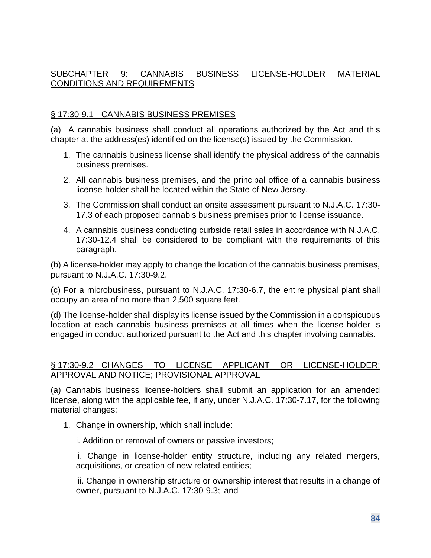## SUBCHAPTER 9: CANNABIS BUSINESS LICENSE-HOLDER MATERIAL CONDITIONS AND REQUIREMENTS

#### § 17:30-9.1 CANNABIS BUSINESS PREMISES

(a) A cannabis business shall conduct all operations authorized by the Act and this chapter at the address(es) identified on the license(s) issued by the Commission.

- 1. The cannabis business license shall identify the physical address of the cannabis business premises.
- 2. All cannabis business premises, and the principal office of a cannabis business license-holder shall be located within the State of New Jersey.
- 3. The Commission shall conduct an onsite assessment pursuant to N.J.A.C. 17:30- 17.3 of each proposed cannabis business premises prior to license issuance.
- 4. A cannabis business conducting curbside retail sales in accordance with N.J.A.C. 17:30-12.4 shall be considered to be compliant with the requirements of this paragraph.

(b) A license-holder may apply to change the location of the cannabis business premises, pursuant to N.J.A.C. 17:30-9.2.

(c) For a microbusiness, pursuant to N.J.A.C. 17:30-6.7, the entire physical plant shall occupy an area of no more than 2,500 square feet.

(d) The license-holder shall display its license issued by the Commission in a conspicuous location at each cannabis business premises at all times when the license-holder is engaged in conduct authorized pursuant to the Act and this chapter involving cannabis.

#### § 17:30-9.2 CHANGES TO LICENSE APPLICANT OR LICENSE-HOLDER; APPROVAL AND NOTICE; PROVISIONAL APPROVAL

(a) Cannabis business license-holders shall submit an application for an amended license, along with the applicable fee, if any, under N.J.A.C. 17:30-7.17, for the following material changes:

1. Change in ownership, which shall include:

i. Addition or removal of owners or passive investors;

ii. Change in license-holder entity structure, including any related mergers, acquisitions, or creation of new related entities;

iii. Change in ownership structure or ownership interest that results in a change of owner, pursuant to N.J.A.C. 17:30-9.3; and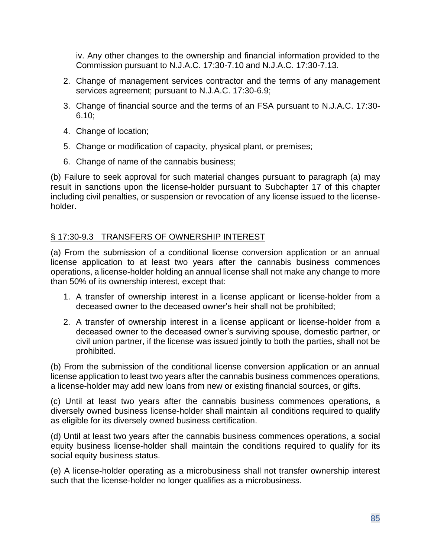iv. Any other changes to the ownership and financial information provided to the Commission pursuant to N.J.A.C. 17:30-7.10 and N.J.A.C. 17:30-7.13.

- 2. Change of management services contractor and the terms of any management services agreement; pursuant to N.J.A.C. 17:30-6.9;
- 3. Change of financial source and the terms of an FSA pursuant to N.J.A.C. 17:30- 6.10;
- 4. Change of location;
- 5. Change or modification of capacity, physical plant, or premises;
- 6. Change of name of the cannabis business;

(b) Failure to seek approval for such material changes pursuant to paragraph (a) may result in sanctions upon the license-holder pursuant to Subchapter 17 of this chapter including civil penalties, or suspension or revocation of any license issued to the licenseholder.

### § 17:30-9.3 TRANSFERS OF OWNERSHIP INTEREST

(a) From the submission of a conditional license conversion application or an annual license application to at least two years after the cannabis business commences operations, a license-holder holding an annual license shall not make any change to more than 50% of its ownership interest, except that:

- 1. A transfer of ownership interest in a license applicant or license-holder from a deceased owner to the deceased owner's heir shall not be prohibited;
- 2. A transfer of ownership interest in a license applicant or license-holder from a deceased owner to the deceased owner's surviving spouse, domestic partner, or civil union partner, if the license was issued jointly to both the parties, shall not be prohibited.

(b) From the submission of the conditional license conversion application or an annual license application to least two years after the cannabis business commences operations, a license-holder may add new loans from new or existing financial sources, or gifts.

(c) Until at least two years after the cannabis business commences operations, a diversely owned business license-holder shall maintain all conditions required to qualify as eligible for its diversely owned business certification.

(d) Until at least two years after the cannabis business commences operations, a social equity business license-holder shall maintain the conditions required to qualify for its social equity business status.

(e) A license-holder operating as a microbusiness shall not transfer ownership interest such that the license-holder no longer qualifies as a microbusiness.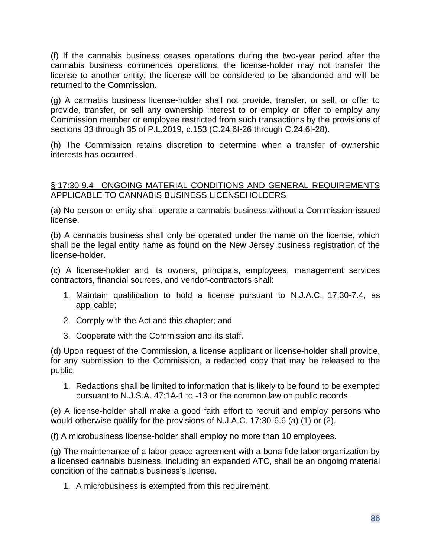(f) If the cannabis business ceases operations during the two-year period after the cannabis business commences operations, the license-holder may not transfer the license to another entity; the license will be considered to be abandoned and will be returned to the Commission.

(g) A cannabis business license-holder shall not provide, transfer, or sell, or offer to provide, transfer, or sell any ownership interest to or employ or offer to employ any Commission member or employee restricted from such transactions by the provisions of sections 33 through 35 of P.L.2019, c.153 (C.24:6I-26 through C.24:6I-28).

(h) The Commission retains discretion to determine when a transfer of ownership interests has occurred.

#### § 17:30-9.4 ONGOING MATERIAL CONDITIONS AND GENERAL REQUIREMENTS APPLICABLE TO CANNABIS BUSINESS LICENSEHOLDERS

(a) No person or entity shall operate a cannabis business without a Commission-issued license.

(b) A cannabis business shall only be operated under the name on the license, which shall be the legal entity name as found on the New Jersey business registration of the license-holder.

(c) A license-holder and its owners, principals, employees, management services contractors, financial sources, and vendor-contractors shall:

- 1. Maintain qualification to hold a license pursuant to N.J.A.C. 17:30-7.4, as applicable;
- 2. Comply with the Act and this chapter; and
- 3. Cooperate with the Commission and its staff.

(d) Upon request of the Commission, a license applicant or license-holder shall provide, for any submission to the Commission, a redacted copy that may be released to the public.

1. Redactions shall be limited to information that is likely to be found to be exempted pursuant to N.J.S.A. 47:1A-1 to -13 or the common law on public records.

(e) A license-holder shall make a good faith effort to recruit and employ persons who would otherwise qualify for the provisions of N.J.A.C. 17:30-6.6 (a) (1) or (2).

(f) A microbusiness license-holder shall employ no more than 10 employees.

(g) The maintenance of a labor peace agreement with a bona fide labor organization by a licensed cannabis business, including an expanded ATC, shall be an ongoing material condition of the cannabis business's license.

1. A microbusiness is exempted from this requirement.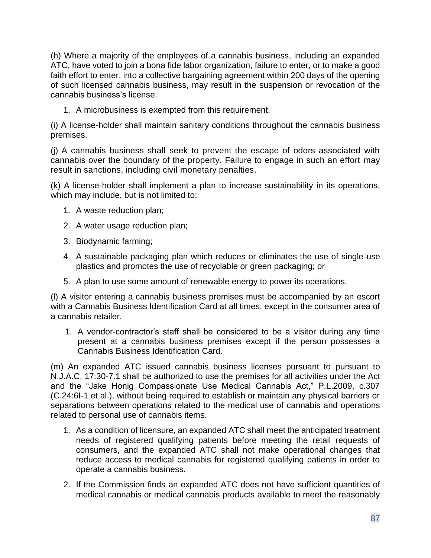(h) Where a majority of the employees of a cannabis business, including an expanded ATC, have voted to join a bona fide labor organization, failure to enter, or to make a good faith effort to enter, into a collective bargaining agreement within 200 days of the opening of such licensed cannabis business, may result in the suspension or revocation of the cannabis business's license.

1. A microbusiness is exempted from this requirement.

(i) A license-holder shall maintain sanitary conditions throughout the cannabis business premises.

(j) A cannabis business shall seek to prevent the escape of odors associated with cannabis over the boundary of the property. Failure to engage in such an effort may result in sanctions, including civil monetary penalties.

(k) A license-holder shall implement a plan to increase sustainability in its operations, which may include, but is not limited to:

- 1. A waste reduction plan;
- 2. A water usage reduction plan;
- 3. Biodynamic farming;
- 4. A sustainable packaging plan which reduces or eliminates the use of single-use plastics and promotes the use of recyclable or green packaging; or
- 5. A plan to use some amount of renewable energy to power its operations.

(l) A visitor entering a cannabis business premises must be accompanied by an escort with a Cannabis Business Identification Card at all times, except in the consumer area of a cannabis retailer.

1. A vendor-contractor's staff shall be considered to be a visitor during any time present at a cannabis business premises except if the person possesses a Cannabis Business Identification Card.

(m) An expanded ATC issued cannabis business licenses pursuant to pursuant to N.J.A.C. 17:30-7.1 shall be authorized to use the premises for all activities under the Act and the "Jake Honig Compassionate Use Medical Cannabis Act," P.L.2009, c.307 (C.24:6I-1 et al.), without being required to establish or maintain any physical barriers or separations between operations related to the medical use of cannabis and operations related to personal use of cannabis items.

- 1. As a condition of licensure, an expanded ATC shall meet the anticipated treatment needs of registered qualifying patients before meeting the retail requests of consumers, and the expanded ATC shall not make operational changes that reduce access to medical cannabis for registered qualifying patients in order to operate a cannabis business.
- 2. If the Commission finds an expanded ATC does not have sufficient quantities of medical cannabis or medical cannabis products available to meet the reasonably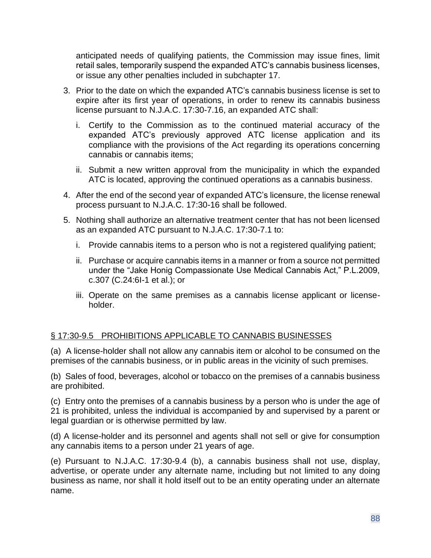anticipated needs of qualifying patients, the Commission may issue fines, limit retail sales, temporarily suspend the expanded ATC's cannabis business licenses, or issue any other penalties included in subchapter 17.

- 3. Prior to the date on which the expanded ATC's cannabis business license is set to expire after its first year of operations, in order to renew its cannabis business license pursuant to N.J.A.C. 17:30-7.16, an expanded ATC shall:
	- i. Certify to the Commission as to the continued material accuracy of the expanded ATC's previously approved ATC license application and its compliance with the provisions of the Act regarding its operations concerning cannabis or cannabis items;
	- ii. Submit a new written approval from the municipality in which the expanded ATC is located, approving the continued operations as a cannabis business.
- 4. After the end of the second year of expanded ATC's licensure, the license renewal process pursuant to N.J.A.C. 17:30-16 shall be followed.
- 5. Nothing shall authorize an alternative treatment center that has not been licensed as an expanded ATC pursuant to N.J.A.C. 17:30-7.1 to:
	- i. Provide cannabis items to a person who is not a registered qualifying patient;
	- ii. Purchase or acquire cannabis items in a manner or from a source not permitted under the "Jake Honig Compassionate Use Medical Cannabis Act," P.L.2009, c.307 (C.24:6I-1 et al.); or
	- iii. Operate on the same premises as a cannabis license applicant or licenseholder.

### § 17:30-9.5 PROHIBITIONS APPLICABLE TO CANNABIS BUSINESSES

(a) A license-holder shall not allow any cannabis item or alcohol to be consumed on the premises of the cannabis business, or in public areas in the vicinity of such premises.

(b) Sales of food, beverages, alcohol or tobacco on the premises of a cannabis business are prohibited.

(c) Entry onto the premises of a cannabis business by a person who is under the age of 21 is prohibited, unless the individual is accompanied by and supervised by a parent or legal guardian or is otherwise permitted by law.

(d) A license-holder and its personnel and agents shall not sell or give for consumption any cannabis items to a person under 21 years of age.

(e) Pursuant to N.J.A.C. 17:30-9.4 (b), a cannabis business shall not use, display, advertise, or operate under any alternate name, including but not limited to any doing business as name, nor shall it hold itself out to be an entity operating under an alternate name.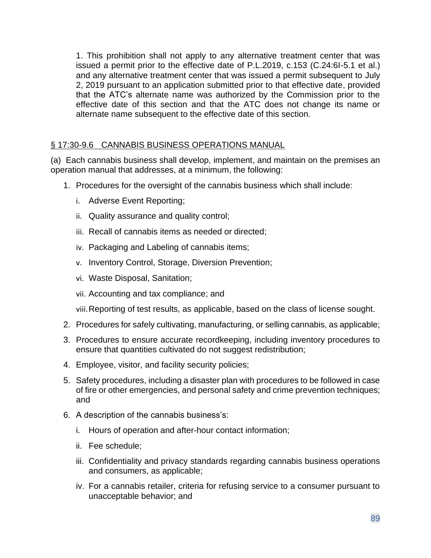1. This prohibition shall not apply to any alternative treatment center that was issued a permit prior to the effective date of P.L.2019, c.153 (C.24:6I-5.1 et al.) and any alternative treatment center that was issued a permit subsequent to July 2, 2019 pursuant to an application submitted prior to that effective date, provided that the ATC's alternate name was authorized by the Commission prior to the effective date of this section and that the ATC does not change its name or alternate name subsequent to the effective date of this section.

### § 17:30-9.6 CANNABIS BUSINESS OPERATIONS MANUAL

(a) Each cannabis business shall develop, implement, and maintain on the premises an operation manual that addresses, at a minimum, the following:

- 1. Procedures for the oversight of the cannabis business which shall include:
	- i. Adverse Event Reporting;
	- ii. Quality assurance and quality control;
	- iii. Recall of cannabis items as needed or directed;
	- iv. Packaging and Labeling of cannabis items;
	- v. Inventory Control, Storage, Diversion Prevention;
	- vi. Waste Disposal, Sanitation;
	- vii. Accounting and tax compliance; and
	- viii.Reporting of test results, as applicable, based on the class of license sought.
- 2. Procedures for safely cultivating, manufacturing, or selling cannabis, as applicable;
- 3. Procedures to ensure accurate recordkeeping, including inventory procedures to ensure that quantities cultivated do not suggest redistribution;
- 4. Employee, visitor, and facility security policies;
- 5. Safety procedures, including a disaster plan with procedures to be followed in case of fire or other emergencies, and personal safety and crime prevention techniques; and
- 6. A description of the cannabis business's:
	- i. Hours of operation and after-hour contact information;
	- ii. Fee schedule;
	- iii. Confidentiality and privacy standards regarding cannabis business operations and consumers, as applicable;
	- iv. For a cannabis retailer, criteria for refusing service to a consumer pursuant to unacceptable behavior; and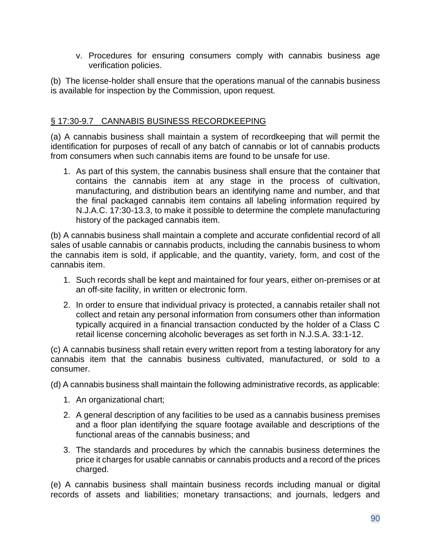v. Procedures for ensuring consumers comply with cannabis business age verification policies.

(b) The license-holder shall ensure that the operations manual of the cannabis business is available for inspection by the Commission, upon request.

### § 17:30-9.7 CANNABIS BUSINESS RECORDKEEPING

(a) A cannabis business shall maintain a system of recordkeeping that will permit the identification for purposes of recall of any batch of cannabis or lot of cannabis products from consumers when such cannabis items are found to be unsafe for use.

1. As part of this system, the cannabis business shall ensure that the container that contains the cannabis item at any stage in the process of cultivation, manufacturing, and distribution bears an identifying name and number, and that the final packaged cannabis item contains all labeling information required by N.J.A.C. 17:30-13.3, to make it possible to determine the complete manufacturing history of the packaged cannabis item.

(b) A cannabis business shall maintain a complete and accurate confidential record of all sales of usable cannabis or cannabis products, including the cannabis business to whom the cannabis item is sold, if applicable, and the quantity, variety, form, and cost of the cannabis item.

- 1. Such records shall be kept and maintained for four years, either on-premises or at an off-site facility, in written or electronic form.
- 2. In order to ensure that individual privacy is protected, a cannabis retailer shall not collect and retain any personal information from consumers other than information typically acquired in a financial transaction conducted by the holder of a Class C retail license concerning alcoholic beverages as set forth in N.J.S.A. 33:1-12.

(c) A cannabis business shall retain every written report from a testing laboratory for any cannabis item that the cannabis business cultivated, manufactured, or sold to a consumer.

(d) A cannabis business shall maintain the following administrative records, as applicable:

- 1. An organizational chart;
- 2. A general description of any facilities to be used as a cannabis business premises and a floor plan identifying the square footage available and descriptions of the functional areas of the cannabis business; and
- 3. The standards and procedures by which the cannabis business determines the price it charges for usable cannabis or cannabis products and a record of the prices charged.

(e) A cannabis business shall maintain business records including manual or digital records of assets and liabilities; monetary transactions; and journals, ledgers and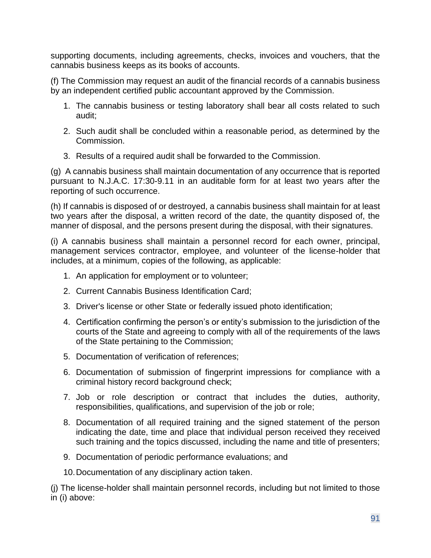supporting documents, including agreements, checks, invoices and vouchers, that the cannabis business keeps as its books of accounts.

(f) The Commission may request an audit of the financial records of a cannabis business by an independent certified public accountant approved by the Commission.

- 1. The cannabis business or testing laboratory shall bear all costs related to such audit;
- 2. Such audit shall be concluded within a reasonable period, as determined by the Commission.
- 3. Results of a required audit shall be forwarded to the Commission.

(g) A cannabis business shall maintain documentation of any occurrence that is reported pursuant to N.J.A.C. 17:30-9.11 in an auditable form for at least two years after the reporting of such occurrence.

(h) If cannabis is disposed of or destroyed, a cannabis business shall maintain for at least two years after the disposal, a written record of the date, the quantity disposed of, the manner of disposal, and the persons present during the disposal, with their signatures.

(i) A cannabis business shall maintain a personnel record for each owner, principal, management services contractor, employee, and volunteer of the license-holder that includes, at a minimum, copies of the following, as applicable:

- 1. An application for employment or to volunteer;
- 2. Current Cannabis Business Identification Card;
- 3. Driver's license or other State or federally issued photo identification;
- 4. Certification confirming the person's or entity's submission to the jurisdiction of the courts of the State and agreeing to comply with all of the requirements of the laws of the State pertaining to the Commission;
- 5. Documentation of verification of references;
- 6. Documentation of submission of fingerprint impressions for compliance with a criminal history record background check;
- 7. Job or role description or contract that includes the duties, authority, responsibilities, qualifications, and supervision of the job or role;
- 8. Documentation of all required training and the signed statement of the person indicating the date, time and place that individual person received they received such training and the topics discussed, including the name and title of presenters;
- 9. Documentation of periodic performance evaluations; and
- 10.Documentation of any disciplinary action taken.

(j) The license-holder shall maintain personnel records, including but not limited to those in (i) above: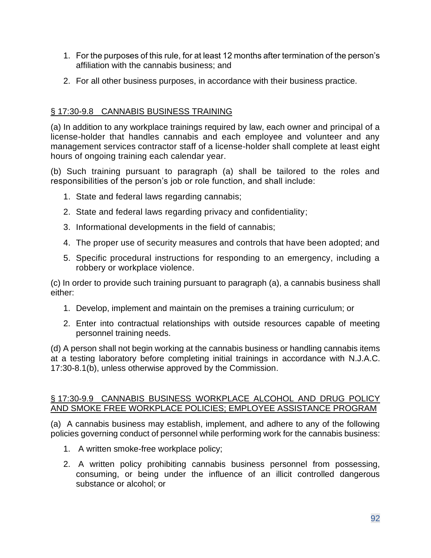- 1. For the purposes of this rule, for at least 12 months after termination of the person's affiliation with the cannabis business; and
- 2. For all other business purposes, in accordance with their business practice.

## § 17:30-9.8 CANNABIS BUSINESS TRAINING

(a) In addition to any workplace trainings required by law, each owner and principal of a license-holder that handles cannabis and each employee and volunteer and any management services contractor staff of a license-holder shall complete at least eight hours of ongoing training each calendar year.

(b) Such training pursuant to paragraph (a) shall be tailored to the roles and responsibilities of the person's job or role function, and shall include:

- 1. State and federal laws regarding cannabis;
- 2. State and federal laws regarding privacy and confidentiality;
- 3. Informational developments in the field of cannabis;
- 4. The proper use of security measures and controls that have been adopted; and
- 5. Specific procedural instructions for responding to an emergency, including a robbery or workplace violence.

(c) In order to provide such training pursuant to paragraph (a), a cannabis business shall either:

- 1. Develop, implement and maintain on the premises a training curriculum; or
- 2. Enter into contractual relationships with outside resources capable of meeting personnel training needs.

(d) A person shall not begin working at the cannabis business or handling cannabis items at a testing laboratory before completing initial trainings in accordance with N.J.A.C. 17:30-8.1(b), unless otherwise approved by the Commission.

### § 17:30-9.9 CANNABIS BUSINESS WORKPLACE ALCOHOL AND DRUG POLICY AND SMOKE FREE WORKPLACE POLICIES; EMPLOYEE ASSISTANCE PROGRAM

(a) A cannabis business may establish, implement, and adhere to any of the following policies governing conduct of personnel while performing work for the cannabis business:

- 1. A written smoke-free workplace policy;
- 2. A written policy prohibiting cannabis business personnel from possessing, consuming, or being under the influence of an illicit controlled dangerous substance or alcohol; or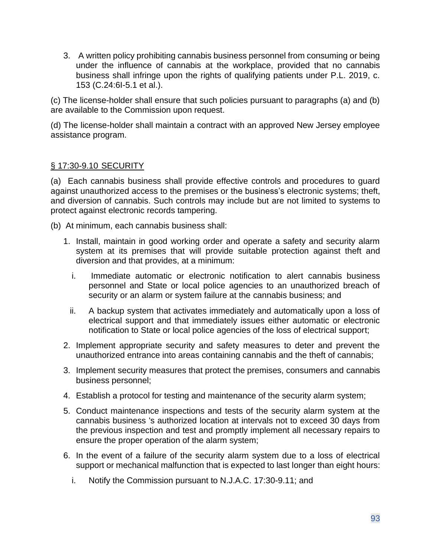3. A written policy prohibiting cannabis business personnel from consuming or being under the influence of cannabis at the workplace, provided that no cannabis business shall infringe upon the rights of qualifying patients under P.L. 2019, c. 153 (C.24:6I-5.1 et al.).

(c) The license-holder shall ensure that such policies pursuant to paragraphs (a) and (b) are available to the Commission upon request.

(d) The license-holder shall maintain a contract with an approved New Jersey employee assistance program.

### § 17:30-9.10 SECURITY

(a) Each cannabis business shall provide effective controls and procedures to guard against unauthorized access to the premises or the business's electronic systems; theft, and diversion of cannabis. Such controls may include but are not limited to systems to protect against electronic records tampering.

(b) At minimum, each cannabis business shall:

- 1. Install, maintain in good working order and operate a safety and security alarm system at its premises that will provide suitable protection against theft and diversion and that provides, at a minimum:
	- i. Immediate automatic or electronic notification to alert cannabis business personnel and State or local police agencies to an unauthorized breach of security or an alarm or system failure at the cannabis business; and
	- ii. A backup system that activates immediately and automatically upon a loss of electrical support and that immediately issues either automatic or electronic notification to State or local police agencies of the loss of electrical support;
- 2. Implement appropriate security and safety measures to deter and prevent the unauthorized entrance into areas containing cannabis and the theft of cannabis;
- 3. Implement security measures that protect the premises, consumers and cannabis business personnel;
- 4. Establish a protocol for testing and maintenance of the security alarm system;
- 5. Conduct maintenance inspections and tests of the security alarm system at the cannabis business 's authorized location at intervals not to exceed 30 days from the previous inspection and test and promptly implement all necessary repairs to ensure the proper operation of the alarm system;
- 6. In the event of a failure of the security alarm system due to a loss of electrical support or mechanical malfunction that is expected to last longer than eight hours:
	- i. Notify the Commission pursuant to N.J.A.C. 17:30-9.11; and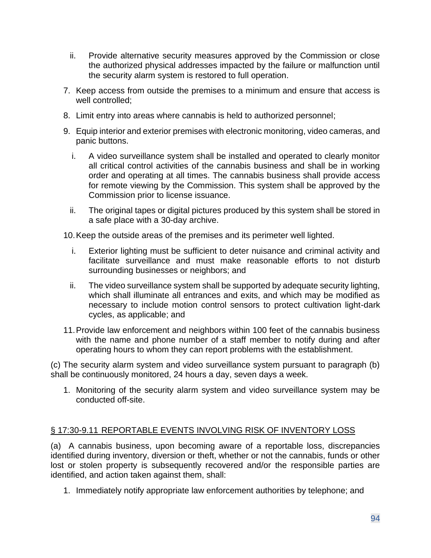- ii. Provide alternative security measures approved by the Commission or close the authorized physical addresses impacted by the failure or malfunction until the security alarm system is restored to full operation.
- 7. Keep access from outside the premises to a minimum and ensure that access is well controlled;
- 8. Limit entry into areas where cannabis is held to authorized personnel;
- 9. Equip interior and exterior premises with electronic monitoring, video cameras, and panic buttons.
	- i. A video surveillance system shall be installed and operated to clearly monitor all critical control activities of the cannabis business and shall be in working order and operating at all times. The cannabis business shall provide access for remote viewing by the Commission. This system shall be approved by the Commission prior to license issuance.
	- ii. The original tapes or digital pictures produced by this system shall be stored in a safe place with a 30-day archive.

10.Keep the outside areas of the premises and its perimeter well lighted.

- i. Exterior lighting must be sufficient to deter nuisance and criminal activity and facilitate surveillance and must make reasonable efforts to not disturb surrounding businesses or neighbors; and
- ii. The video surveillance system shall be supported by adequate security lighting, which shall illuminate all entrances and exits, and which may be modified as necessary to include motion control sensors to protect cultivation light-dark cycles, as applicable; and
- 11.Provide law enforcement and neighbors within 100 feet of the cannabis business with the name and phone number of a staff member to notify during and after operating hours to whom they can report problems with the establishment.

(c) The security alarm system and video surveillance system pursuant to paragraph (b) shall be continuously monitored, 24 hours a day, seven days a week.

1. Monitoring of the security alarm system and video surveillance system may be conducted off-site.

### § 17:30-9.11 REPORTABLE EVENTS INVOLVING RISK OF INVENTORY LOSS

(a) A cannabis business, upon becoming aware of a reportable loss, discrepancies identified during inventory, diversion or theft, whether or not the cannabis, funds or other lost or stolen property is subsequently recovered and/or the responsible parties are identified, and action taken against them, shall:

1. Immediately notify appropriate law enforcement authorities by telephone; and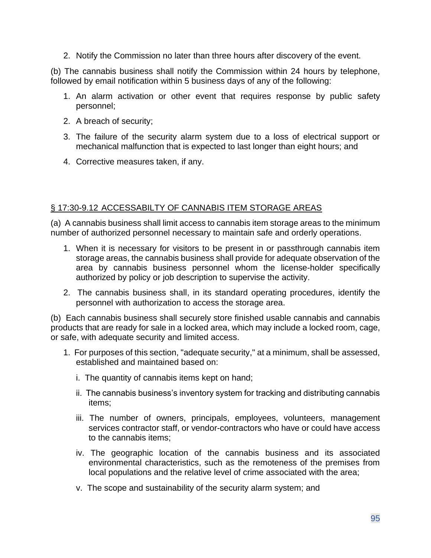2. Notify the Commission no later than three hours after discovery of the event.

(b) The cannabis business shall notify the Commission within 24 hours by telephone, followed by email notification within 5 business days of any of the following:

- 1. An alarm activation or other event that requires response by public safety personnel;
- 2. A breach of security;
- 3. The failure of the security alarm system due to a loss of electrical support or mechanical malfunction that is expected to last longer than eight hours; and
- 4. Corrective measures taken, if any.

### § 17:30-9.12 ACCESSABILTY OF CANNABIS ITEM STORAGE AREAS

(a) A cannabis business shall limit access to cannabis item storage areas to the minimum number of authorized personnel necessary to maintain safe and orderly operations.

- 1. When it is necessary for visitors to be present in or passthrough cannabis item storage areas, the cannabis business shall provide for adequate observation of the area by cannabis business personnel whom the license-holder specifically authorized by policy or job description to supervise the activity.
- 2. The cannabis business shall, in its standard operating procedures, identify the personnel with authorization to access the storage area.

(b) Each cannabis business shall securely store finished usable cannabis and cannabis products that are ready for sale in a locked area, which may include a locked room, cage, or safe, with adequate security and limited access.

- 1. For purposes of this section, "adequate security," at a minimum, shall be assessed, established and maintained based on:
	- i. The quantity of cannabis items kept on hand;
	- ii. The cannabis business's inventory system for tracking and distributing cannabis items;
	- iii. The number of owners, principals, employees, volunteers, management services contractor staff, or vendor-contractors who have or could have access to the cannabis items;
	- iv. The geographic location of the cannabis business and its associated environmental characteristics, such as the remoteness of the premises from local populations and the relative level of crime associated with the area;
	- v. The scope and sustainability of the security alarm system; and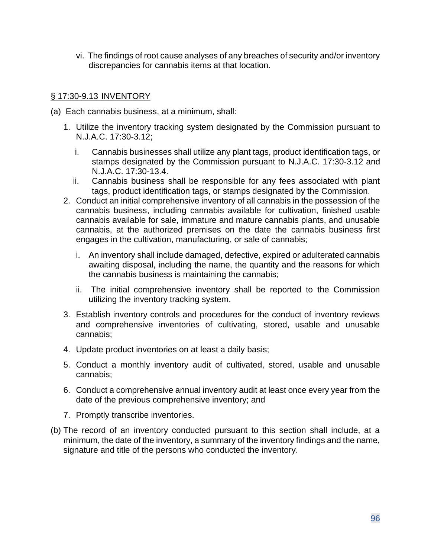vi. The findings of root cause analyses of any breaches of security and/or inventory discrepancies for cannabis items at that location.

#### § 17:30-9.13 INVENTORY

- (a) Each cannabis business, at a minimum, shall:
	- 1. Utilize the inventory tracking system designated by the Commission pursuant to N.J.A.C. 17:30-3.12;
		- i. Cannabis businesses shall utilize any plant tags, product identification tags, or stamps designated by the Commission pursuant to N.J.A.C. 17:30-3.12 and N.J.A.C. 17:30-13.4.
		- ii. Cannabis business shall be responsible for any fees associated with plant tags, product identification tags, or stamps designated by the Commission.
	- 2. Conduct an initial comprehensive inventory of all cannabis in the possession of the cannabis business, including cannabis available for cultivation, finished usable cannabis available for sale, immature and mature cannabis plants, and unusable cannabis, at the authorized premises on the date the cannabis business first engages in the cultivation, manufacturing, or sale of cannabis;
		- i. An inventory shall include damaged, defective, expired or adulterated cannabis awaiting disposal, including the name, the quantity and the reasons for which the cannabis business is maintaining the cannabis;
		- ii. The initial comprehensive inventory shall be reported to the Commission utilizing the inventory tracking system.
	- 3. Establish inventory controls and procedures for the conduct of inventory reviews and comprehensive inventories of cultivating, stored, usable and unusable cannabis;
	- 4. Update product inventories on at least a daily basis;
	- 5. Conduct a monthly inventory audit of cultivated, stored, usable and unusable cannabis;
	- 6. Conduct a comprehensive annual inventory audit at least once every year from the date of the previous comprehensive inventory; and
	- 7. Promptly transcribe inventories.
- (b) The record of an inventory conducted pursuant to this section shall include, at a minimum, the date of the inventory, a summary of the inventory findings and the name, signature and title of the persons who conducted the inventory.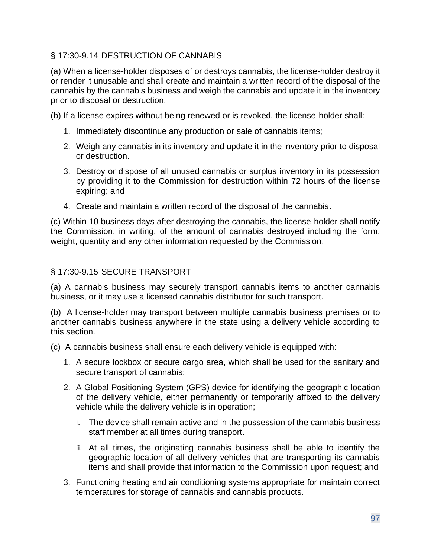## § 17:30-9.14 DESTRUCTION OF CANNABIS

(a) When a license-holder disposes of or destroys cannabis, the license-holder destroy it or render it unusable and shall create and maintain a written record of the disposal of the cannabis by the cannabis business and weigh the cannabis and update it in the inventory prior to disposal or destruction.

(b) If a license expires without being renewed or is revoked, the license-holder shall:

- 1. Immediately discontinue any production or sale of cannabis items;
- 2. Weigh any cannabis in its inventory and update it in the inventory prior to disposal or destruction.
- 3. Destroy or dispose of all unused cannabis or surplus inventory in its possession by providing it to the Commission for destruction within 72 hours of the license expiring; and
- 4. Create and maintain a written record of the disposal of the cannabis.

(c) Within 10 business days after destroying the cannabis, the license-holder shall notify the Commission, in writing, of the amount of cannabis destroyed including the form, weight, quantity and any other information requested by the Commission.

### § 17:30-9.15 SECURE TRANSPORT

(a) A cannabis business may securely transport cannabis items to another cannabis business, or it may use a licensed cannabis distributor for such transport.

(b) A license-holder may transport between multiple cannabis business premises or to another cannabis business anywhere in the state using a delivery vehicle according to this section.

- (c) A cannabis business shall ensure each delivery vehicle is equipped with:
	- 1. A secure lockbox or secure cargo area, which shall be used for the sanitary and secure transport of cannabis;
	- 2. A Global Positioning System (GPS) device for identifying the geographic location of the delivery vehicle, either permanently or temporarily affixed to the delivery vehicle while the delivery vehicle is in operation;
		- i. The device shall remain active and in the possession of the cannabis business staff member at all times during transport.
		- ii. At all times, the originating cannabis business shall be able to identify the geographic location of all delivery vehicles that are transporting its cannabis items and shall provide that information to the Commission upon request; and
	- 3. Functioning heating and air conditioning systems appropriate for maintain correct temperatures for storage of cannabis and cannabis products.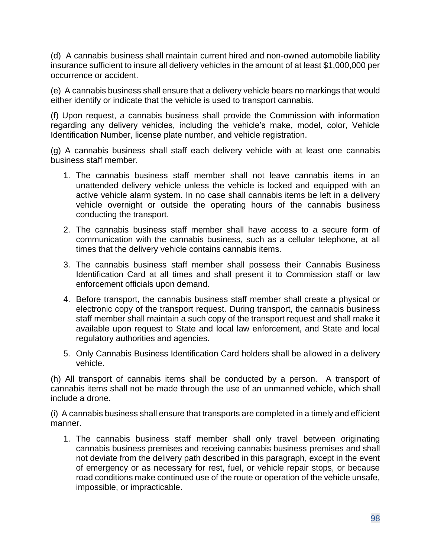(d) A cannabis business shall maintain current hired and non-owned automobile liability insurance sufficient to insure all delivery vehicles in the amount of at least \$1,000,000 per occurrence or accident.

(e) A cannabis business shall ensure that a delivery vehicle bears no markings that would either identify or indicate that the vehicle is used to transport cannabis.

(f) Upon request, a cannabis business shall provide the Commission with information regarding any delivery vehicles, including the vehicle's make, model, color, Vehicle Identification Number, license plate number, and vehicle registration.

(g) A cannabis business shall staff each delivery vehicle with at least one cannabis business staff member.

- 1. The cannabis business staff member shall not leave cannabis items in an unattended delivery vehicle unless the vehicle is locked and equipped with an active vehicle alarm system. In no case shall cannabis items be left in a delivery vehicle overnight or outside the operating hours of the cannabis business conducting the transport.
- 2. The cannabis business staff member shall have access to a secure form of communication with the cannabis business, such as a cellular telephone, at all times that the delivery vehicle contains cannabis items.
- 3. The cannabis business staff member shall possess their Cannabis Business Identification Card at all times and shall present it to Commission staff or law enforcement officials upon demand.
- 4. Before transport, the cannabis business staff member shall create a physical or electronic copy of the transport request. During transport, the cannabis business staff member shall maintain a such copy of the transport request and shall make it available upon request to State and local law enforcement, and State and local regulatory authorities and agencies.
- 5. Only Cannabis Business Identification Card holders shall be allowed in a delivery vehicle.

(h) All transport of cannabis items shall be conducted by a person. A transport of cannabis items shall not be made through the use of an unmanned vehicle, which shall include a drone.

(i) A cannabis business shall ensure that transports are completed in a timely and efficient manner.

1. The cannabis business staff member shall only travel between originating cannabis business premises and receiving cannabis business premises and shall not deviate from the delivery path described in this paragraph, except in the event of emergency or as necessary for rest, fuel, or vehicle repair stops, or because road conditions make continued use of the route or operation of the vehicle unsafe, impossible, or impracticable.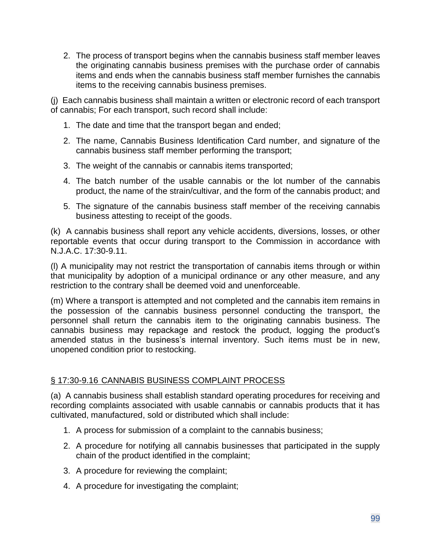2. The process of transport begins when the cannabis business staff member leaves the originating cannabis business premises with the purchase order of cannabis items and ends when the cannabis business staff member furnishes the cannabis items to the receiving cannabis business premises.

(j) Each cannabis business shall maintain a written or electronic record of each transport of cannabis; For each transport, such record shall include:

- 1. The date and time that the transport began and ended;
- 2. The name, Cannabis Business Identification Card number, and signature of the cannabis business staff member performing the transport;
- 3. The weight of the cannabis or cannabis items transported;
- 4. The batch number of the usable cannabis or the lot number of the cannabis product, the name of the strain/cultivar, and the form of the cannabis product; and
- 5. The signature of the cannabis business staff member of the receiving cannabis business attesting to receipt of the goods.

(k) A cannabis business shall report any vehicle accidents, diversions, losses, or other reportable events that occur during transport to the Commission in accordance with N.J.A.C. 17:30-9.11.

(l) A municipality may not restrict the transportation of cannabis items through or within that municipality by adoption of a municipal ordinance or any other measure, and any restriction to the contrary shall be deemed void and unenforceable.

(m) Where a transport is attempted and not completed and the cannabis item remains in the possession of the cannabis business personnel conducting the transport, the personnel shall return the cannabis item to the originating cannabis business. The cannabis business may repackage and restock the product, logging the product's amended status in the business's internal inventory. Such items must be in new, unopened condition prior to restocking.

### § 17:30-9.16 CANNABIS BUSINESS COMPLAINT PROCESS

(a) A cannabis business shall establish standard operating procedures for receiving and recording complaints associated with usable cannabis or cannabis products that it has cultivated, manufactured, sold or distributed which shall include:

- 1. A process for submission of a complaint to the cannabis business;
- 2. A procedure for notifying all cannabis businesses that participated in the supply chain of the product identified in the complaint;
- 3. A procedure for reviewing the complaint;
- 4. A procedure for investigating the complaint;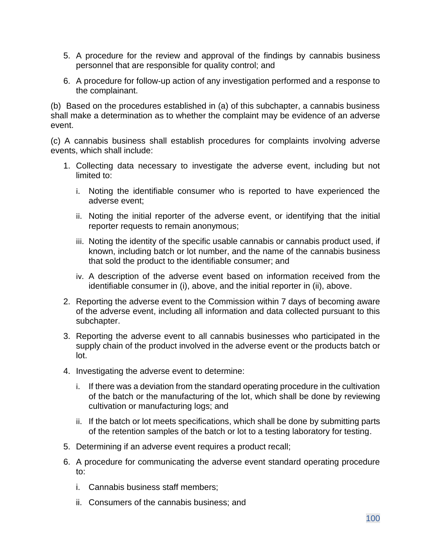- 5. A procedure for the review and approval of the findings by cannabis business personnel that are responsible for quality control; and
- 6. A procedure for follow-up action of any investigation performed and a response to the complainant.

(b) Based on the procedures established in (a) of this subchapter, a cannabis business shall make a determination as to whether the complaint may be evidence of an adverse event.

(c) A cannabis business shall establish procedures for complaints involving adverse events, which shall include:

- 1. Collecting data necessary to investigate the adverse event, including but not limited to:
	- i. Noting the identifiable consumer who is reported to have experienced the adverse event;
	- ii. Noting the initial reporter of the adverse event, or identifying that the initial reporter requests to remain anonymous;
	- iii. Noting the identity of the specific usable cannabis or cannabis product used, if known, including batch or lot number, and the name of the cannabis business that sold the product to the identifiable consumer; and
	- iv. A description of the adverse event based on information received from the identifiable consumer in (i), above, and the initial reporter in (ii), above.
- 2. Reporting the adverse event to the Commission within 7 days of becoming aware of the adverse event, including all information and data collected pursuant to this subchapter.
- 3. Reporting the adverse event to all cannabis businesses who participated in the supply chain of the product involved in the adverse event or the products batch or lot.
- 4. Investigating the adverse event to determine:
	- i. If there was a deviation from the standard operating procedure in the cultivation of the batch or the manufacturing of the lot, which shall be done by reviewing cultivation or manufacturing logs; and
	- ii. If the batch or lot meets specifications, which shall be done by submitting parts of the retention samples of the batch or lot to a testing laboratory for testing.
- 5. Determining if an adverse event requires a product recall;
- 6. A procedure for communicating the adverse event standard operating procedure to:
	- i. Cannabis business staff members;
	- ii. Consumers of the cannabis business; and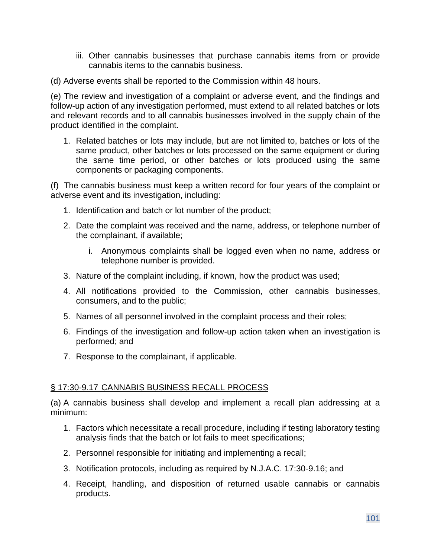- iii. Other cannabis businesses that purchase cannabis items from or provide cannabis items to the cannabis business.
- (d) Adverse events shall be reported to the Commission within 48 hours.

(e) The review and investigation of a complaint or adverse event, and the findings and follow-up action of any investigation performed, must extend to all related batches or lots and relevant records and to all cannabis businesses involved in the supply chain of the product identified in the complaint.

1. Related batches or lots may include, but are not limited to, batches or lots of the same product, other batches or lots processed on the same equipment or during the same time period, or other batches or lots produced using the same components or packaging components.

(f) The cannabis business must keep a written record for four years of the complaint or adverse event and its investigation, including:

- 1. Identification and batch or lot number of the product;
- 2. Date the complaint was received and the name, address, or telephone number of the complainant, if available;
	- i. Anonymous complaints shall be logged even when no name, address or telephone number is provided.
- 3. Nature of the complaint including, if known, how the product was used;
- 4. All notifications provided to the Commission, other cannabis businesses, consumers, and to the public;
- 5. Names of all personnel involved in the complaint process and their roles;
- 6. Findings of the investigation and follow-up action taken when an investigation is performed; and
- 7. Response to the complainant, if applicable.

#### § 17:30-9.17 CANNABIS BUSINESS RECALL PROCESS

(a) A cannabis business shall develop and implement a recall plan addressing at a minimum:

- 1. Factors which necessitate a recall procedure, including if testing laboratory testing analysis finds that the batch or lot fails to meet specifications;
- 2. Personnel responsible for initiating and implementing a recall;
- 3. Notification protocols, including as required by N.J.A.C. 17:30-9.16; and
- 4. Receipt, handling, and disposition of returned usable cannabis or cannabis products.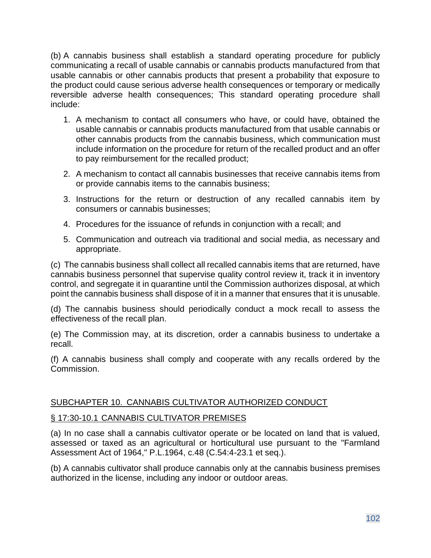(b) A cannabis business shall establish a standard operating procedure for publicly communicating a recall of usable cannabis or cannabis products manufactured from that usable cannabis or other cannabis products that present a probability that exposure to the product could cause serious adverse health consequences or temporary or medically reversible adverse health consequences; This standard operating procedure shall include:

- 1. A mechanism to contact all consumers who have, or could have, obtained the usable cannabis or cannabis products manufactured from that usable cannabis or other cannabis products from the cannabis business, which communication must include information on the procedure for return of the recalled product and an offer to pay reimbursement for the recalled product;
- 2. A mechanism to contact all cannabis businesses that receive cannabis items from or provide cannabis items to the cannabis business;
- 3. Instructions for the return or destruction of any recalled cannabis item by consumers or cannabis businesses;
- 4. Procedures for the issuance of refunds in conjunction with a recall; and
- 5. Communication and outreach via traditional and social media, as necessary and appropriate.

(c) The cannabis business shall collect all recalled cannabis items that are returned, have cannabis business personnel that supervise quality control review it, track it in inventory control, and segregate it in quarantine until the Commission authorizes disposal, at which point the cannabis business shall dispose of it in a manner that ensures that it is unusable.

(d) The cannabis business should periodically conduct a mock recall to assess the effectiveness of the recall plan.

(e) The Commission may, at its discretion, order a cannabis business to undertake a recall.

(f) A cannabis business shall comply and cooperate with any recalls ordered by the Commission.

### SUBCHAPTER 10. CANNABIS CULTIVATOR AUTHORIZED CONDUCT

## § 17:30-10.1 CANNABIS CULTIVATOR PREMISES

(a) In no case shall a cannabis cultivator operate or be located on land that is valued, assessed or taxed as an agricultural or horticultural use pursuant to the "Farmland Assessment Act of 1964," P.L.1964, c.48 (C.54:4-23.1 et seq.).

(b) A cannabis cultivator shall produce cannabis only at the cannabis business premises authorized in the license, including any indoor or outdoor areas.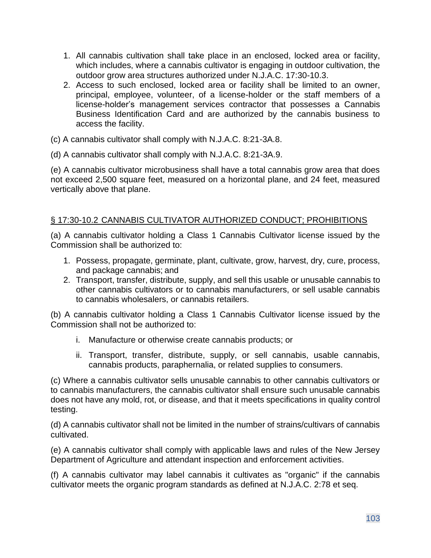- 1. All cannabis cultivation shall take place in an enclosed, locked area or facility, which includes, where a cannabis cultivator is engaging in outdoor cultivation, the outdoor grow area structures authorized under N.J.A.C. 17:30-10.3.
- 2. Access to such enclosed, locked area or facility shall be limited to an owner, principal, employee, volunteer, of a license-holder or the staff members of a license-holder's management services contractor that possesses a Cannabis Business Identification Card and are authorized by the cannabis business to access the facility.
- (c) A cannabis cultivator shall comply with N.J.A.C. 8:21-3A.8.
- (d) A cannabis cultivator shall comply with N.J.A.C. 8:21-3A.9.

(e) A cannabis cultivator microbusiness shall have a total cannabis grow area that does not exceed 2,500 square feet, measured on a horizontal plane, and 24 feet, measured vertically above that plane.

### § 17:30-10.2 CANNABIS CULTIVATOR AUTHORIZED CONDUCT; PROHIBITIONS

(a) A cannabis cultivator holding a Class 1 Cannabis Cultivator license issued by the Commission shall be authorized to:

- 1. Possess, propagate, germinate, plant, cultivate, grow, harvest, dry, cure, process, and package cannabis; and
- 2. Transport, transfer, distribute, supply, and sell this usable or unusable cannabis to other cannabis cultivators or to cannabis manufacturers, or sell usable cannabis to cannabis wholesalers, or cannabis retailers.

(b) A cannabis cultivator holding a Class 1 Cannabis Cultivator license issued by the Commission shall not be authorized to:

- i. Manufacture or otherwise create cannabis products; or
- ii. Transport, transfer, distribute, supply, or sell cannabis, usable cannabis, cannabis products, paraphernalia, or related supplies to consumers.

(c) Where a cannabis cultivator sells unusable cannabis to other cannabis cultivators or to cannabis manufacturers, the cannabis cultivator shall ensure such unusable cannabis does not have any mold, rot, or disease, and that it meets specifications in quality control testing.

(d) A cannabis cultivator shall not be limited in the number of strains/cultivars of cannabis cultivated.

(e) A cannabis cultivator shall comply with applicable laws and rules of the New Jersey Department of Agriculture and attendant inspection and enforcement activities.

(f) A cannabis cultivator may label cannabis it cultivates as "organic" if the cannabis cultivator meets the organic program standards as defined at [N.J.A.C. 2:78](https://advance.lexis.com/document/documentslider/?pdmfid=1000516&crid=29472145-0500-4644-8623-384b457f4a0d&pdistocdocslideraccess=true&config=&pddocfullpath=%2Fshared%2Fdocument%2Fadministrative-codes%2Furn%3AcontentItem%3A5WD0-5TT0-00BY-K33C-00008-00&pdcomponentid=234124&pdtocnodeidentifier=AALAEGAACAAC&ecomp=7539k&prid=be659ffa-6529-439b-a479-a247772a0e1b) et seq.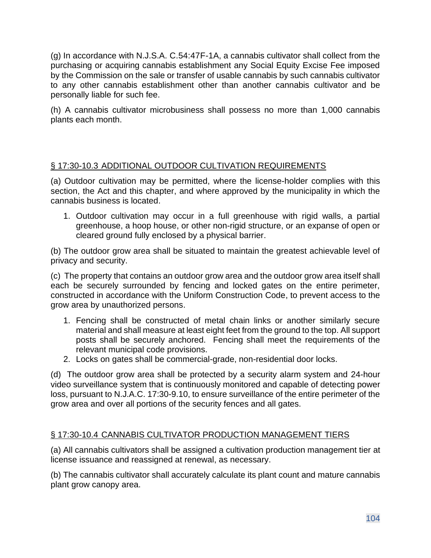(g) In accordance with N.J.S.A. C.54:47F-1A, a cannabis cultivator shall collect from the purchasing or acquiring cannabis establishment any Social Equity Excise Fee imposed by the Commission on the sale or transfer of usable cannabis by such cannabis cultivator to any other cannabis establishment other than another cannabis cultivator and be personally liable for such fee.

(h) A cannabis cultivator microbusiness shall possess no more than 1,000 cannabis plants each month.

## § 17:30-10.3 ADDITIONAL OUTDOOR CULTIVATION REQUIREMENTS

(a) Outdoor cultivation may be permitted, where the license-holder complies with this section, the Act and this chapter, and where approved by the municipality in which the cannabis business is located.

1. Outdoor cultivation may occur in a full greenhouse with rigid walls, a partial greenhouse, a hoop house, or other non-rigid structure, or an expanse of open or cleared ground fully enclosed by a physical barrier.

(b) The outdoor grow area shall be situated to maintain the greatest achievable level of privacy and security.

(c) The property that contains an outdoor grow area and the outdoor grow area itself shall each be securely surrounded by fencing and locked gates on the entire perimeter, constructed in accordance with the Uniform Construction Code, to prevent access to the grow area by unauthorized persons.

- 1. Fencing shall be constructed of metal chain links or another similarly secure material and shall measure at least eight feet from the ground to the top. All support posts shall be securely anchored. Fencing shall meet the requirements of the relevant municipal code provisions.
- 2. Locks on gates shall be commercial-grade, non-residential door locks.

(d) The outdoor grow area shall be protected by a security alarm system and 24-hour video surveillance system that is continuously monitored and capable of detecting power loss, pursuant to N.J.A.C. 17:30-9.10, to ensure surveillance of the entire perimeter of the grow area and over all portions of the security fences and all gates.

### § 17:30-10.4 CANNABIS CULTIVATOR PRODUCTION MANAGEMENT TIERS

(a) All cannabis cultivators shall be assigned a cultivation production management tier at license issuance and reassigned at renewal, as necessary.

(b) The cannabis cultivator shall accurately calculate its plant count and mature cannabis plant grow canopy area.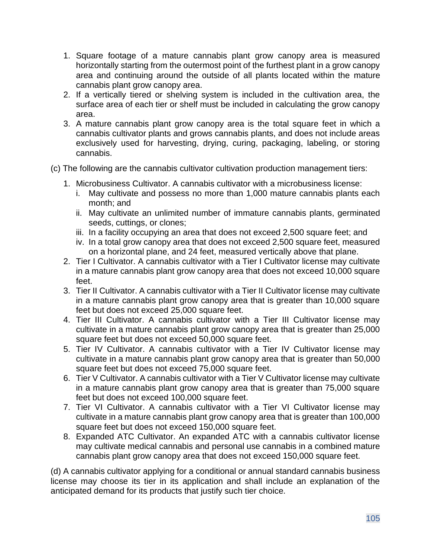- 1. Square footage of a mature cannabis plant grow canopy area is measured horizontally starting from the outermost point of the furthest plant in a grow canopy area and continuing around the outside of all plants located within the mature cannabis plant grow canopy area.
- 2. If a vertically tiered or shelving system is included in the cultivation area, the surface area of each tier or shelf must be included in calculating the grow canopy area.
- 3. A mature cannabis plant grow canopy area is the total square feet in which a cannabis cultivator plants and grows cannabis plants, and does not include areas exclusively used for harvesting, drying, curing, packaging, labeling, or storing cannabis.
- (c) The following are the cannabis cultivator cultivation production management tiers:
	- 1. Microbusiness Cultivator. A cannabis cultivator with a microbusiness license:
		- i. May cultivate and possess no more than 1,000 mature cannabis plants each month; and
		- ii. May cultivate an unlimited number of immature cannabis plants, germinated seeds, cuttings, or clones;
		- iii. In a facility occupying an area that does not exceed 2,500 square feet; and
		- iv. In a total grow canopy area that does not exceed 2,500 square feet, measured on a horizontal plane, and 24 feet, measured vertically above that plane.
	- 2. Tier I Cultivator. A cannabis cultivator with a Tier I Cultivator license may cultivate in a mature cannabis plant grow canopy area that does not exceed 10,000 square feet.
	- 3. Tier II Cultivator. A cannabis cultivator with a Tier II Cultivator license may cultivate in a mature cannabis plant grow canopy area that is greater than 10,000 square feet but does not exceed 25,000 square feet.
	- 4. Tier III Cultivator. A cannabis cultivator with a Tier III Cultivator license may cultivate in a mature cannabis plant grow canopy area that is greater than 25,000 square feet but does not exceed 50,000 square feet.
	- 5. Tier IV Cultivator. A cannabis cultivator with a Tier IV Cultivator license may cultivate in a mature cannabis plant grow canopy area that is greater than 50,000 square feet but does not exceed 75,000 square feet.
	- 6. Tier V Cultivator. A cannabis cultivator with a Tier V Cultivator license may cultivate in a mature cannabis plant grow canopy area that is greater than 75,000 square feet but does not exceed 100,000 square feet.
	- 7. Tier VI Cultivator. A cannabis cultivator with a Tier VI Cultivator license may cultivate in a mature cannabis plant grow canopy area that is greater than 100,000 square feet but does not exceed 150,000 square feet.
	- 8. Expanded ATC Cultivator. An expanded ATC with a cannabis cultivator license may cultivate medical cannabis and personal use cannabis in a combined mature cannabis plant grow canopy area that does not exceed 150,000 square feet.

(d) A cannabis cultivator applying for a conditional or annual standard cannabis business license may choose its tier in its application and shall include an explanation of the anticipated demand for its products that justify such tier choice.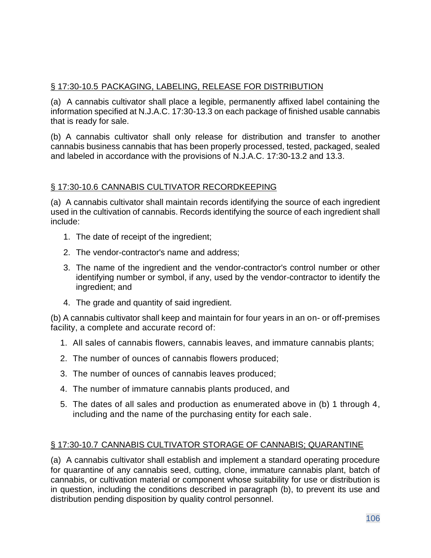## § 17:30-10.5 PACKAGING, LABELING, RELEASE FOR DISTRIBUTION

(a) A cannabis cultivator shall place a legible, permanently affixed label containing the information specified at N.J.A.C. 17:30-13.3 on each package of finished usable cannabis that is ready for sale.

(b) A cannabis cultivator shall only release for distribution and transfer to another cannabis business cannabis that has been properly processed, tested, packaged, sealed and labeled in accordance with the provisions of N.J.A.C. 17:30-13.2 and 13.3.

### § 17:30-10.6 CANNABIS CULTIVATOR RECORDKEEPING

(a) A cannabis cultivator shall maintain records identifying the source of each ingredient used in the cultivation of cannabis. Records identifying the source of each ingredient shall include:

- 1. The date of receipt of the ingredient;
- 2. The vendor-contractor's name and address;
- 3. The name of the ingredient and the vendor-contractor's control number or other identifying number or symbol, if any, used by the vendor-contractor to identify the ingredient; and
- 4. The grade and quantity of said ingredient.

(b) A cannabis cultivator shall keep and maintain for four years in an on- or off-premises facility, a complete and accurate record of:

- 1. All sales of cannabis flowers, cannabis leaves, and immature cannabis plants;
- 2. The number of ounces of cannabis flowers produced;
- 3. The number of ounces of cannabis leaves produced;
- 4. The number of immature cannabis plants produced, and
- 5. The dates of all sales and production as enumerated above in (b) 1 through 4, including and the name of the purchasing entity for each sale.

## § 17:30-10.7 CANNABIS CULTIVATOR STORAGE OF CANNABIS; QUARANTINE

(a) A cannabis cultivator shall establish and implement a standard operating procedure for quarantine of any cannabis seed, cutting, clone, immature cannabis plant, batch of cannabis, or cultivation material or component whose suitability for use or distribution is in question, including the conditions described in paragraph (b), to prevent its use and distribution pending disposition by quality control personnel.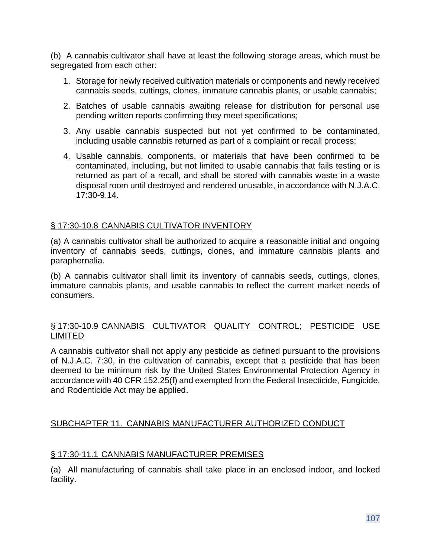(b) A cannabis cultivator shall have at least the following storage areas, which must be segregated from each other:

- 1. Storage for newly received cultivation materials or components and newly received cannabis seeds, cuttings, clones, immature cannabis plants, or usable cannabis;
- 2. Batches of usable cannabis awaiting release for distribution for personal use pending written reports confirming they meet specifications;
- 3. Any usable cannabis suspected but not yet confirmed to be contaminated, including usable cannabis returned as part of a complaint or recall process;
- 4. Usable cannabis, components, or materials that have been confirmed to be contaminated, including, but not limited to usable cannabis that fails testing or is returned as part of a recall, and shall be stored with cannabis waste in a waste disposal room until destroyed and rendered unusable, in accordance with N.J.A.C. 17:30-9.14.

### § 17:30-10.8 CANNABIS CULTIVATOR INVENTORY

(a) A cannabis cultivator shall be authorized to acquire a reasonable initial and ongoing inventory of cannabis seeds, cuttings, clones, and immature cannabis plants and paraphernalia.

(b) A cannabis cultivator shall limit its inventory of cannabis seeds, cuttings, clones, immature cannabis plants, and usable cannabis to reflect the current market needs of consumers.

### § 17:30-10.9 CANNABIS CULTIVATOR QUALITY CONTROL; PESTICIDE USE LIMITED

A cannabis cultivator shall not apply any pesticide as defined pursuant to the provisions of N.J.A.C. 7:30, in the cultivation of cannabis, except that a pesticide that has been deemed to be minimum risk by the United States Environmental Protection Agency in accordance with 40 CFR 152.25(f) and exempted from the Federal Insecticide, Fungicide, and Rodenticide Act may be applied.

### SUBCHAPTER 11. CANNABIS MANUFACTURER AUTHORIZED CONDUCT

### § 17:30-11.1 CANNABIS MANUFACTURER PREMISES

(a) All manufacturing of cannabis shall take place in an enclosed indoor, and locked facility.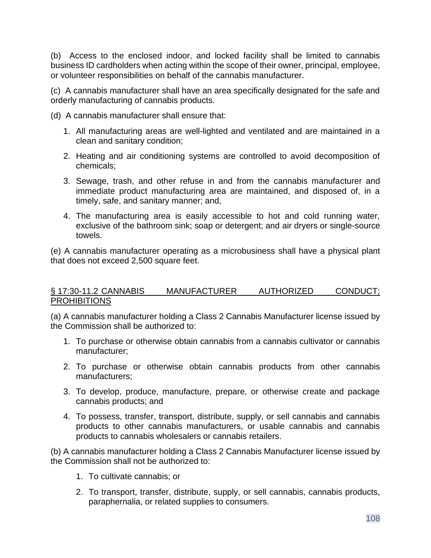(b) Access to the enclosed indoor, and locked facility shall be limited to cannabis business ID cardholders when acting within the scope of their owner, principal, employee, or volunteer responsibilities on behalf of the cannabis manufacturer.

(c) A cannabis manufacturer shall have an area specifically designated for the safe and orderly manufacturing of cannabis products.

(d) A cannabis manufacturer shall ensure that:

- 1. All manufacturing areas are well-lighted and ventilated and are maintained in a clean and sanitary condition;
- 2. Heating and air conditioning systems are controlled to avoid decomposition of chemicals;
- 3. Sewage, trash, and other refuse in and from the cannabis manufacturer and immediate product manufacturing area are maintained, and disposed of, in a timely, safe, and sanitary manner; and,
- 4. The manufacturing area is easily accessible to hot and cold running water, exclusive of the bathroom sink; soap or detergent; and air dryers or single-source towels.

(e) A cannabis manufacturer operating as a microbusiness shall have a physical plant that does not exceed 2,500 square feet.

#### § 17:30-11.2 CANNABIS MANUFACTURER AUTHORIZED CONDUCT; **PROHIBITIONS**

(a) A cannabis manufacturer holding a Class 2 Cannabis Manufacturer license issued by the Commission shall be authorized to:

- 1. To purchase or otherwise obtain cannabis from a cannabis cultivator or cannabis manufacturer;
- 2. To purchase or otherwise obtain cannabis products from other cannabis manufacturers;
- 3. To develop, produce, manufacture, prepare, or otherwise create and package cannabis products; and
- 4. To possess, transfer, transport, distribute, supply, or sell cannabis and cannabis products to other cannabis manufacturers, or usable cannabis and cannabis products to cannabis wholesalers or cannabis retailers.

(b) A cannabis manufacturer holding a Class 2 Cannabis Manufacturer license issued by the Commission shall not be authorized to:

- 1. To cultivate cannabis; or
- 2. To transport, transfer, distribute, supply, or sell cannabis, cannabis products, paraphernalia, or related supplies to consumers.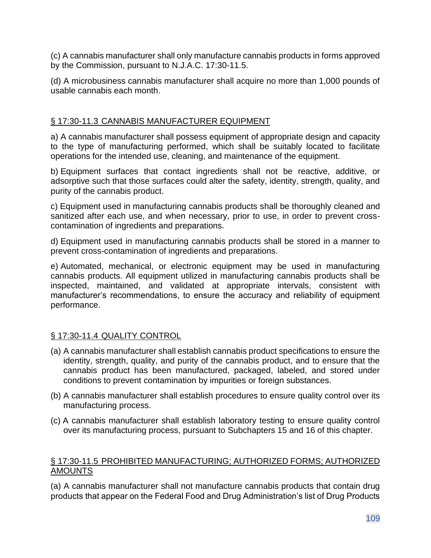(c) A cannabis manufacturer shall only manufacture cannabis products in forms approved by the Commission, pursuant to N.J.A.C. 17:30-11.5.

(d) A microbusiness cannabis manufacturer shall acquire no more than 1,000 pounds of usable cannabis each month.

# § 17:30-11.3 CANNABIS MANUFACTURER EQUIPMENT

a) A cannabis manufacturer shall possess equipment of appropriate design and capacity to the type of manufacturing performed, which shall be suitably located to facilitate operations for the intended use, cleaning, and maintenance of the equipment.

b) Equipment surfaces that contact ingredients shall not be reactive, additive, or adsorptive such that those surfaces could alter the safety, identity, strength, quality, and purity of the cannabis product.

c) Equipment used in manufacturing cannabis products shall be thoroughly cleaned and sanitized after each use, and when necessary, prior to use, in order to prevent crosscontamination of ingredients and preparations.

d) Equipment used in manufacturing cannabis products shall be stored in a manner to prevent cross-contamination of ingredients and preparations.

e) Automated, mechanical, or electronic equipment may be used in manufacturing cannabis products. All equipment utilized in manufacturing cannabis products shall be inspected, maintained, and validated at appropriate intervals, consistent with manufacturer's recommendations, to ensure the accuracy and reliability of equipment performance.

# § 17:30-11.4 QUALITY CONTROL

- (a) A cannabis manufacturer shall establish cannabis product specifications to ensure the identity, strength, quality, and purity of the cannabis product, and to ensure that the cannabis product has been manufactured, packaged, labeled, and stored under conditions to prevent contamination by impurities or foreign substances.
- (b) A cannabis manufacturer shall establish procedures to ensure quality control over its manufacturing process.
- (c) A cannabis manufacturer shall establish laboratory testing to ensure quality control over its manufacturing process, pursuant to Subchapters 15 and 16 of this chapter.

### § 17:30-11.5 PROHIBITED MANUFACTURING; AUTHORIZED FORMS; AUTHORIZED AMOUNTS

(a) A cannabis manufacturer shall not manufacture cannabis products that contain drug products that appear on the Federal Food and Drug Administration's list of Drug Products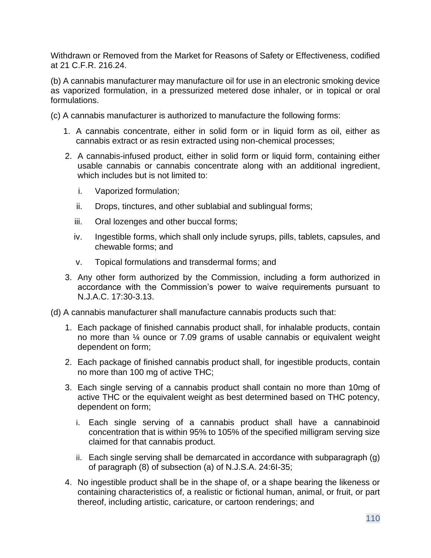Withdrawn or Removed from the Market for Reasons of Safety or Effectiveness, codified at 21 C.F.R. 216.24.

(b) A cannabis manufacturer may manufacture oil for use in an electronic smoking device as vaporized formulation, in a pressurized metered dose inhaler, or in topical or oral formulations.

(c) A cannabis manufacturer is authorized to manufacture the following forms:

- 1. A cannabis concentrate, either in solid form or in liquid form as oil, either as cannabis extract or as resin extracted using non-chemical processes;
- 2. A cannabis-infused product, either in solid form or liquid form, containing either usable cannabis or cannabis concentrate along with an additional ingredient, which includes but is not limited to:
	- i. Vaporized formulation;
	- ii. Drops, tinctures, and other sublabial and sublingual forms;
	- iii. Oral lozenges and other buccal forms;
	- iv. Ingestible forms, which shall only include syrups, pills, tablets, capsules, and chewable forms; and
	- v. Topical formulations and transdermal forms; and
- 3. Any other form authorized by the Commission, including a form authorized in accordance with the Commission's power to waive requirements pursuant to N.J.A.C. 17:30-3.13.
- (d) A cannabis manufacturer shall manufacture cannabis products such that:
	- 1. Each package of finished cannabis product shall, for inhalable products, contain no more than ¼ ounce or 7.09 grams of usable cannabis or equivalent weight dependent on form;
	- 2. Each package of finished cannabis product shall, for ingestible products, contain no more than 100 mg of active THC;
	- 3. Each single serving of a cannabis product shall contain no more than 10mg of active THC or the equivalent weight as best determined based on THC potency, dependent on form;
		- i. Each single serving of a cannabis product shall have a cannabinoid concentration that is within 95% to 105% of the specified milligram serving size claimed for that cannabis product.
		- ii. Each single serving shall be demarcated in accordance with subparagraph (g) of paragraph (8) of subsection (a) of N.J.S.A. 24:6I-35;
	- 4. No ingestible product shall be in the shape of, or a shape bearing the likeness or containing characteristics of, a realistic or fictional human, animal, or fruit, or part thereof, including artistic, caricature, or cartoon renderings; and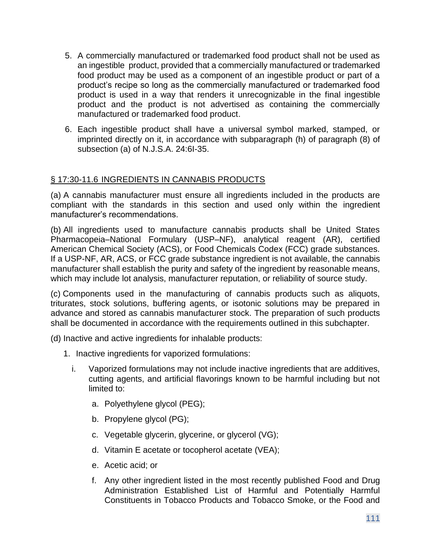- 5. A commercially manufactured or trademarked food product shall not be used as an ingestible product, provided that a commercially manufactured or trademarked food product may be used as a component of an ingestible product or part of a product's recipe so long as the commercially manufactured or trademarked food product is used in a way that renders it unrecognizable in the final ingestible product and the product is not advertised as containing the commercially manufactured or trademarked food product.
- 6. Each ingestible product shall have a universal symbol marked, stamped, or imprinted directly on it, in accordance with subparagraph (h) of paragraph (8) of subsection (a) of N.J.S.A. 24:6I-35.

### § 17:30-11.6 INGREDIENTS IN CANNABIS PRODUCTS

(a) A cannabis manufacturer must ensure all ingredients included in the products are compliant with the standards in this section and used only within the ingredient manufacturer's recommendations.

(b) All ingredients used to manufacture cannabis products shall be United States Pharmacopeia–National Formulary (USP–NF), analytical reagent (AR), certified American Chemical Society (ACS), or Food Chemicals Codex (FCC) grade substances. If a USP-NF, AR, ACS, or FCC grade substance ingredient is not available, the cannabis manufacturer shall establish the purity and safety of the ingredient by reasonable means, which may include lot analysis, manufacturer reputation, or reliability of source study.

(c) Components used in the manufacturing of cannabis products such as aliquots, triturates, stock solutions, buffering agents, or isotonic solutions may be prepared in advance and stored as cannabis manufacturer stock. The preparation of such products shall be documented in accordance with the requirements outlined in this subchapter.

(d) Inactive and active ingredients for inhalable products:

- 1. Inactive ingredients for vaporized formulations:
	- i. Vaporized formulations may not include inactive ingredients that are additives, cutting agents, and artificial flavorings known to be harmful including but not limited to:
		- a. Polyethylene glycol (PEG);
		- b. Propylene glycol (PG);
		- c. Vegetable glycerin, glycerine, or glycerol (VG);
		- d. Vitamin E acetate or tocopherol acetate (VEA);
		- e. Acetic acid; or
		- f. Any other ingredient listed in the most recently published Food and Drug Administration Established List of Harmful and Potentially Harmful Constituents in Tobacco Products and Tobacco Smoke, or the Food and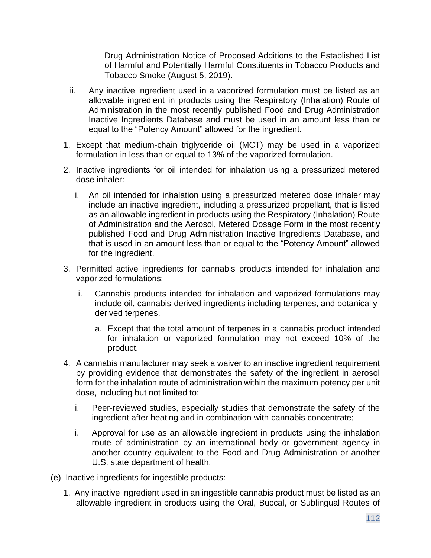Drug Administration Notice of Proposed Additions to the Established List of Harmful and Potentially Harmful Constituents in Tobacco Products and Tobacco Smoke (August 5, 2019).

- ii. Any inactive ingredient used in a vaporized formulation must be listed as an allowable ingredient in products using the Respiratory (Inhalation) Route of Administration in the most recently published Food and Drug Administration Inactive Ingredients Database and must be used in an amount less than or equal to the "Potency Amount" allowed for the ingredient.
- 1. Except that medium-chain triglyceride oil (MCT) may be used in a vaporized formulation in less than or equal to 13% of the vaporized formulation.
- 2. Inactive ingredients for oil intended for inhalation using a pressurized metered dose inhaler:
	- i. An oil intended for inhalation using a pressurized metered dose inhaler may include an inactive ingredient, including a pressurized propellant, that is listed as an allowable ingredient in products using the Respiratory (Inhalation) Route of Administration and the Aerosol, Metered Dosage Form in the most recently published Food and Drug Administration Inactive Ingredients Database, and that is used in an amount less than or equal to the "Potency Amount" allowed for the ingredient.
- 3. Permitted active ingredients for cannabis products intended for inhalation and vaporized formulations:
	- i. Cannabis products intended for inhalation and vaporized formulations may include oil, cannabis-derived ingredients including terpenes, and botanicallyderived terpenes.
		- a. Except that the total amount of terpenes in a cannabis product intended for inhalation or vaporized formulation may not exceed 10% of the product.
- 4. A cannabis manufacturer may seek a waiver to an inactive ingredient requirement by providing evidence that demonstrates the safety of the ingredient in aerosol form for the inhalation route of administration within the maximum potency per unit dose, including but not limited to:
	- i. Peer-reviewed studies, especially studies that demonstrate the safety of the ingredient after heating and in combination with cannabis concentrate;
	- ii. Approval for use as an allowable ingredient in products using the inhalation route of administration by an international body or government agency in another country equivalent to the Food and Drug Administration or another U.S. state department of health.
- (e) Inactive ingredients for ingestible products:
	- 1. Any inactive ingredient used in an ingestible cannabis product must be listed as an allowable ingredient in products using the Oral, Buccal, or Sublingual Routes of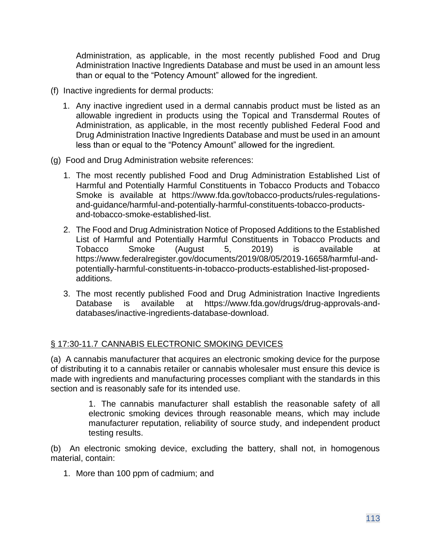Administration, as applicable, in the most recently published Food and Drug Administration Inactive Ingredients Database and must be used in an amount less than or equal to the "Potency Amount" allowed for the ingredient.

- (f) Inactive ingredients for dermal products:
	- 1. Any inactive ingredient used in a dermal cannabis product must be listed as an allowable ingredient in products using the Topical and Transdermal Routes of Administration, as applicable, in the most recently published Federal Food and Drug Administration Inactive Ingredients Database and must be used in an amount less than or equal to the "Potency Amount" allowed for the ingredient.
- (g) Food and Drug Administration website references:
	- 1. The most recently published Food and Drug Administration Established List of Harmful and Potentially Harmful Constituents in Tobacco Products and Tobacco Smoke is available at https://www.fda.gov/tobacco-products/rules-regulationsand-guidance/harmful-and-potentially-harmful-constituents-tobacco-productsand-tobacco-smoke-established-list.
	- 2. The Food and Drug Administration Notice of Proposed Additions to the Established List of Harmful and Potentially Harmful Constituents in Tobacco Products and Tobacco Smoke (August 5, 2019) is available at https://www.federalregister.gov/documents/2019/08/05/2019-16658/harmful-andpotentially-harmful-constituents-in-tobacco-products-established-list-proposedadditions.
	- 3. The most recently published Food and Drug Administration Inactive Ingredients Database is available at https://www.fda.gov/drugs/drug-approvals-anddatabases/inactive-ingredients-database-download.

# § 17:30-11.7 CANNABIS ELECTRONIC SMOKING DEVICES

(a) A cannabis manufacturer that acquires an electronic smoking device for the purpose of distributing it to a cannabis retailer or cannabis wholesaler must ensure this device is made with ingredients and manufacturing processes compliant with the standards in this section and is reasonably safe for its intended use.

> 1. The cannabis manufacturer shall establish the reasonable safety of all electronic smoking devices through reasonable means, which may include manufacturer reputation, reliability of source study, and independent product testing results.

(b) An electronic smoking device, excluding the battery, shall not, in homogenous material, contain:

1. More than 100 ppm of cadmium; and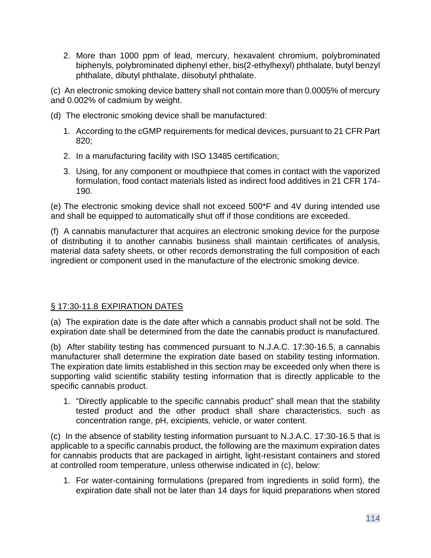2. More than 1000 ppm of lead, mercury, hexavalent chromium, polybrominated biphenyls, polybrominated diphenyl ether, bis(2-ethylhexyl) phthalate, butyl benzyl phthalate, dibutyl phthalate, diisobutyl phthalate.

(c) An electronic smoking device battery shall not contain more than 0.0005% of mercury and 0.002% of cadmium by weight.

- (d) The electronic smoking device shall be manufactured:
	- 1. According to the cGMP requirements for medical devices, pursuant to 21 CFR Part 820;
	- 2. In a manufacturing facility with ISO 13485 certification;
	- 3. Using, for any component or mouthpiece that comes in contact with the vaporized formulation, food contact materials listed as indirect food additives in 21 CFR 174- 190.

(e) The electronic smoking device shall not exceed 500\*F and 4V during intended use and shall be equipped to automatically shut off if those conditions are exceeded.

(f) A cannabis manufacturer that acquires an electronic smoking device for the purpose of distributing it to another cannabis business shall maintain certificates of analysis, material data safety sheets, or other records demonstrating the full composition of each ingredient or component used in the manufacture of the electronic smoking device.

# § 17:30-11.8 EXPIRATION DATES

(a) The expiration date is the date after which a cannabis product shall not be sold. The expiration date shall be determined from the date the cannabis product is manufactured.

(b) After stability testing has commenced pursuant to N.J.A.C. 17:30-16.5, a cannabis manufacturer shall determine the expiration date based on stability testing information. The expiration date limits established in this section may be exceeded only when there is supporting valid scientific stability testing information that is directly applicable to the specific cannabis product.

1. "Directly applicable to the specific cannabis product" shall mean that the stability tested product and the other product shall share characteristics, such as concentration range, pH, excipients, vehicle, or water content.

(c) In the absence of stability testing information pursuant to N.J.A.C. 17:30-16.5 that is applicable to a specific cannabis product, the following are the maximum expiration dates for cannabis products that are packaged in airtight, light-resistant containers and stored at controlled room temperature, unless otherwise indicated in (c), below:

1. For water-containing formulations (prepared from ingredients in solid form), the expiration date shall not be later than 14 days for liquid preparations when stored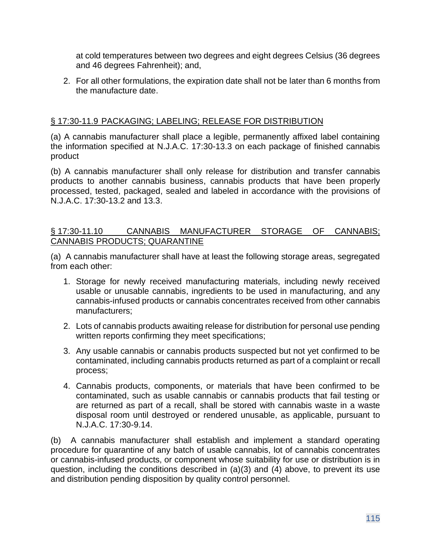at cold temperatures between two degrees and eight degrees Celsius (36 degrees and 46 degrees Fahrenheit); and,

2. For all other formulations, the expiration date shall not be later than 6 months from the manufacture date.

### § 17:30-11.9 PACKAGING; LABELING; RELEASE FOR DISTRIBUTION

(a) A cannabis manufacturer shall place a legible, permanently affixed label containing the information specified at N.J.A.C. 17:30-13.3 on each package of finished cannabis product

(b) A cannabis manufacturer shall only release for distribution and transfer cannabis products to another cannabis business, cannabis products that have been properly processed, tested, packaged, sealed and labeled in accordance with the provisions of N.J.A.C. 17:30-13.2 and 13.3.

### § 17:30-11.10 CANNABIS MANUFACTURER STORAGE OF CANNABIS; CANNABIS PRODUCTS; QUARANTINE

(a) A cannabis manufacturer shall have at least the following storage areas, segregated from each other:

- 1. Storage for newly received manufacturing materials, including newly received usable or unusable cannabis, ingredients to be used in manufacturing, and any cannabis-infused products or cannabis concentrates received from other cannabis manufacturers;
- 2. Lots of cannabis products awaiting release for distribution for personal use pending written reports confirming they meet specifications;
- 3. Any usable cannabis or cannabis products suspected but not yet confirmed to be contaminated, including cannabis products returned as part of a complaint or recall process;
- 4. Cannabis products, components, or materials that have been confirmed to be contaminated, such as usable cannabis or cannabis products that fail testing or are returned as part of a recall, shall be stored with cannabis waste in a waste disposal room until destroyed or rendered unusable, as applicable, pursuant to N.J.A.C. 17:30-9.14.

(b) A cannabis manufacturer shall establish and implement a standard operating procedure for quarantine of any batch of usable cannabis, lot of cannabis concentrates or cannabis-infused products, or component whose suitability for use or distribution is in question, including the conditions described in (a)(3) and (4) above, to prevent its use and distribution pending disposition by quality control personnel.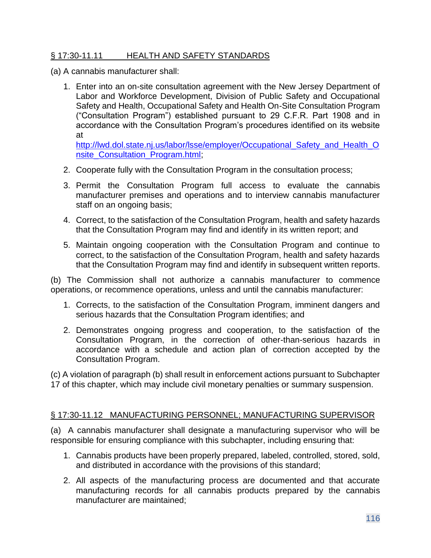### § 17:30-11.11 HEALTH AND SAFETY STANDARDS

- (a) A cannabis manufacturer shall:
	- 1. Enter into an on-site consultation agreement with the New Jersey Department of Labor and Workforce Development, Division of Public Safety and Occupational Safety and Health, Occupational Safety and Health On-Site Consultation Program ("Consultation Program") established pursuant to 29 C.F.R. Part 1908 and in accordance with the Consultation Program's procedures identified on its website at

[http://lwd.dol.state.nj.us/labor/lsse/employer/Occupational\\_Safety\\_and\\_Health\\_O](http://lwd.dol.state.nj.us/labor/lsse/employer/Occupational_Safety_and_Health_O%20nsite_Consultation_Program.html)  [nsite\\_Consultation\\_Program.html;](http://lwd.dol.state.nj.us/labor/lsse/employer/Occupational_Safety_and_Health_O%20nsite_Consultation_Program.html)

- 2. Cooperate fully with the Consultation Program in the consultation process;
- 3. Permit the Consultation Program full access to evaluate the cannabis manufacturer premises and operations and to interview cannabis manufacturer staff on an ongoing basis;
- 4. Correct, to the satisfaction of the Consultation Program, health and safety hazards that the Consultation Program may find and identify in its written report; and
- 5. Maintain ongoing cooperation with the Consultation Program and continue to correct, to the satisfaction of the Consultation Program, health and safety hazards that the Consultation Program may find and identify in subsequent written reports.

(b) The Commission shall not authorize a cannabis manufacturer to commence operations, or recommence operations, unless and until the cannabis manufacturer:

- 1. Corrects, to the satisfaction of the Consultation Program, imminent dangers and serious hazards that the Consultation Program identifies; and
- 2. Demonstrates ongoing progress and cooperation, to the satisfaction of the Consultation Program, in the correction of other-than-serious hazards in accordance with a schedule and action plan of correction accepted by the Consultation Program.

(c) A violation of paragraph (b) shall result in enforcement actions pursuant to Subchapter 17 of this chapter, which may include civil monetary penalties or summary suspension.

#### § 17:30-11.12 MANUFACTURING PERSONNEL; MANUFACTURING SUPERVISOR

(a) A cannabis manufacturer shall designate a manufacturing supervisor who will be responsible for ensuring compliance with this subchapter, including ensuring that:

- 1. Cannabis products have been properly prepared, labeled, controlled, stored, sold, and distributed in accordance with the provisions of this standard;
- 2. All aspects of the manufacturing process are documented and that accurate manufacturing records for all cannabis products prepared by the cannabis manufacturer are maintained;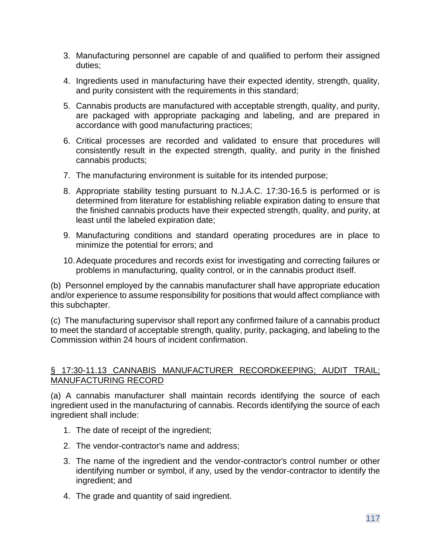- 3. Manufacturing personnel are capable of and qualified to perform their assigned duties;
- 4. Ingredients used in manufacturing have their expected identity, strength, quality, and purity consistent with the requirements in this standard;
- 5. Cannabis products are manufactured with acceptable strength, quality, and purity, are packaged with appropriate packaging and labeling, and are prepared in accordance with good manufacturing practices;
- 6. Critical processes are recorded and validated to ensure that procedures will consistently result in the expected strength, quality, and purity in the finished cannabis products;
- 7. The manufacturing environment is suitable for its intended purpose;
- 8. Appropriate stability testing pursuant to N.J.A.C. 17:30-16.5 is performed or is determined from literature for establishing reliable expiration dating to ensure that the finished cannabis products have their expected strength, quality, and purity, at least until the labeled expiration date;
- 9. Manufacturing conditions and standard operating procedures are in place to minimize the potential for errors; and
- 10.Adequate procedures and records exist for investigating and correcting failures or problems in manufacturing, quality control, or in the cannabis product itself.

(b) Personnel employed by the cannabis manufacturer shall have appropriate education and/or experience to assume responsibility for positions that would affect compliance with this subchapter.

(c) The manufacturing supervisor shall report any confirmed failure of a cannabis product to meet the standard of acceptable strength, quality, purity, packaging, and labeling to the Commission within 24 hours of incident confirmation.

### § 17:30-11.13 CANNABIS MANUFACTURER RECORDKEEPING; AUDIT TRAIL; MANUFACTURING RECORD

(a) A cannabis manufacturer shall maintain records identifying the source of each ingredient used in the manufacturing of cannabis. Records identifying the source of each ingredient shall include:

- 1. The date of receipt of the ingredient;
- 2. The vendor-contractor's name and address;
- 3. The name of the ingredient and the vendor-contractor's control number or other identifying number or symbol, if any, used by the vendor-contractor to identify the ingredient; and
- 4. The grade and quantity of said ingredient.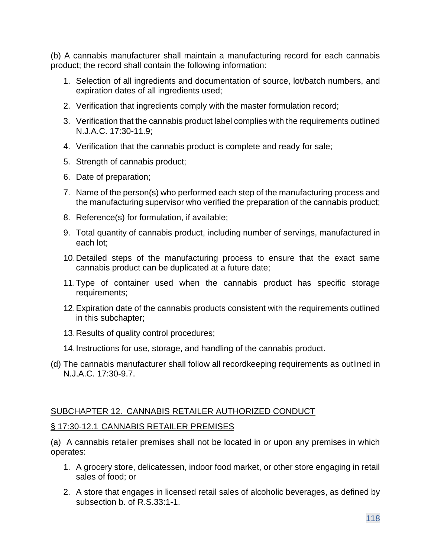(b) A cannabis manufacturer shall maintain a manufacturing record for each cannabis product; the record shall contain the following information:

- 1. Selection of all ingredients and documentation of source, lot/batch numbers, and expiration dates of all ingredients used;
- 2. Verification that ingredients comply with the master formulation record;
- 3. Verification that the cannabis product label complies with the requirements outlined N.J.A.C. 17:30-11.9;
- 4. Verification that the cannabis product is complete and ready for sale;
- 5. Strength of cannabis product;
- 6. Date of preparation;
- 7. Name of the person(s) who performed each step of the manufacturing process and the manufacturing supervisor who verified the preparation of the cannabis product;
- 8. Reference(s) for formulation, if available;
- 9. Total quantity of cannabis product, including number of servings, manufactured in each lot;
- 10.Detailed steps of the manufacturing process to ensure that the exact same cannabis product can be duplicated at a future date;
- 11.Type of container used when the cannabis product has specific storage requirements;
- 12.Expiration date of the cannabis products consistent with the requirements outlined in this subchapter;
- 13.Results of quality control procedures;
- 14.Instructions for use, storage, and handling of the cannabis product.
- (d) The cannabis manufacturer shall follow all recordkeeping requirements as outlined in N.J.A.C. 17:30-9.7.

#### SUBCHAPTER 12. CANNABIS RETAILER AUTHORIZED CONDUCT

#### § 17:30-12.1 CANNABIS RETAILER PREMISES

(a) A cannabis retailer premises shall not be located in or upon any premises in which operates:

- 1. A grocery store, delicatessen, indoor food market, or other store engaging in retail sales of food; or
- 2. A store that engages in licensed retail sales of alcoholic beverages, as defined by subsection b. of R.S.33:1-1.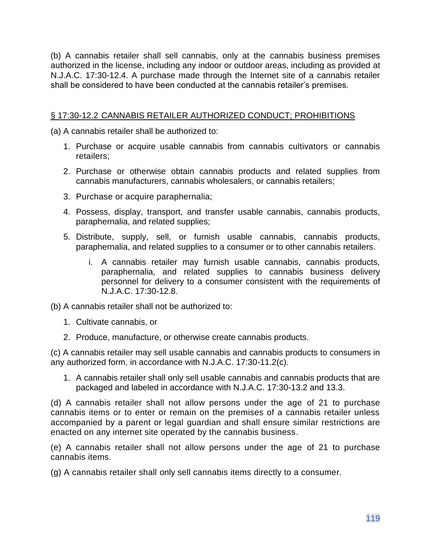(b) A cannabis retailer shall sell cannabis, only at the cannabis business premises authorized in the license, including any indoor or outdoor areas, including as provided at N.J.A.C. 17:30-12.4. A purchase made through the Internet site of a cannabis retailer shall be considered to have been conducted at the cannabis retailer's premises.

### § 17:30-12.2 CANNABIS RETAILER AUTHORIZED CONDUCT; PROHIBITIONS

(a) A cannabis retailer shall be authorized to:

- 1. Purchase or acquire usable cannabis from cannabis cultivators or cannabis retailers;
- 2. Purchase or otherwise obtain cannabis products and related supplies from cannabis manufacturers, cannabis wholesalers, or cannabis retailers;
- 3. Purchase or acquire paraphernalia;
- 4. Possess, display, transport, and transfer usable cannabis, cannabis products, paraphernalia, and related supplies;
- 5. Distribute, supply, sell, or furnish usable cannabis, cannabis products, paraphernalia, and related supplies to a consumer or to other cannabis retailers.
	- i. A cannabis retailer may furnish usable cannabis, cannabis products, paraphernalia, and related supplies to cannabis business delivery personnel for delivery to a consumer consistent with the requirements of N.J.A.C. 17:30-12.8.

(b) A cannabis retailer shall not be authorized to:

- 1. Cultivate cannabis, or
- 2. Produce, manufacture, or otherwise create cannabis products.

(c) A cannabis retailer may sell usable cannabis and cannabis products to consumers in any authorized form, in accordance with N.J.A.C. 17:30-11.2(c).

1. A cannabis retailer shall only sell usable cannabis and cannabis products that are packaged and labeled in accordance with N.J.A.C. 17:30-13.2 and 13.3.

(d) A cannabis retailer shall not allow persons under the age of 21 to purchase cannabis items or to enter or remain on the premises of a cannabis retailer unless accompanied by a parent or legal guardian and shall ensure similar restrictions are enacted on any internet site operated by the cannabis business.

(e) A cannabis retailer shall not allow persons under the age of 21 to purchase cannabis items.

(g) A cannabis retailer shall only sell cannabis items directly to a consumer.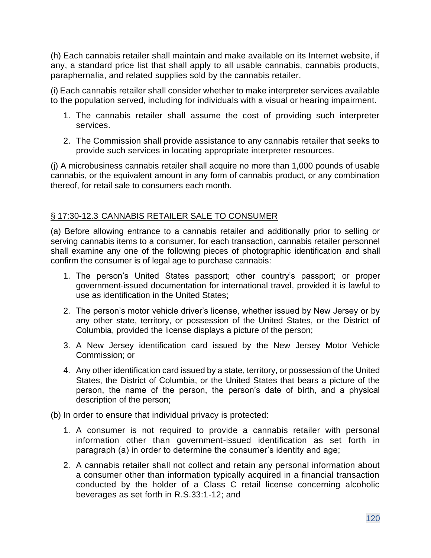(h) Each cannabis retailer shall maintain and make available on its Internet website, if any, a standard price list that shall apply to all usable cannabis, cannabis products, paraphernalia, and related supplies sold by the cannabis retailer.

(i) Each cannabis retailer shall consider whether to make interpreter services available to the population served, including for individuals with a visual or hearing impairment.

- 1. The cannabis retailer shall assume the cost of providing such interpreter services.
- 2. The Commission shall provide assistance to any cannabis retailer that seeks to provide such services in locating appropriate interpreter resources.

(j) A microbusiness cannabis retailer shall acquire no more than 1,000 pounds of usable cannabis, or the equivalent amount in any form of cannabis product, or any combination thereof, for retail sale to consumers each month.

### § 17:30-12.3 CANNABIS RETAILER SALE TO CONSUMER

(a) Before allowing entrance to a cannabis retailer and additionally prior to selling or serving cannabis items to a consumer, for each transaction, cannabis retailer personnel shall examine any one of the following pieces of photographic identification and shall confirm the consumer is of legal age to purchase cannabis:

- 1. The person's United States passport; other country's passport; or proper government-issued documentation for international travel, provided it is lawful to use as identification in the United States;
- 2. The person's motor vehicle driver's license, whether issued by New Jersey or by any other state, territory, or possession of the United States, or the District of Columbia, provided the license displays a picture of the person;
- 3. A New Jersey identification card issued by the New Jersey Motor Vehicle Commission; or
- 4. Any other identification card issued by a state, territory, or possession of the United States, the District of Columbia, or the United States that bears a picture of the person, the name of the person, the person's date of birth, and a physical description of the person;

(b) In order to ensure that individual privacy is protected:

- 1. A consumer is not required to provide a cannabis retailer with personal information other than government-issued identification as set forth in paragraph (a) in order to determine the consumer's identity and age;
- 2. A cannabis retailer shall not collect and retain any personal information about a consumer other than information typically acquired in a financial transaction conducted by the holder of a Class C retail license concerning alcoholic beverages as set forth in R.S.33:1-12; and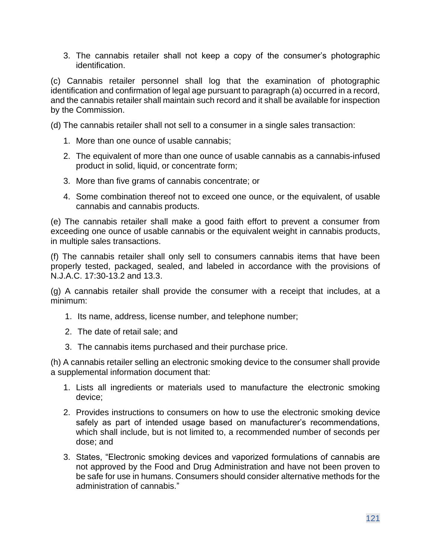3. The cannabis retailer shall not keep a copy of the consumer's photographic identification.

(c) Cannabis retailer personnel shall log that the examination of photographic identification and confirmation of legal age pursuant to paragraph (a) occurred in a record, and the cannabis retailer shall maintain such record and it shall be available for inspection by the Commission.

(d) The cannabis retailer shall not sell to a consumer in a single sales transaction:

- 1. More than one ounce of usable cannabis;
- 2. The equivalent of more than one ounce of usable cannabis as a cannabis-infused product in solid, liquid, or concentrate form;
- 3. More than five grams of cannabis concentrate; or
- 4. Some combination thereof not to exceed one ounce, or the equivalent, of usable cannabis and cannabis products.

(e) The cannabis retailer shall make a good faith effort to prevent a consumer from exceeding one ounce of usable cannabis or the equivalent weight in cannabis products, in multiple sales transactions.

(f) The cannabis retailer shall only sell to consumers cannabis items that have been properly tested, packaged, sealed, and labeled in accordance with the provisions of N.J.A.C. 17:30-13.2 and 13.3.

(g) A cannabis retailer shall provide the consumer with a receipt that includes, at a minimum:

- 1. Its name, address, license number, and telephone number;
- 2. The date of retail sale; and
- 3. The cannabis items purchased and their purchase price.

(h) A cannabis retailer selling an electronic smoking device to the consumer shall provide a supplemental information document that:

- 1. Lists all ingredients or materials used to manufacture the electronic smoking device;
- 2. Provides instructions to consumers on how to use the electronic smoking device safely as part of intended usage based on manufacturer's recommendations, which shall include, but is not limited to, a recommended number of seconds per dose; and
- 3. States, "Electronic smoking devices and vaporized formulations of cannabis are not approved by the Food and Drug Administration and have not been proven to be safe for use in humans. Consumers should consider alternative methods for the administration of cannabis."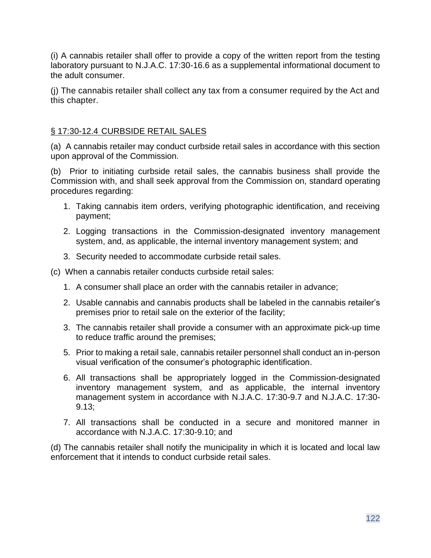(i) A cannabis retailer shall offer to provide a copy of the written report from the testing laboratory pursuant to N.J.A.C. 17:30-16.6 as a supplemental informational document to the adult consumer.

(j) The cannabis retailer shall collect any tax from a consumer required by the Act and this chapter.

# § 17:30-12.4 CURBSIDE RETAIL SALES

(a) A cannabis retailer may conduct curbside retail sales in accordance with this section upon approval of the Commission.

(b) Prior to initiating curbside retail sales, the cannabis business shall provide the Commission with, and shall seek approval from the Commission on, standard operating procedures regarding:

- 1. Taking cannabis item orders, verifying photographic identification, and receiving payment;
- 2. Logging transactions in the Commission-designated inventory management system, and, as applicable, the internal inventory management system; and
- 3. Security needed to accommodate curbside retail sales.

(c) When a cannabis retailer conducts curbside retail sales:

- 1. A consumer shall place an order with the cannabis retailer in advance;
- 2. Usable cannabis and cannabis products shall be labeled in the cannabis retailer's premises prior to retail sale on the exterior of the facility;
- 3. The cannabis retailer shall provide a consumer with an approximate pick-up time to reduce traffic around the premises;
- 5. Prior to making a retail sale, cannabis retailer personnel shall conduct an in-person visual verification of the consumer's photographic identification.
- 6. All transactions shall be appropriately logged in the Commission-designated inventory management system, and as applicable, the internal inventory management system in accordance with N.J.A.C. 17:30-9.7 and N.J.A.C. 17:30- 9.13;
- 7. All transactions shall be conducted in a secure and monitored manner in accordance with N.J.A.C. 17:30-9.10; and

(d) The cannabis retailer shall notify the municipality in which it is located and local law enforcement that it intends to conduct curbside retail sales.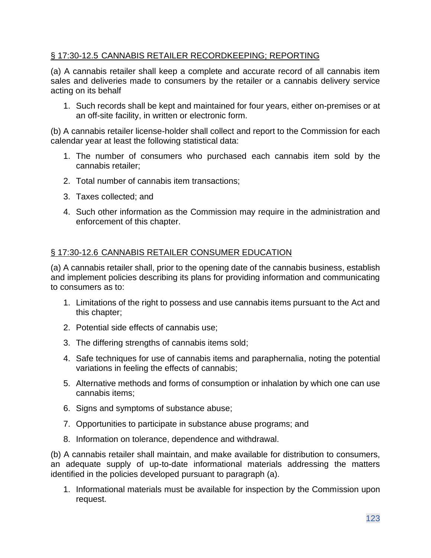### § 17:30-12.5 CANNABIS RETAILER RECORDKEEPING; REPORTING

(a) A cannabis retailer shall keep a complete and accurate record of all cannabis item sales and deliveries made to consumers by the retailer or a cannabis delivery service acting on its behalf

1. Such records shall be kept and maintained for four years, either on-premises or at an off-site facility, in written or electronic form.

(b) A cannabis retailer license-holder shall collect and report to the Commission for each calendar year at least the following statistical data:

- 1. The number of consumers who purchased each cannabis item sold by the cannabis retailer;
- 2. Total number of cannabis item transactions;
- 3. Taxes collected; and
- 4. Such other information as the Commission may require in the administration and enforcement of this chapter.

# § 17:30-12.6 CANNABIS RETAILER CONSUMER EDUCATION

(a) A cannabis retailer shall, prior to the opening date of the cannabis business, establish and implement policies describing its plans for providing information and communicating to consumers as to:

- 1. Limitations of the right to possess and use cannabis items pursuant to the Act and this chapter;
- 2. Potential side effects of cannabis use;
- 3. The differing strengths of cannabis items sold;
- 4. Safe techniques for use of cannabis items and paraphernalia, noting the potential variations in feeling the effects of cannabis;
- 5. Alternative methods and forms of consumption or inhalation by which one can use cannabis items;
- 6. Signs and symptoms of substance abuse;
- 7. Opportunities to participate in substance abuse programs; and
- 8. Information on tolerance, dependence and withdrawal.

(b) A cannabis retailer shall maintain, and make available for distribution to consumers, an adequate supply of up-to-date informational materials addressing the matters identified in the policies developed pursuant to paragraph (a).

1. Informational materials must be available for inspection by the Commission upon request.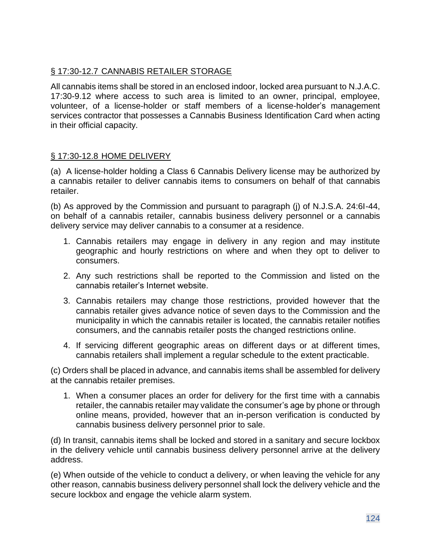# § 17:30-12.7 CANNABIS RETAILER STORAGE

All cannabis items shall be stored in an enclosed indoor, locked area pursuant to N.J.A.C. 17:30-9.12 where access to such area is limited to an owner, principal, employee, volunteer, of a license-holder or staff members of a license-holder's management services contractor that possesses a Cannabis Business Identification Card when acting in their official capacity.

# § 17:30-12.8 HOME DELIVERY

(a) A license-holder holding a Class 6 Cannabis Delivery license may be authorized by a cannabis retailer to deliver cannabis items to consumers on behalf of that cannabis retailer.

(b) As approved by the Commission and pursuant to paragraph (j) of N.J.S.A. 24:6I-44, on behalf of a cannabis retailer, cannabis business delivery personnel or a cannabis delivery service may deliver cannabis to a consumer at a residence.

- 1. Cannabis retailers may engage in delivery in any region and may institute geographic and hourly restrictions on where and when they opt to deliver to consumers.
- 2. Any such restrictions shall be reported to the Commission and listed on the cannabis retailer's Internet website.
- 3. Cannabis retailers may change those restrictions, provided however that the cannabis retailer gives advance notice of seven days to the Commission and the municipality in which the cannabis retailer is located, the cannabis retailer notifies consumers, and the cannabis retailer posts the changed restrictions online.
- 4. If servicing different geographic areas on different days or at different times, cannabis retailers shall implement a regular schedule to the extent practicable.

(c) Orders shall be placed in advance, and cannabis items shall be assembled for delivery at the cannabis retailer premises.

1. When a consumer places an order for delivery for the first time with a cannabis retailer, the cannabis retailer may validate the consumer's age by phone or through online means, provided, however that an in-person verification is conducted by cannabis business delivery personnel prior to sale.

(d) In transit, cannabis items shall be locked and stored in a sanitary and secure lockbox in the delivery vehicle until cannabis business delivery personnel arrive at the delivery address.

(e) When outside of the vehicle to conduct a delivery, or when leaving the vehicle for any other reason, cannabis business delivery personnel shall lock the delivery vehicle and the secure lockbox and engage the vehicle alarm system.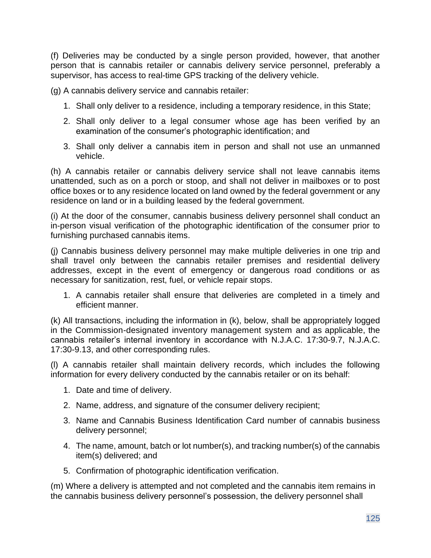(f) Deliveries may be conducted by a single person provided, however, that another person that is cannabis retailer or cannabis delivery service personnel, preferably a supervisor, has access to real-time GPS tracking of the delivery vehicle.

(g) A cannabis delivery service and cannabis retailer:

- 1. Shall only deliver to a residence, including a temporary residence, in this State;
- 2. Shall only deliver to a legal consumer whose age has been verified by an examination of the consumer's photographic identification; and
- 3. Shall only deliver a cannabis item in person and shall not use an unmanned vehicle.

(h) A cannabis retailer or cannabis delivery service shall not leave cannabis items unattended, such as on a porch or stoop, and shall not deliver in mailboxes or to post office boxes or to any residence located on land owned by the federal government or any residence on land or in a building leased by the federal government.

(i) At the door of the consumer, cannabis business delivery personnel shall conduct an in-person visual verification of the photographic identification of the consumer prior to furnishing purchased cannabis items.

(j) Cannabis business delivery personnel may make multiple deliveries in one trip and shall travel only between the cannabis retailer premises and residential delivery addresses, except in the event of emergency or dangerous road conditions or as necessary for sanitization, rest, fuel, or vehicle repair stops.

1. A cannabis retailer shall ensure that deliveries are completed in a timely and efficient manner.

(k) All transactions, including the information in (k), below, shall be appropriately logged in the Commission-designated inventory management system and as applicable, the cannabis retailer's internal inventory in accordance with N.J.A.C. 17:30-9.7, N.J.A.C. 17:30-9.13, and other corresponding rules.

(l) A cannabis retailer shall maintain delivery records, which includes the following information for every delivery conducted by the cannabis retailer or on its behalf:

- 1. Date and time of delivery.
- 2. Name, address, and signature of the consumer delivery recipient;
- 3. Name and Cannabis Business Identification Card number of cannabis business delivery personnel;
- 4. The name, amount, batch or lot number(s), and tracking number(s) of the cannabis item(s) delivered; and
- 5. Confirmation of photographic identification verification.

(m) Where a delivery is attempted and not completed and the cannabis item remains in the cannabis business delivery personnel's possession, the delivery personnel shall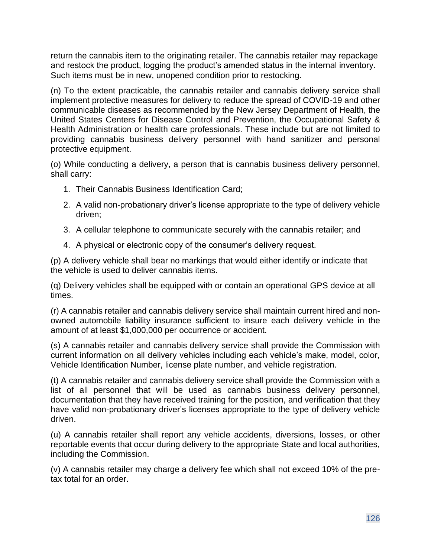return the cannabis item to the originating retailer. The cannabis retailer may repackage and restock the product, logging the product's amended status in the internal inventory. Such items must be in new, unopened condition prior to restocking.

(n) To the extent practicable, the cannabis retailer and cannabis delivery service shall implement protective measures for delivery to reduce the spread of COVID-19 and other communicable diseases as recommended by the New Jersey Department of Health, the United States Centers for Disease Control and Prevention, the Occupational Safety & Health Administration or health care professionals. These include but are not limited to providing cannabis business delivery personnel with hand sanitizer and personal protective equipment.

(o) While conducting a delivery, a person that is cannabis business delivery personnel, shall carry:

- 1. Their Cannabis Business Identification Card;
- 2. A valid non-probationary driver's license appropriate to the type of delivery vehicle driven;
- 3. A cellular telephone to communicate securely with the cannabis retailer; and
- 4. A physical or electronic copy of the consumer's delivery request.

(p) A delivery vehicle shall bear no markings that would either identify or indicate that the vehicle is used to deliver cannabis items.

(q) Delivery vehicles shall be equipped with or contain an operational GPS device at all times.

(r) A cannabis retailer and cannabis delivery service shall maintain current hired and nonowned automobile liability insurance sufficient to insure each delivery vehicle in the amount of at least \$1,000,000 per occurrence or accident.

(s) A cannabis retailer and cannabis delivery service shall provide the Commission with current information on all delivery vehicles including each vehicle's make, model, color, Vehicle Identification Number, license plate number, and vehicle registration.

(t) A cannabis retailer and cannabis delivery service shall provide the Commission with a list of all personnel that will be used as cannabis business delivery personnel, documentation that they have received training for the position, and verification that they have valid non-probationary driver's licenses appropriate to the type of delivery vehicle driven.

(u) A cannabis retailer shall report any vehicle accidents, diversions, losses, or other reportable events that occur during delivery to the appropriate State and local authorities, including the Commission.

(v) A cannabis retailer may charge a delivery fee which shall not exceed 10% of the pretax total for an order.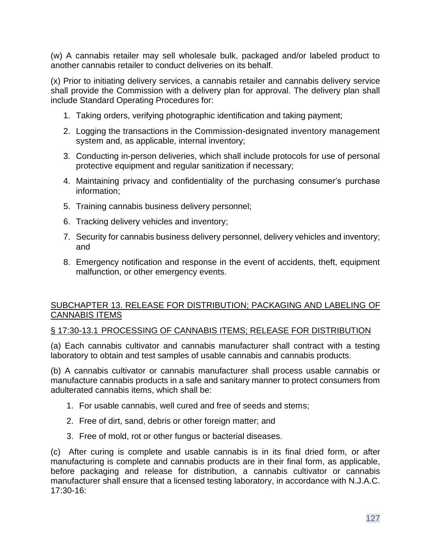(w) A cannabis retailer may sell wholesale bulk, packaged and/or labeled product to another cannabis retailer to conduct deliveries on its behalf.

(x) Prior to initiating delivery services, a cannabis retailer and cannabis delivery service shall provide the Commission with a delivery plan for approval. The delivery plan shall include Standard Operating Procedures for:

- 1. Taking orders, verifying photographic identification and taking payment;
- 2. Logging the transactions in the Commission-designated inventory management system and, as applicable, internal inventory;
- 3. Conducting in-person deliveries, which shall include protocols for use of personal protective equipment and regular sanitization if necessary;
- 4. Maintaining privacy and confidentiality of the purchasing consumer's purchase information;
- 5. Training cannabis business delivery personnel;
- 6. Tracking delivery vehicles and inventory;
- 7. Security for cannabis business delivery personnel, delivery vehicles and inventory; and
- 8. Emergency notification and response in the event of accidents, theft, equipment malfunction, or other emergency events.

### SUBCHAPTER 13. RELEASE FOR DISTRIBUTION; PACKAGING AND LABELING OF CANNABIS ITEMS

#### § 17:30-13.1 PROCESSING OF CANNABIS ITEMS; RELEASE FOR DISTRIBUTION

(a) Each cannabis cultivator and cannabis manufacturer shall contract with a testing laboratory to obtain and test samples of usable cannabis and cannabis products.

(b) A cannabis cultivator or cannabis manufacturer shall process usable cannabis or manufacture cannabis products in a safe and sanitary manner to protect consumers from adulterated cannabis items, which shall be:

- 1. For usable cannabis, well cured and free of seeds and stems;
- 2. Free of dirt, sand, debris or other foreign matter; and
- 3. Free of mold, rot or other fungus or bacterial diseases.

(c) After curing is complete and usable cannabis is in its final dried form, or after manufacturing is complete and cannabis products are in their final form, as applicable, before packaging and release for distribution, a cannabis cultivator or cannabis manufacturer shall ensure that a licensed testing laboratory, in accordance with N.J.A.C. 17:30-16: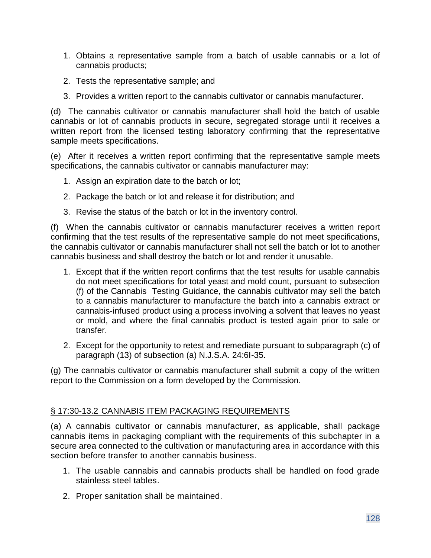- 1. Obtains a representative sample from a batch of usable cannabis or a lot of cannabis products;
- 2. Tests the representative sample; and
- 3. Provides a written report to the cannabis cultivator or cannabis manufacturer.

(d) The cannabis cultivator or cannabis manufacturer shall hold the batch of usable cannabis or lot of cannabis products in secure, segregated storage until it receives a written report from the licensed testing laboratory confirming that the representative sample meets specifications.

(e) After it receives a written report confirming that the representative sample meets specifications, the cannabis cultivator or cannabis manufacturer may:

- 1. Assign an expiration date to the batch or lot;
- 2. Package the batch or lot and release it for distribution; and
- 3. Revise the status of the batch or lot in the inventory control.

(f) When the cannabis cultivator or cannabis manufacturer receives a written report confirming that the test results of the representative sample do not meet specifications, the cannabis cultivator or cannabis manufacturer shall not sell the batch or lot to another cannabis business and shall destroy the batch or lot and render it unusable.

- 1. Except that if the written report confirms that the test results for usable cannabis do not meet specifications for total yeast and mold count, pursuant to subsection (f) of the Cannabis Testing Guidance, the cannabis cultivator may sell the batch to a cannabis manufacturer to manufacture the batch into a cannabis extract or cannabis-infused product using a process involving a solvent that leaves no yeast or mold, and where the final cannabis product is tested again prior to sale or transfer.
- 2. Except for the opportunity to retest and remediate pursuant to subparagraph (c) of paragraph (13) of subsection (a) N.J.S.A. 24:6I-35.

(g) The cannabis cultivator or cannabis manufacturer shall submit a copy of the written report to the Commission on a form developed by the Commission.

#### § 17:30-13.2 CANNABIS ITEM PACKAGING REQUIREMENTS

(a) A cannabis cultivator or cannabis manufacturer, as applicable, shall package cannabis items in packaging compliant with the requirements of this subchapter in a secure area connected to the cultivation or manufacturing area in accordance with this section before transfer to another cannabis business.

- 1. The usable cannabis and cannabis products shall be handled on food grade stainless steel tables.
- 2. Proper sanitation shall be maintained.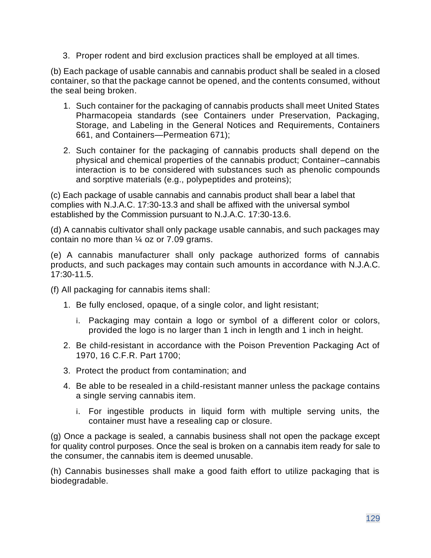3. Proper rodent and bird exclusion practices shall be employed at all times.

(b) Each package of usable cannabis and cannabis product shall be sealed in a closed container, so that the package cannot be opened, and the contents consumed, without the seal being broken.

- 1. Such container for the packaging of cannabis products shall meet United States Pharmacopeia standards (see Containers under Preservation, Packaging, Storage, and Labeling in the General Notices and Requirements, Containers 661, and Containers—Permeation 671);
- 2. Such container for the packaging of cannabis products shall depend on the physical and chemical properties of the cannabis product; Container–cannabis interaction is to be considered with substances such as phenolic compounds and sorptive materials (e.g., polypeptides and proteins);

(c) Each package of usable cannabis and cannabis product shall bear a label that complies with N.J.A.C. 17:30-13.3 and shall be affixed with the universal symbol established by the Commission pursuant to N.J.A.C. 17:30-13.6.

(d) A cannabis cultivator shall only package usable cannabis, and such packages may contain no more than ¼ oz or 7.09 grams.

(e) A cannabis manufacturer shall only package authorized forms of cannabis products, and such packages may contain such amounts in accordance with N.J.A.C. 17:30-11.5.

(f) All packaging for cannabis items shall:

- 1. Be fully enclosed, opaque, of a single color, and light resistant;
	- i. Packaging may contain a logo or symbol of a different color or colors, provided the logo is no larger than 1 inch in length and 1 inch in height.
- 2. Be child-resistant in accordance with the Poison Prevention Packaging Act of 1970, 16 C.F.R. Part 1700;
- 3. Protect the product from contamination; and
- 4. Be able to be resealed in a child-resistant manner unless the package contains a single serving cannabis item.
	- i. For ingestible products in liquid form with multiple serving units, the container must have a resealing cap or closure.

(g) Once a package is sealed, a cannabis business shall not open the package except for quality control purposes. Once the seal is broken on a cannabis item ready for sale to the consumer, the cannabis item is deemed unusable.

(h) Cannabis businesses shall make a good faith effort to utilize packaging that is biodegradable.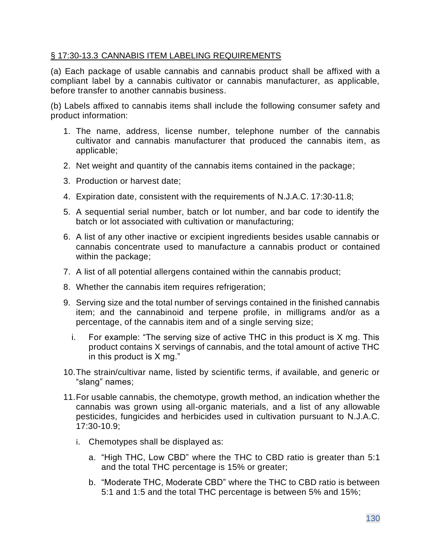### § 17:30-13.3 CANNABIS ITEM LABELING REQUIREMENTS

(a) Each package of usable cannabis and cannabis product shall be affixed with a compliant label by a cannabis cultivator or cannabis manufacturer, as applicable, before transfer to another cannabis business.

(b) Labels affixed to cannabis items shall include the following consumer safety and product information:

- 1. The name, address, license number, telephone number of the cannabis cultivator and cannabis manufacturer that produced the cannabis item, as applicable;
- 2. Net weight and quantity of the cannabis items contained in the package;
- 3. Production or harvest date;
- 4. Expiration date, consistent with the requirements of N.J.A.C. 17:30-11.8;
- 5. A sequential serial number, batch or lot number, and bar code to identify the batch or lot associated with cultivation or manufacturing;
- 6. A list of any other inactive or excipient ingredients besides usable cannabis or cannabis concentrate used to manufacture a cannabis product or contained within the package;
- 7. A list of all potential allergens contained within the cannabis product;
- 8. Whether the cannabis item requires refrigeration;
- 9. Serving size and the total number of servings contained in the finished cannabis item; and the cannabinoid and terpene profile, in milligrams and/or as a percentage, of the cannabis item and of a single serving size;
	- i. For example: "The serving size of active THC in this product is X mg. This product contains X servings of cannabis, and the total amount of active THC in this product is X mg."
- 10.The strain/cultivar name, listed by scientific terms, if available, and generic or "slang" names;
- 11.For usable cannabis, the chemotype, growth method, an indication whether the cannabis was grown using all-organic materials, and a list of any allowable pesticides, fungicides and herbicides used in cultivation pursuant to N.J.A.C. 17:30-10.9;
	- i. Chemotypes shall be displayed as:
		- a. "High THC, Low CBD" where the THC to CBD ratio is greater than 5:1 and the total THC percentage is 15% or greater;
		- b. "Moderate THC, Moderate CBD" where the THC to CBD ratio is between 5:1 and 1:5 and the total THC percentage is between 5% and 15%;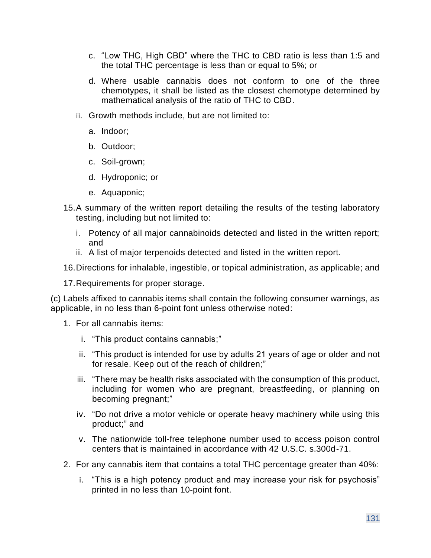- c. "Low THC, High CBD" where the THC to CBD ratio is less than 1:5 and the total THC percentage is less than or equal to 5%; or
- d. Where usable cannabis does not conform to one of the three chemotypes, it shall be listed as the closest chemotype determined by mathematical analysis of the ratio of THC to CBD.
- ii. Growth methods include, but are not limited to:
	- a. Indoor;
	- b. Outdoor;
	- c. Soil-grown;
	- d. Hydroponic; or
	- e. Aquaponic;
- 15.A summary of the written report detailing the results of the testing laboratory testing, including but not limited to:
	- i. Potency of all major cannabinoids detected and listed in the written report; and
	- ii. A list of major terpenoids detected and listed in the written report.
- 16.Directions for inhalable, ingestible, or topical administration, as applicable; and
- 17.Requirements for proper storage.

(c) Labels affixed to cannabis items shall contain the following consumer warnings, as applicable, in no less than 6-point font unless otherwise noted:

- 1. For all cannabis items:
	- i. "This product contains cannabis;"
	- ii. "This product is intended for use by adults 21 years of age or older and not for resale. Keep out of the reach of children;"
	- iii. "There may be health risks associated with the consumption of this product, including for women who are pregnant, breastfeeding, or planning on becoming pregnant;"
	- iv. "Do not drive a motor vehicle or operate heavy machinery while using this product;" and
	- v. The nationwide toll-free telephone number used to access poison control centers that is maintained in accordance with 42 U.S.C. s.300d-71.
- 2. For any cannabis item that contains a total THC percentage greater than 40%:
	- i. "This is a high potency product and may increase your risk for psychosis" printed in no less than 10-point font.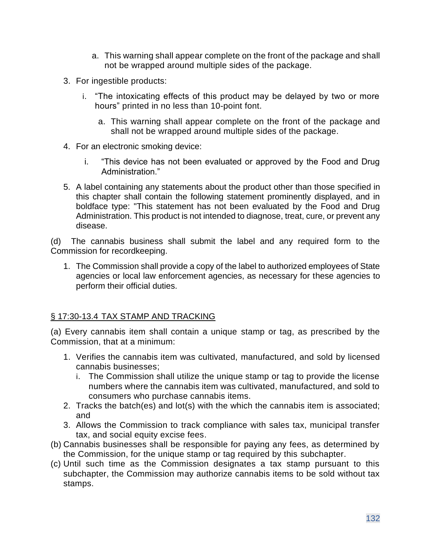- a. This warning shall appear complete on the front of the package and shall not be wrapped around multiple sides of the package.
- 3. For ingestible products:
	- i. "The intoxicating effects of this product may be delayed by two or more hours" printed in no less than 10-point font.
		- a. This warning shall appear complete on the front of the package and shall not be wrapped around multiple sides of the package.
- 4. For an electronic smoking device:
	- i. "This device has not been evaluated or approved by the Food and Drug Administration."
- 5. A label containing any statements about the product other than those specified in this chapter shall contain the following statement prominently displayed, and in boldface type: "This statement has not been evaluated by the Food and Drug Administration. This product is not intended to diagnose, treat, cure, or prevent any disease.

(d) The cannabis business shall submit the label and any required form to the Commission for recordkeeping.

1. The Commission shall provide a copy of the label to authorized employees of State agencies or local law enforcement agencies, as necessary for these agencies to perform their official duties.

# § 17:30-13.4 TAX STAMP AND TRACKING

(a) Every cannabis item shall contain a unique stamp or tag, as prescribed by the Commission, that at a minimum:

- 1. Verifies the cannabis item was cultivated, manufactured, and sold by licensed cannabis businesses;
	- i. The Commission shall utilize the unique stamp or tag to provide the license numbers where the cannabis item was cultivated, manufactured, and sold to consumers who purchase cannabis items.
- 2. Tracks the batch(es) and lot(s) with the which the cannabis item is associated; and
- 3. Allows the Commission to track compliance with sales tax, municipal transfer tax, and social equity excise fees.
- (b) Cannabis businesses shall be responsible for paying any fees, as determined by the Commission, for the unique stamp or tag required by this subchapter.
- (c) Until such time as the Commission designates a tax stamp pursuant to this subchapter, the Commission may authorize cannabis items to be sold without tax stamps.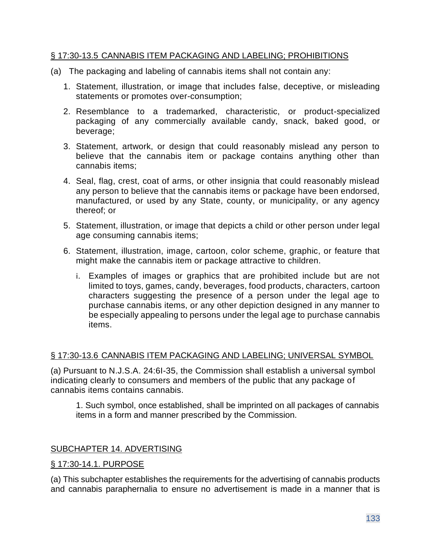#### § 17:30-13.5 CANNABIS ITEM PACKAGING AND LABELING; PROHIBITIONS

- (a) The packaging and labeling of cannabis items shall not contain any:
	- 1. Statement, illustration, or image that includes false, deceptive, or misleading statements or promotes over-consumption;
	- 2. Resemblance to a trademarked, characteristic, or product-specialized packaging of any commercially available candy, snack, baked good, or beverage;
	- 3. Statement, artwork, or design that could reasonably mislead any person to believe that the cannabis item or package contains anything other than cannabis items;
	- 4. Seal, flag, crest, coat of arms, or other insignia that could reasonably mislead any person to believe that the cannabis items or package have been endorsed, manufactured, or used by any State, county, or municipality, or any agency thereof; or
	- 5. Statement, illustration, or image that depicts a child or other person under legal age consuming cannabis items;
	- 6. Statement, illustration, image, cartoon, color scheme, graphic, or feature that might make the cannabis item or package attractive to children.
		- i. Examples of images or graphics that are prohibited include but are not limited to toys, games, candy, beverages, food products, characters, cartoon characters suggesting the presence of a person under the legal age to purchase cannabis items, or any other depiction designed in any manner to be especially appealing to persons under the legal age to purchase cannabis items.

# § 17:30-13.6 CANNABIS ITEM PACKAGING AND LABELING; UNIVERSAL SYMBOL

(a) Pursuant to N.J.S.A. 24:6I-35, the Commission shall establish a universal symbol indicating clearly to consumers and members of the public that any package of cannabis items contains cannabis.

1. Such symbol, once established, shall be imprinted on all packages of cannabis items in a form and manner prescribed by the Commission.

# SUBCHAPTER 14. ADVERTISING

#### § 17:30-14.1. PURPOSE

(a) This subchapter establishes the requirements for the advertising of cannabis products and cannabis paraphernalia to ensure no advertisement is made in a manner that is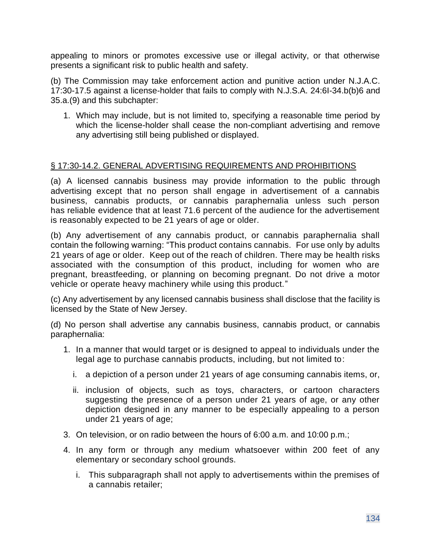appealing to minors or promotes excessive use or illegal activity, or that otherwise presents a significant risk to public health and safety.

(b) The Commission may take enforcement action and punitive action under N.J.A.C. 17:30-17.5 against a license-holder that fails to comply with N.J.S.A. 24:6I-34.b(b)6 and 35.a.(9) and this subchapter:

1. Which may include, but is not limited to, specifying a reasonable time period by which the license-holder shall cease the non-compliant advertising and remove any advertising still being published or displayed.

# § 17:30-14.2. GENERAL ADVERTISING REQUIREMENTS AND PROHIBITIONS

(a) A licensed cannabis business may provide information to the public through advertising except that no person shall engage in advertisement of a cannabis business, cannabis products, or cannabis paraphernalia unless such person has reliable evidence that at least 71.6 percent of the audience for the advertisement is reasonably expected to be 21 years of age or older.

(b) Any advertisement of any cannabis product, or cannabis paraphernalia shall contain the following warning: "This product contains cannabis. For use only by adults 21 years of age or older. Keep out of the reach of children. There may be health risks associated with the consumption of this product, including for women who are pregnant, breastfeeding, or planning on becoming pregnant. Do not drive a motor vehicle or operate heavy machinery while using this product."

(c) Any advertisement by any licensed cannabis business shall disclose that the facility is licensed by the State of New Jersey.

(d) No person shall advertise any cannabis business, cannabis product, or cannabis paraphernalia:

- 1. In a manner that would target or is designed to appeal to individuals under the legal age to purchase cannabis products, including, but not limited to:
	- i. a depiction of a person under 21 years of age consuming cannabis items, or,
	- ii. inclusion of objects, such as toys, characters, or cartoon characters suggesting the presence of a person under 21 years of age, or any other depiction designed in any manner to be especially appealing to a person under 21 years of age;
- 3. On television, or on radio between the hours of 6:00 a.m. and 10:00 p.m.;
- 4. In any form or through any medium whatsoever within 200 feet of any elementary or secondary school grounds.
	- i. This subparagraph shall not apply to advertisements within the premises of a cannabis retailer;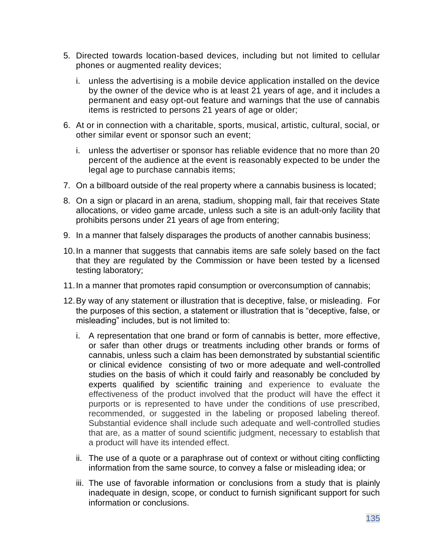- 5. Directed towards location-based devices, including but not limited to cellular phones or augmented reality devices;
	- i. unless the advertising is a mobile device application installed on the device by the owner of the device who is at least 21 years of age, and it includes a permanent and easy opt-out feature and warnings that the use of cannabis items is restricted to persons 21 years of age or older;
- 6. At or in connection with a charitable, sports, musical, artistic, cultural, social, or other similar event or sponsor such an event;
	- i. unless the advertiser or sponsor has reliable evidence that no more than 20 percent of the audience at the event is reasonably expected to be under the legal age to purchase cannabis items;
- 7. On a billboard outside of the real property where a cannabis business is located;
- 8. On a sign or placard in an arena, stadium, shopping mall, fair that receives State allocations, or video game arcade, unless such a site is an adult-only facility that prohibits persons under 21 years of age from entering;
- 9. In a manner that falsely disparages the products of another cannabis business;
- 10.In a manner that suggests that cannabis items are safe solely based on the fact that they are regulated by the Commission or have been tested by a licensed testing laboratory;
- 11.In a manner that promotes rapid consumption or overconsumption of cannabis;
- 12.By way of any statement or illustration that is deceptive, false, or misleading. For the purposes of this section, a statement or illustration that is "deceptive, false, or misleading" includes, but is not limited to:
	- i. A representation that one brand or form of cannabis is better, more effective, or safer than other drugs or treatments including other brands or forms of cannabis, unless such a claim has been demonstrated by substantial scientific or clinical evidence consisting of two or more adequate and well-controlled studies on the basis of which it could fairly and reasonably be concluded by experts qualified by scientific training and experience to evaluate the effectiveness of the product involved that the product will have the effect it purports or is represented to have under the conditions of use prescribed, recommended, or suggested in the labeling or proposed labeling thereof. Substantial evidence shall include such adequate and well-controlled studies that are, as a matter of sound scientific judgment, necessary to establish that a product will have its intended effect.
	- ii. The use of a quote or a paraphrase out of context or without citing conflicting information from the same source, to convey a false or misleading idea; or
	- iii. The use of favorable information or conclusions from a study that is plainly inadequate in design, scope, or conduct to furnish significant support for such information or conclusions.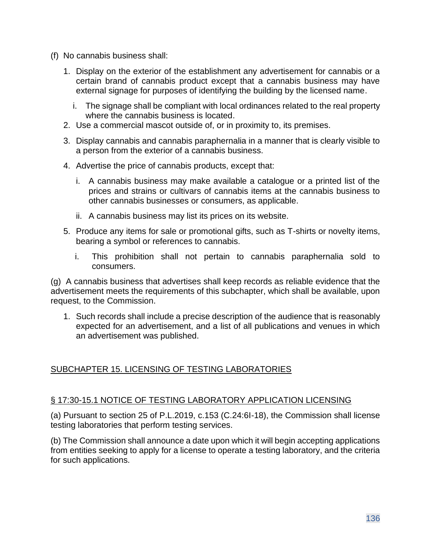- (f) No cannabis business shall:
	- 1. Display on the exterior of the establishment any advertisement for cannabis or a certain brand of cannabis product except that a cannabis business may have external signage for purposes of identifying the building by the licensed name.
		- i. The signage shall be compliant with local ordinances related to the real property where the cannabis business is located.
	- 2. Use a commercial mascot outside of, or in proximity to, its premises.
	- 3. Display cannabis and cannabis paraphernalia in a manner that is clearly visible to a person from the exterior of a cannabis business.
	- 4. Advertise the price of cannabis products, except that:
		- i. A cannabis business may make available a catalogue or a printed list of the prices and strains or cultivars of cannabis items at the cannabis business to other cannabis businesses or consumers, as applicable.
		- ii. A cannabis business may list its prices on its website.
	- 5. Produce any items for sale or promotional gifts, such as T-shirts or novelty items, bearing a symbol or references to cannabis.
		- i. This prohibition shall not pertain to cannabis paraphernalia sold to consumers.

(g) A cannabis business that advertises shall keep records as reliable evidence that the advertisement meets the requirements of this subchapter, which shall be available, upon request, to the Commission.

1. Such records shall include a precise description of the audience that is reasonably expected for an advertisement, and a list of all publications and venues in which an advertisement was published.

# SUBCHAPTER 15. LICENSING OF TESTING LABORATORIES

#### § 17:30-15.1 NOTICE OF TESTING LABORATORY APPLICATION LICENSING

(a) Pursuant to section 25 of P.L.2019, c.153 (C.24:6I-18), the Commission shall license testing laboratories that perform testing services.

(b) The Commission shall announce a date upon which it will begin accepting applications from entities seeking to apply for a license to operate a testing laboratory, and the criteria for such applications.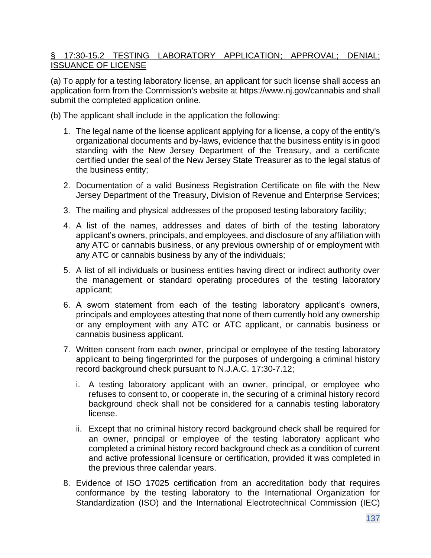### § 17:30-15.2 TESTING LABORATORY APPLICATION; APPROVAL; DENIAL; ISSUANCE OF LICENSE

(a) To apply for a testing laboratory license, an applicant for such license shall access an application form from the Commission's website at https://www.nj.gov/cannabis and shall submit the completed application online.

(b) The applicant shall include in the application the following:

- 1. The legal name of the license applicant applying for a license, a copy of the entity's organizational documents and by-laws, evidence that the business entity is in good standing with the New Jersey Department of the Treasury, and a certificate certified under the seal of the New Jersey State Treasurer as to the legal status of the business entity;
- 2. Documentation of a valid Business Registration Certificate on file with the New Jersey Department of the Treasury, Division of Revenue and Enterprise Services;
- 3. The mailing and physical addresses of the proposed testing laboratory facility;
- 4. A list of the names, addresses and dates of birth of the testing laboratory applicant's owners, principals, and employees, and disclosure of any affiliation with any ATC or cannabis business, or any previous ownership of or employment with any ATC or cannabis business by any of the individuals;
- 5. A list of all individuals or business entities having direct or indirect authority over the management or standard operating procedures of the testing laboratory applicant;
- 6. A sworn statement from each of the testing laboratory applicant's owners, principals and employees attesting that none of them currently hold any ownership or any employment with any ATC or ATC applicant, or cannabis business or cannabis business applicant.
- 7. Written consent from each owner, principal or employee of the testing laboratory applicant to being fingerprinted for the purposes of undergoing a criminal history record background check pursuant to N.J.A.C. 17:30-7.12;
	- i. A testing laboratory applicant with an owner, principal, or employee who refuses to consent to, or cooperate in, the securing of a criminal history record background check shall not be considered for a cannabis testing laboratory license.
	- ii. Except that no criminal history record background check shall be required for an owner, principal or employee of the testing laboratory applicant who completed a criminal history record background check as a condition of current and active professional licensure or certification, provided it was completed in the previous three calendar years.
- 8. Evidence of ISO 17025 certification from an accreditation body that requires conformance by the testing laboratory to the International Organization for Standardization (ISO) and the International Electrotechnical Commission (IEC)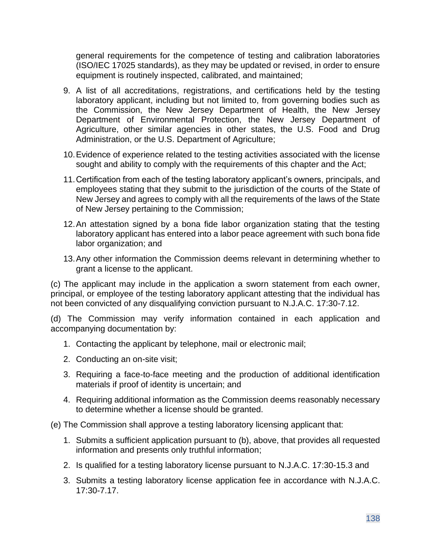general requirements for the competence of testing and calibration laboratories (ISO/IEC 17025 standards), as they may be updated or revised, in order to ensure equipment is routinely inspected, calibrated, and maintained;

- 9. A list of all accreditations, registrations, and certifications held by the testing laboratory applicant, including but not limited to, from governing bodies such as the Commission, the New Jersey Department of Health, the New Jersey Department of Environmental Protection, the New Jersey Department of Agriculture, other similar agencies in other states, the U.S. Food and Drug Administration, or the U.S. Department of Agriculture;
- 10.Evidence of experience related to the testing activities associated with the license sought and ability to comply with the requirements of this chapter and the Act;
- 11.Certification from each of the testing laboratory applicant's owners, principals, and employees stating that they submit to the jurisdiction of the courts of the State of New Jersey and agrees to comply with all the requirements of the laws of the State of New Jersey pertaining to the Commission;
- 12.An attestation signed by a bona fide labor organization stating that the testing laboratory applicant has entered into a labor peace agreement with such bona fide labor organization; and
- 13.Any other information the Commission deems relevant in determining whether to grant a license to the applicant.

(c) The applicant may include in the application a sworn statement from each owner, principal, or employee of the testing laboratory applicant attesting that the individual has not been convicted of any disqualifying conviction pursuant to N.J.A.C. 17:30-7.12.

(d) The Commission may verify information contained in each application and accompanying documentation by:

- 1. Contacting the applicant by telephone, mail or electronic mail;
- 2. Conducting an on-site visit;
- 3. Requiring a face-to-face meeting and the production of additional identification materials if proof of identity is uncertain; and
- 4. Requiring additional information as the Commission deems reasonably necessary to determine whether a license should be granted.

(e) The Commission shall approve a testing laboratory licensing applicant that:

- 1. Submits a sufficient application pursuant to (b), above, that provides all requested information and presents only truthful information;
- 2. Is qualified for a testing laboratory license pursuant to N.J.A.C. 17:30-15.3 and
- 3. Submits a testing laboratory license application fee in accordance with N.J.A.C. 17:30-7.17.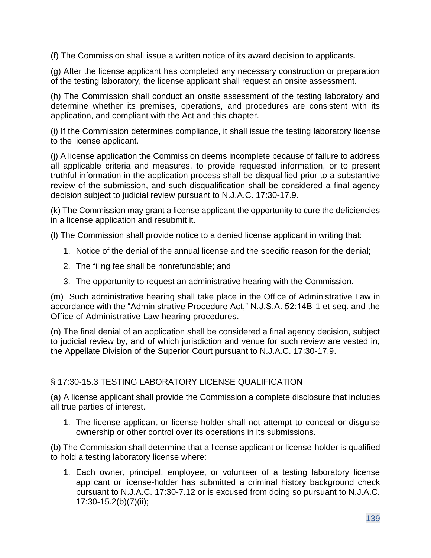(f) The Commission shall issue a written notice of its award decision to applicants.

(g) After the license applicant has completed any necessary construction or preparation of the testing laboratory, the license applicant shall request an onsite assessment.

(h) The Commission shall conduct an onsite assessment of the testing laboratory and determine whether its premises, operations, and procedures are consistent with its application, and compliant with the Act and this chapter.

(i) If the Commission determines compliance, it shall issue the testing laboratory license to the license applicant.

(j) A license application the Commission deems incomplete because of failure to address all applicable criteria and measures, to provide requested information, or to present truthful information in the application process shall be disqualified prior to a substantive review of the submission, and such disqualification shall be considered a final agency decision subject to judicial review pursuant to N.J.A.C. 17:30-17.9.

(k) The Commission may grant a license applicant the opportunity to cure the deficiencies in a license application and resubmit it.

(l) The Commission shall provide notice to a denied license applicant in writing that:

- 1. Notice of the denial of the annual license and the specific reason for the denial;
- 2. The filing fee shall be nonrefundable; and
- 3. The opportunity to request an administrative hearing with the Commission.

(m) Such administrative hearing shall take place in the Office of Administrative Law in accordance with the "Administrative Procedure Act," N.J.S.A. 52:14B-1 et seq. and the Office of Administrative Law hearing procedures.

(n) The final denial of an application shall be considered a final agency decision, subject to judicial review by, and of which jurisdiction and venue for such review are vested in, the Appellate Division of the Superior Court pursuant to N.J.A.C. 17:30-17.9.

# § 17:30-15.3 TESTING LABORATORY LICENSE QUALIFICATION

(a) A license applicant shall provide the Commission a complete disclosure that includes all true parties of interest.

1. The license applicant or license-holder shall not attempt to conceal or disguise ownership or other control over its operations in its submissions.

(b) The Commission shall determine that a license applicant or license-holder is qualified to hold a testing laboratory license where:

1. Each owner, principal, employee, or volunteer of a testing laboratory license applicant or license-holder has submitted a criminal history background check pursuant to N.J.A.C. 17:30-7.12 or is excused from doing so pursuant to N.J.A.C. 17:30-15.2(b)(7)(ii);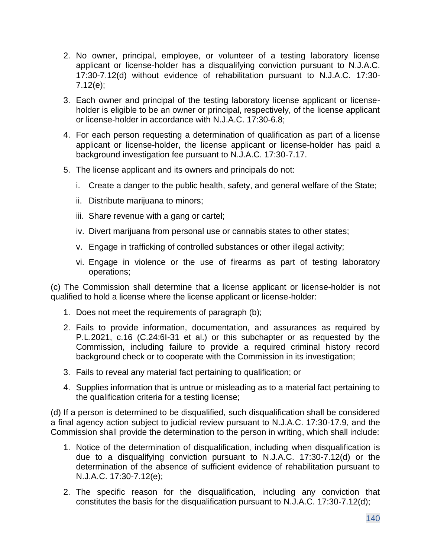- 2. No owner, principal, employee, or volunteer of a testing laboratory license applicant or license-holder has a disqualifying conviction pursuant to N.J.A.C. 17:30-7.12(d) without evidence of rehabilitation pursuant to N.J.A.C. 17:30- 7.12(e);
- 3. Each owner and principal of the testing laboratory license applicant or licenseholder is eligible to be an owner or principal, respectively, of the license applicant or license-holder in accordance with N.J.A.C. 17:30-6.8;
- 4. For each person requesting a determination of qualification as part of a license applicant or license-holder, the license applicant or license-holder has paid a background investigation fee pursuant to N.J.A.C. 17:30-7.17.
- 5. The license applicant and its owners and principals do not:
	- i. Create a danger to the public health, safety, and general welfare of the State;
	- ii. Distribute marijuana to minors;
	- iii. Share revenue with a gang or cartel;
	- iv. Divert marijuana from personal use or cannabis states to other states;
	- v. Engage in trafficking of controlled substances or other illegal activity;
	- vi. Engage in violence or the use of firearms as part of testing laboratory operations;

(c) The Commission shall determine that a license applicant or license-holder is not qualified to hold a license where the license applicant or license-holder:

- 1. Does not meet the requirements of paragraph (b);
- 2. Fails to provide information, documentation, and assurances as required by P.L.2021, c.16 (C.24:6I-31 et al.) or this subchapter or as requested by the Commission, including failure to provide a required criminal history record background check or to cooperate with the Commission in its investigation;
- 3. Fails to reveal any material fact pertaining to qualification; or
- 4. Supplies information that is untrue or misleading as to a material fact pertaining to the qualification criteria for a testing license;

(d) If a person is determined to be disqualified, such disqualification shall be considered a final agency action subject to judicial review pursuant to N.J.A.C. 17:30-17.9, and the Commission shall provide the determination to the person in writing, which shall include:

- 1. Notice of the determination of disqualification, including when disqualification is due to a disqualifying conviction pursuant to N.J.A.C. 17:30-7.12(d) or the determination of the absence of sufficient evidence of rehabilitation pursuant to N.J.A.C. 17:30-7.12(e);
- 2. The specific reason for the disqualification, including any conviction that constitutes the basis for the disqualification pursuant to N.J.A.C. 17:30-7.12(d);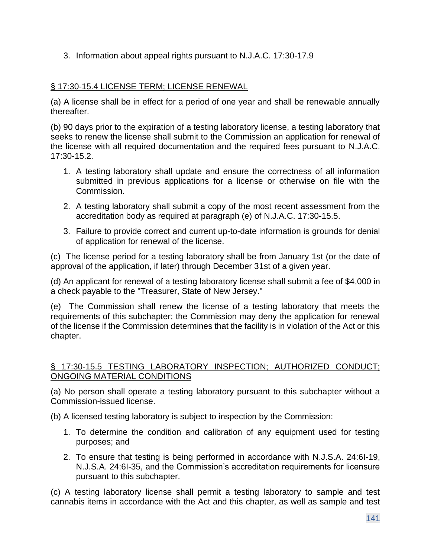3. Information about appeal rights pursuant to N.J.A.C. 17:30-17.9

# § 17:30-15.4 LICENSE TERM; LICENSE RENEWAL

(a) A license shall be in effect for a period of one year and shall be renewable annually thereafter.

(b) 90 days prior to the expiration of a testing laboratory license, a testing laboratory that seeks to renew the license shall submit to the Commission an application for renewal of the license with all required documentation and the required fees pursuant to N.J.A.C. 17:30-15.2.

- 1. A testing laboratory shall update and ensure the correctness of all information submitted in previous applications for a license or otherwise on file with the Commission.
- 2. A testing laboratory shall submit a copy of the most recent assessment from the accreditation body as required at paragraph (e) of N.J.A.C. 17:30-15.5.
- 3. Failure to provide correct and current up-to-date information is grounds for denial of application for renewal of the license.

(c) The license period for a testing laboratory shall be from January 1st (or the date of approval of the application, if later) through December 31st of a given year.

(d) An applicant for renewal of a testing laboratory license shall submit a fee of \$4,000 in a check payable to the "Treasurer, State of New Jersey."

(e) The Commission shall renew the license of a testing laboratory that meets the requirements of this subchapter; the Commission may deny the application for renewal of the license if the Commission determines that the facility is in violation of the Act or this chapter.

### § 17:30-15.5 TESTING LABORATORY INSPECTION; AUTHORIZED CONDUCT; ONGOING MATERIAL CONDITIONS

(a) No person shall operate a testing laboratory pursuant to this subchapter without a Commission-issued license.

(b) A licensed testing laboratory is subject to inspection by the Commission:

- 1. To determine the condition and calibration of any equipment used for testing purposes; and
- 2. To ensure that testing is being performed in accordance with N.J.S.A. 24:6I-19, N.J.S.A. 24:6I-35, and the Commission's accreditation requirements for licensure pursuant to this subchapter.

(c) A testing laboratory license shall permit a testing laboratory to sample and test cannabis items in accordance with the Act and this chapter, as well as sample and test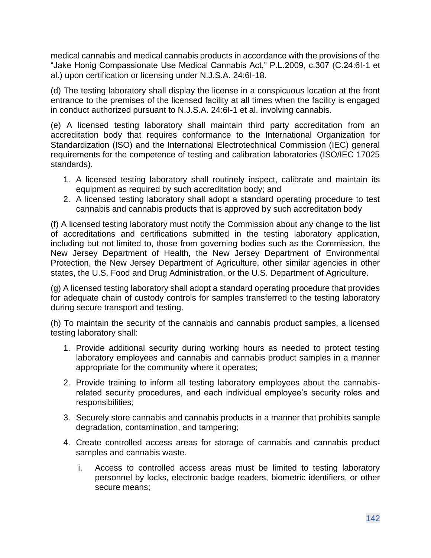medical cannabis and medical cannabis products in accordance with the provisions of the "Jake Honig Compassionate Use Medical Cannabis Act," P.L.2009, c.307 (C.24:6I-1 et al.) upon certification or licensing under N.J.S.A. 24:6I-18.

(d) The testing laboratory shall display the license in a conspicuous location at the front entrance to the premises of the licensed facility at all times when the facility is engaged in conduct authorized pursuant to N.J.S.A. 24:6I-1 et al. involving cannabis.

(e) A licensed testing laboratory shall maintain third party accreditation from an accreditation body that requires conformance to the International Organization for Standardization (ISO) and the International Electrotechnical Commission (IEC) general requirements for the competence of testing and calibration laboratories (ISO/IEC 17025 standards).

- 1. A licensed testing laboratory shall routinely inspect, calibrate and maintain its equipment as required by such accreditation body; and
- 2. A licensed testing laboratory shall adopt a standard operating procedure to test cannabis and cannabis products that is approved by such accreditation body

(f) A licensed testing laboratory must notify the Commission about any change to the list of accreditations and certifications submitted in the testing laboratory application, including but not limited to, those from governing bodies such as the Commission, the New Jersey Department of Health, the New Jersey Department of Environmental Protection, the New Jersey Department of Agriculture, other similar agencies in other states, the U.S. Food and Drug Administration, or the U.S. Department of Agriculture.

(g) A licensed testing laboratory shall adopt a standard operating procedure that provides for adequate chain of custody controls for samples transferred to the testing laboratory during secure transport and testing.

(h) To maintain the security of the cannabis and cannabis product samples, a licensed testing laboratory shall:

- 1. Provide additional security during working hours as needed to protect testing laboratory employees and cannabis and cannabis product samples in a manner appropriate for the community where it operates;
- 2. Provide training to inform all testing laboratory employees about the cannabisrelated security procedures, and each individual employee's security roles and responsibilities;
- 3. Securely store cannabis and cannabis products in a manner that prohibits sample degradation, contamination, and tampering;
- 4. Create controlled access areas for storage of cannabis and cannabis product samples and cannabis waste.
	- i. Access to controlled access areas must be limited to testing laboratory personnel by locks, electronic badge readers, biometric identifiers, or other secure means;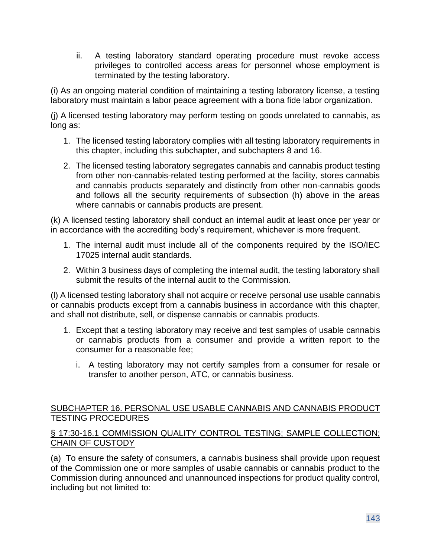ii. A testing laboratory standard operating procedure must revoke access privileges to controlled access areas for personnel whose employment is terminated by the testing laboratory.

(i) As an ongoing material condition of maintaining a testing laboratory license, a testing laboratory must maintain a labor peace agreement with a bona fide labor organization.

(j) A licensed testing laboratory may perform testing on goods unrelated to cannabis, as long as:

- 1. The licensed testing laboratory complies with all testing laboratory requirements in this chapter, including this subchapter, and subchapters 8 and 16.
- 2. The licensed testing laboratory segregates cannabis and cannabis product testing from other non-cannabis-related testing performed at the facility, stores cannabis and cannabis products separately and distinctly from other non-cannabis goods and follows all the security requirements of subsection (h) above in the areas where cannabis or cannabis products are present.

(k) A licensed testing laboratory shall conduct an internal audit at least once per year or in accordance with the accrediting body's requirement, whichever is more frequent.

- 1. The internal audit must include all of the components required by the ISO/IEC 17025 internal audit standards.
- 2. Within 3 business days of completing the internal audit, the testing laboratory shall submit the results of the internal audit to the Commission.

(l) A licensed testing laboratory shall not acquire or receive personal use usable cannabis or cannabis products except from a cannabis business in accordance with this chapter, and shall not distribute, sell, or dispense cannabis or cannabis products.

- 1. Except that a testing laboratory may receive and test samples of usable cannabis or cannabis products from a consumer and provide a written report to the consumer for a reasonable fee;
	- i. A testing laboratory may not certify samples from a consumer for resale or transfer to another person, ATC, or cannabis business.

### SUBCHAPTER 16. PERSONAL USE USABLE CANNABIS AND CANNABIS PRODUCT TESTING PROCEDURES

#### § 17:30-16.1 COMMISSION QUALITY CONTROL TESTING; SAMPLE COLLECTION; CHAIN OF CUSTODY

(a) To ensure the safety of consumers, a cannabis business shall provide upon request of the Commission one or more samples of usable cannabis or cannabis product to the Commission during announced and unannounced inspections for product quality control, including but not limited to: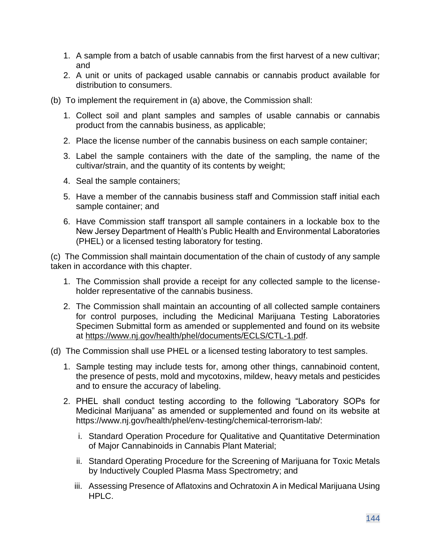- 1. A sample from a batch of usable cannabis from the first harvest of a new cultivar; and
- 2. A unit or units of packaged usable cannabis or cannabis product available for distribution to consumers.
- (b) To implement the requirement in (a) above, the Commission shall:
	- 1. Collect soil and plant samples and samples of usable cannabis or cannabis product from the cannabis business, as applicable;
	- 2. Place the license number of the cannabis business on each sample container;
	- 3. Label the sample containers with the date of the sampling, the name of the cultivar/strain, and the quantity of its contents by weight;
	- 4. Seal the sample containers;
	- 5. Have a member of the cannabis business staff and Commission staff initial each sample container; and
	- 6. Have Commission staff transport all sample containers in a lockable box to the New Jersey Department of Health's Public Health and Environmental Laboratories (PHEL) or a licensed testing laboratory for testing.

(c) The Commission shall maintain documentation of the chain of custody of any sample taken in accordance with this chapter.

- 1. The Commission shall provide a receipt for any collected sample to the licenseholder representative of the cannabis business.
- 2. The Commission shall maintain an accounting of all collected sample containers for control purposes, including the Medicinal Marijuana Testing Laboratories Specimen Submittal form as amended or supplemented and found on its website at [https://www.nj.gov/health/phel/documents/ECLS/CTL-1.pdf.](https://www.nj.gov/health/phel/documents/ECLS/CTL-1.pdf)
- (d) The Commission shall use PHEL or a licensed testing laboratory to test samples.
	- 1. Sample testing may include tests for, among other things, cannabinoid content, the presence of pests, mold and mycotoxins, mildew, heavy metals and pesticides and to ensure the accuracy of labeling.
	- 2. PHEL shall conduct testing according to the following "Laboratory SOPs for Medicinal Marijuana" as amended or supplemented and found on its website at https://www.nj.gov/health/phel/env-testing/chemical-terrorism-lab/:
		- i. Standard Operation Procedure for Qualitative and Quantitative Determination of Major Cannabinoids in Cannabis Plant Material;
		- ii. Standard Operating Procedure for the Screening of Marijuana for Toxic Metals by Inductively Coupled Plasma Mass Spectrometry; and
		- iii. Assessing Presence of Aflatoxins and Ochratoxin A in Medical Marijuana Using HPLC.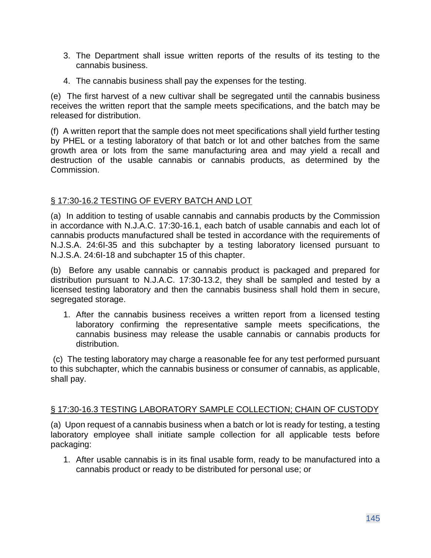- 3. The Department shall issue written reports of the results of its testing to the cannabis business.
- 4. The cannabis business shall pay the expenses for the testing.

(e) The first harvest of a new cultivar shall be segregated until the cannabis business receives the written report that the sample meets specifications, and the batch may be released for distribution.

(f) A written report that the sample does not meet specifications shall yield further testing by PHEL or a testing laboratory of that batch or lot and other batches from the same growth area or lots from the same manufacturing area and may yield a recall and destruction of the usable cannabis or cannabis products, as determined by the Commission.

#### § 17:30-16.2 TESTING OF EVERY BATCH AND LOT

(a) In addition to testing of usable cannabis and cannabis products by the Commission in accordance with N.J.A.C. 17:30-16.1, each batch of usable cannabis and each lot of cannabis products manufactured shall be tested in accordance with the requirements of N.J.S.A. 24:6I-35 and this subchapter by a testing laboratory licensed pursuant to N.J.S.A. 24:6I-18 and subchapter 15 of this chapter.

(b) Before any usable cannabis or cannabis product is packaged and prepared for distribution pursuant to N.J.A.C. 17:30-13.2, they shall be sampled and tested by a licensed testing laboratory and then the cannabis business shall hold them in secure, segregated storage.

1. After the cannabis business receives a written report from a licensed testing laboratory confirming the representative sample meets specifications, the cannabis business may release the usable cannabis or cannabis products for distribution.

(c) The testing laboratory may charge a reasonable fee for any test performed pursuant to this subchapter, which the cannabis business or consumer of cannabis, as applicable, shall pay.

#### § 17:30-16.3 TESTING LABORATORY SAMPLE COLLECTION; CHAIN OF CUSTODY

(a) Upon request of a cannabis business when a batch or lot is ready for testing, a testing laboratory employee shall initiate sample collection for all applicable tests before packaging:

1. After usable cannabis is in its final usable form, ready to be manufactured into a cannabis product or ready to be distributed for personal use; or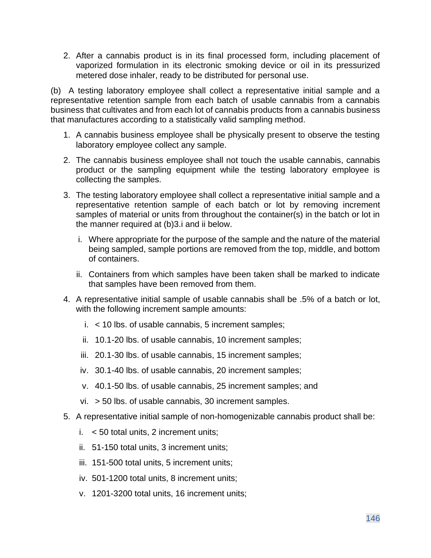2. After a cannabis product is in its final processed form, including placement of vaporized formulation in its electronic smoking device or oil in its pressurized metered dose inhaler, ready to be distributed for personal use.

(b) A testing laboratory employee shall collect a representative initial sample and a representative retention sample from each batch of usable cannabis from a cannabis business that cultivates and from each lot of cannabis products from a cannabis business that manufactures according to a statistically valid sampling method.

- 1. A cannabis business employee shall be physically present to observe the testing laboratory employee collect any sample.
- 2. The cannabis business employee shall not touch the usable cannabis, cannabis product or the sampling equipment while the testing laboratory employee is collecting the samples.
- 3. The testing laboratory employee shall collect a representative initial sample and a representative retention sample of each batch or lot by removing increment samples of material or units from throughout the container(s) in the batch or lot in the manner required at (b)3.i and ii below.
	- i. Where appropriate for the purpose of the sample and the nature of the material being sampled, sample portions are removed from the top, middle, and bottom of containers.
	- ii. Containers from which samples have been taken shall be marked to indicate that samples have been removed from them.
- 4. A representative initial sample of usable cannabis shall be .5% of a batch or lot, with the following increment sample amounts:
	- i. < 10 lbs. of usable cannabis, 5 increment samples;
	- ii. 10.1-20 lbs. of usable cannabis, 10 increment samples;
	- iii. 20.1-30 lbs. of usable cannabis, 15 increment samples;
	- iv. 30.1-40 lbs. of usable cannabis, 20 increment samples;
	- v. 40.1-50 lbs. of usable cannabis, 25 increment samples; and
	- vi. > 50 lbs. of usable cannabis, 30 increment samples.
- 5. A representative initial sample of non-homogenizable cannabis product shall be:
	- i.  $<$  50 total units, 2 increment units;
	- ii. 51-150 total units, 3 increment units;
	- iii. 151-500 total units, 5 increment units;
	- iv. 501-1200 total units, 8 increment units;
	- v. 1201-3200 total units, 16 increment units;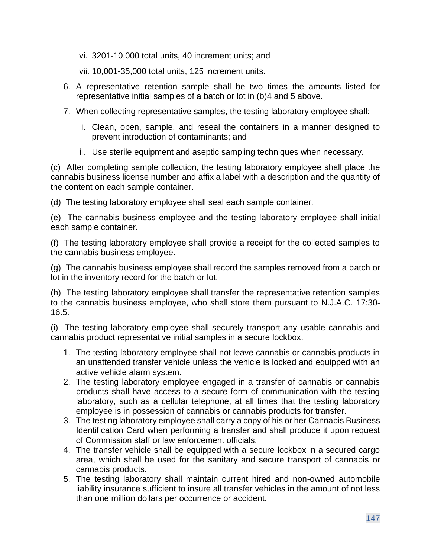- vi. 3201-10,000 total units, 40 increment units; and
- vii. 10,001-35,000 total units, 125 increment units.
- 6. A representative retention sample shall be two times the amounts listed for representative initial samples of a batch or lot in (b)4 and 5 above.
- 7. When collecting representative samples, the testing laboratory employee shall:
	- i. Clean, open, sample, and reseal the containers in a manner designed to prevent introduction of contaminants; and
	- ii. Use sterile equipment and aseptic sampling techniques when necessary.

(c) After completing sample collection, the testing laboratory employee shall place the cannabis business license number and affix a label with a description and the quantity of the content on each sample container.

(d) The testing laboratory employee shall seal each sample container.

(e) The cannabis business employee and the testing laboratory employee shall initial each sample container.

(f) The testing laboratory employee shall provide a receipt for the collected samples to the cannabis business employee.

(g) The cannabis business employee shall record the samples removed from a batch or lot in the inventory record for the batch or lot.

(h) The testing laboratory employee shall transfer the representative retention samples to the cannabis business employee, who shall store them pursuant to N.J.A.C. 17:30- 16.5.

(i) The testing laboratory employee shall securely transport any usable cannabis and cannabis product representative initial samples in a secure lockbox.

- 1. The testing laboratory employee shall not leave cannabis or cannabis products in an unattended transfer vehicle unless the vehicle is locked and equipped with an active vehicle alarm system.
- 2. The testing laboratory employee engaged in a transfer of cannabis or cannabis products shall have access to a secure form of communication with the testing laboratory, such as a cellular telephone, at all times that the testing laboratory employee is in possession of cannabis or cannabis products for transfer.
- 3. The testing laboratory employee shall carry a copy of his or her Cannabis Business Identification Card when performing a transfer and shall produce it upon request of Commission staff or law enforcement officials.
- 4. The transfer vehicle shall be equipped with a secure lockbox in a secured cargo area, which shall be used for the sanitary and secure transport of cannabis or cannabis products.
- 5. The testing laboratory shall maintain current hired and non-owned automobile liability insurance sufficient to insure all transfer vehicles in the amount of not less than one million dollars per occurrence or accident.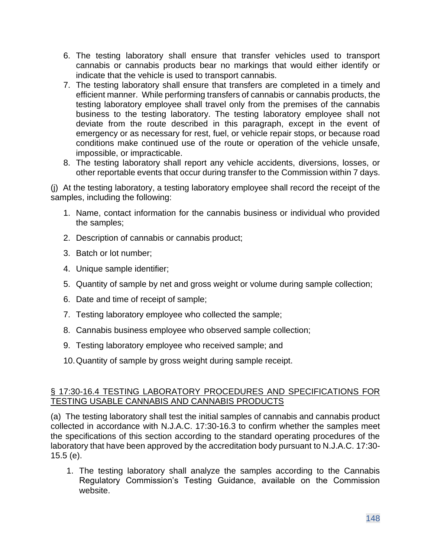- 6. The testing laboratory shall ensure that transfer vehicles used to transport cannabis or cannabis products bear no markings that would either identify or indicate that the vehicle is used to transport cannabis.
- 7. The testing laboratory shall ensure that transfers are completed in a timely and efficient manner. While performing transfers of cannabis or cannabis products, the testing laboratory employee shall travel only from the premises of the cannabis business to the testing laboratory. The testing laboratory employee shall not deviate from the route described in this paragraph, except in the event of emergency or as necessary for rest, fuel, or vehicle repair stops, or because road conditions make continued use of the route or operation of the vehicle unsafe, impossible, or impracticable.
- 8. The testing laboratory shall report any vehicle accidents, diversions, losses, or other reportable events that occur during transfer to the Commission within 7 days.

(j) At the testing laboratory, a testing laboratory employee shall record the receipt of the samples, including the following:

- 1. Name, contact information for the cannabis business or individual who provided the samples;
- 2. Description of cannabis or cannabis product;
- 3. Batch or lot number;
- 4. Unique sample identifier;
- 5. Quantity of sample by net and gross weight or volume during sample collection;
- 6. Date and time of receipt of sample;
- 7. Testing laboratory employee who collected the sample;
- 8. Cannabis business employee who observed sample collection;
- 9. Testing laboratory employee who received sample; and
- 10.Quantity of sample by gross weight during sample receipt.

### § 17:30-16.4 TESTING LABORATORY PROCEDURES AND SPECIFICATIONS FOR TESTING USABLE CANNABIS AND CANNABIS PRODUCTS

(a) The testing laboratory shall test the initial samples of cannabis and cannabis product collected in accordance with N.J.A.C. 17:30-16.3 to confirm whether the samples meet the specifications of this section according to the standard operating procedures of the laboratory that have been approved by the accreditation body pursuant to N.J.A.C. 17:30- 15.5 (e).

1. The testing laboratory shall analyze the samples according to the Cannabis Regulatory Commission's Testing Guidance, available on the Commission website.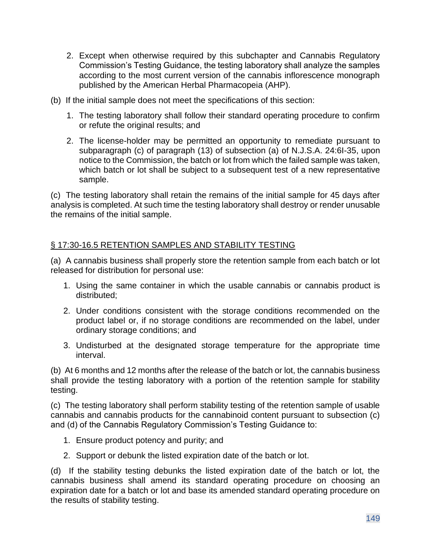- 2. Except when otherwise required by this subchapter and Cannabis Regulatory Commission's Testing Guidance, the testing laboratory shall analyze the samples according to the most current version of the cannabis inflorescence monograph published by the American Herbal Pharmacopeia (AHP).
- (b) If the initial sample does not meet the specifications of this section:
	- 1. The testing laboratory shall follow their standard operating procedure to confirm or refute the original results; and
	- 2. The license-holder may be permitted an opportunity to remediate pursuant to subparagraph (c) of paragraph (13) of subsection (a) of N.J.S.A. 24:6I-35, upon notice to the Commission, the batch or lot from which the failed sample was taken, which batch or lot shall be subject to a subsequent test of a new representative sample.

(c) The testing laboratory shall retain the remains of the initial sample for 45 days after analysis is completed. At such time the testing laboratory shall destroy or render unusable the remains of the initial sample.

# § 17:30-16.5 RETENTION SAMPLES AND STABILITY TESTING

(a) A cannabis business shall properly store the retention sample from each batch or lot released for distribution for personal use:

- 1. Using the same container in which the usable cannabis or cannabis product is distributed;
- 2. Under conditions consistent with the storage conditions recommended on the product label or, if no storage conditions are recommended on the label, under ordinary storage conditions; and
- 3. Undisturbed at the designated storage temperature for the appropriate time interval.

(b) At 6 months and 12 months after the release of the batch or lot, the cannabis business shall provide the testing laboratory with a portion of the retention sample for stability testing.

(c) The testing laboratory shall perform stability testing of the retention sample of usable cannabis and cannabis products for the cannabinoid content pursuant to subsection (c) and (d) of the Cannabis Regulatory Commission's Testing Guidance to:

- 1. Ensure product potency and purity; and
- 2. Support or debunk the listed expiration date of the batch or lot.

(d) If the stability testing debunks the listed expiration date of the batch or lot, the cannabis business shall amend its standard operating procedure on choosing an expiration date for a batch or lot and base its amended standard operating procedure on the results of stability testing.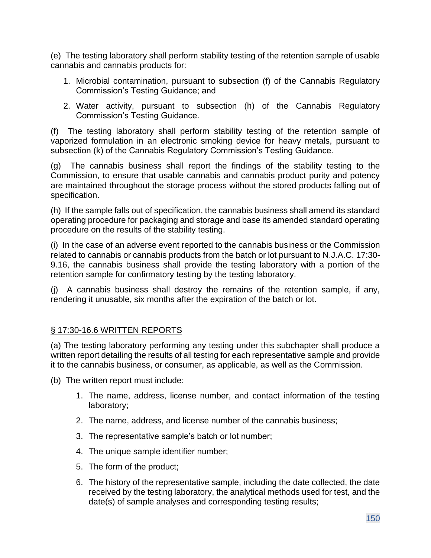(e) The testing laboratory shall perform stability testing of the retention sample of usable cannabis and cannabis products for:

- 1. Microbial contamination, pursuant to subsection (f) of the Cannabis Regulatory Commission's Testing Guidance; and
- 2. Water activity, pursuant to subsection (h) of the Cannabis Regulatory Commission's Testing Guidance.

(f) The testing laboratory shall perform stability testing of the retention sample of vaporized formulation in an electronic smoking device for heavy metals, pursuant to subsection (k) of the Cannabis Regulatory Commission's Testing Guidance.

(g) The cannabis business shall report the findings of the stability testing to the Commission, to ensure that usable cannabis and cannabis product purity and potency are maintained throughout the storage process without the stored products falling out of specification.

(h) If the sample falls out of specification, the cannabis business shall amend its standard operating procedure for packaging and storage and base its amended standard operating procedure on the results of the stability testing.

(i) In the case of an adverse event reported to the cannabis business or the Commission related to cannabis or cannabis products from the batch or lot pursuant to N.J.A.C. 17:30- 9.16, the cannabis business shall provide the testing laboratory with a portion of the retention sample for confirmatory testing by the testing laboratory.

(j) A cannabis business shall destroy the remains of the retention sample, if any, rendering it unusable, six months after the expiration of the batch or lot.

# § 17:30-16.6 WRITTEN REPORTS

(a) The testing laboratory performing any testing under this subchapter shall produce a written report detailing the results of all testing for each representative sample and provide it to the cannabis business, or consumer, as applicable, as well as the Commission.

(b) The written report must include:

- 1. The name, address, license number, and contact information of the testing laboratory;
- 2. The name, address, and license number of the cannabis business;
- 3. The representative sample's batch or lot number;
- 4. The unique sample identifier number;
- 5. The form of the product;
- 6. The history of the representative sample, including the date collected, the date received by the testing laboratory, the analytical methods used for test, and the date(s) of sample analyses and corresponding testing results;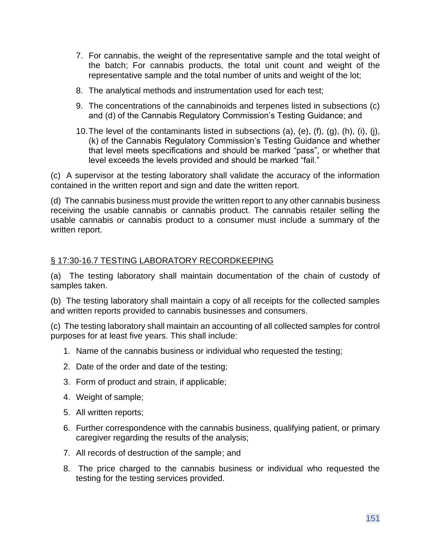- 7. For cannabis, the weight of the representative sample and the total weight of the batch; For cannabis products, the total unit count and weight of the representative sample and the total number of units and weight of the lot;
- 8. The analytical methods and instrumentation used for each test;
- 9. The concentrations of the cannabinoids and terpenes listed in subsections (c) and (d) of the Cannabis Regulatory Commission's Testing Guidance; and
- 10. The level of the contaminants listed in subsections (a), (e),  $(f)$ ,  $(g)$ ,  $(h)$ ,  $(i)$ ,  $(i)$ , (k) of the Cannabis Regulatory Commission's Testing Guidance and whether that level meets specifications and should be marked "pass", or whether that level exceeds the levels provided and should be marked "fail."

(c) A supervisor at the testing laboratory shall validate the accuracy of the information contained in the written report and sign and date the written report.

(d) The cannabis business must provide the written report to any other cannabis business receiving the usable cannabis or cannabis product. The cannabis retailer selling the usable cannabis or cannabis product to a consumer must include a summary of the written report.

### § 17:30-16.7 TESTING LABORATORY RECORDKEEPING

(a) The testing laboratory shall maintain documentation of the chain of custody of samples taken.

(b) The testing laboratory shall maintain a copy of all receipts for the collected samples and written reports provided to cannabis businesses and consumers.

(c) The testing laboratory shall maintain an accounting of all collected samples for control purposes for at least five years. This shall include:

- 1. Name of the cannabis business or individual who requested the testing;
- 2. Date of the order and date of the testing;
- 3. Form of product and strain, if applicable;
- 4. Weight of sample;
- 5. All written reports;
- 6. Further correspondence with the cannabis business, qualifying patient, or primary caregiver regarding the results of the analysis;
- 7. All records of destruction of the sample; and
- 8. The price charged to the cannabis business or individual who requested the testing for the testing services provided.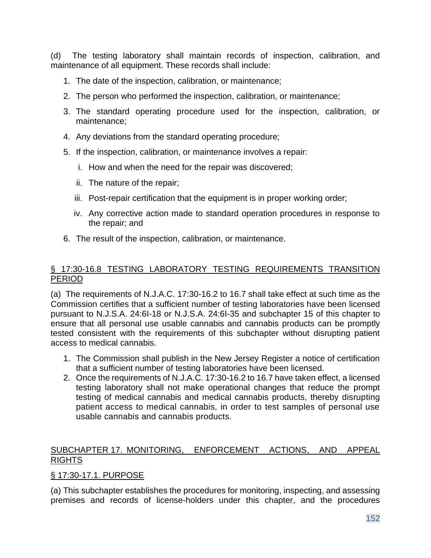(d) The testing laboratory shall maintain records of inspection, calibration, and maintenance of all equipment. These records shall include:

- 1. The date of the inspection, calibration, or maintenance;
- 2. The person who performed the inspection, calibration, or maintenance;
- 3. The standard operating procedure used for the inspection, calibration, or maintenance;
- 4. Any deviations from the standard operating procedure;
- 5. If the inspection, calibration, or maintenance involves a repair:
	- i. How and when the need for the repair was discovered;
	- ii. The nature of the repair;
	- iii. Post-repair certification that the equipment is in proper working order;
	- iv. Any corrective action made to standard operation procedures in response to the repair; and
- 6. The result of the inspection, calibration, or maintenance.

### § 17:30-16.8 TESTING LABORATORY TESTING REQUIREMENTS TRANSITION PERIOD

(a) The requirements of N.J.A.C. 17:30-16.2 to 16.7 shall take effect at such time as the Commission certifies that a sufficient number of testing laboratories have been licensed pursuant to N.J.S.A. 24:6I-18 or N.J.S.A. 24:6I-35 and subchapter 15 of this chapter to ensure that all personal use usable cannabis and cannabis products can be promptly tested consistent with the requirements of this subchapter without disrupting patient access to medical cannabis.

- 1. The Commission shall publish in the New Jersey Register a notice of certification that a sufficient number of testing laboratories have been licensed.
- 2. Once the requirements of N.J.A.C. 17:30-16.2 to 16.7 have taken effect, a licensed testing laboratory shall not make operational changes that reduce the prompt testing of medical cannabis and medical cannabis products, thereby disrupting patient access to medical cannabis, in order to test samples of personal use usable cannabis and cannabis products.

# SUBCHAPTER 17. MONITORING, ENFORCEMENT ACTIONS, AND APPEAL RIGHTS

### § 17:30-17.1. PURPOSE

(a) This subchapter establishes the procedures for monitoring, inspecting, and assessing premises and records of license-holders under this chapter, and the procedures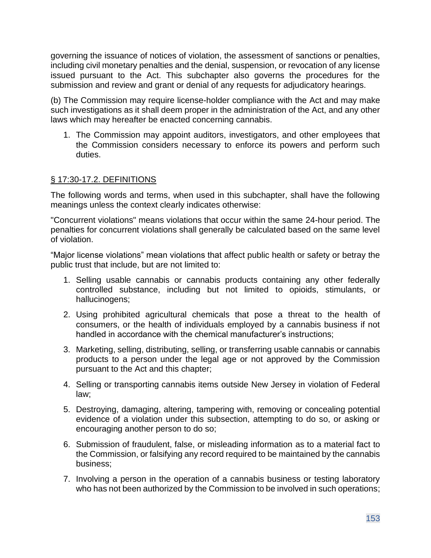governing the issuance of notices of violation, the assessment of sanctions or penalties, including civil monetary penalties and the denial, suspension, or revocation of any license issued pursuant to the Act. This subchapter also governs the procedures for the submission and review and grant or denial of any requests for adjudicatory hearings.

(b) The Commission may require license-holder compliance with the Act and may make such investigations as it shall deem proper in the administration of the Act, and any other laws which may hereafter be enacted concerning cannabis.

1. The Commission may appoint auditors, investigators, and other employees that the Commission considers necessary to enforce its powers and perform such duties.

### § 17:30-17.2. DEFINITIONS

The following words and terms, when used in this subchapter, shall have the following meanings unless the context clearly indicates otherwise:

"Concurrent violations" means violations that occur within the same 24-hour period. The penalties for concurrent violations shall generally be calculated based on the same level of violation.

"Major license violations" mean violations that affect public health or safety or betray the public trust that include, but are not limited to:

- 1. Selling usable cannabis or cannabis products containing any other federally controlled substance, including but not limited to opioids, stimulants, or hallucinogens;
- 2. Using prohibited agricultural chemicals that pose a threat to the health of consumers, or the health of individuals employed by a cannabis business if not handled in accordance with the chemical manufacturer's instructions;
- 3. Marketing, selling, distributing, selling, or transferring usable cannabis or cannabis products to a person under the legal age or not approved by the Commission pursuant to the Act and this chapter;
- 4. Selling or transporting cannabis items outside New Jersey in violation of Federal law;
- 5. Destroying, damaging, altering, tampering with, removing or concealing potential evidence of a violation under this subsection, attempting to do so, or asking or encouraging another person to do so;
- 6. Submission of fraudulent, false, or misleading information as to a material fact to the Commission, or falsifying any record required to be maintained by the cannabis business;
- 7. Involving a person in the operation of a cannabis business or testing laboratory who has not been authorized by the Commission to be involved in such operations;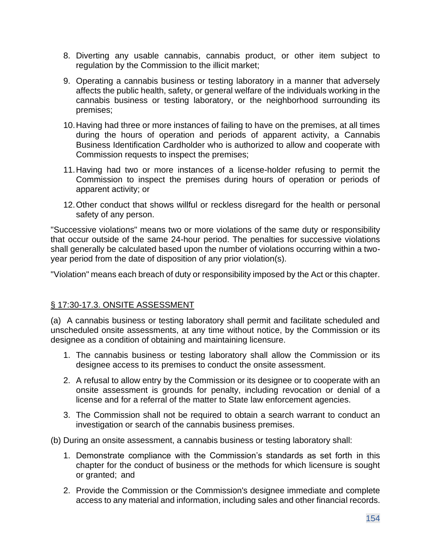- 8. Diverting any usable cannabis, cannabis product, or other item subject to regulation by the Commission to the illicit market;
- 9. Operating a cannabis business or testing laboratory in a manner that adversely affects the public health, safety, or general welfare of the individuals working in the cannabis business or testing laboratory, or the neighborhood surrounding its premises;
- 10.Having had three or more instances of failing to have on the premises, at all times during the hours of operation and periods of apparent activity, a Cannabis Business Identification Cardholder who is authorized to allow and cooperate with Commission requests to inspect the premises;
- 11.Having had two or more instances of a license-holder refusing to permit the Commission to inspect the premises during hours of operation or periods of apparent activity; or
- 12.Other conduct that shows willful or reckless disregard for the health or personal safety of any person.

"Successive violations" means two or more violations of the same duty or responsibility that occur outside of the same 24-hour period. The penalties for successive violations shall generally be calculated based upon the number of violations occurring within a twoyear period from the date of disposition of any prior violation(s).

"Violation" means each breach of duty or responsibility imposed by the Act or this chapter.

### § 17:30-17.3. ONSITE ASSESSMENT

(a) A cannabis business or testing laboratory shall permit and facilitate scheduled and unscheduled onsite assessments, at any time without notice, by the Commission or its designee as a condition of obtaining and maintaining licensure.

- 1. The cannabis business or testing laboratory shall allow the Commission or its designee access to its premises to conduct the onsite assessment.
- 2. A refusal to allow entry by the Commission or its designee or to cooperate with an onsite assessment is grounds for penalty, including revocation or denial of a license and for a referral of the matter to State law enforcement agencies.
- 3. The Commission shall not be required to obtain a search warrant to conduct an investigation or search of the cannabis business premises.
- (b) During an onsite assessment, a cannabis business or testing laboratory shall:
	- 1. Demonstrate compliance with the Commission's standards as set forth in this chapter for the conduct of business or the methods for which licensure is sought or granted; and
	- 2. Provide the Commission or the Commission's designee immediate and complete access to any material and information, including sales and other financial records.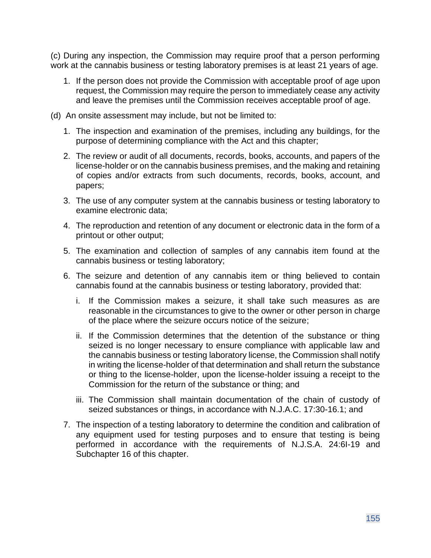(c) During any inspection, the Commission may require proof that a person performing work at the cannabis business or testing laboratory premises is at least 21 years of age.

- 1. If the person does not provide the Commission with acceptable proof of age upon request, the Commission may require the person to immediately cease any activity and leave the premises until the Commission receives acceptable proof of age.
- (d) An onsite assessment may include, but not be limited to:
	- 1. The inspection and examination of the premises, including any buildings, for the purpose of determining compliance with the Act and this chapter;
	- 2. The review or audit of all documents, records, books, accounts, and papers of the license-holder or on the cannabis business premises, and the making and retaining of copies and/or extracts from such documents, records, books, account, and papers;
	- 3. The use of any computer system at the cannabis business or testing laboratory to examine electronic data;
	- 4. The reproduction and retention of any document or electronic data in the form of a printout or other output;
	- 5. The examination and collection of samples of any cannabis item found at the cannabis business or testing laboratory;
	- 6. The seizure and detention of any cannabis item or thing believed to contain cannabis found at the cannabis business or testing laboratory, provided that:
		- i. If the Commission makes a seizure, it shall take such measures as are reasonable in the circumstances to give to the owner or other person in charge of the place where the seizure occurs notice of the seizure;
		- ii. If the Commission determines that the detention of the substance or thing seized is no longer necessary to ensure compliance with applicable law and the cannabis business or testing laboratory license, the Commission shall notify in writing the license-holder of that determination and shall return the substance or thing to the license-holder, upon the license-holder issuing a receipt to the Commission for the return of the substance or thing; and
		- iii. The Commission shall maintain documentation of the chain of custody of seized substances or things, in accordance with N.J.A.C. 17:30-16.1; and
	- 7. The inspection of a testing laboratory to determine the condition and calibration of any equipment used for testing purposes and to ensure that testing is being performed in accordance with the requirements of N.J.S.A. 24:6I-19 and Subchapter 16 of this chapter.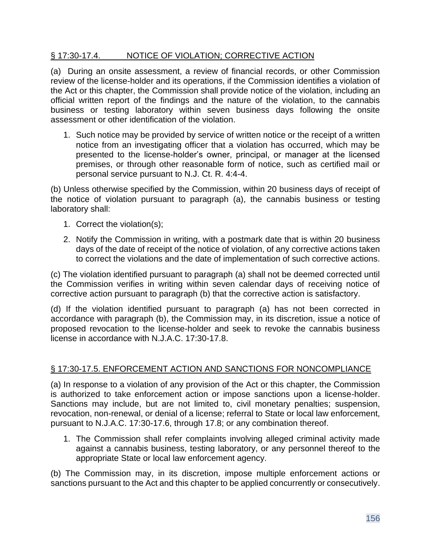#### § 17:30-17.4. NOTICE OF VIOLATION; CORRECTIVE ACTION

(a) During an onsite assessment, a review of financial records, or other Commission review of the license-holder and its operations, if the Commission identifies a violation of the Act or this chapter, the Commission shall provide notice of the violation, including an official written report of the findings and the nature of the violation, to the cannabis business or testing laboratory within seven business days following the onsite assessment or other identification of the violation.

1. Such notice may be provided by service of written notice or the receipt of a written notice from an investigating officer that a violation has occurred, which may be presented to the license-holder's owner, principal, or manager at the licensed premises, or through other reasonable form of notice, such as certified mail or personal service pursuant to N.J. Ct. R. 4:4-4.

(b) Unless otherwise specified by the Commission, within 20 business days of receipt of the notice of violation pursuant to paragraph (a), the cannabis business or testing laboratory shall:

- 1. Correct the violation(s);
- 2. Notify the Commission in writing, with a postmark date that is within 20 business days of the date of receipt of the notice of violation, of any corrective actions taken to correct the violations and the date of implementation of such corrective actions.

(c) The violation identified pursuant to paragraph (a) shall not be deemed corrected until the Commission verifies in writing within seven calendar days of receiving notice of corrective action pursuant to paragraph (b) that the corrective action is satisfactory.

(d) If the violation identified pursuant to paragraph (a) has not been corrected in accordance with paragraph (b), the Commission may, in its discretion, issue a notice of proposed revocation to the license-holder and seek to revoke the cannabis business license in accordance with N.J.A.C. 17:30-17.8.

### § 17:30-17.5. ENFORCEMENT ACTION AND SANCTIONS FOR NONCOMPLIANCE

(a) In response to a violation of any provision of the Act or this chapter, the Commission is authorized to take enforcement action or impose sanctions upon a license-holder. Sanctions may include, but are not limited to, civil monetary penalties; suspension, revocation, non-renewal, or denial of a license; referral to State or local law enforcement, pursuant to N.J.A.C. 17:30-17.6, through 17.8; or any combination thereof.

1. The Commission shall refer complaints involving alleged criminal activity made against a cannabis business, testing laboratory, or any personnel thereof to the appropriate State or local law enforcement agency.

(b) The Commission may, in its discretion, impose multiple enforcement actions or sanctions pursuant to the Act and this chapter to be applied concurrently or consecutively.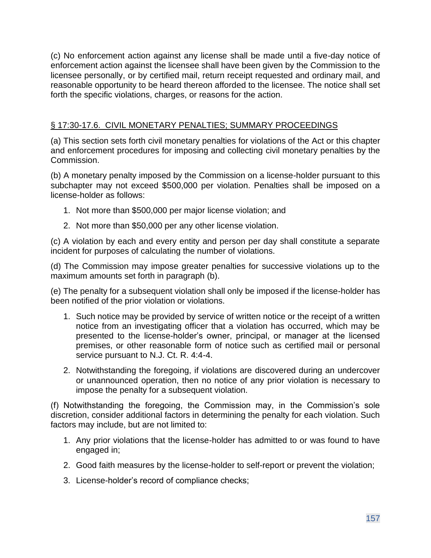(c) No enforcement action against any license shall be made until a five-day notice of enforcement action against the licensee shall have been given by the Commission to the licensee personally, or by certified mail, return receipt requested and ordinary mail, and reasonable opportunity to be heard thereon afforded to the licensee. The notice shall set forth the specific violations, charges, or reasons for the action.

#### § 17:30-17.6. CIVIL MONETARY PENALTIES; SUMMARY PROCEEDINGS

(a) This section sets forth civil monetary penalties for violations of the Act or this chapter and enforcement procedures for imposing and collecting civil monetary penalties by the Commission.

(b) A monetary penalty imposed by the Commission on a license-holder pursuant to this subchapter may not exceed \$500,000 per violation. Penalties shall be imposed on a license-holder as follows:

- 1. Not more than \$500,000 per major license violation; and
- 2. Not more than \$50,000 per any other license violation.

(c) A violation by each and every entity and person per day shall constitute a separate incident for purposes of calculating the number of violations.

(d) The Commission may impose greater penalties for successive violations up to the maximum amounts set forth in paragraph (b).

(e) The penalty for a subsequent violation shall only be imposed if the license-holder has been notified of the prior violation or violations.

- 1. Such notice may be provided by service of written notice or the receipt of a written notice from an investigating officer that a violation has occurred, which may be presented to the license-holder's owner, principal, or manager at the licensed premises, or other reasonable form of notice such as certified mail or personal service pursuant to N.J. Ct. R. 4:4-4.
- 2. Notwithstanding the foregoing, if violations are discovered during an undercover or unannounced operation, then no notice of any prior violation is necessary to impose the penalty for a subsequent violation.

(f) Notwithstanding the foregoing, the Commission may, in the Commission's sole discretion, consider additional factors in determining the penalty for each violation. Such factors may include, but are not limited to:

- 1. Any prior violations that the license-holder has admitted to or was found to have engaged in;
- 2. Good faith measures by the license-holder to self-report or prevent the violation;
- 3. License-holder's record of compliance checks;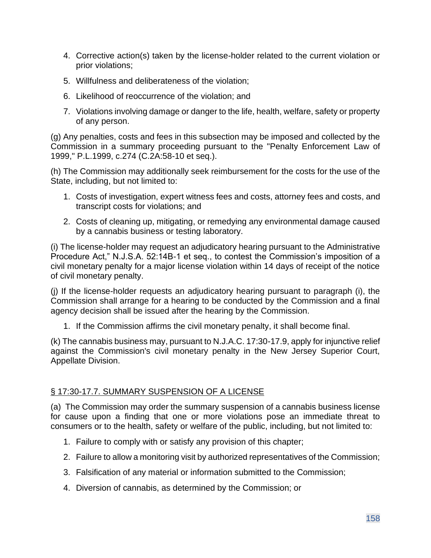- 4. Corrective action(s) taken by the license-holder related to the current violation or prior violations;
- 5. Willfulness and deliberateness of the violation;
- 6. Likelihood of reoccurrence of the violation; and
- 7. Violations involving damage or danger to the life, health, welfare, safety or property of any person.

(g) Any penalties, costs and fees in this subsection may be imposed and collected by the Commission in a summary proceeding pursuant to the "Penalty Enforcement Law of 1999," P.L.1999, c.274 (C.2A:58-10 et seq.).

(h) The Commission may additionally seek reimbursement for the costs for the use of the State, including, but not limited to:

- 1. Costs of investigation, expert witness fees and costs, attorney fees and costs, and transcript costs for violations; and
- 2. Costs of cleaning up, mitigating, or remedying any environmental damage caused by a cannabis business or testing laboratory.

(i) The license-holder may request an adjudicatory hearing pursuant to the Administrative Procedure Act," N.J.S.A. 52:14B-1 et seq., to contest the Commission's imposition of a civil monetary penalty for a major license violation within 14 days of receipt of the notice of civil monetary penalty.

(j) If the license-holder requests an adjudicatory hearing pursuant to paragraph (i), the Commission shall arrange for a hearing to be conducted by the Commission and a final agency decision shall be issued after the hearing by the Commission.

1. If the Commission affirms the civil monetary penalty, it shall become final.

(k) The cannabis business may, pursuant to N.J.A.C. 17:30-17.9, apply for injunctive relief against the Commission's civil monetary penalty in the New Jersey Superior Court, Appellate Division.

### § 17:30-17.7. SUMMARY SUSPENSION OF A LICENSE

(a) The Commission may order the summary suspension of a cannabis business license for cause upon a finding that one or more violations pose an immediate threat to consumers or to the health, safety or welfare of the public, including, but not limited to:

- 1. Failure to comply with or satisfy any provision of this chapter;
- 2. Failure to allow a monitoring visit by authorized representatives of the Commission;
- 3. Falsification of any material or information submitted to the Commission;
- 4. Diversion of cannabis, as determined by the Commission; or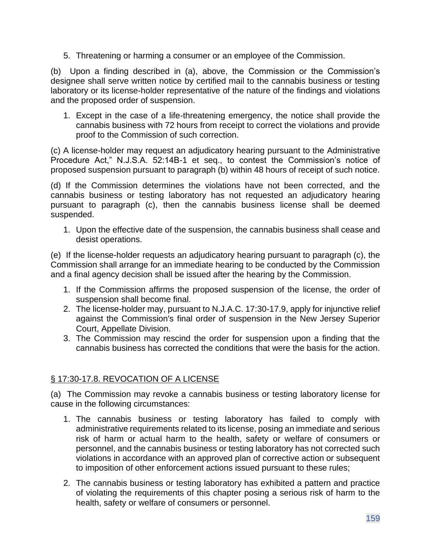5. Threatening or harming a consumer or an employee of the Commission.

(b) Upon a finding described in (a), above, the Commission or the Commission's designee shall serve written notice by certified mail to the cannabis business or testing laboratory or its license-holder representative of the nature of the findings and violations and the proposed order of suspension.

1. Except in the case of a life-threatening emergency, the notice shall provide the cannabis business with 72 hours from receipt to correct the violations and provide proof to the Commission of such correction.

(c) A license-holder may request an adjudicatory hearing pursuant to the Administrative Procedure Act," N.J.S.A. 52:14B-1 et seq., to contest the Commission's notice of proposed suspension pursuant to paragraph (b) within 48 hours of receipt of such notice.

(d) If the Commission determines the violations have not been corrected, and the cannabis business or testing laboratory has not requested an adjudicatory hearing pursuant to paragraph (c), then the cannabis business license shall be deemed suspended.

1. Upon the effective date of the suspension, the cannabis business shall cease and desist operations.

(e) If the license-holder requests an adjudicatory hearing pursuant to paragraph (c), the Commission shall arrange for an immediate hearing to be conducted by the Commission and a final agency decision shall be issued after the hearing by the Commission.

- 1. If the Commission affirms the proposed suspension of the license, the order of suspension shall become final.
- 2. The license-holder may, pursuant to N.J.A.C. 17:30-17.9, apply for injunctive relief against the Commission's final order of suspension in the New Jersey Superior Court, Appellate Division.
- 3. The Commission may rescind the order for suspension upon a finding that the cannabis business has corrected the conditions that were the basis for the action.

### § 17:30-17.8. REVOCATION OF A LICENSE

(a) The Commission may revoke a cannabis business or testing laboratory license for cause in the following circumstances:

- 1. The cannabis business or testing laboratory has failed to comply with administrative requirements related to its license, posing an immediate and serious risk of harm or actual harm to the health, safety or welfare of consumers or personnel, and the cannabis business or testing laboratory has not corrected such violations in accordance with an approved plan of corrective action or subsequent to imposition of other enforcement actions issued pursuant to these rules;
- 2. The cannabis business or testing laboratory has exhibited a pattern and practice of violating the requirements of this chapter posing a serious risk of harm to the health, safety or welfare of consumers or personnel.